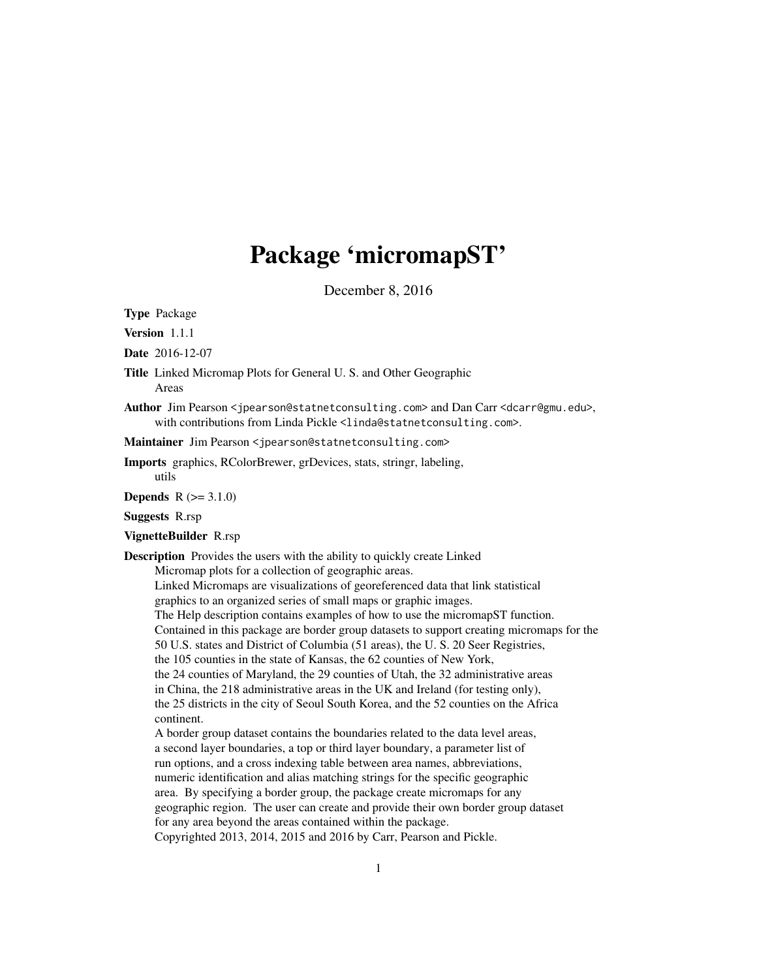# Package 'micromapST'

December 8, 2016

Type Package

Version 1.1.1

Date 2016-12-07

Title Linked Micromap Plots for General U. S. and Other Geographic Areas

Author Jim Pearson <jpearson@statnetconsulting.com> and Dan Carr <dcarr@gmu.edu>, with contributions from Linda Pickle <linda@statnetconsulting.com>.

Maintainer Jim Pearson <jpearson@statnetconsulting.com>

Imports graphics, RColorBrewer, grDevices, stats, stringr, labeling, utils

**Depends**  $R (= 3.1.0)$ 

Suggests R.rsp

# VignetteBuilder R.rsp

Description Provides the users with the ability to quickly create Linked

Micromap plots for a collection of geographic areas.

Linked Micromaps are visualizations of georeferenced data that link statistical graphics to an organized series of small maps or graphic images. The Help description contains examples of how to use the micromapST function. Contained in this package are border group datasets to support creating micromaps for the 50 U.S. states and District of Columbia (51 areas), the U. S. 20 Seer Registries, the 105 counties in the state of Kansas, the 62 counties of New York, the 24 counties of Maryland, the 29 counties of Utah, the 32 administrative areas in China, the 218 administrative areas in the UK and Ireland (for testing only), the 25 districts in the city of Seoul South Korea, and the 52 counties on the Africa continent.

A border group dataset contains the boundaries related to the data level areas, a second layer boundaries, a top or third layer boundary, a parameter list of run options, and a cross indexing table between area names, abbreviations, numeric identification and alias matching strings for the specific geographic area. By specifying a border group, the package create micromaps for any geographic region. The user can create and provide their own border group dataset for any area beyond the areas contained within the package. Copyrighted 2013, 2014, 2015 and 2016 by Carr, Pearson and Pickle.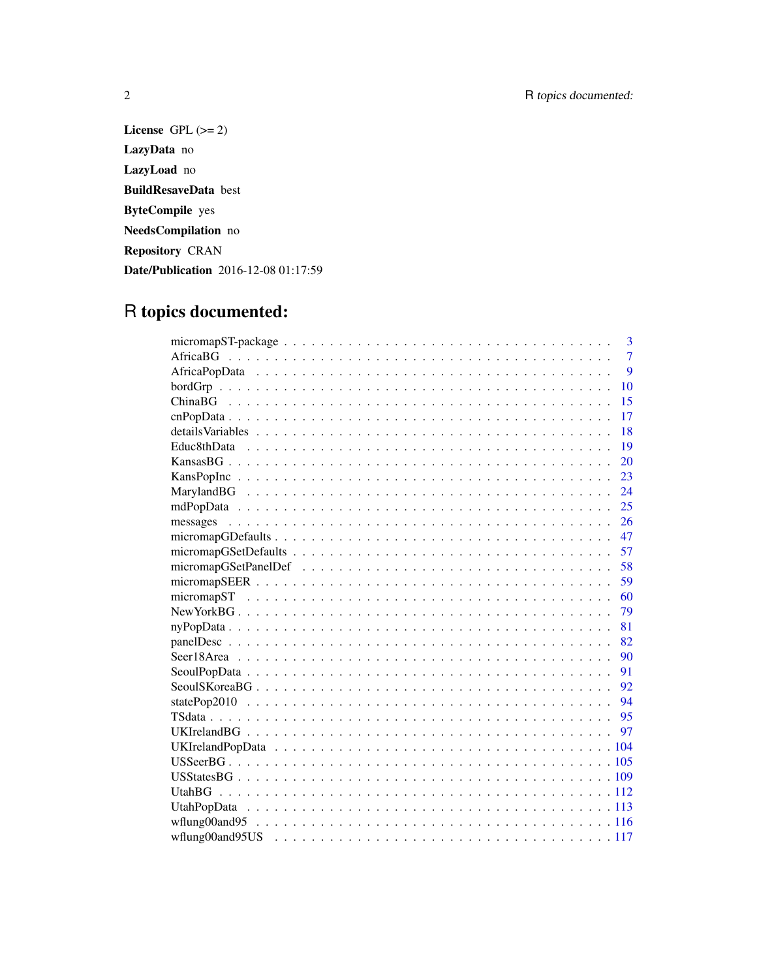License GPL  $(>= 2)$ LazyData no LazyLoad no BuildResaveData best ByteCompile yes NeedsCompilation no Repository CRAN Date/Publication 2016-12-08 01:17:59

# R topics documented:

| $\overline{3}$ |
|----------------|
| $\overline{7}$ |
| $\overline{9}$ |
| 10             |
| 15             |
| 17             |
| 18             |
| 19             |
| 20             |
| 23             |
| 24             |
| 25             |
| 26             |
| 47             |
| 57             |
| 58             |
| 59             |
| 60             |
| 79             |
| 81             |
| 82             |
| 90             |
| 91             |
| 92             |
| - 94           |
|                |
|                |
|                |
|                |
|                |
|                |
|                |
|                |
|                |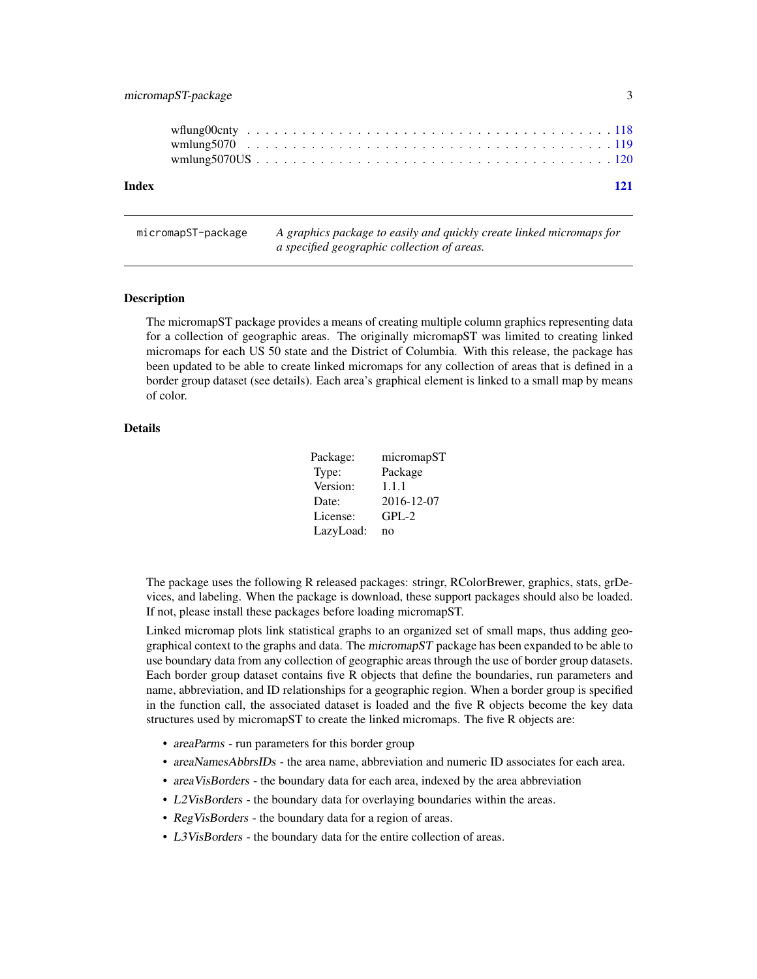# <span id="page-2-0"></span>micromapST-package 3

micromapST-package *A graphics package to easily and quickly create linked micromaps for a specified geographic collection of areas.*

#### Description

The micromapST package provides a means of creating multiple column graphics representing data for a collection of geographic areas. The originally micromapST was limited to creating linked micromaps for each US 50 state and the District of Columbia. With this release, the package has been updated to be able to create linked micromaps for any collection of areas that is defined in a border group dataset (see details). Each area's graphical element is linked to a small map by means of color.

# Details

| Package:  | micromapST |
|-----------|------------|
| Type:     | Package    |
| Version:  | 1.1.1      |
| Date:     | 2016-12-07 |
| License:  | $GPL-2$    |
| LazyLoad: | no         |

The package uses the following R released packages: stringr, RColorBrewer, graphics, stats, grDevices, and labeling. When the package is download, these support packages should also be loaded. If not, please install these packages before loading micromapST.

Linked micromap plots link statistical graphs to an organized set of small maps, thus adding geographical context to the graphs and data. The micromapST package has been expanded to be able to use boundary data from any collection of geographic areas through the use of border group datasets. Each border group dataset contains five R objects that define the boundaries, run parameters and name, abbreviation, and ID relationships for a geographic region. When a border group is specified in the function call, the associated dataset is loaded and the five R objects become the key data structures used by micromapST to create the linked micromaps. The five R objects are:

- areaParms run parameters for this border group
- areaNamesAbbrsIDs the area name, abbreviation and numeric ID associates for each area.
- areaVisBorders the boundary data for each area, indexed by the area abbreviation
- L2VisBorders the boundary data for overlaying boundaries within the areas.
- RegVisBorders the boundary data for a region of areas.
- L3VisBorders the boundary data for the entire collection of areas.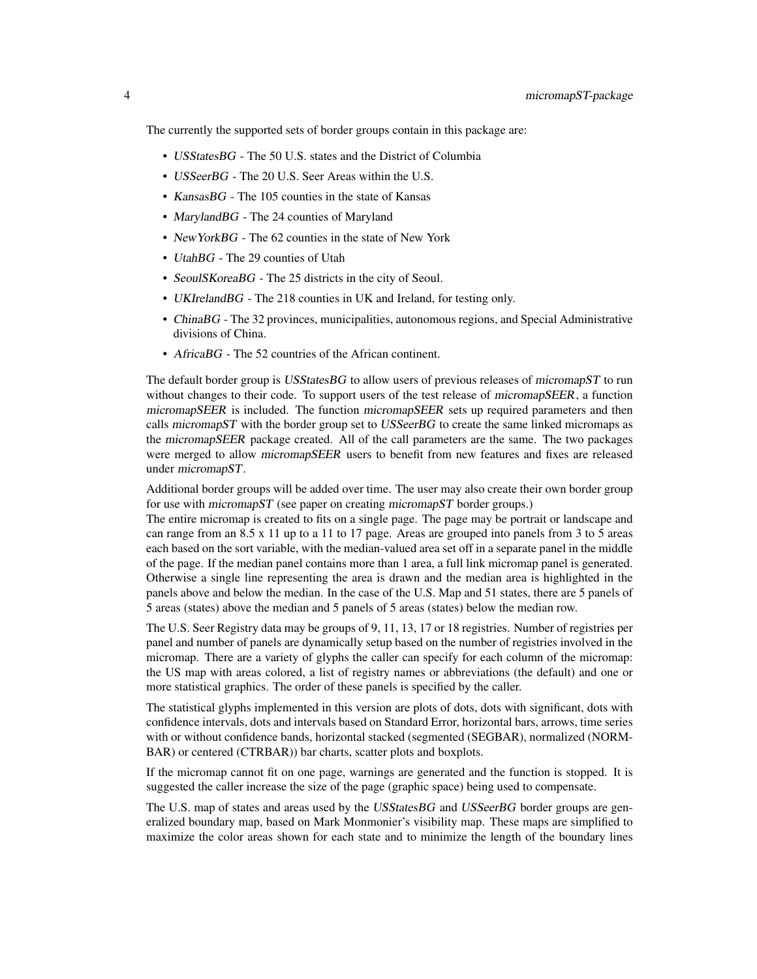The currently the supported sets of border groups contain in this package are:

- USStatesBG The 50 U.S. states and the District of Columbia
- USSeerBG The 20 U.S. Seer Areas within the U.S.
- KansasBG The 105 counties in the state of Kansas
- MarylandBG The 24 counties of Maryland
- New York BG The 62 counties in the state of New York
- UtahBG The 29 counties of Utah
- SeoulSKoreaBG The 25 districts in the city of Seoul.
- UKIrelandBG The 218 counties in UK and Ireland, for testing only.
- ChinaBG The 32 provinces, municipalities, autonomous regions, and Special Administrative divisions of China.
- AfricaBG The 52 countries of the African continent.

The default border group is USStatesBG to allow users of previous releases of micromapST to run without changes to their code. To support users of the test release of micromapSEER, a function micromapSEER is included. The function micromapSEER sets up required parameters and then calls micromapST with the border group set to USSeerBG to create the same linked micromaps as the micromapSEER package created. All of the call parameters are the same. The two packages were merged to allow micromapSEER users to benefit from new features and fixes are released under micromapST.

Additional border groups will be added over time. The user may also create their own border group for use with *micromapST* (see paper on creating *micromapST* border groups.)

The entire micromap is created to fits on a single page. The page may be portrait or landscape and can range from an 8.5 x 11 up to a 11 to 17 page. Areas are grouped into panels from 3 to 5 areas each based on the sort variable, with the median-valued area set off in a separate panel in the middle of the page. If the median panel contains more than 1 area, a full link micromap panel is generated. Otherwise a single line representing the area is drawn and the median area is highlighted in the panels above and below the median. In the case of the U.S. Map and 51 states, there are 5 panels of 5 areas (states) above the median and 5 panels of 5 areas (states) below the median row.

The U.S. Seer Registry data may be groups of 9, 11, 13, 17 or 18 registries. Number of registries per panel and number of panels are dynamically setup based on the number of registries involved in the micromap. There are a variety of glyphs the caller can specify for each column of the micromap: the US map with areas colored, a list of registry names or abbreviations (the default) and one or more statistical graphics. The order of these panels is specified by the caller.

The statistical glyphs implemented in this version are plots of dots, dots with significant, dots with confidence intervals, dots and intervals based on Standard Error, horizontal bars, arrows, time series with or without confidence bands, horizontal stacked (segmented (SEGBAR), normalized (NORM-BAR) or centered (CTRBAR)) bar charts, scatter plots and boxplots.

If the micromap cannot fit on one page, warnings are generated and the function is stopped. It is suggested the caller increase the size of the page (graphic space) being used to compensate.

The U.S. map of states and areas used by the USStates BG and USSeerBG border groups are generalized boundary map, based on Mark Monmonier's visibility map. These maps are simplified to maximize the color areas shown for each state and to minimize the length of the boundary lines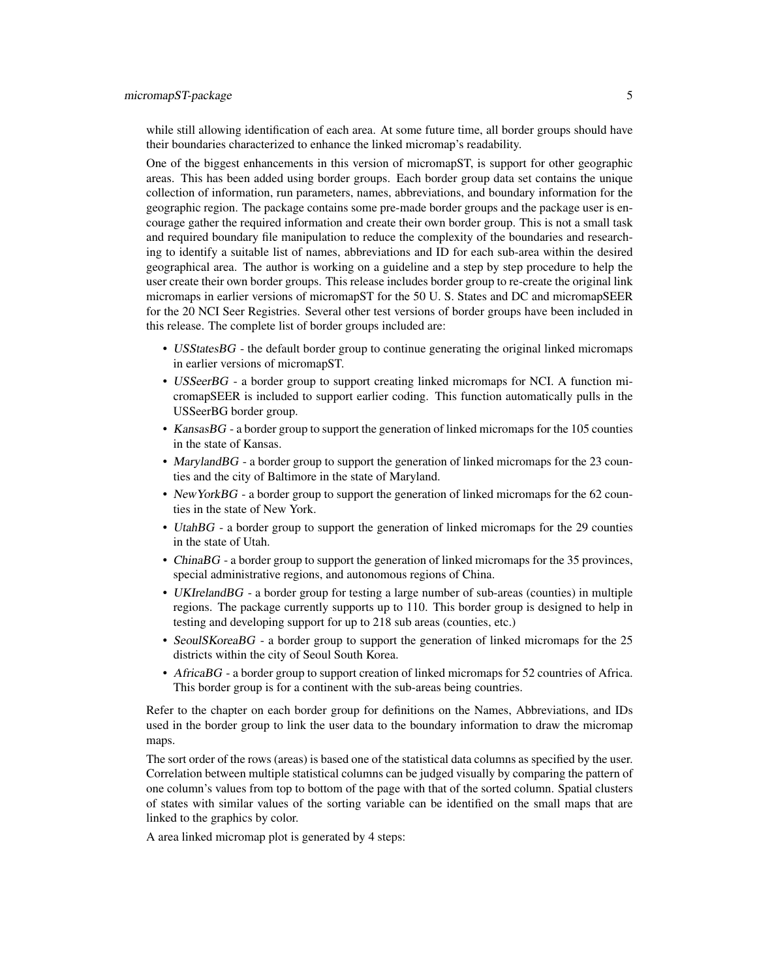while still allowing identification of each area. At some future time, all border groups should have their boundaries characterized to enhance the linked micromap's readability.

One of the biggest enhancements in this version of micromapST, is support for other geographic areas. This has been added using border groups. Each border group data set contains the unique collection of information, run parameters, names, abbreviations, and boundary information for the geographic region. The package contains some pre-made border groups and the package user is encourage gather the required information and create their own border group. This is not a small task and required boundary file manipulation to reduce the complexity of the boundaries and researching to identify a suitable list of names, abbreviations and ID for each sub-area within the desired geographical area. The author is working on a guideline and a step by step procedure to help the user create their own border groups. This release includes border group to re-create the original link micromaps in earlier versions of micromapST for the 50 U. S. States and DC and micromapSEER for the 20 NCI Seer Registries. Several other test versions of border groups have been included in this release. The complete list of border groups included are:

- USStatesBG the default border group to continue generating the original linked micromaps in earlier versions of micromapST.
- USSeerBG a border group to support creating linked micromaps for NCI. A function micromapSEER is included to support earlier coding. This function automatically pulls in the USSeerBG border group.
- KansasBG a border group to support the generation of linked micromaps for the 105 counties in the state of Kansas.
- MarylandBG a border group to support the generation of linked micromaps for the 23 counties and the city of Baltimore in the state of Maryland.
- New YorkBG a border group to support the generation of linked micromaps for the 62 counties in the state of New York.
- UtahBG a border group to support the generation of linked micromaps for the 29 counties in the state of Utah.
- ChinaBG a border group to support the generation of linked micromaps for the 35 provinces, special administrative regions, and autonomous regions of China.
- UKIrelandBG a border group for testing a large number of sub-areas (counties) in multiple regions. The package currently supports up to 110. This border group is designed to help in testing and developing support for up to 218 sub areas (counties, etc.)
- SeoulSKoreaBG a border group to support the generation of linked micromaps for the 25 districts within the city of Seoul South Korea.
- AfricaBG a border group to support creation of linked micromaps for 52 countries of Africa. This border group is for a continent with the sub-areas being countries.

Refer to the chapter on each border group for definitions on the Names, Abbreviations, and IDs used in the border group to link the user data to the boundary information to draw the micromap maps.

The sort order of the rows (areas) is based one of the statistical data columns as specified by the user. Correlation between multiple statistical columns can be judged visually by comparing the pattern of one column's values from top to bottom of the page with that of the sorted column. Spatial clusters of states with similar values of the sorting variable can be identified on the small maps that are linked to the graphics by color.

A area linked micromap plot is generated by 4 steps: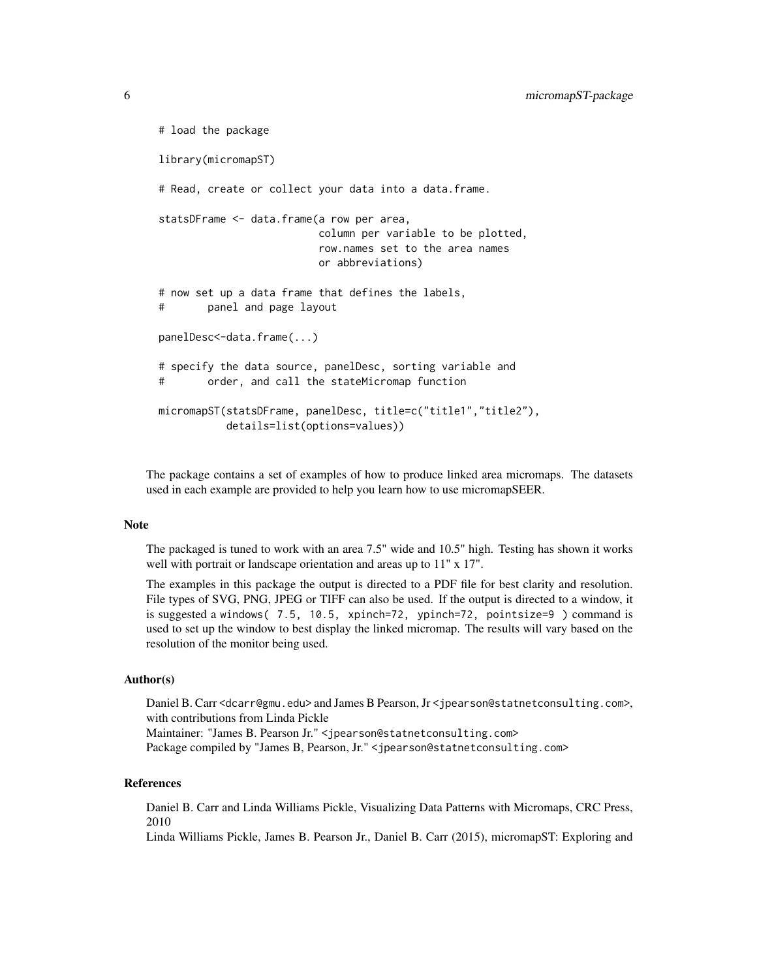```
# load the package
library(micromapST)
# Read, create or collect your data into a data.frame.
statsDFrame <- data.frame(a row per area,
                         column per variable to be plotted,
                         row.names set to the area names
                         or abbreviations)
# now set up a data frame that defines the labels,
# panel and page layout
panelDesc<-data.frame(...)
# specify the data source, panelDesc, sorting variable and
# order, and call the stateMicromap function
micromapST(statsDFrame, panelDesc, title=c("title1","title2"),
          details=list(options=values))
```
The package contains a set of examples of how to produce linked area micromaps. The datasets used in each example are provided to help you learn how to use micromapSEER.

#### Note

The packaged is tuned to work with an area 7.5" wide and 10.5" high. Testing has shown it works well with portrait or landscape orientation and areas up to 11" x 17".

The examples in this package the output is directed to a PDF file for best clarity and resolution. File types of SVG, PNG, JPEG or TIFF can also be used. If the output is directed to a window, it is suggested a windows( 7.5, 10.5, xpinch=72, ypinch=72, pointsize=9 ) command is used to set up the window to best display the linked micromap. The results will vary based on the resolution of the monitor being used.

#### Author(s)

Daniel B. Carr <dcarr@gmu.edu> and James B Pearson, Jr <jpearson@statnetconsulting.com>, with contributions from Linda Pickle Maintainer: "James B. Pearson Jr." <jpearson@statnetconsulting.com> Package compiled by "James B, Pearson, Jr." <jpearson@statnetconsulting.com>

#### References

Daniel B. Carr and Linda Williams Pickle, Visualizing Data Patterns with Micromaps, CRC Press, 2010

Linda Williams Pickle, James B. Pearson Jr., Daniel B. Carr (2015), micromapST: Exploring and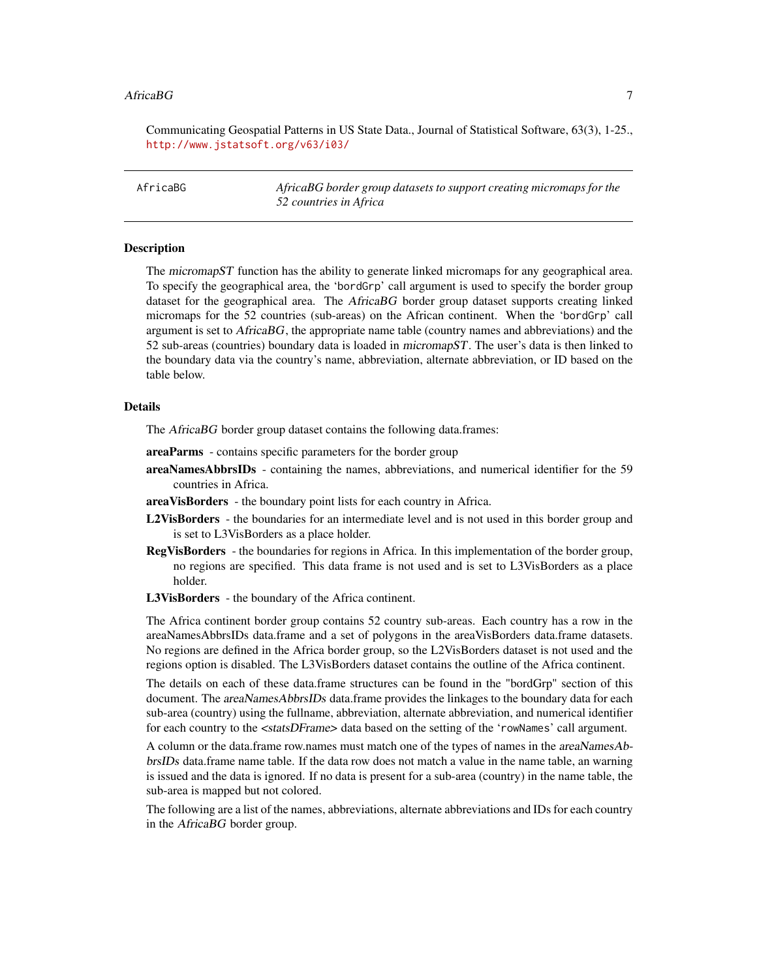#### <span id="page-6-0"></span>AfricaBG 7 **7**

Communicating Geospatial Patterns in US State Data., Journal of Statistical Software, 63(3), 1-25., <http://www.jstatsoft.org/v63/i03/>

AfricaBG *AfricaBG border group datasets to support creating micromaps for the 52 countries in Africa*

# **Description**

The micromapST function has the ability to generate linked micromaps for any geographical area. To specify the geographical area, the 'bordGrp' call argument is used to specify the border group dataset for the geographical area. The AfricaBG border group dataset supports creating linked micromaps for the 52 countries (sub-areas) on the African continent. When the 'bordGrp' call argument is set to  $A$ frica $BG$ , the appropriate name table (country names and abbreviations) and the 52 sub-areas (countries) boundary data is loaded in micromapST. The user's data is then linked to the boundary data via the country's name, abbreviation, alternate abbreviation, or ID based on the table below.

#### Details

The *AfricaBG* border group dataset contains the following data.frames:

- areaParms contains specific parameters for the border group
- areaNamesAbbrsIDs containing the names, abbreviations, and numerical identifier for the 59 countries in Africa.
- areaVisBorders the boundary point lists for each country in Africa.
- L2VisBorders the boundaries for an intermediate level and is not used in this border group and is set to L3VisBorders as a place holder.
- RegVisBorders the boundaries for regions in Africa. In this implementation of the border group, no regions are specified. This data frame is not used and is set to L3VisBorders as a place holder.
- L3VisBorders the boundary of the Africa continent.

The Africa continent border group contains 52 country sub-areas. Each country has a row in the areaNamesAbbrsIDs data.frame and a set of polygons in the areaVisBorders data.frame datasets. No regions are defined in the Africa border group, so the L2VisBorders dataset is not used and the regions option is disabled. The L3VisBorders dataset contains the outline of the Africa continent.

The details on each of these data.frame structures can be found in the "bordGrp" section of this document. The *areaNamesAbbrsIDs* data.frame provides the linkages to the boundary data for each sub-area (country) using the fullname, abbreviation, alternate abbreviation, and numerical identifier for each country to the <statsDFrame> data based on the setting of the 'rowNames' call argument.

A column or the data.frame row.names must match one of the types of names in the areaNamesAbbrsIDs data.frame name table. If the data row does not match a value in the name table, an warning is issued and the data is ignored. If no data is present for a sub-area (country) in the name table, the sub-area is mapped but not colored.

The following are a list of the names, abbreviations, alternate abbreviations and IDs for each country in the AfricaBG border group.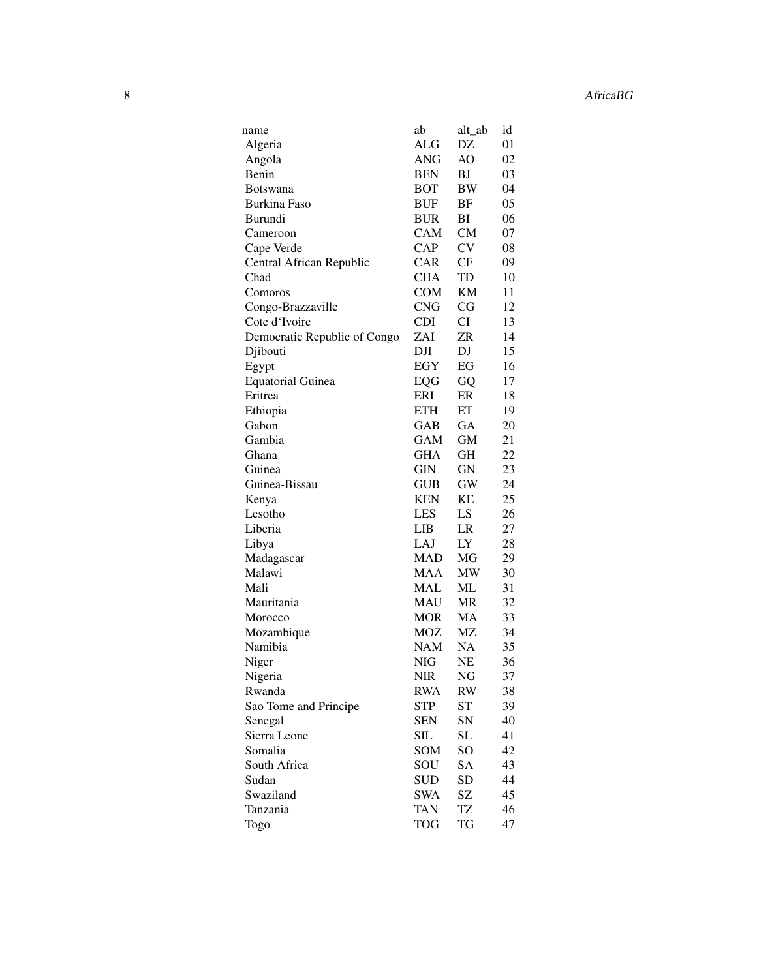| name                         | ab         | alt_ab    | id |
|------------------------------|------------|-----------|----|
| Algeria                      | ALG        | DZ        | 01 |
| Angola                       | <b>ANG</b> | AO        | 02 |
| Benin                        | <b>BEN</b> | BJ        | 03 |
| <b>Botswana</b>              | BOT        | BW        | 04 |
| Burkina Faso                 | BUF        | ΒF        | 05 |
| Burundi                      | <b>BUR</b> | ВI        | 06 |
| Cameroon                     | CAM        | <b>CM</b> | 07 |
| Cape Verde                   | <b>CAP</b> | CV        | 08 |
| Central African Republic     | <b>CAR</b> | CF        | 09 |
| Chad                         | <b>CHA</b> | TD        | 10 |
| Comoros                      | <b>COM</b> | KМ        | 11 |
| Congo-Brazzaville            | <b>CNG</b> | CG        | 12 |
| Cote d'Ivoire                | <b>CDI</b> | CI        | 13 |
| Democratic Republic of Congo | ZAI        | ZR        | 14 |
| Djibouti                     | DJI        | DJ        | 15 |
| Egypt                        | EGY        | EG        | 16 |
| <b>Equatorial Guinea</b>     | EQG        | GQ        | 17 |
| Eritrea                      | ERI        | ER        | 18 |
| Ethiopia                     | <b>ETH</b> | ET        | 19 |
| Gabon                        | GAB        | GА        | 20 |
| Gambia                       | GAM        | GM        | 21 |
| Ghana                        | GHA        | GH        | 22 |
| Guinea                       | GIN        | GN        | 23 |
| Guinea-Bissau                | <b>GUB</b> | GW        | 24 |
| Kenya                        | <b>KEN</b> | KЕ        | 25 |
| Lesotho                      | <b>LES</b> | LS        | 26 |
| Liberia                      | LIB        | LR        | 27 |
| Libya                        | LAJ        | LY        | 28 |
| Madagascar                   | MAD        | MG        | 29 |
| Malawi                       | MAA        | MW        | 30 |
| Mali                         | MAL        | ML        | 31 |
| Mauritania                   | MAU        | MR        | 32 |
| Morocco                      | MOR        | MA        | 33 |
| Mozambique                   | MOZ        | МZ        | 34 |
| Namibia                      | <b>NAM</b> | NA        | 35 |
| Niger                        | NIG        | NE        | 36 |
| Nigeria                      | <b>NIR</b> | NG        | 37 |
| Rwanda                       | <b>RWA</b> | RW        | 38 |
| Sao Tome and Principe        | <b>STP</b> | <b>ST</b> | 39 |
| Senegal                      | SEN        | SN        | 40 |
| Sierra Leone                 | SIL        | SL        | 41 |
| Somalia                      | SOM        | SO        | 42 |
| South Africa                 | SOU        | SA        | 43 |
| Sudan                        | SUD        | <b>SD</b> | 44 |
| Swaziland                    | <b>SWA</b> | SZ        | 45 |
| Tanzania                     | TAN        | TZ        | 46 |
| Togo                         | <b>TOG</b> | TG        | 47 |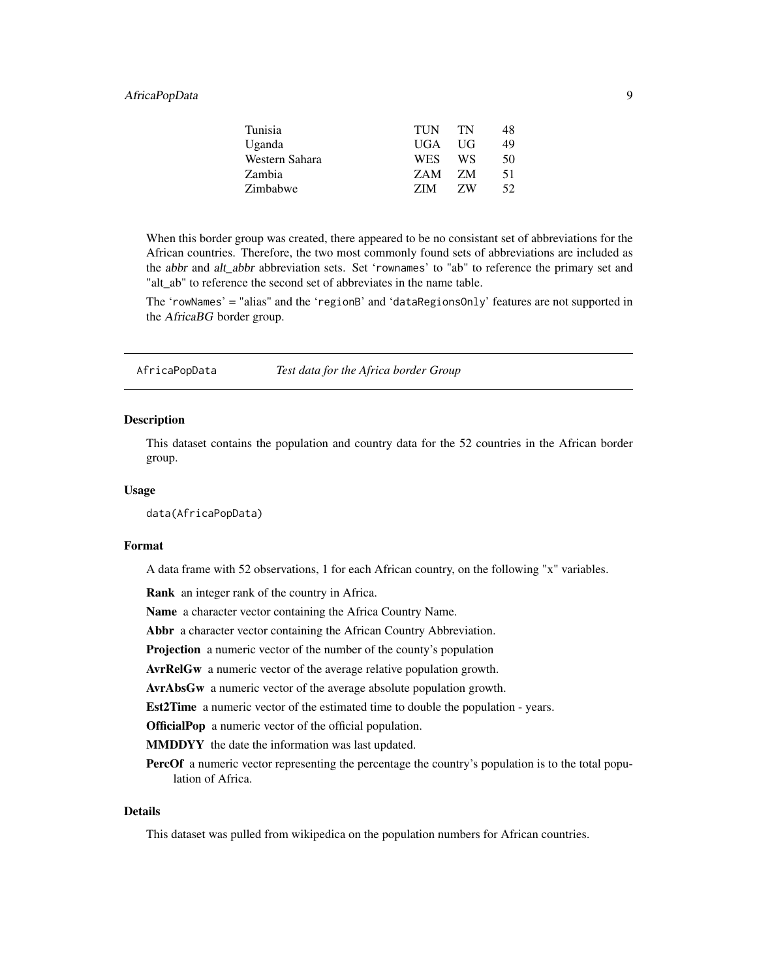# <span id="page-8-0"></span>AfricaPopData 9

| Tunisia        | TUN        | <b>TN</b> | 48. |
|----------------|------------|-----------|-----|
| Uganda         | UGA        | - UG      | 49  |
| Western Sahara | <b>WES</b> | WS.       | 50  |
| Zambia         | ZAM.       | - Z.M     | 51  |
| Zimbabwe       | ZIM        | ZW        | 52. |
|                |            |           |     |

When this border group was created, there appeared to be no consistant set of abbreviations for the African countries. Therefore, the two most commonly found sets of abbreviations are included as the abbr and alt abbr abbreviation sets. Set 'rownames' to "ab" to reference the primary set and "alt\_ab" to reference the second set of abbreviates in the name table.

The 'rowNames' = "alias" and the 'regionB' and 'dataRegionsOnly' features are not supported in the AfricaBG border group.

AfricaPopData *Test data for the Africa border Group*

# **Description**

This dataset contains the population and country data for the 52 countries in the African border group.

#### Usage

data(AfricaPopData)

#### Format

A data frame with 52 observations, 1 for each African country, on the following "x" variables.

Rank an integer rank of the country in Africa.

Name a character vector containing the Africa Country Name.

Abbr a character vector containing the African Country Abbreviation.

Projection a numeric vector of the number of the county's population

AvrRelGw a numeric vector of the average relative population growth.

AvrAbsGw a numeric vector of the average absolute population growth.

Est2Time a numeric vector of the estimated time to double the population - years.

OfficialPop a numeric vector of the official population.

MMDDYY the date the information was last updated.

**PercOf** a numeric vector representing the percentage the country's population is to the total population of Africa.

# Details

This dataset was pulled from wikipedica on the population numbers for African countries.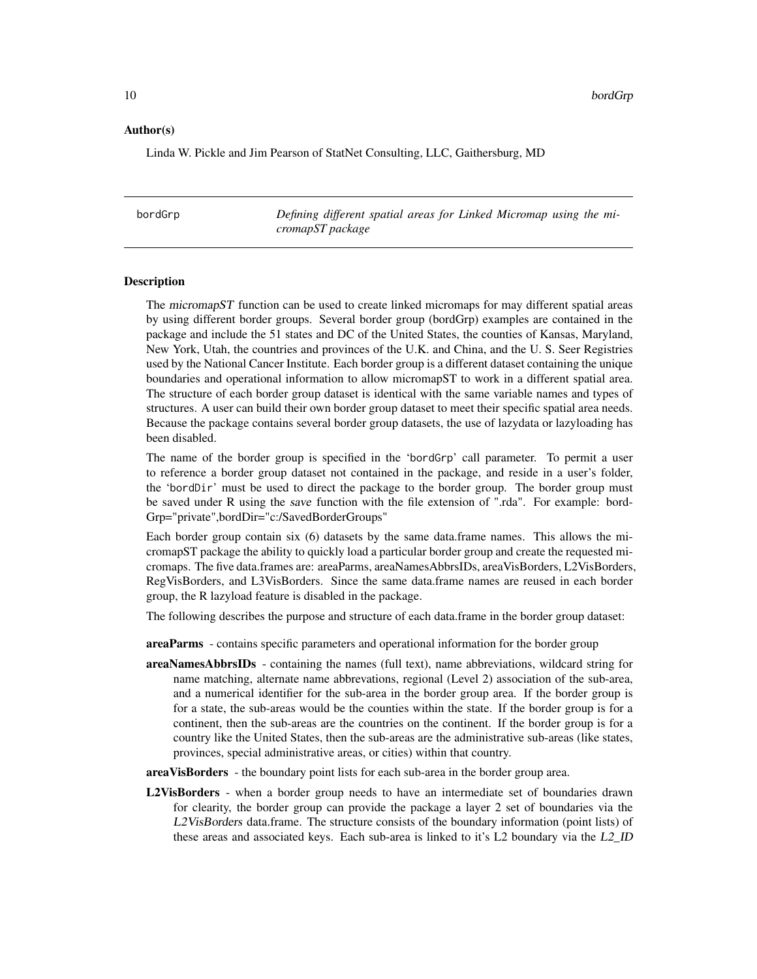#### <span id="page-9-0"></span>Author(s)

Linda W. Pickle and Jim Pearson of StatNet Consulting, LLC, Gaithersburg, MD

bordGrp *Defining different spatial areas for Linked Micromap using the micromapST package*

#### **Description**

The micromapST function can be used to create linked micromaps for may different spatial areas by using different border groups. Several border group (bordGrp) examples are contained in the package and include the 51 states and DC of the United States, the counties of Kansas, Maryland, New York, Utah, the countries and provinces of the U.K. and China, and the U. S. Seer Registries used by the National Cancer Institute. Each border group is a different dataset containing the unique boundaries and operational information to allow micromapST to work in a different spatial area. The structure of each border group dataset is identical with the same variable names and types of structures. A user can build their own border group dataset to meet their specific spatial area needs. Because the package contains several border group datasets, the use of lazydata or lazyloading has been disabled.

The name of the border group is specified in the 'bordGrp' call parameter. To permit a user to reference a border group dataset not contained in the package, and reside in a user's folder, the 'bordDir' must be used to direct the package to the border group. The border group must be saved under R using the save function with the file extension of ".rda". For example: bord-Grp="private",bordDir="c:/SavedBorderGroups"

Each border group contain six (6) datasets by the same data.frame names. This allows the micromapST package the ability to quickly load a particular border group and create the requested micromaps. The five data.frames are: areaParms, areaNamesAbbrsIDs, areaVisBorders, L2VisBorders, RegVisBorders, and L3VisBorders. Since the same data.frame names are reused in each border group, the R lazyload feature is disabled in the package.

The following describes the purpose and structure of each data.frame in the border group dataset:

areaParms - contains specific parameters and operational information for the border group

areaNamesAbbrsIDs - containing the names (full text), name abbreviations, wildcard string for name matching, alternate name abbrevations, regional (Level 2) association of the sub-area, and a numerical identifier for the sub-area in the border group area. If the border group is for a state, the sub-areas would be the counties within the state. If the border group is for a continent, then the sub-areas are the countries on the continent. If the border group is for a country like the United States, then the sub-areas are the administrative sub-areas (like states, provinces, special administrative areas, or cities) within that country.

areaVisBorders - the boundary point lists for each sub-area in the border group area.

L2VisBorders - when a border group needs to have an intermediate set of boundaries drawn for clearity, the border group can provide the package a layer 2 set of boundaries via the L2VisBorders data.frame. The structure consists of the boundary information (point lists) of these areas and associated keys. Each sub-area is linked to it's L2 boundary via the L2\_ID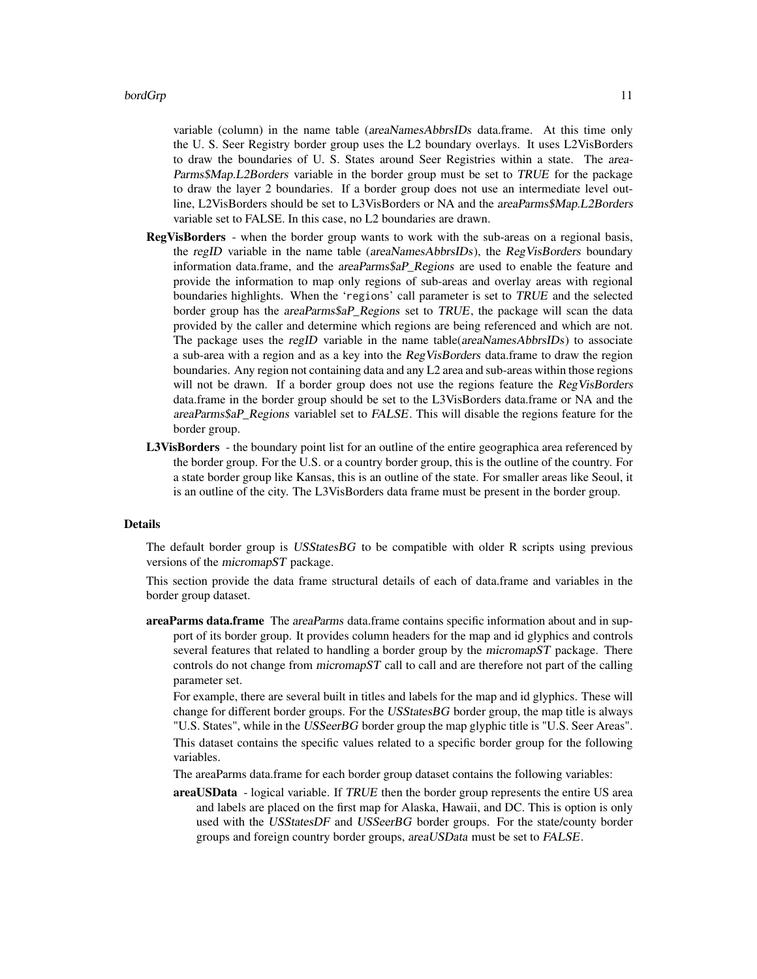variable (column) in the name table (*areaNamesAbbrsIDs* data.frame. At this time only the U. S. Seer Registry border group uses the L2 boundary overlays. It uses L2VisBorders to draw the boundaries of U. S. States around Seer Registries within a state. The area-Parms\$Map.L2Borders variable in the border group must be set to TRUE for the package to draw the layer 2 boundaries. If a border group does not use an intermediate level outline, L2VisBorders should be set to L3VisBorders or NA and the areaParms\$Map.L2Borders variable set to FALSE. In this case, no L2 boundaries are drawn.

- RegVisBorders when the border group wants to work with the sub-areas on a regional basis, the regID variable in the name table (areaNamesAbbrsIDs), the RegVisBorders boundary information data.frame, and the *areaParms\$aP* Regions are used to enable the feature and provide the information to map only regions of sub-areas and overlay areas with regional boundaries highlights. When the 'regions' call parameter is set to TRUE and the selected border group has the areaParms\$aP\_Regions set to TRUE, the package will scan the data provided by the caller and determine which regions are being referenced and which are not. The package uses the regID variable in the name table(areaNamesAbbrsIDs) to associate a sub-area with a region and as a key into the RegVisBorders data.frame to draw the region boundaries. Any region not containing data and any L2 area and sub-areas within those regions will not be drawn. If a border group does not use the regions feature the RegVisBorders data.frame in the border group should be set to the L3VisBorders data.frame or NA and the areaParms\$aP\_Regions variablel set to FALSE. This will disable the regions feature for the border group.
- L3VisBorders the boundary point list for an outline of the entire geographica area referenced by the border group. For the U.S. or a country border group, this is the outline of the country. For a state border group like Kansas, this is an outline of the state. For smaller areas like Seoul, it is an outline of the city. The L3VisBorders data frame must be present in the border group.

#### Details

The default border group is USStates BG to be compatible with older R scripts using previous versions of the micromapST package.

This section provide the data frame structural details of each of data.frame and variables in the border group dataset.

areaParms data.frame The *areaParms* data.frame contains specific information about and in support of its border group. It provides column headers for the map and id glyphics and controls several features that related to handling a border group by the *micromapST* package. There controls do not change from micromapST call to call and are therefore not part of the calling parameter set.

For example, there are several built in titles and labels for the map and id glyphics. These will change for different border groups. For the USStatesBG border group, the map title is always "U.S. States", while in the USSeerBG border group the map glyphic title is "U.S. Seer Areas".

This dataset contains the specific values related to a specific border group for the following variables.

- The areaParms data.frame for each border group dataset contains the following variables:
- areaUSData logical variable. If TRUE then the border group represents the entire US area and labels are placed on the first map for Alaska, Hawaii, and DC. This is option is only used with the USStatesDF and USSeerBG border groups. For the state/county border groups and foreign country border groups, areaUSData must be set to FALSE.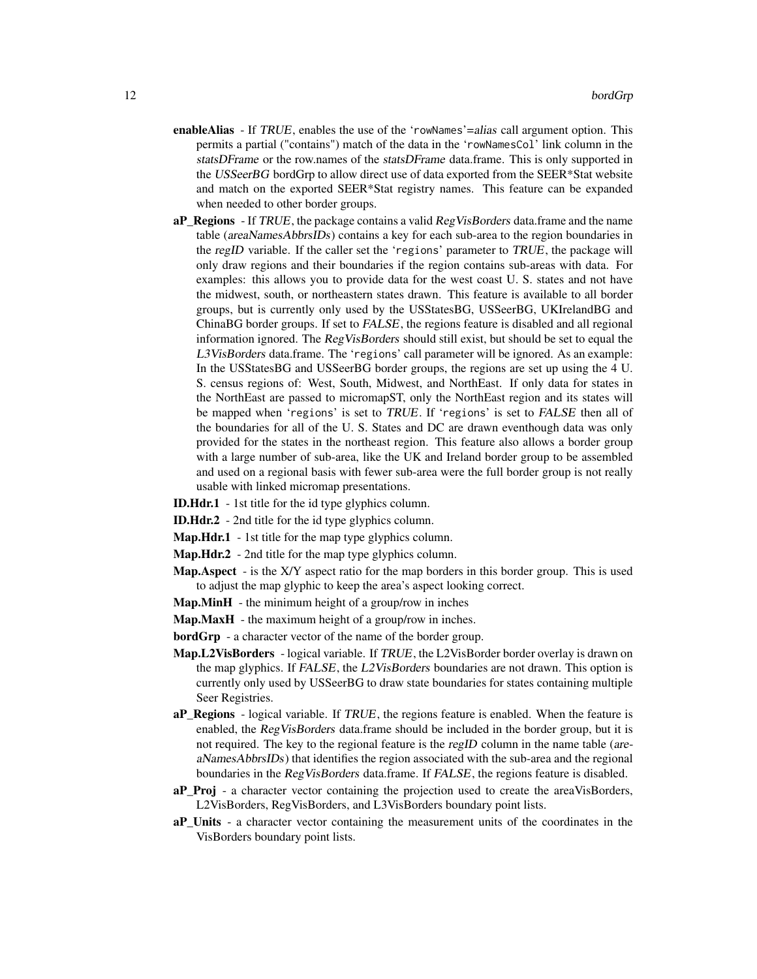- enableAlias If TRUE, enables the use of the 'rowNames'=alias call argument option. This permits a partial ("contains") match of the data in the 'rowNamesCol' link column in the statsDFrame or the row.names of the statsDFrame data.frame. This is only supported in the USSeerBG bordGrp to allow direct use of data exported from the SEER\*Stat website and match on the exported SEER\*Stat registry names. This feature can be expanded when needed to other border groups.
- aP\_Regions  $-$  If TRUE, the package contains a valid RegVisBorders data.frame and the name table (areaNamesAbbrsIDs) contains a key for each sub-area to the region boundaries in the regID variable. If the caller set the 'regions' parameter to TRUE, the package will only draw regions and their boundaries if the region contains sub-areas with data. For examples: this allows you to provide data for the west coast U. S. states and not have the midwest, south, or northeastern states drawn. This feature is available to all border groups, but is currently only used by the USStatesBG, USSeerBG, UKIrelandBG and ChinaBG border groups. If set to FALSE, the regions feature is disabled and all regional information ignored. The RegVisBorders should still exist, but should be set to equal the L3VisBorders data.frame. The 'regions' call parameter will be ignored. As an example: In the USStatesBG and USSeerBG border groups, the regions are set up using the 4 U. S. census regions of: West, South, Midwest, and NorthEast. If only data for states in the NorthEast are passed to micromapST, only the NorthEast region and its states will be mapped when 'regions' is set to TRUE. If 'regions' is set to FALSE then all of the boundaries for all of the U. S. States and DC are drawn eventhough data was only provided for the states in the northeast region. This feature also allows a border group with a large number of sub-area, like the UK and Ireland border group to be assembled and used on a regional basis with fewer sub-area were the full border group is not really usable with linked micromap presentations.
- ID.Hdr.1 1st title for the id type glyphics column.
- ID.Hdr.2 2nd title for the id type glyphics column.
- Map.Hdr.1 1st title for the map type glyphics column.
- Map. Hdr. 2 2nd title for the map type glyphics column.
- Map.Aspect is the X/Y aspect ratio for the map borders in this border group. This is used to adjust the map glyphic to keep the area's aspect looking correct.
- Map.MinH the minimum height of a group/row in inches
- Map.MaxH the maximum height of a group/row in inches.
- bordGrp a character vector of the name of the border group.
- Map.L2VisBorders logical variable. If TRUE, the L2VisBorder border overlay is drawn on the map glyphics. If FALSE, the L2VisBorders boundaries are not drawn. This option is currently only used by USSeerBG to draw state boundaries for states containing multiple Seer Registries.
- aP\_Regions logical variable. If TRUE, the regions feature is enabled. When the feature is enabled, the RegVisBorders data.frame should be included in the border group, but it is not required. The key to the regional feature is the regID column in the name table (areaNamesAbbrsIDs) that identifies the region associated with the sub-area and the regional boundaries in the RegVisBorders data.frame. If FALSE, the regions feature is disabled.
- aP\_Proj a character vector containing the projection used to create the areaVisBorders, L2VisBorders, RegVisBorders, and L3VisBorders boundary point lists.
- aP\_Units a character vector containing the measurement units of the coordinates in the VisBorders boundary point lists.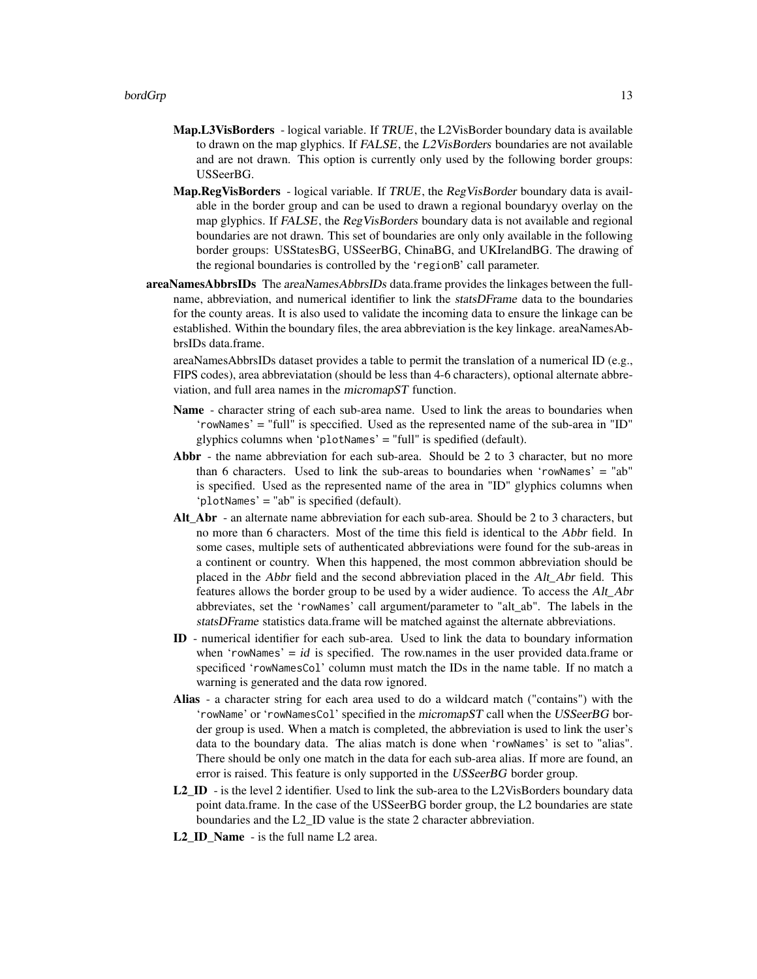- Map.L3VisBorders logical variable. If TRUE, the L2VisBorder boundary data is available to drawn on the map glyphics. If FALSE, the L2VisBorders boundaries are not available and are not drawn. This option is currently only used by the following border groups: USSeerBG.
- Map.RegVisBorders logical variable. If TRUE, the RegVisBorder boundary data is available in the border group and can be used to drawn a regional boundaryy overlay on the map glyphics. If FALSE, the RegVisBorders boundary data is not available and regional boundaries are not drawn. This set of boundaries are only only available in the following border groups: USStatesBG, USSeerBG, ChinaBG, and UKIrelandBG. The drawing of the regional boundaries is controlled by the 'regionB' call parameter.
- areaNamesAbbrsIDs The areaNamesAbbrsIDs data.frame provides the linkages between the fullname, abbreviation, and numerical identifier to link the statsDFrame data to the boundaries for the county areas. It is also used to validate the incoming data to ensure the linkage can be established. Within the boundary files, the area abbreviation is the key linkage. areaNamesAbbrsIDs data.frame.

areaNamesAbbrsIDs dataset provides a table to permit the translation of a numerical ID (e.g., FIPS codes), area abbreviatation (should be less than 4-6 characters), optional alternate abbreviation, and full area names in the micromapST function.

- Name character string of each sub-area name. Used to link the areas to boundaries when 'rowNames' = "full" is speccified. Used as the represented name of the sub-area in "ID" glyphics columns when 'plotNames' = "full" is spedified (default).
- Abbr the name abbreviation for each sub-area. Should be 2 to 3 character, but no more than 6 characters. Used to link the sub-areas to boundaries when 'rowNames' = "ab" is specified. Used as the represented name of the area in "ID" glyphics columns when 'plotNames' = "ab" is specified (default).
- Alt Abr an alternate name abbreviation for each sub-area. Should be 2 to 3 characters, but no more than 6 characters. Most of the time this field is identical to the Abbr field. In some cases, multiple sets of authenticated abbreviations were found for the sub-areas in a continent or country. When this happened, the most common abbreviation should be placed in the Abbr field and the second abbreviation placed in the Alt\_Abr field. This features allows the border group to be used by a wider audience. To access the Alt\_Abr abbreviates, set the 'rowNames' call argument/parameter to "alt\_ab". The labels in the statsDFrame statistics data.frame will be matched against the alternate abbreviations.
- ID numerical identifier for each sub-area. Used to link the data to boundary information when 'rowNames' =  $id$  is specified. The row.names in the user provided data.frame or specificed 'rowNamesCol' column must match the IDs in the name table. If no match a warning is generated and the data row ignored.
- Alias a character string for each area used to do a wildcard match ("contains") with the 'rowName' or 'rowNamesCol' specified in the micromapST call when the USSeerBG border group is used. When a match is completed, the abbreviation is used to link the user's data to the boundary data. The alias match is done when 'rowNames' is set to "alias". There should be only one match in the data for each sub-area alias. If more are found, an error is raised. This feature is only supported in the USSeerBG border group.
- L2 ID is the level 2 identifier. Used to link the sub-area to the L2VisBorders boundary data point data.frame. In the case of the USSeerBG border group, the L2 boundaries are state boundaries and the L2\_ID value is the state 2 character abbreviation.
- L2\_ID\_Name is the full name L2 area.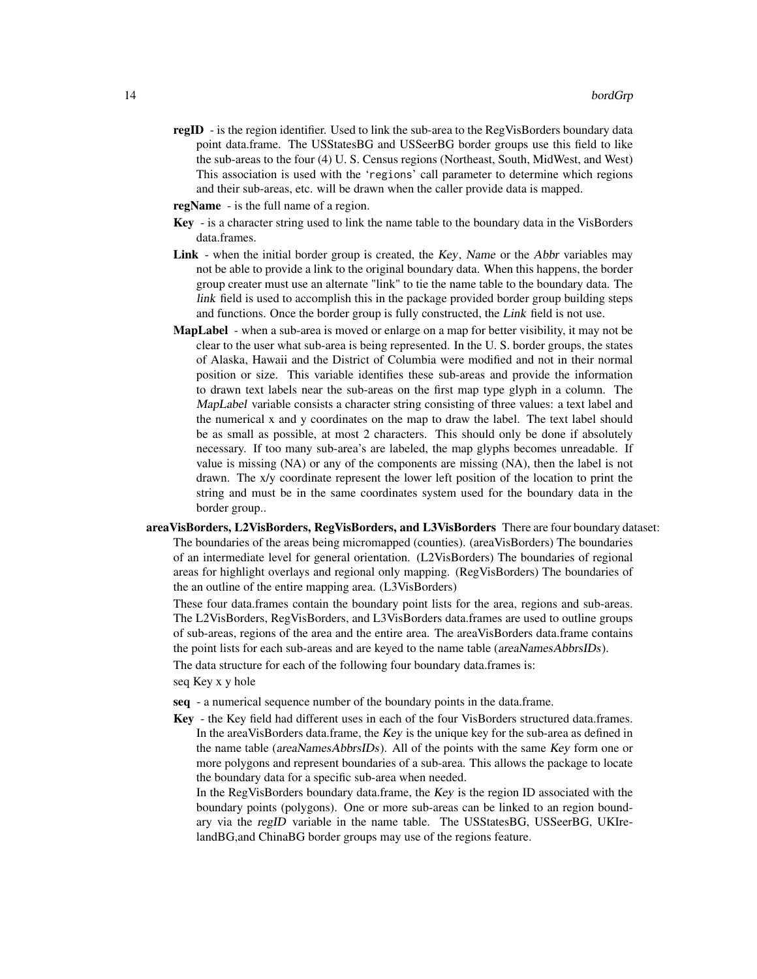- regID is the region identifier. Used to link the sub-area to the RegVisBorders boundary data point data.frame. The USStatesBG and USSeerBG border groups use this field to like the sub-areas to the four (4) U. S. Census regions (Northeast, South, MidWest, and West) This association is used with the 'regions' call parameter to determine which regions and their sub-areas, etc. will be drawn when the caller provide data is mapped.
- regName is the full name of a region.
- Key is a character string used to link the name table to the boundary data in the VisBorders data.frames.
- Link when the initial border group is created, the Key, Name or the Abbr variables may not be able to provide a link to the original boundary data. When this happens, the border group creater must use an alternate "link" to tie the name table to the boundary data. The link field is used to accomplish this in the package provided border group building steps and functions. Once the border group is fully constructed, the Link field is not use.
- MapLabel when a sub-area is moved or enlarge on a map for better visibility, it may not be clear to the user what sub-area is being represented. In the U. S. border groups, the states of Alaska, Hawaii and the District of Columbia were modified and not in their normal position or size. This variable identifies these sub-areas and provide the information to drawn text labels near the sub-areas on the first map type glyph in a column. The MapLabel variable consists a character string consisting of three values: a text label and the numerical x and y coordinates on the map to draw the label. The text label should be as small as possible, at most 2 characters. This should only be done if absolutely necessary. If too many sub-area's are labeled, the map glyphs becomes unreadable. If value is missing (NA) or any of the components are missing (NA), then the label is not drawn. The x/y coordinate represent the lower left position of the location to print the string and must be in the same coordinates system used for the boundary data in the border group..
- areaVisBorders, L2VisBorders, RegVisBorders, and L3VisBorders There are four boundary dataset: The boundaries of the areas being micromapped (counties). (areaVisBorders) The boundaries of an intermediate level for general orientation. (L2VisBorders) The boundaries of regional areas for highlight overlays and regional only mapping. (RegVisBorders) The boundaries of the an outline of the entire mapping area. (L3VisBorders)

These four data.frames contain the boundary point lists for the area, regions and sub-areas. The L2VisBorders, RegVisBorders, and L3VisBorders data.frames are used to outline groups of sub-areas, regions of the area and the entire area. The areaVisBorders data.frame contains the point lists for each sub-areas and are keyed to the name table (areaNamesAbbrsIDs).

The data structure for each of the following four boundary data.frames is:

seq Key x y hole

- seq a numerical sequence number of the boundary points in the data.frame.
- Key the Key field had different uses in each of the four VisBorders structured data.frames. In the areaVisBorders data.frame, the Key is the unique key for the sub-area as defined in the name table (areaNamesAbbrsIDs). All of the points with the same Key form one or more polygons and represent boundaries of a sub-area. This allows the package to locate the boundary data for a specific sub-area when needed.

In the RegVisBorders boundary data.frame, the Key is the region ID associated with the boundary points (polygons). One or more sub-areas can be linked to an region boundary via the regID variable in the name table. The USStatesBG, USSeerBG, UKIrelandBG,and ChinaBG border groups may use of the regions feature.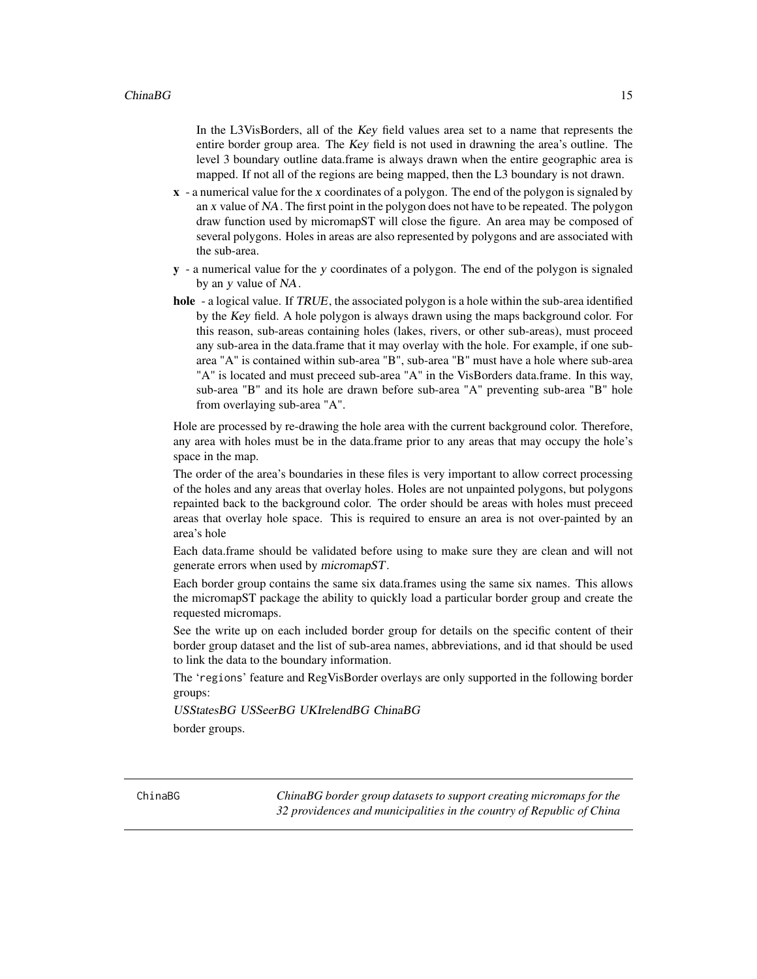<span id="page-14-0"></span>In the L3VisBorders, all of the Key field values area set to a name that represents the entire border group area. The Key field is not used in drawning the area's outline. The level 3 boundary outline data.frame is always drawn when the entire geographic area is mapped. If not all of the regions are being mapped, then the L3 boundary is not drawn.

- $x a$  numerical value for the x coordinates of a polygon. The end of the polygon is signaled by an x value of NA. The first point in the polygon does not have to be repeated. The polygon draw function used by micromapST will close the figure. An area may be composed of several polygons. Holes in areas are also represented by polygons and are associated with the sub-area.
- y a numerical value for the y coordinates of a polygon. The end of the polygon is signaled by an y value of NA.
- hole a logical value. If TRUE, the associated polygon is a hole within the sub-area identified by the Key field. A hole polygon is always drawn using the maps background color. For this reason, sub-areas containing holes (lakes, rivers, or other sub-areas), must proceed any sub-area in the data.frame that it may overlay with the hole. For example, if one subarea "A" is contained within sub-area "B", sub-area "B" must have a hole where sub-area "A" is located and must preceed sub-area "A" in the VisBorders data.frame. In this way, sub-area "B" and its hole are drawn before sub-area "A" preventing sub-area "B" hole from overlaying sub-area "A".

Hole are processed by re-drawing the hole area with the current background color. Therefore, any area with holes must be in the data.frame prior to any areas that may occupy the hole's space in the map.

The order of the area's boundaries in these files is very important to allow correct processing of the holes and any areas that overlay holes. Holes are not unpainted polygons, but polygons repainted back to the background color. The order should be areas with holes must preceed areas that overlay hole space. This is required to ensure an area is not over-painted by an area's hole

Each data.frame should be validated before using to make sure they are clean and will not generate errors when used by micromapST.

Each border group contains the same six data.frames using the same six names. This allows the micromapST package the ability to quickly load a particular border group and create the requested micromaps.

See the write up on each included border group for details on the specific content of their border group dataset and the list of sub-area names, abbreviations, and id that should be used to link the data to the boundary information.

The 'regions' feature and RegVisBorder overlays are only supported in the following border groups:

USStatesBG USSeerBG UKIrelendBG ChinaBG border groups.

ChinaBG *ChinaBG border group datasets to support creating micromaps for the 32 providences and municipalities in the country of Republic of China*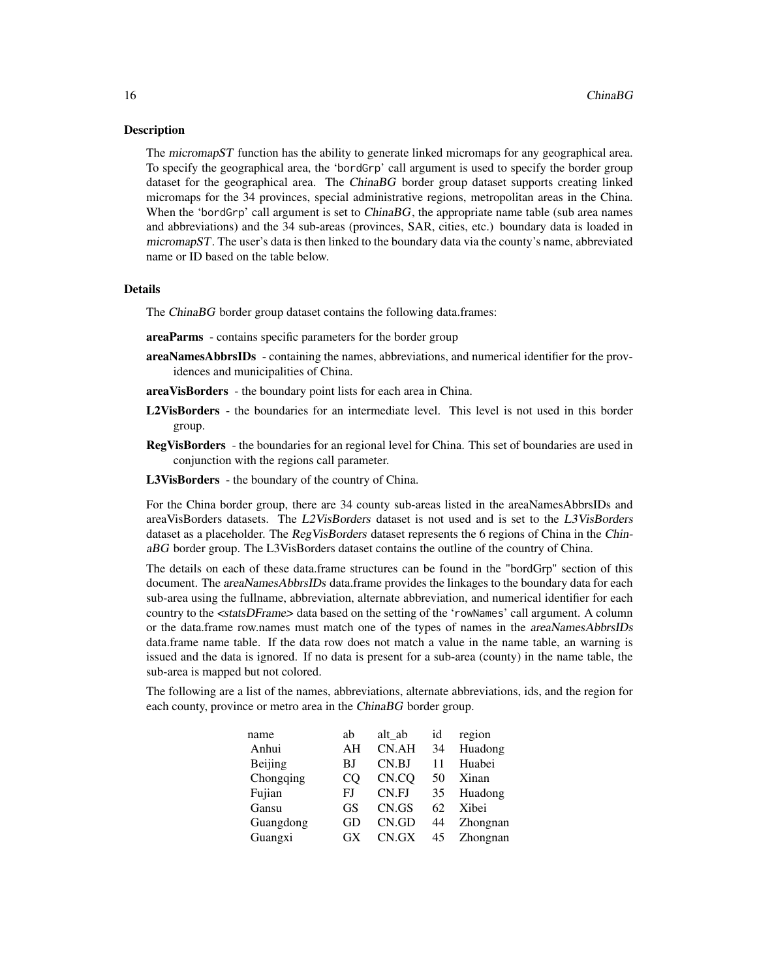#### **Description**

The *micromapST* function has the ability to generate linked micromaps for any geographical area. To specify the geographical area, the 'bordGrp' call argument is used to specify the border group dataset for the geographical area. The ChinaBG border group dataset supports creating linked micromaps for the 34 provinces, special administrative regions, metropolitan areas in the China. When the 'bordGrp' call argument is set to *ChinaBG*, the appropriate name table (sub area names and abbreviations) and the 34 sub-areas (provinces, SAR, cities, etc.) boundary data is loaded in micromapST. The user's data is then linked to the boundary data via the county's name, abbreviated name or ID based on the table below.

#### **Details**

The ChinaBG border group dataset contains the following data.frames:

- areaParms contains specific parameters for the border group
- areaNamesAbbrsIDs containing the names, abbreviations, and numerical identifier for the providences and municipalities of China.
- areaVisBorders the boundary point lists for each area in China.
- L2VisBorders the boundaries for an intermediate level. This level is not used in this border group.
- RegVisBorders the boundaries for an regional level for China. This set of boundaries are used in conjunction with the regions call parameter.
- L3VisBorders the boundary of the country of China.

For the China border group, there are 34 county sub-areas listed in the areaNamesAbbrsIDs and areaVisBorders datasets. The L2VisBorders dataset is not used and is set to the L3VisBorders dataset as a placeholder. The RegVisBorders dataset represents the 6 regions of China in the ChinaBG border group. The L3VisBorders dataset contains the outline of the country of China.

The details on each of these data.frame structures can be found in the "bordGrp" section of this document. The areaNamesAbbrsIDs data.frame provides the linkages to the boundary data for each sub-area using the fullname, abbreviation, alternate abbreviation, and numerical identifier for each country to the <statsDFrame> data based on the setting of the 'rowNames' call argument. A column or the data.frame row.names must match one of the types of names in the areaNamesAbbrsIDs data.frame name table. If the data row does not match a value in the name table, an warning is issued and the data is ignored. If no data is present for a sub-area (county) in the name table, the sub-area is mapped but not colored.

The following are a list of the names, abbreviations, alternate abbreviations, ids, and the region for each county, province or metro area in the ChinaBG border group.

| name      | ab | alt ab | id | region   |
|-----------|----|--------|----|----------|
| Anhui     | AH | CN.AH  | 34 | Huadong  |
| Beijing   | BJ | CN.BJ  | 11 | Huabei   |
| Chongqing | CO | CN.CO  | 50 | Xinan    |
| Fujian    | FJ | CN.FJ  | 35 | Huadong  |
| Gansu     | GS | CN.GS  | 62 | Xibei    |
| Guangdong | GD | CN.GD  | 44 | Zhongnan |
| Guangxi   | GX | CN.GX  | 45 | Zhongnan |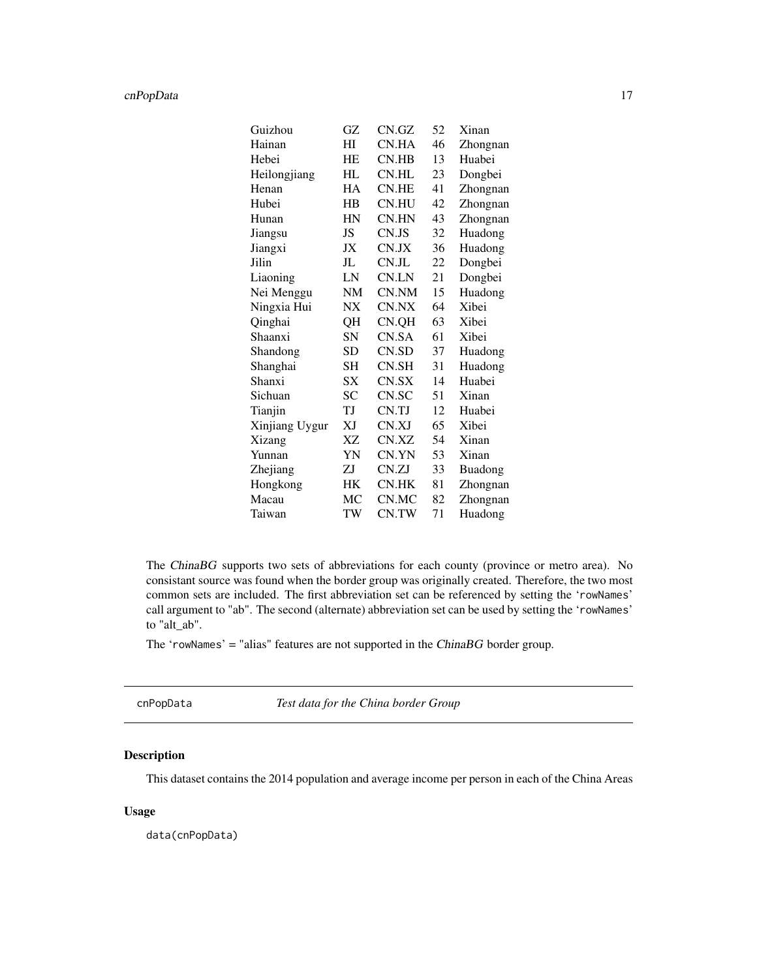# <span id="page-16-0"></span>cnPopData 17

| Guizhou        | GZ        | CN.GZ | 52 | Xinan          |
|----------------|-----------|-------|----|----------------|
| Hainan         | HI        | CN.HA | 46 | Zhongnan       |
| Hebei          | HE        | CN.HB | 13 | Huabei         |
| Heilongjiang   | HL        | CN.HL | 23 | Dongbei        |
| Henan          | HA        | CN.HE | 41 | Zhongnan       |
| Hubei          | HB        | CN.HU | 42 | Zhongnan       |
| Hunan          | HN        | CN.HN | 43 | Zhongnan       |
| Jiangsu        | JS        | CN.JS | 32 | Huadong        |
| Jiangxi        | JX        | CN.JX | 36 | Huadong        |
| Jilin          | JL        | CN.JL | 22 | Dongbei        |
| Liaoning       | LN        | CN.LN | 21 | Dongbei        |
| Nei Menggu     | NM        | CN.NM | 15 | Huadong        |
| Ningxia Hui    | $N\!X$    | CN.NX | 64 | Xibei          |
| Qinghai        | QH        | CN.QH | 63 | Xibei          |
| Shaanxi        | SN        | CN.SA | 61 | Xibei          |
| Shandong       | SD        | CN.SD | 37 | Huadong        |
| Shanghai       | SН        | CN.SH | 31 | Huadong        |
| Shanxi         | SX        | CN.SX | 14 | Huabei         |
| Sichuan        | SC        | CN.SC | 51 | Xinan          |
| Tianjin        | ТJ        | CN.TJ | 12 | Huabei         |
| Xinjiang Uygur | XJ        | CN.XJ | 65 | Xibei          |
| Xizang         | ΧZ        | CN.XZ | 54 | Xinan          |
| Yunnan         | YN        | CN.YN | 53 | Xinan          |
| Zhejiang       | ZJ        | CN.ZJ | 33 | <b>Buadong</b> |
| Hongkong       | <b>HK</b> | CN.HK | 81 | Zhongnan       |
| Macau          | МC        | CN.MC | 82 | Zhongnan       |
| Taiwan         | TW        | CN.TW | 71 | Huadong        |

The ChinaBG supports two sets of abbreviations for each county (province or metro area). No consistant source was found when the border group was originally created. Therefore, the two most common sets are included. The first abbreviation set can be referenced by setting the 'rowNames' call argument to "ab". The second (alternate) abbreviation set can be used by setting the 'rowNames' to "alt\_ab".

The 'rowNames' = "alias" features are not supported in the ChinaBG border group.

cnPopData *Test data for the China border Group*

# Description

This dataset contains the 2014 population and average income per person in each of the China Areas

# Usage

data(cnPopData)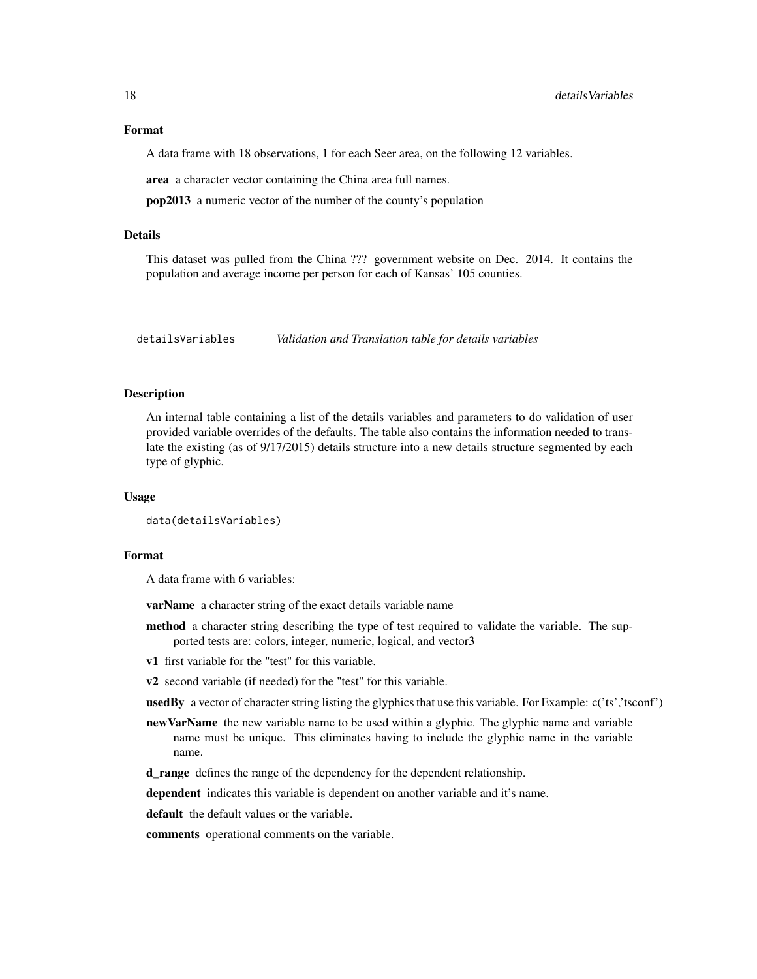<span id="page-17-0"></span>A data frame with 18 observations, 1 for each Seer area, on the following 12 variables.

area a character vector containing the China area full names.

pop2013 a numeric vector of the number of the county's population

#### Details

This dataset was pulled from the China ??? government website on Dec. 2014. It contains the population and average income per person for each of Kansas' 105 counties.

detailsVariables *Validation and Translation table for details variables*

# Description

An internal table containing a list of the details variables and parameters to do validation of user provided variable overrides of the defaults. The table also contains the information needed to translate the existing (as of 9/17/2015) details structure into a new details structure segmented by each type of glyphic.

#### Usage

```
data(detailsVariables)
```
#### Format

A data frame with 6 variables:

varName a character string of the exact details variable name

- method a character string describing the type of test required to validate the variable. The supported tests are: colors, integer, numeric, logical, and vector3
- v1 first variable for the "test" for this variable.
- v2 second variable (if needed) for the "test" for this variable.
- usedBy a vector of character string listing the glyphics that use this variable. For Example: c('ts','tsconf')
- new VarName the new variable name to be used within a glyphic. The glyphic name and variable name must be unique. This eliminates having to include the glyphic name in the variable name.

d\_range defines the range of the dependency for the dependent relationship.

dependent indicates this variable is dependent on another variable and it's name.

default the default values or the variable.

comments operational comments on the variable.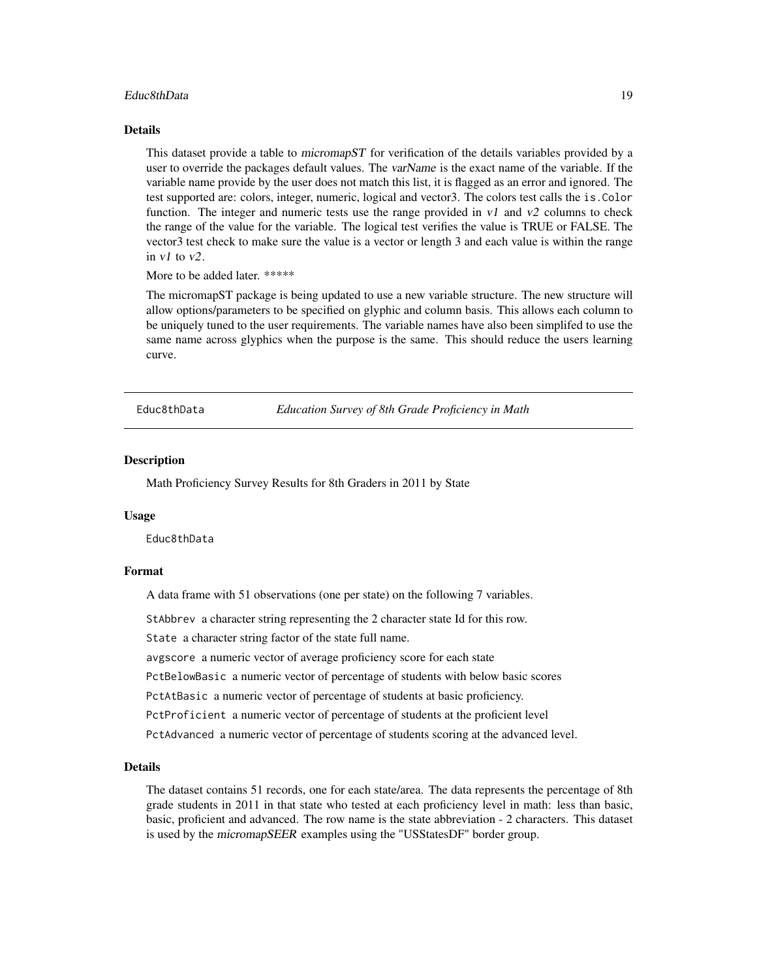#### <span id="page-18-0"></span>Educ8thData 19

#### Details

This dataset provide a table to micromapST for verification of the details variables provided by a user to override the packages default values. The varName is the exact name of the variable. If the variable name provide by the user does not match this list, it is flagged as an error and ignored. The test supported are: colors, integer, numeric, logical and vector3. The colors test calls the is.Color function. The integer and numeric tests use the range provided in  $v1$  and  $v2$  columns to check the range of the value for the variable. The logical test verifies the value is TRUE or FALSE. The vector3 test check to make sure the value is a vector or length 3 and each value is within the range in  $v1$  to  $v2$ .

More to be added later. \*\*\*\*\*

The micromapST package is being updated to use a new variable structure. The new structure will allow options/parameters to be specified on glyphic and column basis. This allows each column to be uniquely tuned to the user requirements. The variable names have also been simplifed to use the same name across glyphics when the purpose is the same. This should reduce the users learning curve.

Educ8thData *Education Survey of 8th Grade Proficiency in Math*

#### Description

Math Proficiency Survey Results for 8th Graders in 2011 by State

#### Usage

Educ8thData

# Format

A data frame with 51 observations (one per state) on the following 7 variables.

StAbbrev a character string representing the 2 character state Id for this row.

State a character string factor of the state full name.

avgscore a numeric vector of average proficiency score for each state

PctBelowBasic a numeric vector of percentage of students with below basic scores

PctAtBasic a numeric vector of percentage of students at basic proficiency.

PctProficient a numeric vector of percentage of students at the proficient level

PctAdvanced a numeric vector of percentage of students scoring at the advanced level.

#### Details

The dataset contains 51 records, one for each state/area. The data represents the percentage of 8th grade students in 2011 in that state who tested at each proficiency level in math: less than basic, basic, proficient and advanced. The row name is the state abbreviation - 2 characters. This dataset is used by the micromapSEER examples using the "USStatesDF" border group.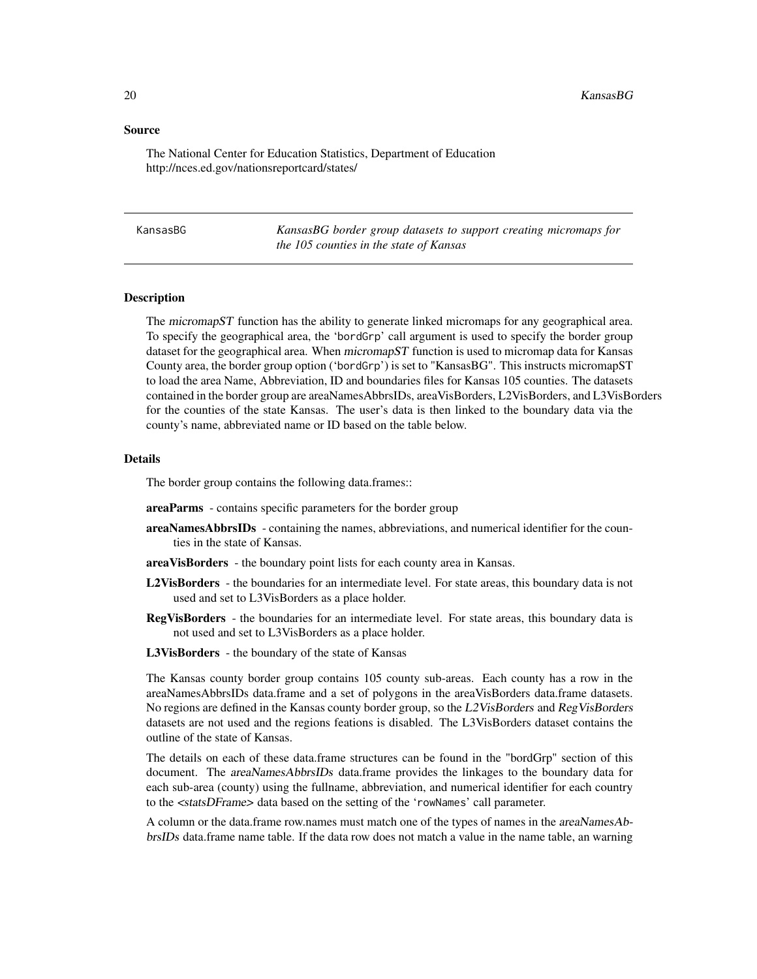#### <span id="page-19-0"></span>Source

The National Center for Education Statistics, Department of Education http://nces.ed.gov/nationsreportcard/states/

| KansasBG |
|----------|
|----------|

KansasBG *KansasBG border group datasets to support creating micromaps for the 105 counties in the state of Kansas*

# Description

The *micromapST* function has the ability to generate linked micromaps for any geographical area. To specify the geographical area, the 'bordGrp' call argument is used to specify the border group dataset for the geographical area. When micromapST function is used to micromap data for Kansas County area, the border group option ('bordGrp') is set to "KansasBG". This instructs micromapST to load the area Name, Abbreviation, ID and boundaries files for Kansas 105 counties. The datasets contained in the border group are areaNamesAbbrsIDs, areaVisBorders, L2VisBorders, and L3VisBorders for the counties of the state Kansas. The user's data is then linked to the boundary data via the county's name, abbreviated name or ID based on the table below.

#### Details

The border group contains the following data.frames::

- areaParms contains specific parameters for the border group
- areaNamesAbbrsIDs containing the names, abbreviations, and numerical identifier for the counties in the state of Kansas.
- areaVisBorders the boundary point lists for each county area in Kansas.
- L2VisBorders the boundaries for an intermediate level. For state areas, this boundary data is not used and set to L3VisBorders as a place holder.
- RegVisBorders the boundaries for an intermediate level. For state areas, this boundary data is not used and set to L3VisBorders as a place holder.
- L3VisBorders the boundary of the state of Kansas

The Kansas county border group contains 105 county sub-areas. Each county has a row in the areaNamesAbbrsIDs data.frame and a set of polygons in the areaVisBorders data.frame datasets. No regions are defined in the Kansas county border group, so the L2VisBorders and RegVisBorders datasets are not used and the regions feations is disabled. The L3VisBorders dataset contains the outline of the state of Kansas.

The details on each of these data.frame structures can be found in the "bordGrp" section of this document. The areaNamesAbbrsIDs data.frame provides the linkages to the boundary data for each sub-area (county) using the fullname, abbreviation, and numerical identifier for each country to the <statsDFrame> data based on the setting of the 'rowNames' call parameter.

A column or the data.frame row.names must match one of the types of names in the areaNamesAbbrsIDs data.frame name table. If the data row does not match a value in the name table, an warning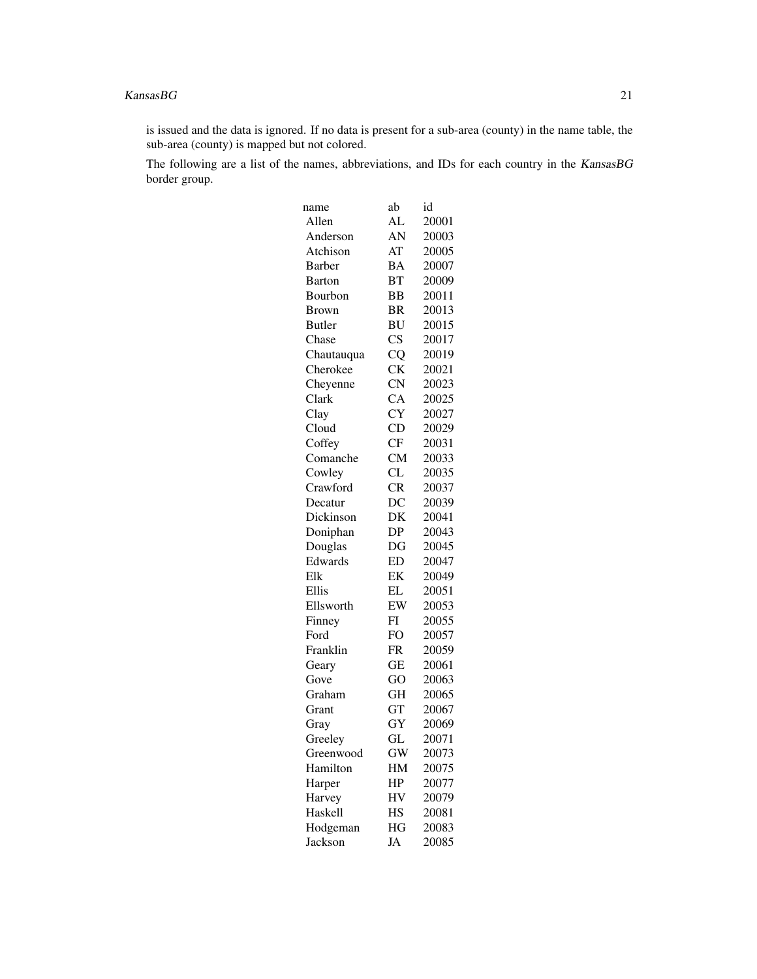#### $KanasBG$  21

is issued and the data is ignored. If no data is present for a sub-area (county) in the name table, the sub-area (county) is mapped but not colored.

The following are a list of the names, abbreviations, and IDs for each country in the KansasBG border group.

| name          | ab                     | id    |
|---------------|------------------------|-------|
| Allen         | AL                     | 20001 |
| Anderson      | AN                     | 20003 |
| Atchison      | AT                     | 20005 |
| <b>Barber</b> | <b>BA</b>              | 20007 |
| <b>Barton</b> | BT                     | 20009 |
| Bourbon       | <b>BB</b>              | 20011 |
| <b>Brown</b>  | BR                     | 20013 |
| <b>Butler</b> | <b>BU</b>              | 20015 |
| Chase         | $\overline{\text{CS}}$ | 20017 |
| Chautauqua    | CQ                     | 20019 |
| Cherokee      | <b>CK</b>              | 20021 |
| Cheyenne      | $\overline{\text{CN}}$ | 20023 |
| Clark         | <b>CA</b>              | 20025 |
| Clay          | <b>CY</b>              | 20027 |
| Cloud         | CD                     | 20029 |
| Coffey        | CF                     | 20031 |
| Comanche      | <b>CM</b>              | 20033 |
| Cowley        | CL                     | 20035 |
| Crawford      | CR                     | 20037 |
| Decatur       | DC                     | 20039 |
| Dickinson     | DK                     | 20041 |
| Doniphan      | DP                     | 20043 |
| Douglas       | DG                     | 20045 |
| Edwards       | ED                     | 20047 |
| Elk           | EK                     | 20049 |
| Ellis         | EL                     | 20051 |
| Ellsworth     | EW                     | 20053 |
| Finney        | FI                     | 20055 |
| Ford          | FO                     | 20057 |
| Franklin      | FR                     | 20059 |
| Geary         | GЕ                     | 20061 |
| Gove          | GO                     | 20063 |
| Graham        | <b>GH</b>              | 20065 |
| Grant         | GT                     | 20067 |
| Gray          | GY                     | 20069 |
| Greeley       | GL                     | 20071 |
| Greenwood     | <b>GW</b>              | 20073 |
| Hamilton      | HM                     | 20075 |
| Harper        | HP                     | 20077 |
| Harvey        | HV                     | 20079 |
| Haskell       | HS                     | 20081 |
| Hodgeman      | HG                     | 20083 |
| Jackson       | JA                     | 20085 |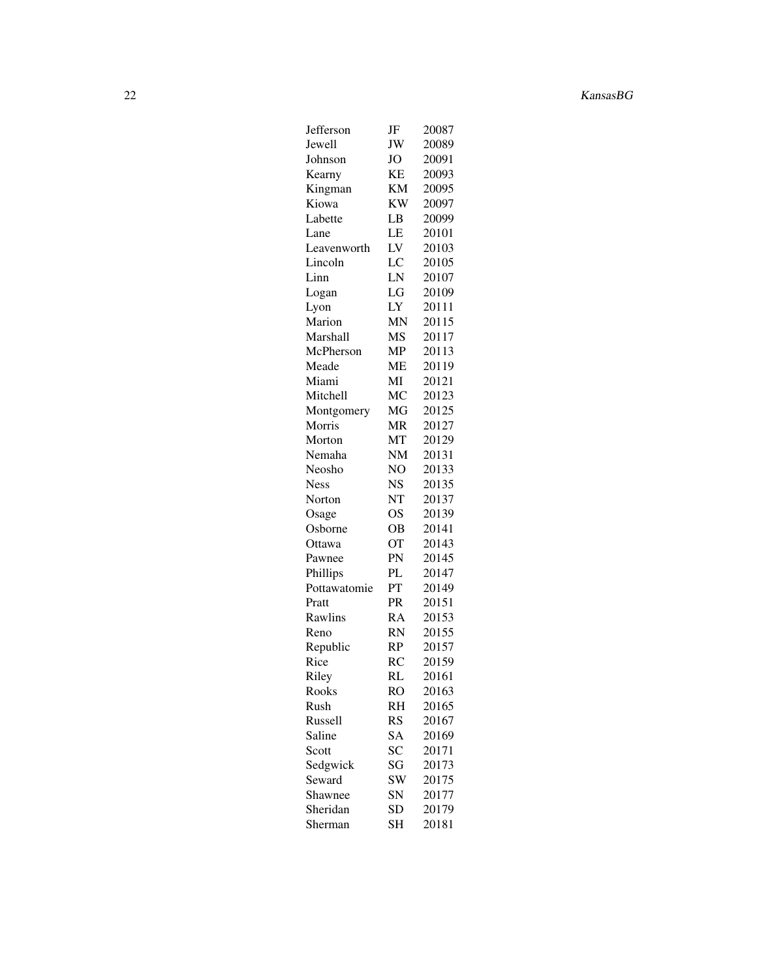| Jefferson    | JF        | 20087 |
|--------------|-----------|-------|
| Jewell       | JW        | 20089 |
| Johnson      | <b>JO</b> | 20091 |
|              | KE        | 20093 |
| Kearny       |           |       |
| Kingman      | ΚM        | 20095 |
| Kiowa        | KW        | 20097 |
| Labette      | LB        | 20099 |
| Lane         | LE        | 20101 |
| Leavenworth  | LV        | 20103 |
| Lincoln      | LC        | 20105 |
| Linn         | LN        | 20107 |
| Logan        | LG        | 20109 |
| Lyon         | LY        | 20111 |
| Marion       | MN        | 20115 |
|              |           |       |
| Marshall     | MS        | 20117 |
| McPherson    | MP        | 20113 |
| Meade        | MЕ        | 20119 |
| Miami        | МI        | 20121 |
| Mitchell     | МC        | 20123 |
| Montgomery   | МG        | 20125 |
| Morris       | MR        | 20127 |
| Morton       | MT        | 20129 |
| Nemaha       | NM        | 20131 |
| Neosho       | NO        | 20133 |
| <b>Ness</b>  | <b>NS</b> | 20135 |
| Norton       | NT        | 20137 |
|              |           |       |
| Osage        | <b>OS</b> | 20139 |
| Osborne      | OВ        | 20141 |
| Ottawa       | <b>OT</b> | 20143 |
| Pawnee       | PN        | 20145 |
| Phillips     | PL        | 20147 |
| Pottawatomie | PT        | 20149 |
| Pratt        | PR        | 20151 |
| Rawlins      | RA        | 20153 |
| Reno         | RN        | 20155 |
| Republic     | RP        | 20157 |
| Rice         | <b>RC</b> | 20159 |
| Riley        | RL        | 20161 |
|              |           |       |
| Rooks        | RO        | 20163 |
| Rush         | RH        | 20165 |
| Russell      | <b>RS</b> | 20167 |
| Saline       | SA        | 20169 |
| Scott        | SC        | 20171 |
| Sedgwick     | SG        | 20173 |
| Seward       | SW        | 20175 |
| Shawnee      | SN        | 20177 |
| Sheridan     | SD        | 20179 |
| Sherman      | SH        | 20181 |
|              |           |       |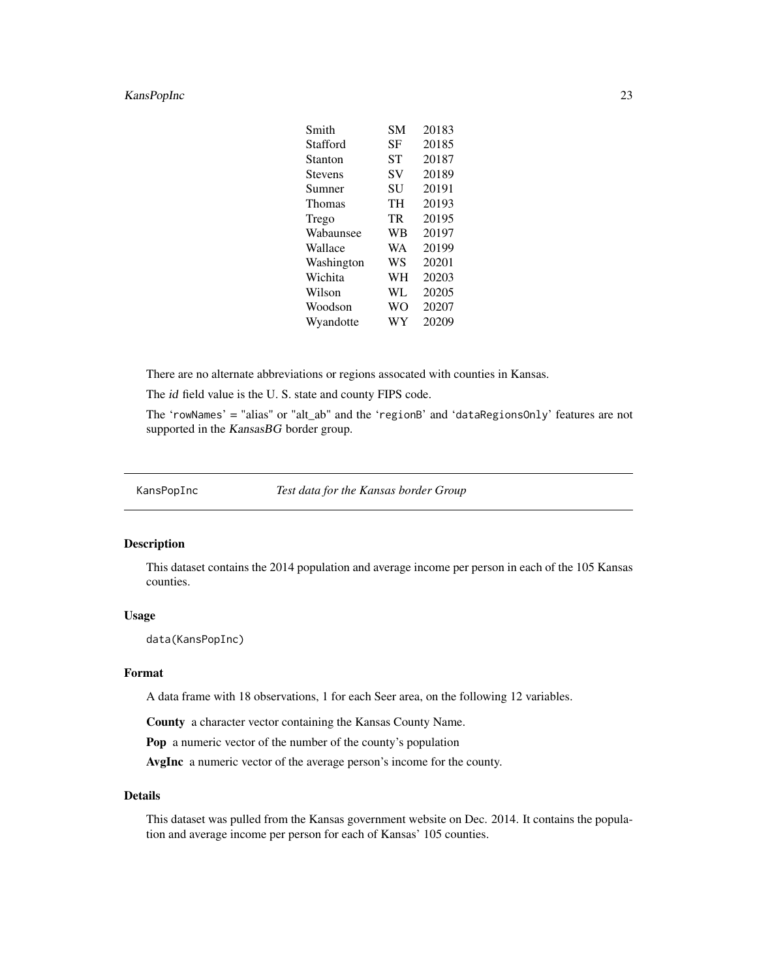# <span id="page-22-0"></span>KansPopInc 23

| Smith      | <b>SM</b> | 20183 |
|------------|-----------|-------|
| Stafford   | SF        | 20185 |
| Stanton    | SТ        | 20187 |
| Stevens    | SV        | 20189 |
| Sumner     | SU        | 20191 |
| Thomas     | TH        | 20193 |
| Trego      | TR        | 20195 |
| Wabaunsee  | <b>WB</b> | 20197 |
| Wallace    | WA        | 20199 |
| Washington | <b>WS</b> | 20201 |
| Wichita    | WH        | 20203 |
| Wilson     | WL        | 20205 |
| Woodson    | <b>WO</b> | 20207 |
| Wyandotte  | WY        | 20209 |
|            |           |       |

There are no alternate abbreviations or regions assocated with counties in Kansas.

The id field value is the U. S. state and county FIPS code.

The 'rowNames' = "alias" or "alt\_ab" and the 'regionB' and 'dataRegionsOnly' features are not supported in the KansasBG border group.

KansPopInc *Test data for the Kansas border Group*

# Description

This dataset contains the 2014 population and average income per person in each of the 105 Kansas counties.

#### Usage

data(KansPopInc)

# Format

A data frame with 18 observations, 1 for each Seer area, on the following 12 variables.

County a character vector containing the Kansas County Name.

Pop a numeric vector of the number of the county's population

AvgInc a numeric vector of the average person's income for the county.

# Details

This dataset was pulled from the Kansas government website on Dec. 2014. It contains the population and average income per person for each of Kansas' 105 counties.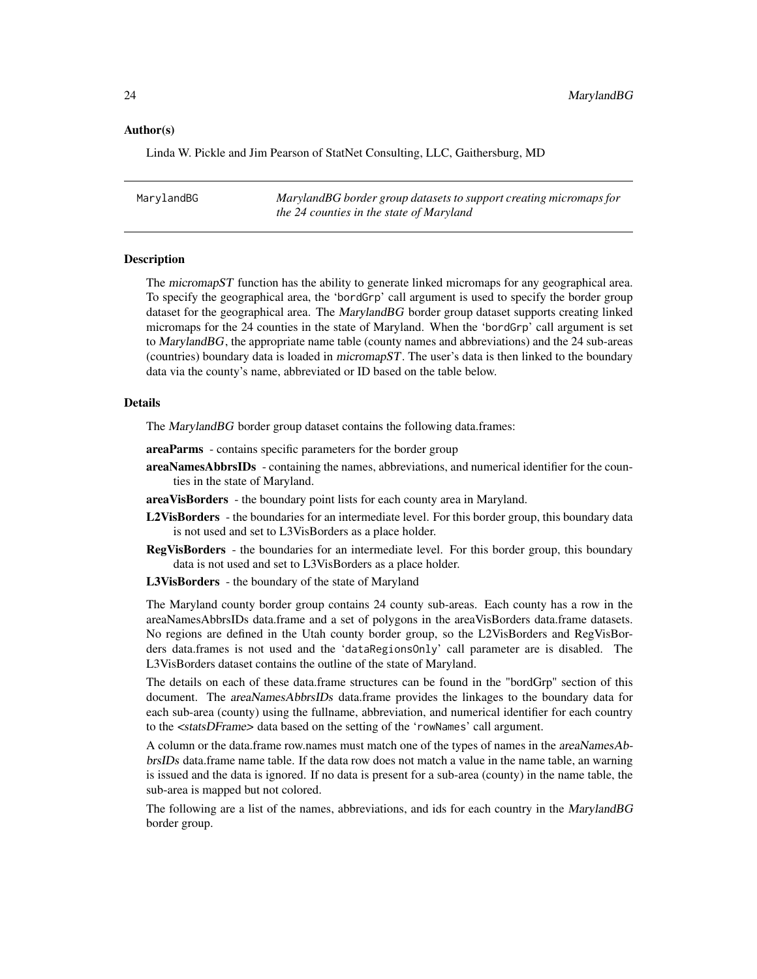#### <span id="page-23-0"></span>Author(s)

Linda W. Pickle and Jim Pearson of StatNet Consulting, LLC, Gaithersburg, MD

MarylandBG *MarylandBG border group datasets to support creating micromaps for the 24 counties in the state of Maryland*

#### **Description**

The micromapST function has the ability to generate linked micromaps for any geographical area. To specify the geographical area, the 'bordGrp' call argument is used to specify the border group dataset for the geographical area. The MarylandBG border group dataset supports creating linked micromaps for the 24 counties in the state of Maryland. When the 'bordGrp' call argument is set to MarylandBG, the appropriate name table (county names and abbreviations) and the 24 sub-areas (countries) boundary data is loaded in micromapST. The user's data is then linked to the boundary data via the county's name, abbreviated or ID based on the table below.

# Details

The MarylandBG border group dataset contains the following data.frames:

- areaParms contains specific parameters for the border group
- areaNamesAbbrsIDs containing the names, abbreviations, and numerical identifier for the counties in the state of Maryland.
- areaVisBorders the boundary point lists for each county area in Maryland.
- L2VisBorders the boundaries for an intermediate level. For this border group, this boundary data is not used and set to L3VisBorders as a place holder.
- RegVisBorders the boundaries for an intermediate level. For this border group, this boundary data is not used and set to L3VisBorders as a place holder.

L3VisBorders - the boundary of the state of Maryland

The Maryland county border group contains 24 county sub-areas. Each county has a row in the areaNamesAbbrsIDs data.frame and a set of polygons in the areaVisBorders data.frame datasets. No regions are defined in the Utah county border group, so the L2VisBorders and RegVisBorders data.frames is not used and the 'dataRegionsOnly' call parameter are is disabled. The L3VisBorders dataset contains the outline of the state of Maryland.

The details on each of these data.frame structures can be found in the "bordGrp" section of this document. The areaNamesAbbrsIDs data.frame provides the linkages to the boundary data for each sub-area (county) using the fullname, abbreviation, and numerical identifier for each country to the <statsDFrame> data based on the setting of the 'rowNames' call argument.

A column or the data.frame row.names must match one of the types of names in the areaNamesAbbrsIDs data.frame name table. If the data row does not match a value in the name table, an warning is issued and the data is ignored. If no data is present for a sub-area (county) in the name table, the sub-area is mapped but not colored.

The following are a list of the names, abbreviations, and ids for each country in the MarylandBG border group.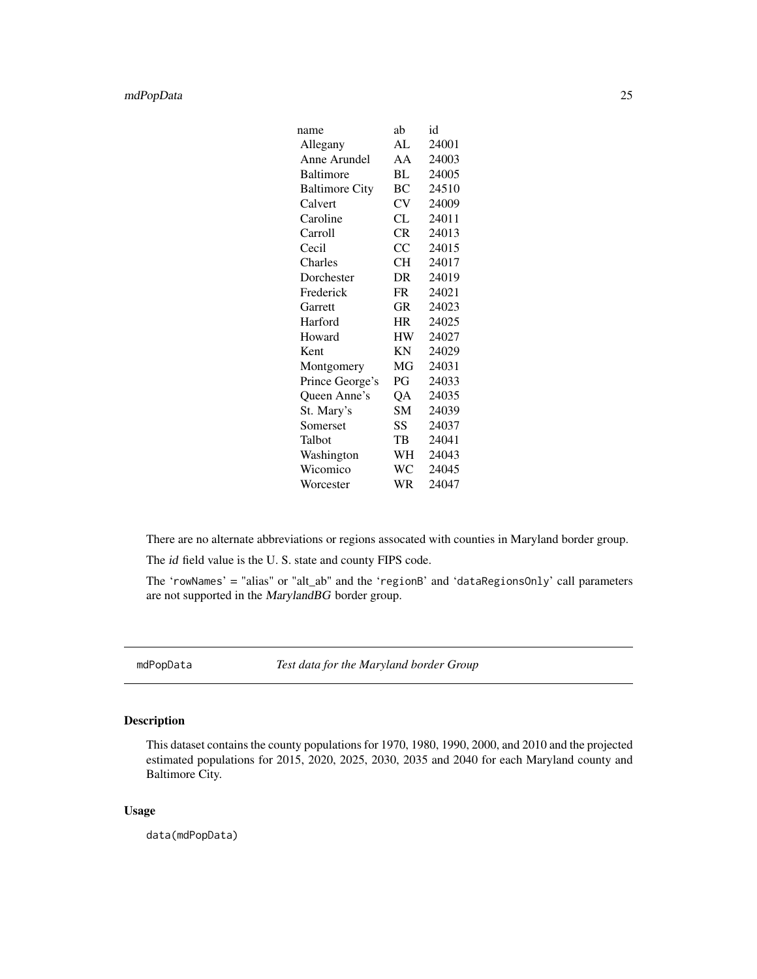# <span id="page-24-0"></span>mdPopData 25

| name                  | ab        | id    |
|-----------------------|-----------|-------|
| Allegany              | AL        | 24001 |
| Anne Arundel          | AA        | 24003 |
| Baltimore             | BL        | 24005 |
| <b>Baltimore City</b> | ВC        | 24510 |
| Calvert               | CV        | 24009 |
| Caroline              | CL        | 24011 |
| Carroll               | CR        | 24013 |
| Cecil                 | CC        | 24015 |
| Charles               | <b>CH</b> | 24017 |
| Dorchester            | DR        | 24019 |
| Frederick             | <b>FR</b> | 24021 |
| Garrett               | GR        | 24023 |
| Harford               | HR        | 24025 |
| Howard                | HW        | 24027 |
| Kent                  | ΚN        | 24029 |
| Montgomery            | МG        | 24031 |
| Prince George's       | PG        | 24033 |
| Queen Anne's          | QA        | 24035 |
| St. Mary's            | SM        | 24039 |
| Somerset              | SS        | 24037 |
| Talbot                | TB        | 24041 |
| Washington            | WH        | 24043 |
| Wicomico              | WC        | 24045 |
| Worcester             | WR        | 24047 |

There are no alternate abbreviations or regions assocated with counties in Maryland border group.

The id field value is the U. S. state and county FIPS code.

The 'rowNames' = "alias" or "alt\_ab" and the 'regionB' and 'dataRegionsOnly' call parameters are not supported in the MarylandBG border group.

mdPopData *Test data for the Maryland border Group*

# Description

This dataset contains the county populations for 1970, 1980, 1990, 2000, and 2010 and the projected estimated populations for 2015, 2020, 2025, 2030, 2035 and 2040 for each Maryland county and Baltimore City.

# Usage

data(mdPopData)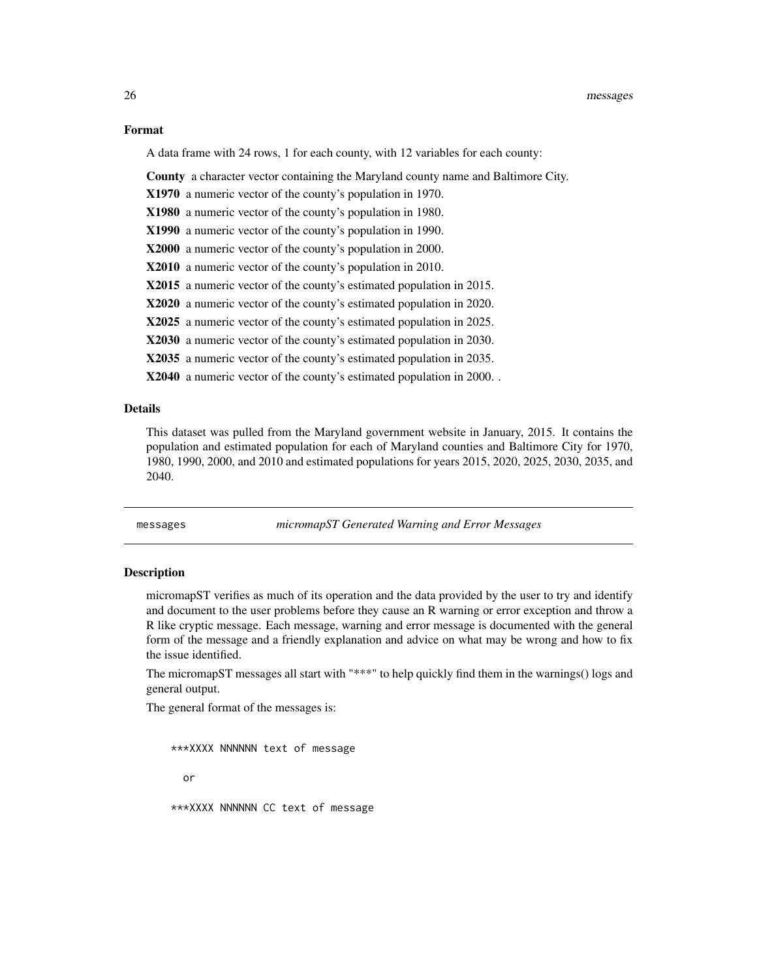#### Format

A data frame with 24 rows, 1 for each county, with 12 variables for each county:

County a character vector containing the Maryland county name and Baltimore City.

- X1970 a numeric vector of the county's population in 1970.
- X1980 a numeric vector of the county's population in 1980.
- X1990 a numeric vector of the county's population in 1990.
- X2000 a numeric vector of the county's population in 2000.
- X2010 a numeric vector of the county's population in 2010.
- X2015 a numeric vector of the county's estimated population in 2015.
- X2020 a numeric vector of the county's estimated population in 2020.
- X2025 a numeric vector of the county's estimated population in 2025.
- X2030 a numeric vector of the county's estimated population in 2030.
- X2035 a numeric vector of the county's estimated population in 2035.

X2040 a numeric vector of the county's estimated population in 2000. .

#### Details

This dataset was pulled from the Maryland government website in January, 2015. It contains the population and estimated population for each of Maryland counties and Baltimore City for 1970, 1980, 1990, 2000, and 2010 and estimated populations for years 2015, 2020, 2025, 2030, 2035, and 2040.

messages *micromapST Generated Warning and Error Messages*

#### **Description**

micromapST verifies as much of its operation and the data provided by the user to try and identify and document to the user problems before they cause an R warning or error exception and throw a R like cryptic message. Each message, warning and error message is documented with the general form of the message and a friendly explanation and advice on what may be wrong and how to fix the issue identified.

The micromapST messages all start with "\*\*\*" to help quickly find them in the warnings() logs and general output.

The general format of the messages is:

```
***XXXX NNNNNN text of message
 or
***XXXX NNNNNN CC text of message
```
<span id="page-25-0"></span>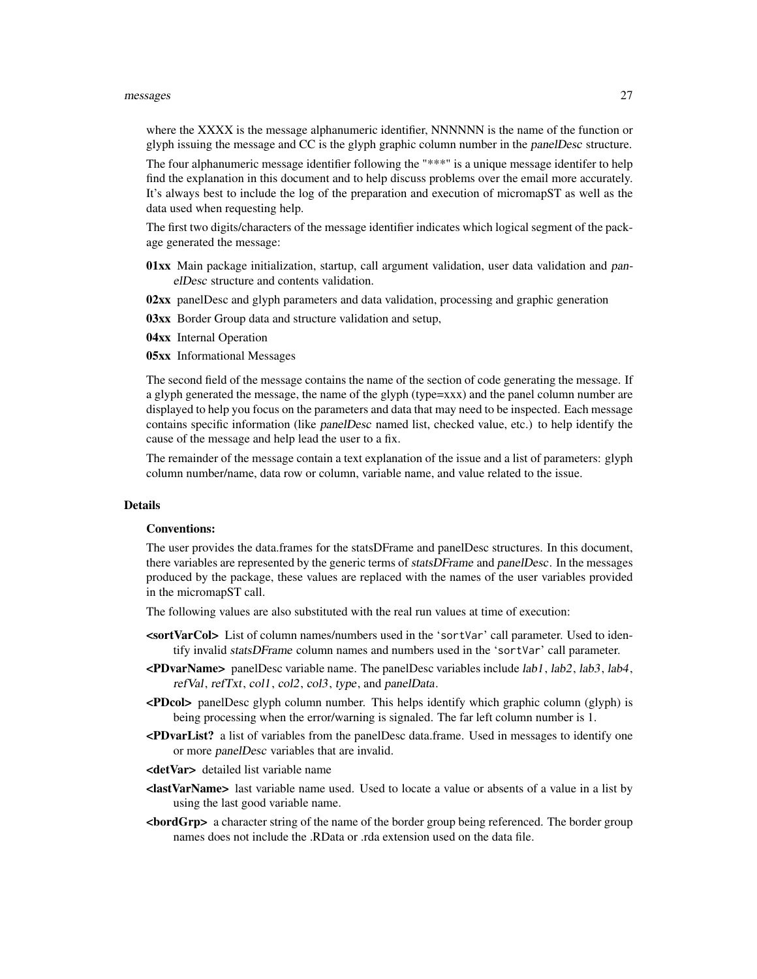#### messages 27

where the XXXX is the message alphanumeric identifier, NNNNNN is the name of the function or glyph issuing the message and CC is the glyph graphic column number in the panelDesc structure.

The four alphanumeric message identifier following the "\*\*\*" is a unique message identifer to help find the explanation in this document and to help discuss problems over the email more accurately. It's always best to include the log of the preparation and execution of micromapST as well as the data used when requesting help.

The first two digits/characters of the message identifier indicates which logical segment of the package generated the message:

- 01xx Main package initialization, startup, call argument validation, user data validation and panelDesc structure and contents validation.
- 02xx panelDesc and glyph parameters and data validation, processing and graphic generation
- 03xx Border Group data and structure validation and setup,

04xx Internal Operation

05xx Informational Messages

The second field of the message contains the name of the section of code generating the message. If a glyph generated the message, the name of the glyph (type=xxx) and the panel column number are displayed to help you focus on the parameters and data that may need to be inspected. Each message contains specific information (like panelDesc named list, checked value, etc.) to help identify the cause of the message and help lead the user to a fix.

The remainder of the message contain a text explanation of the issue and a list of parameters: glyph column number/name, data row or column, variable name, and value related to the issue.

#### Details

### Conventions:

The user provides the data.frames for the statsDFrame and panelDesc structures. In this document, there variables are represented by the generic terms of statsDFrame and panelDesc. In the messages produced by the package, these values are replaced with the names of the user variables provided in the micromapST call.

The following values are also substituted with the real run values at time of execution:

- <sortVarCol> List of column names/numbers used in the 'sortVar' call parameter. Used to identify invalid statsDFrame column names and numbers used in the 'sortVar' call parameter.
- <PDvarName> panelDesc variable name. The panelDesc variables include lab1, lab2, lab3, lab4, refVal, refTxt, col1, col2, col3, type, and panelData.
- <PDcol> panelDesc glyph column number. This helps identify which graphic column (glyph) is being processing when the error/warning is signaled. The far left column number is 1.
- <PDvarList? a list of variables from the panelDesc data.frame. Used in messages to identify one or more panelDesc variables that are invalid.
- <detVar> detailed list variable name
- <lastVarName> last variable name used. Used to locate a value or absents of a value in a list by using the last good variable name.
- <bordGrp> a character string of the name of the border group being referenced. The border group names does not include the .RData or .rda extension used on the data file.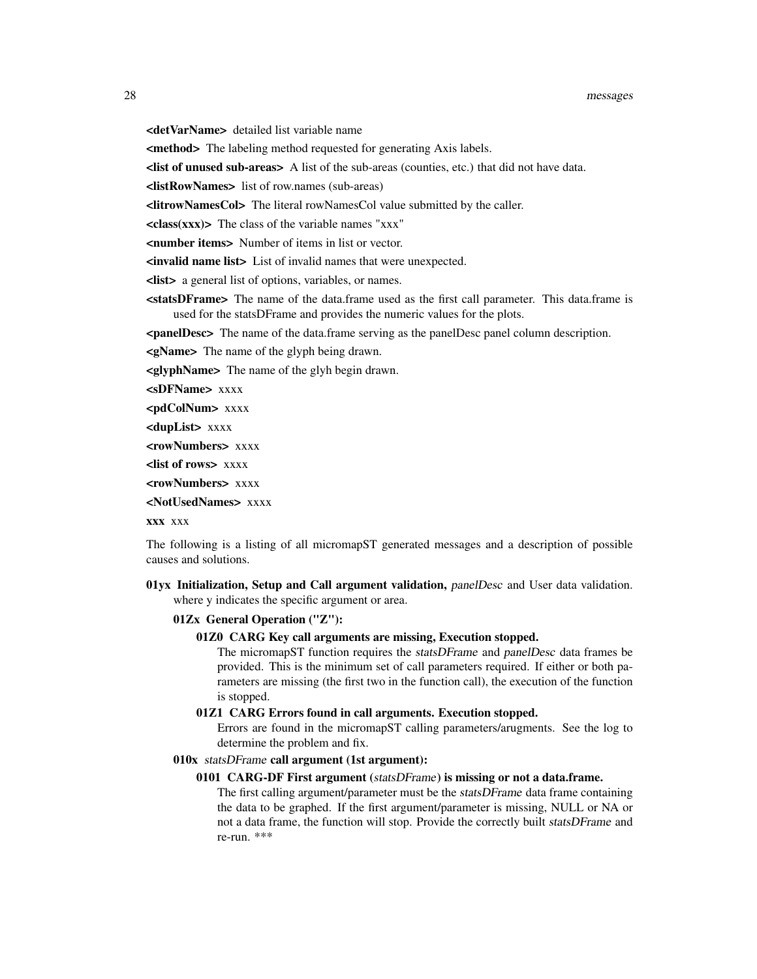#### 28 messages and the set of the set of the set of the set of the set of the set of the set of the set of the set of the set of the set of the set of the set of the set of the set of the set of the set of the set of the set

<detVarName> detailed list variable name

<method> The labeling method requested for generating Axis labels.

<list of unused sub-areas> A list of the sub-areas (counties, etc.) that did not have data.

<listRowNames> list of row.names (sub-areas)

<litrowNamesCol> The literal rowNamesCol value submitted by the caller.

 $\langle class(xx) \rangle$  The class of the variable names "xxx"

<number items> Number of items in list or vector.

<invalid name list> List of invalid names that were unexpected.

<list> a general list of options, variables, or names.

**<statsDFrame>** The name of the data.frame used as the first call parameter. This data.frame is used for the statsDFrame and provides the numeric values for the plots.

<panelDesc> The name of the data.frame serving as the panelDesc panel column description.

<gName> The name of the glyph being drawn.

<glyphName> The name of the glyh begin drawn.

<sDFName> xxxx

<pdColNum> xxxx

<dupList> xxxx

<rowNumbers> xxxx

<list of rows> xxxx

<rowNumbers> xxxx

<NotUsedNames> xxxx

xxx xxx

The following is a listing of all micromapST generated messages and a description of possible causes and solutions.

01yx Initialization, Setup and Call argument validation, panelDesc and User data validation. where y indicates the specific argument or area.

#### 01Zx General Operation ("Z"):

01Z0 CARG Key call arguments are missing, Execution stopped.

The micromapST function requires the statsDFrame and panelDesc data frames be provided. This is the minimum set of call parameters required. If either or both parameters are missing (the first two in the function call), the execution of the function is stopped.

#### 01Z1 CARG Errors found in call arguments. Execution stopped.

Errors are found in the micromapST calling parameters/arugments. See the log to determine the problem and fix.

## 010x statsDFrame call argument (1st argument):

#### 0101 CARG-DF First argument (statsDFrame) is missing or not a data.frame.

The first calling argument/parameter must be the statsDFrame data frame containing the data to be graphed. If the first argument/parameter is missing, NULL or NA or not a data frame, the function will stop. Provide the correctly built statsDFrame and re-run. \*\*\*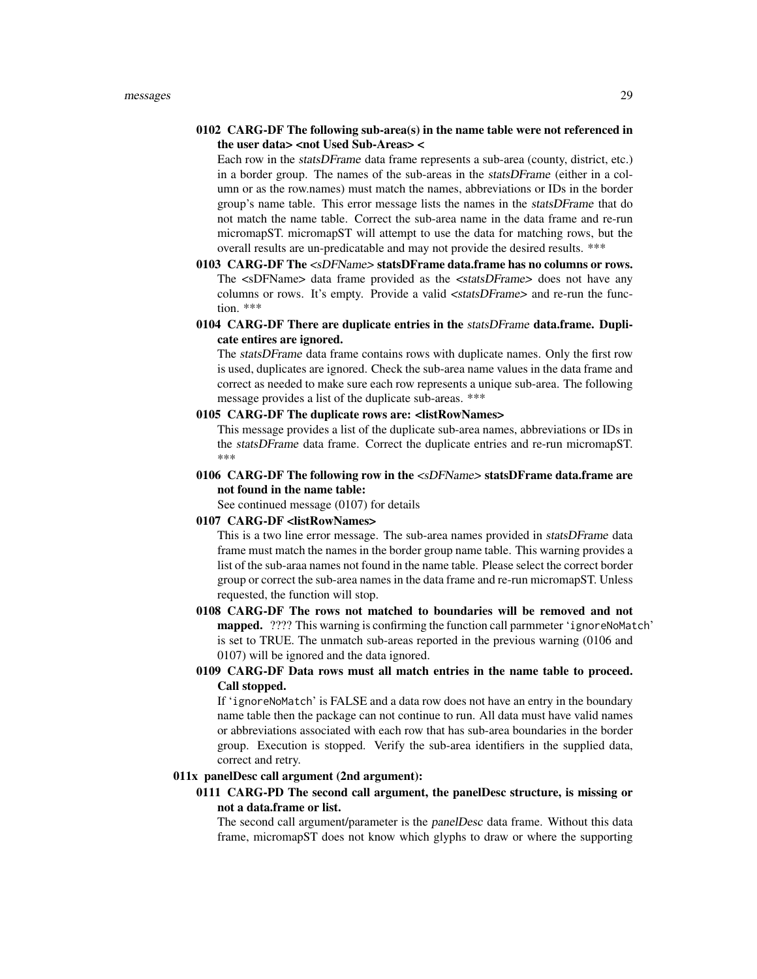# 0102 CARG-DF The following sub-area(s) in the name table were not referenced in the user data> <not Used Sub-Areas> <

Each row in the statsDFrame data frame represents a sub-area (county, district, etc.) in a border group. The names of the sub-areas in the statsDFrame (either in a column or as the row.names) must match the names, abbreviations or IDs in the border group's name table. This error message lists the names in the statsDFrame that do not match the name table. Correct the sub-area name in the data frame and re-run micromapST. micromapST will attempt to use the data for matching rows, but the overall results are un-predicatable and may not provide the desired results. \*\*\*

- 0103 CARG-DF The <sDFName> statsDFrame data.frame has no columns or rows. The <sDFName> data frame provided as the <statsDFrame> does not have any columns or rows. It's empty. Provide a valid  $\leq$ statsDFrame> and re-run the function. \*\*\*
- 0104 CARG-DF There are duplicate entries in the statsDFrame data.frame. Duplicate entires are ignored.

The statsDFrame data frame contains rows with duplicate names. Only the first row is used, duplicates are ignored. Check the sub-area name values in the data frame and correct as needed to make sure each row represents a unique sub-area. The following message provides a list of the duplicate sub-areas. \*\*\*

# 0105 CARG-DF The duplicate rows are: <listRowNames>

This message provides a list of the duplicate sub-area names, abbreviations or IDs in the statsDFrame data frame. Correct the duplicate entries and re-run micromapST. \*\*\*

0106 CARG-DF The following row in the <sDFName> statsDFrame data.frame are not found in the name table:

See continued message (0107) for details

#### 0107 CARG-DF <listRowNames>

This is a two line error message. The sub-area names provided in statsDFrame data frame must match the names in the border group name table. This warning provides a list of the sub-araa names not found in the name table. Please select the correct border group or correct the sub-area names in the data frame and re-run micromapST. Unless requested, the function will stop.

0108 CARG-DF The rows not matched to boundaries will be removed and not mapped. ???? This warning is confirming the function call parmmeter 'ignoreNoMatch' is set to TRUE. The unmatch sub-areas reported in the previous warning (0106 and 0107) will be ignored and the data ignored.

# 0109 CARG-DF Data rows must all match entries in the name table to proceed. Call stopped.

If 'ignoreNoMatch' is FALSE and a data row does not have an entry in the boundary name table then the package can not continue to run. All data must have valid names or abbreviations associated with each row that has sub-area boundaries in the border group. Execution is stopped. Verify the sub-area identifiers in the supplied data, correct and retry.

# 011x panelDesc call argument (2nd argument):

# 0111 CARG-PD The second call argument, the panelDesc structure, is missing or not a data.frame or list.

The second call argument/parameter is the panelDesc data frame. Without this data frame, micromapST does not know which glyphs to draw or where the supporting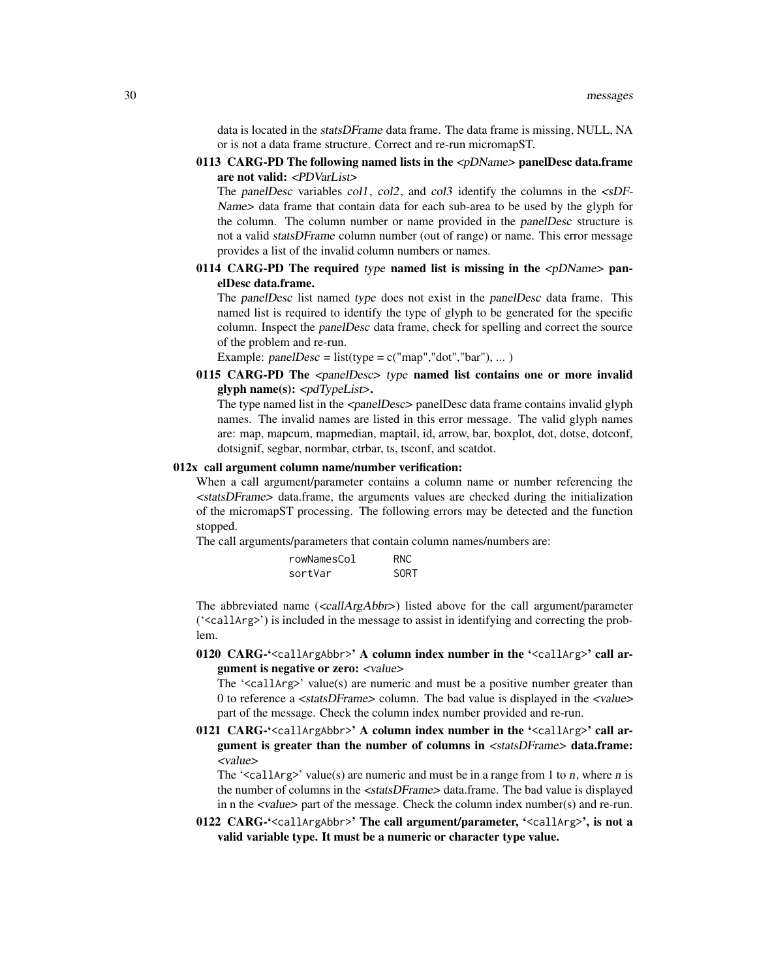data is located in the statsDFrame data frame. The data frame is missing, NULL, NA or is not a data frame structure. Correct and re-run micromapST.

0113 CARG-PD The following named lists in the  $\langle pDName \rangle$  panelDesc data.frame are not valid: <PDVarList>

The panelDesc variables col1, col2, and col3 identify the columns in the  $\langle sDF - s$ Name> data frame that contain data for each sub-area to be used by the glyph for the column. The column number or name provided in the panelDesc structure is not a valid statsDFrame column number (out of range) or name. This error message provides a list of the invalid column numbers or names.

0114 CARG-PD The required type named list is missing in the  $\langle pDName \rangle$  panelDesc data.frame.

The panelDesc list named type does not exist in the panelDesc data frame. This named list is required to identify the type of glyph to be generated for the specific column. Inspect the panelDesc data frame, check for spelling and correct the source of the problem and re-run.

Example:  $panelDesc = list(type = c("map", "dot", "bar"), ... )$ 

0115 CARG-PD The <panelDesc> type named list contains one or more invalid glyph name(s):  $\langle pdTypeList \rangle$ .

The type named list in the  $\langle$ panelDesc $\rangle$  panelDesc data frame contains invalid glyph names. The invalid names are listed in this error message. The valid glyph names are: map, mapcum, mapmedian, maptail, id, arrow, bar, boxplot, dot, dotse, dotconf, dotsignif, segbar, normbar, ctrbar, ts, tsconf, and scatdot.

# 012x call argument column name/number verification:

When a call argument/parameter contains a column name or number referencing the <statsDFrame> data.frame, the arguments values are checked during the initialization of the micromapST processing. The following errors may be detected and the function stopped.

The call arguments/parameters that contain column names/numbers are:

| rowNamesCol | RNC. |
|-------------|------|
| sortVar     | SORT |

The abbreviated name  $\langle\text{1ArgAbbr}\rangle$  listed above for the call argument/parameter ('<callArg>') is included in the message to assist in identifying and correcting the problem.

0120 CARG-'<callArgAbbr>' A column index number in the '<callArg>' call argument is negative or zero: <value>

The '<callArg>' value(s) are numeric and must be a positive number greater than 0 to reference a <statsDFrame> column. The bad value is displayed in the <value> part of the message. Check the column index number provided and re-run.

0121 CARG-'<callArgAbbr>' A column index number in the '<callArg>' call argument is greater than the number of columns in <statsDFrame> data.frame: <value>

The ' $\le$ callArg>' value(s) are numeric and must be in a range from 1 to *n*, where *n* is the number of columns in the <statsDFrame> data.frame. The bad value is displayed in n the  $\langle$ value $\rangle$  part of the message. Check the column index number(s) and re-run.

0122 CARG-'<callArgAbbr>' The call argument/parameter, '<callArg>', is not a valid variable type. It must be a numeric or character type value.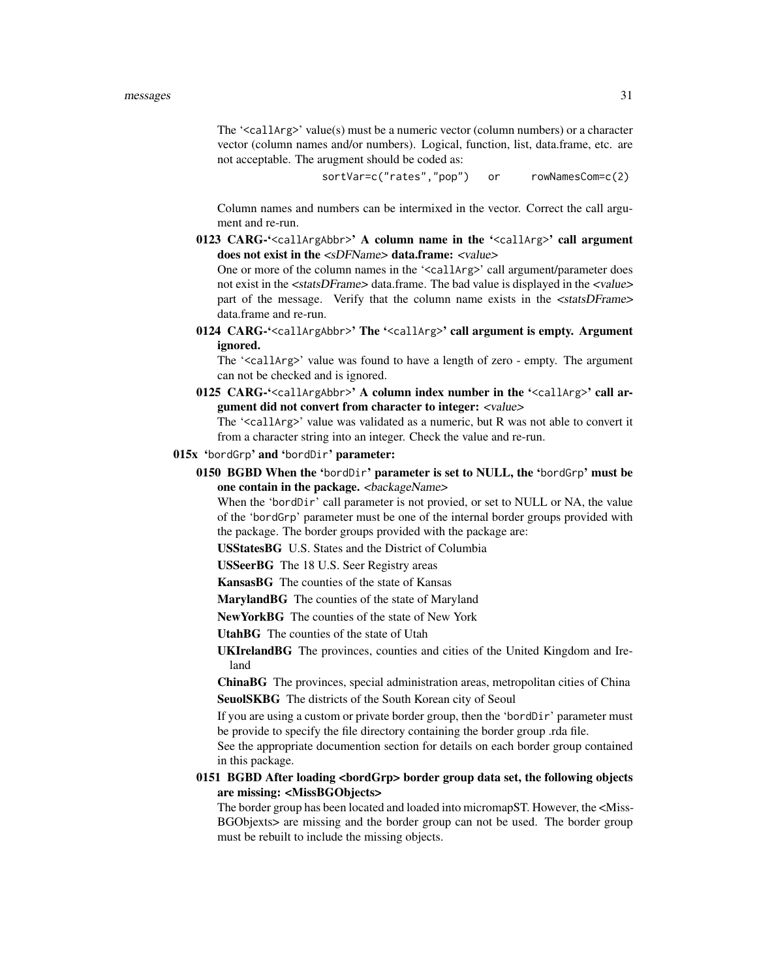#### messages 31

The '<callArg>' value(s) must be a numeric vector (column numbers) or a character vector (column names and/or numbers). Logical, function, list, data.frame, etc. are not acceptable. The arugment should be coded as:

sortVar=c("rates","pop") or rowNamesCom=c(2)

Column names and numbers can be intermixed in the vector. Correct the call argument and re-run.

0123 CARG-'<callArgAbbr>' A column name in the '<callArg>' call argument does not exist in the <sDFName> data.frame: <value>

One or more of the column names in the '<callArg>' call argument/parameter does not exist in the <statsDFrame> data.frame. The bad value is displayed in the <value> part of the message. Verify that the column name exists in the <statsDFrame> data.frame and re-run.

0124 CARG-'<callArgAbbr>' The '<callArg>' call argument is empty. Argument ignored.

The '<callArg>' value was found to have a length of zero - empty. The argument can not be checked and is ignored.

0125 CARG-'<callArgAbbr>' A column index number in the '<callArg>' call argument did not convert from character to integer: <value>

The '<callArg>' value was validated as a numeric, but R was not able to convert it from a character string into an integer. Check the value and re-run.

# 015x 'bordGrp' and 'bordDir' parameter:

0150 BGBD When the 'bordDir' parameter is set to NULL, the 'bordGrp' must be one contain in the package. <br/>backageName>

When the 'bordDir' call parameter is not provied, or set to NULL or NA, the value of the 'bordGrp' parameter must be one of the internal border groups provided with the package. The border groups provided with the package are:

USStatesBG U.S. States and the District of Columbia

USSeerBG The 18 U.S. Seer Registry areas

KansasBG The counties of the state of Kansas

MarylandBG The counties of the state of Maryland

NewYorkBG The counties of the state of New York

UtahBG The counties of the state of Utah

UKIrelandBG The provinces, counties and cities of the United Kingdom and Ireland

ChinaBG The provinces, special administration areas, metropolitan cities of China SeuolSKBG The districts of the South Korean city of Seoul

If you are using a custom or private border group, then the 'bordDir' parameter must be provide to specify the file directory containing the border group .rda file.

See the appropriate documention section for details on each border group contained in this package.

# 0151 BGBD After loading <bordGrp> border group data set, the following objects are missing: <MissBGObjects>

The border group has been located and loaded into micromapST. However, the <Miss-BGObjexts> are missing and the border group can not be used. The border group must be rebuilt to include the missing objects.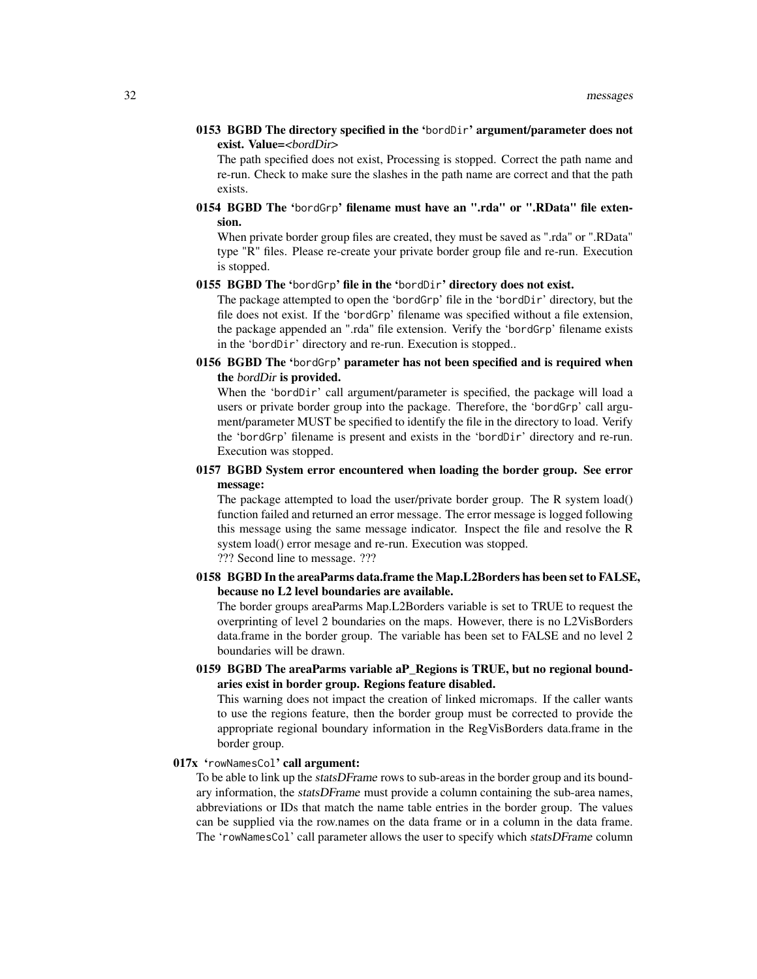0153 BGBD The directory specified in the 'bordDir' argument/parameter does not exist. Value=<br/>>bordDir>

The path specified does not exist, Processing is stopped. Correct the path name and re-run. Check to make sure the slashes in the path name are correct and that the path exists.

0154 BGBD The 'bordGrp' filename must have an ".rda" or ".RData" file extension.

When private border group files are created, they must be saved as ".rda" or ".RData" type "R" files. Please re-create your private border group file and re-run. Execution is stopped.

# 0155 BGBD The 'bordGrp' file in the 'bordDir' directory does not exist.

The package attempted to open the 'bordGrp' file in the 'bordDir' directory, but the file does not exist. If the 'bordGrp' filename was specified without a file extension, the package appended an ".rda" file extension. Verify the 'bordGrp' filename exists in the 'bordDir' directory and re-run. Execution is stopped..

0156 BGBD The 'bordGrp' parameter has not been specified and is required when the bordDir is provided.

When the 'bordDir' call argument/parameter is specified, the package will load a users or private border group into the package. Therefore, the 'bordGrp' call argument/parameter MUST be specified to identify the file in the directory to load. Verify the 'bordGrp' filename is present and exists in the 'bordDir' directory and re-run. Execution was stopped.

# 0157 BGBD System error encountered when loading the border group. See error message:

The package attempted to load the user/private border group. The R system load() function failed and returned an error message. The error message is logged following this message using the same message indicator. Inspect the file and resolve the R system load() error mesage and re-run. Execution was stopped.

??? Second line to message. ???

0158 BGBD In the areaParms data.frame the Map.L2Borders has been set to FALSE, because no L2 level boundaries are available.

The border groups areaParms Map.L2Borders variable is set to TRUE to request the overprinting of level 2 boundaries on the maps. However, there is no L2VisBorders data.frame in the border group. The variable has been set to FALSE and no level 2 boundaries will be drawn.

# 0159 BGBD The areaParms variable aP\_Regions is TRUE, but no regional boundaries exist in border group. Regions feature disabled.

This warning does not impact the creation of linked micromaps. If the caller wants to use the regions feature, then the border group must be corrected to provide the appropriate regional boundary information in the RegVisBorders data.frame in the border group.

#### 017x 'rowNamesCol' call argument:

To be able to link up the *statsDFrame* rows to sub-areas in the border group and its boundary information, the statsDFrame must provide a column containing the sub-area names, abbreviations or IDs that match the name table entries in the border group. The values can be supplied via the row.names on the data frame or in a column in the data frame. The 'rowNamesCol' call parameter allows the user to specify which statsDFrame column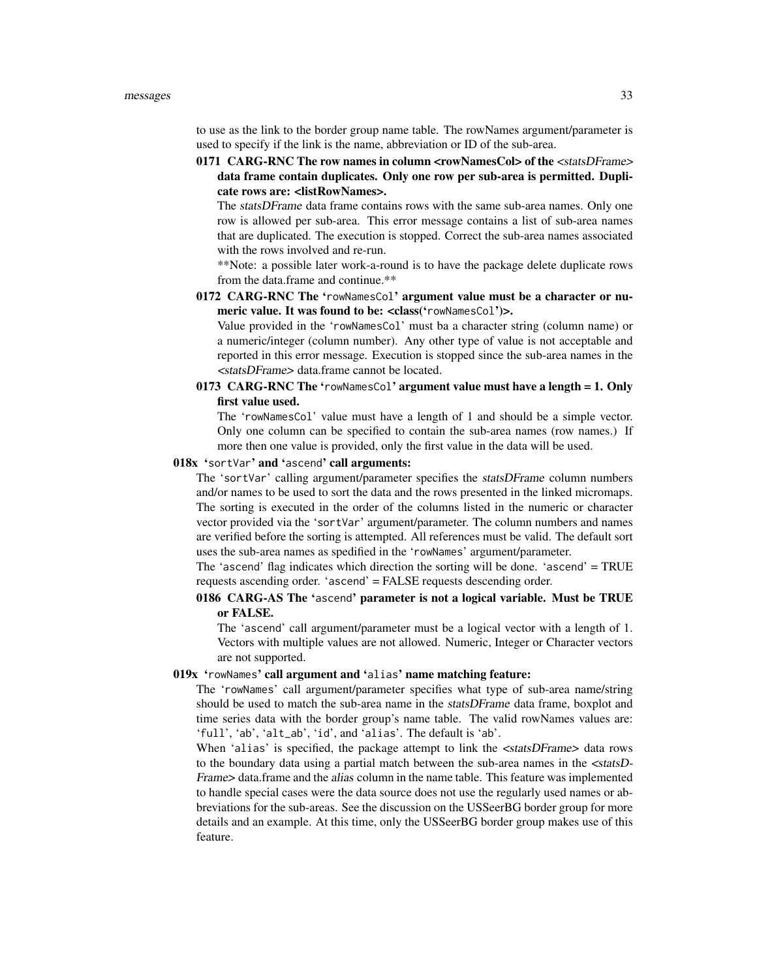to use as the link to the border group name table. The rowNames argument/parameter is used to specify if the link is the name, abbreviation or ID of the sub-area.

0171 CARG-RNC The row names in column <rowNamesCol> of the <statsDFrame> data frame contain duplicates. Only one row per sub-area is permitted. Duplicate rows are: <listRowNames>.

The statsDFrame data frame contains rows with the same sub-area names. Only one row is allowed per sub-area. This error message contains a list of sub-area names that are duplicated. The execution is stopped. Correct the sub-area names associated with the rows involved and re-run.

\*\*Note: a possible later work-a-round is to have the package delete duplicate rows from the data.frame and continue.\*\*

0172 CARG-RNC The 'rowNamesCol' argument value must be a character or numeric value. It was found to be: <class('rowNamesCol')>.

Value provided in the 'rowNamesCol' must ba a character string (column name) or a numeric/integer (column number). Any other type of value is not acceptable and reported in this error message. Execution is stopped since the sub-area names in the <statsDFrame> data.frame cannot be located.

0173 CARG-RNC The 'rowNamesCol' argument value must have a length = 1. Only first value used.

The 'rowNamesCol' value must have a length of 1 and should be a simple vector. Only one column can be specified to contain the sub-area names (row names.) If more then one value is provided, only the first value in the data will be used.

# 018x 'sortVar' and 'ascend' call arguments:

The 'sortVar' calling argument/parameter specifies the statsDFrame column numbers and/or names to be used to sort the data and the rows presented in the linked micromaps. The sorting is executed in the order of the columns listed in the numeric or character vector provided via the 'sortVar' argument/parameter. The column numbers and names are verified before the sorting is attempted. All references must be valid. The default sort uses the sub-area names as spedified in the 'rowNames' argument/parameter.

The 'ascend' flag indicates which direction the sorting will be done. 'ascend' = TRUE requests ascending order. 'ascend' = FALSE requests descending order.

# 0186 CARG-AS The 'ascend' parameter is not a logical variable. Must be TRUE or FALSE.

The 'ascend' call argument/parameter must be a logical vector with a length of 1. Vectors with multiple values are not allowed. Numeric, Integer or Character vectors are not supported.

#### 019x 'rowNames' call argument and 'alias' name matching feature:

The 'rowNames' call argument/parameter specifies what type of sub-area name/string should be used to match the sub-area name in the statsDFrame data frame, boxplot and time series data with the border group's name table. The valid rowNames values are: 'full', 'ab', 'alt\_ab', 'id', and 'alias'. The default is 'ab'.

When 'alias' is specified, the package attempt to link the <statsDFrame> data rows to the boundary data using a partial match between the sub-area names in the <statsD-Frame> data.frame and the alias column in the name table. This feature was implemented to handle special cases were the data source does not use the regularly used names or abbreviations for the sub-areas. See the discussion on the USSeerBG border group for more details and an example. At this time, only the USSeerBG border group makes use of this feature.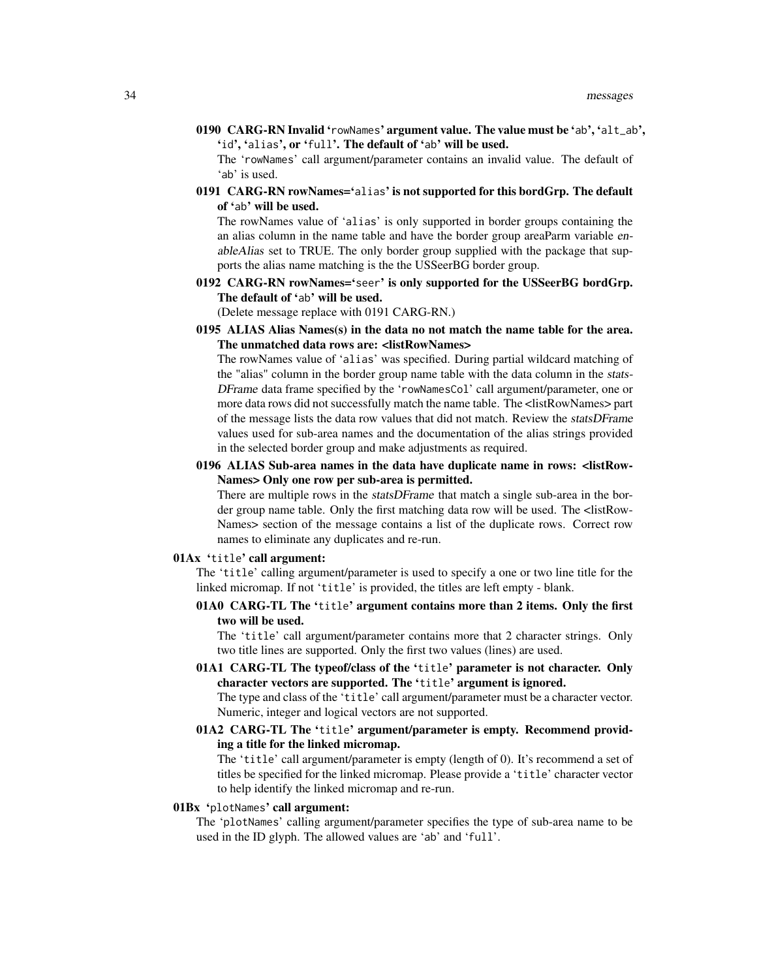0190 CARG-RN Invalid 'rowNames' argument value. The value must be 'ab', 'alt\_ab', 'id', 'alias', or 'full'. The default of 'ab' will be used.

The 'rowNames' call argument/parameter contains an invalid value. The default of 'ab' is used.

0191 CARG-RN rowNames='alias' is not supported for this bordGrp. The default of 'ab' will be used.

The rowNames value of 'alias' is only supported in border groups containing the an alias column in the name table and have the border group areaParm variable enableAlias set to TRUE. The only border group supplied with the package that supports the alias name matching is the the USSeerBG border group.

0192 CARG-RN rowNames='seer' is only supported for the USSeerBG bordGrp. The default of 'ab' will be used.

(Delete message replace with 0191 CARG-RN.)

0195 ALIAS Alias Names(s) in the data no not match the name table for the area. The unmatched data rows are: <listRowNames>

The rowNames value of 'alias' was specified. During partial wildcard matching of the "alias" column in the border group name table with the data column in the stats-DFrame data frame specified by the 'rowNamesCol' call argument/parameter, one or more data rows did not successfully match the name table. The <listRowNames> part of the message lists the data row values that did not match. Review the statsDFrame values used for sub-area names and the documentation of the alias strings provided in the selected border group and make adjustments as required.

0196 ALIAS Sub-area names in the data have duplicate name in rows: <listRow-Names> Only one row per sub-area is permitted.

There are multiple rows in the *statsDFrame* that match a single sub-area in the border group name table. Only the first matching data row will be used. The <listRow-Names> section of the message contains a list of the duplicate rows. Correct row names to eliminate any duplicates and re-run.

# 01Ax 'title' call argument:

The 'title' calling argument/parameter is used to specify a one or two line title for the linked micromap. If not 'title' is provided, the titles are left empty - blank.

01A0 CARG-TL The 'title' argument contains more than 2 items. Only the first two will be used.

The 'title' call argument/parameter contains more that 2 character strings. Only two title lines are supported. Only the first two values (lines) are used.

01A1 CARG-TL The typeof/class of the 'title' parameter is not character. Only character vectors are supported. The 'title' argument is ignored. The type and class of the 'title' call argument/parameter must be a character vector.

Numeric, integer and logical vectors are not supported.

01A2 CARG-TL The 'title' argument/parameter is empty. Recommend providing a title for the linked micromap.

The 'title' call argument/parameter is empty (length of 0). It's recommend a set of titles be specified for the linked micromap. Please provide a 'title' character vector to help identify the linked micromap and re-run.

# 01Bx 'plotNames' call argument:

The 'plotNames' calling argument/parameter specifies the type of sub-area name to be used in the ID glyph. The allowed values are 'ab' and 'full'.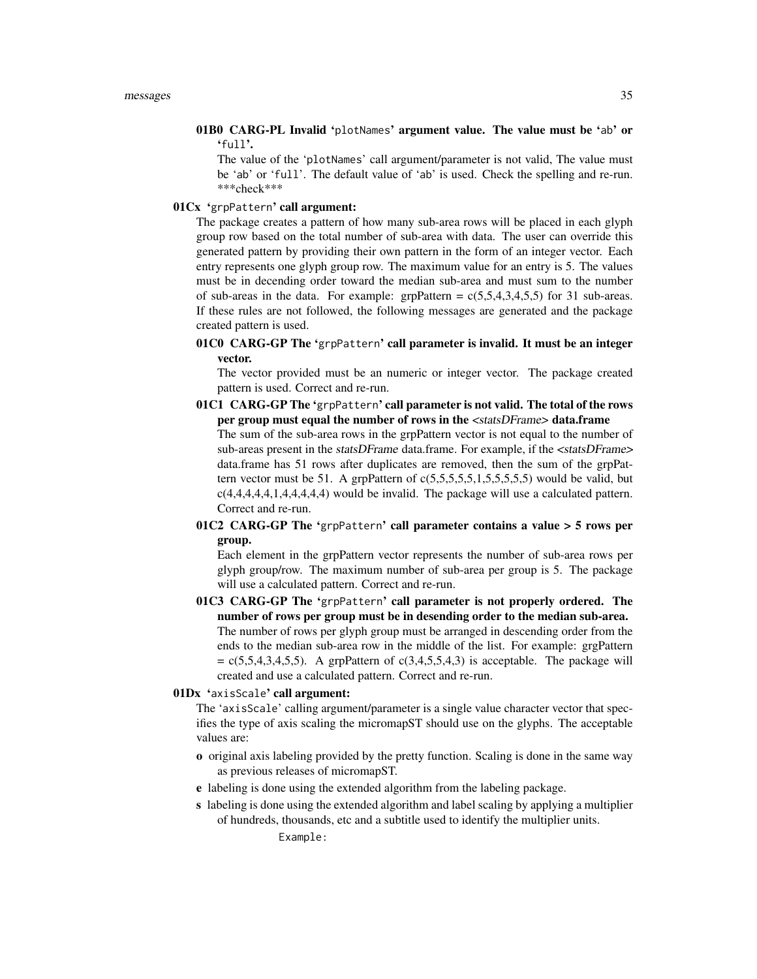01B0 CARG-PL Invalid 'plotNames' argument value. The value must be 'ab' or 'full'.

The value of the 'plotNames' call argument/parameter is not valid, The value must be 'ab' or 'full'. The default value of 'ab' is used. Check the spelling and re-run. \*\*\*check\*\*\*

# 01Cx 'grpPattern' call argument:

The package creates a pattern of how many sub-area rows will be placed in each glyph group row based on the total number of sub-area with data. The user can override this generated pattern by providing their own pattern in the form of an integer vector. Each entry represents one glyph group row. The maximum value for an entry is 5. The values must be in decending order toward the median sub-area and must sum to the number of sub-areas in the data. For example: grpPattern =  $c(5,5,4,3,4,5,5)$  for 31 sub-areas. If these rules are not followed, the following messages are generated and the package created pattern is used.

01C0 CARG-GP The 'grpPattern' call parameter is invalid. It must be an integer vector.

The vector provided must be an numeric or integer vector. The package created pattern is used. Correct and re-run.

- 01C1 CARG-GP The 'grpPattern' call parameter is not valid. The total of the rows per group must equal the number of rows in the <statsDFrame> data.frame The sum of the sub-area rows in the grpPattern vector is not equal to the number of sub-areas present in the statsDFrame data.frame. For example, if the <statsDFrame> data.frame has 51 rows after duplicates are removed, then the sum of the grpPattern vector must be 51. A grpPattern of  $c(5,5,5,5,5,5,5,5,5,5)$  would be valid, but c(4,4,4,4,4,1,4,4,4,4,4) would be invalid. The package will use a calculated pattern. Correct and re-run.
- 01C2 CARG-GP The 'grpPattern' call parameter contains a value  $>$  5 rows per group.

Each element in the grpPattern vector represents the number of sub-area rows per glyph group/row. The maximum number of sub-area per group is 5. The package will use a calculated pattern. Correct and re-run.

01C3 CARG-GP The 'grpPattern' call parameter is not properly ordered. The number of rows per group must be in desending order to the median sub-area. The number of rows per glyph group must be arranged in descending order from the ends to the median sub-area row in the middle of the list. For example: grgPattern  $= c(5,5,4,3,4,5,5)$ . A grpPattern of  $c(3,4,5,5,4,3)$  is acceptable. The package will created and use a calculated pattern. Correct and re-run.

# 01Dx 'axisScale' call argument:

The 'axisScale' calling argument/parameter is a single value character vector that specifies the type of axis scaling the micromapST should use on the glyphs. The acceptable values are:

- o original axis labeling provided by the pretty function. Scaling is done in the same way as previous releases of micromapST.
- e labeling is done using the extended algorithm from the labeling package.
- s labeling is done using the extended algorithm and label scaling by applying a multiplier of hundreds, thousands, etc and a subtitle used to identify the multiplier units.

Example: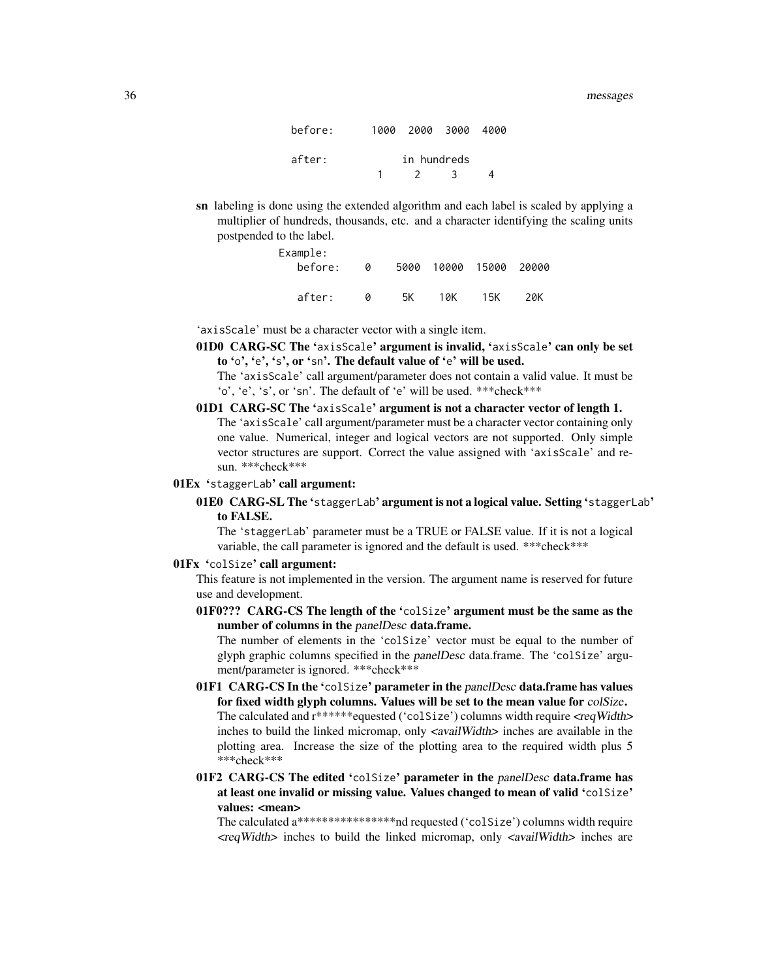| before: |             | 1000 2000 3000 4000 |     |   |
|---------|-------------|---------------------|-----|---|
| after:  | in hundreds |                     |     |   |
|         |             | $\overline{2}$      | - 3 | Δ |

sn labeling is done using the extended algorithm and each label is scaled by applying a multiplier of hundreds, thousands, etc. and a character identifying the scaling units postpended to the label.

| Example: |   |    |     |                        |     |
|----------|---|----|-----|------------------------|-----|
| before:  | a |    |     | 5000 10000 15000 20000 |     |
|          |   |    |     |                        |     |
| after:   | a | 5K | 10K | 15K                    | 20K |

'axisScale' must be a character vector with a single item.

01D0 CARG-SC The 'axisScale' argument is invalid, 'axisScale' can only be set to 'o', 'e', 's', or 'sn'. The default value of 'e' will be used.

The 'axisScale' call argument/parameter does not contain a valid value. It must be 'o', 'e', 's', or 'sn'. The default of 'e' will be used. \*\*\*check\*\*\*

- 01D1 CARG-SC The 'axisScale' argument is not a character vector of length 1. The 'axisScale' call argument/parameter must be a character vector containing only one value. Numerical, integer and logical vectors are not supported. Only simple vector structures are support. Correct the value assigned with 'axisScale' and resun. \*\*\*check\*\*\*
- 01Ex 'staggerLab' call argument:
	- 01E0 CARG-SL The 'staggerLab' argument is not a logical value. Setting 'staggerLab' to FALSE.

The 'staggerLab' parameter must be a TRUE or FALSE value. If it is not a logical variable, the call parameter is ignored and the default is used. \*\*\*check\*\*\*

# 01Fx 'colSize' call argument:

This feature is not implemented in the version. The argument name is reserved for future use and development.

01F0??? CARG-CS The length of the 'colSize' argument must be the same as the number of columns in the panelDesc data.frame.

The number of elements in the 'colSize' vector must be equal to the number of glyph graphic columns specified in the panelDesc data.frame. The 'colSize' argument/parameter is ignored. \*\*\*check\*\*\*

- 01F1 CARG-CS In the 'colSize' parameter in the panelDesc data.frame has values for fixed width glyph columns. Values will be set to the mean value for colSize. The calculated and  $r^{****}$ equested ('colSize') columns width require  $\langle \text{reqWidth} \rangle$ inches to build the linked micromap, only <availWidth> inches are available in the plotting area. Increase the size of the plotting area to the required width plus 5 \*\*\*check\*\*\*
- 01F2 CARG-CS The edited 'colSize' parameter in the panelDesc data.frame has at least one invalid or missing value. Values changed to mean of valid 'colSize' values: <mean>

The calculated a\*\*\*\*\*\*\*\*\*\*\*\*\*\*\*\*nd requested ('colSize') columns width require  $\langle$ reqWidth $>$  inches to build the linked micromap, only  $\langle$ availWidth $>$  inches are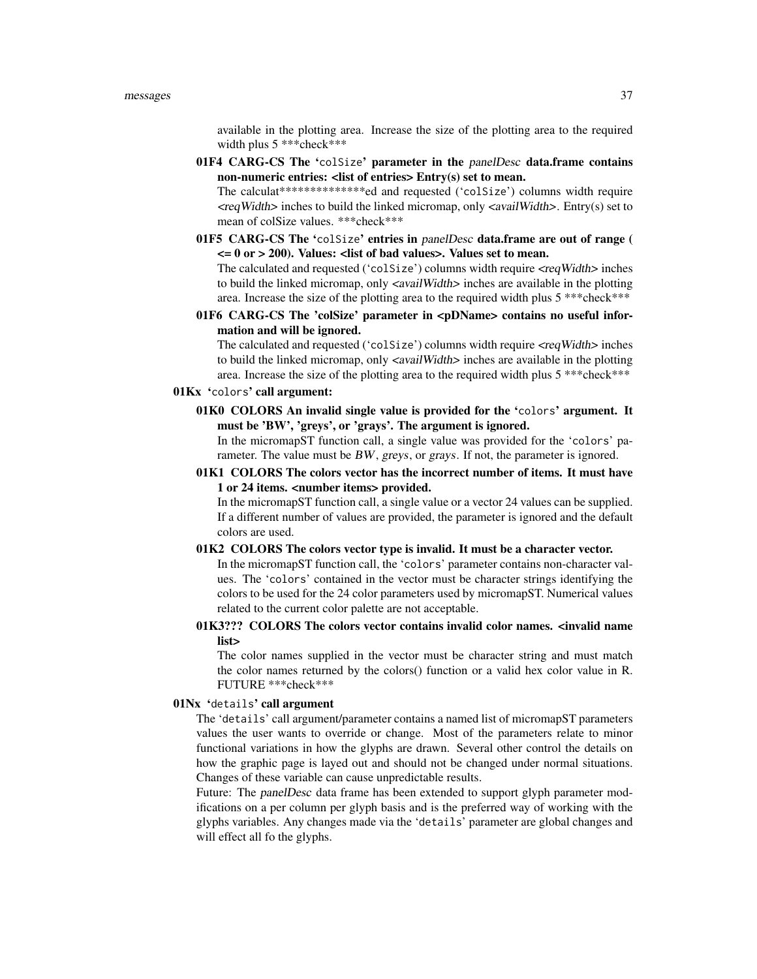available in the plotting area. Increase the size of the plotting area to the required width plus 5 \*\*\* check\*\*\*

01F4 CARG-CS The 'colSize' parameter in the panelDesc data.frame contains non-numeric entries: <list of entries> Entry(s) set to mean.

The calculat\*\*\*\*\*\*\*\*\*\*\*\*\*\*ed and requested ('colSize') columns width require <reqWidth> inches to build the linked micromap, only <availWidth>. Entry(s) set to mean of colSize values. \*\*\*check\*\*\*

01F5 CARG-CS The 'colSize' entries in panelDesc data.frame are out of range (  $\epsilon$  = 0 or > 200). Values:  $\epsilon$  list of bad values >. Values set to mean.

The calculated and requested ('colSize') columns width require  $\langle \text{reqWidth} \rangle$  inches to build the linked micromap, only  $\langle$  *savailWidth* $>$  inches are available in the plotting area. Increase the size of the plotting area to the required width plus 5 \*\*\*check\*\*\*

01F6 CARG-CS The 'colSize' parameter in <pDName> contains no useful information and will be ignored.

The calculated and requested ('colSize') columns width require  $\langle \text{reqWidth} \rangle$  inches to build the linked micromap, only <availWidth> inches are available in the plotting area. Increase the size of the plotting area to the required width plus 5 \*\*\*check\*\*\*

# 01Kx 'colors' call argument:

01K0 COLORS An invalid single value is provided for the 'colors' argument. It must be 'BW', 'greys', or 'grays'. The argument is ignored.

In the micromapST function call, a single value was provided for the 'colors' parameter. The value must be BW, greys, or grays. If not, the parameter is ignored.

01K1 COLORS The colors vector has the incorrect number of items. It must have 1 or 24 items. <number items> provided.

In the micromapST function call, a single value or a vector 24 values can be supplied. If a different number of values are provided, the parameter is ignored and the default colors are used.

01K2 COLORS The colors vector type is invalid. It must be a character vector.

In the micromapST function call, the 'colors' parameter contains non-character values. The 'colors' contained in the vector must be character strings identifying the colors to be used for the 24 color parameters used by micromapST. Numerical values related to the current color palette are not acceptable.

01K3??? COLORS The colors vector contains invalid color names. <invalid name list>

The color names supplied in the vector must be character string and must match the color names returned by the colors() function or a valid hex color value in R. FUTURE \*\*\*check\*\*\*

#### 01Nx 'details' call argument

The 'details' call argument/parameter contains a named list of micromapST parameters values the user wants to override or change. Most of the parameters relate to minor functional variations in how the glyphs are drawn. Several other control the details on how the graphic page is layed out and should not be changed under normal situations. Changes of these variable can cause unpredictable results.

Future: The *panelDesc* data frame has been extended to support glyph parameter modifications on a per column per glyph basis and is the preferred way of working with the glyphs variables. Any changes made via the 'details' parameter are global changes and will effect all fo the glyphs.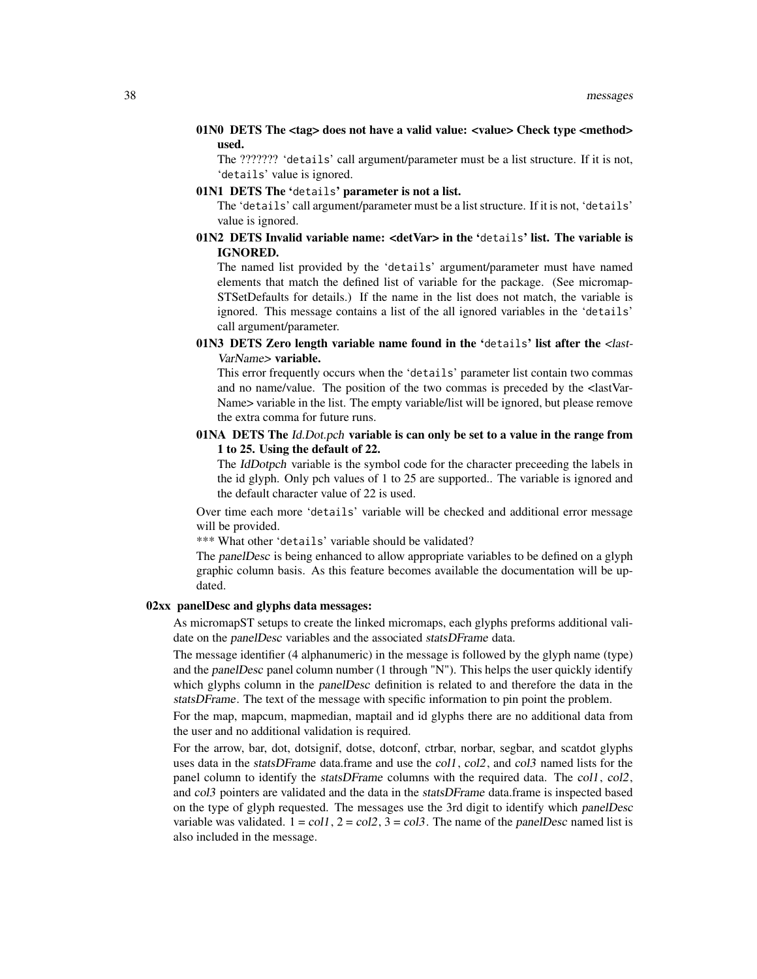# 01N0 DETS The <tag> does not have a valid value: <value> Check type <method> used.

The ??????? 'details' call argument/parameter must be a list structure. If it is not, 'details' value is ignored.

01N1 DETS The 'details' parameter is not a list.

The 'details' call argument/parameter must be a list structure. If it is not, 'details' value is ignored.

# $01N2$  DETS Invalid variable name: <detVar> in the 'details' list. The variable is IGNORED.

The named list provided by the 'details' argument/parameter must have named elements that match the defined list of variable for the package. (See micromap-STSetDefaults for details.) If the name in the list does not match, the variable is ignored. This message contains a list of the all ignored variables in the 'details' call argument/parameter.

# 01N3 DETS Zero length variable name found in the 'details' list after the <last-VarName> variable.

This error frequently occurs when the 'details' parameter list contain two commas and no name/value. The position of the two commas is preceded by the <lastVar-Name> variable in the list. The empty variable/list will be ignored, but please remove the extra comma for future runs.

# 01NA DETS The Id.Dot.pch variable is can only be set to a value in the range from 1 to 25. Using the default of 22.

The IdDotpch variable is the symbol code for the character preceeding the labels in the id glyph. Only pch values of 1 to 25 are supported.. The variable is ignored and the default character value of 22 is used.

Over time each more 'details' variable will be checked and additional error message will be provided.

\*\*\* What other 'details' variable should be validated?

The panelDesc is being enhanced to allow appropriate variables to be defined on a glyph graphic column basis. As this feature becomes available the documentation will be updated.

# 02xx panelDesc and glyphs data messages:

As micromapST setups to create the linked micromaps, each glyphs preforms additional validate on the panelDesc variables and the associated statsDFrame data.

The message identifier (4 alphanumeric) in the message is followed by the glyph name (type) and the panelDesc panel column number (1 through "N"). This helps the user quickly identify which glyphs column in the panelDesc definition is related to and therefore the data in the statsDFrame. The text of the message with specific information to pin point the problem.

For the map, mapcum, mapmedian, maptail and id glyphs there are no additional data from the user and no additional validation is required.

For the arrow, bar, dot, dotsignif, dotse, dotconf, ctrbar, norbar, segbar, and scatdot glyphs uses data in the *statsDFrame* data.frame and use the *col1*, *col2*, and *col3* named lists for the panel column to identify the *statsDFrame* columns with the required data. The *col1*, *col2*, and col3 pointers are validated and the data in the statsDFrame data.frame is inspected based on the type of glyph requested. The messages use the 3rd digit to identify which panelDesc variable was validated.  $1 = \text{col1}$ ,  $2 = \text{col2}$ ,  $3 = \text{col3}$ . The name of the panelDesc named list is also included in the message.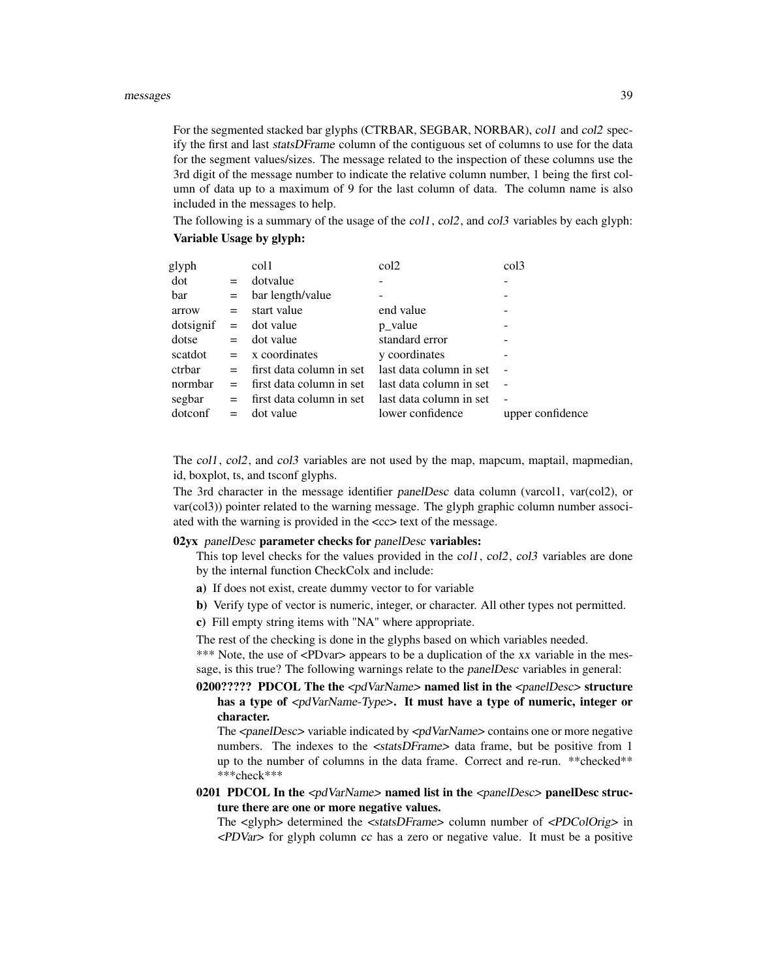For the segmented stacked bar glyphs (CTRBAR, SEGBAR, NORBAR), col1 and col2 specify the first and last statsDFrame column of the contiguous set of columns to use for the data for the segment values/sizes. The message related to the inspection of these columns use the 3rd digit of the message number to indicate the relative column number, 1 being the first column of data up to a maximum of 9 for the last column of data. The column name is also included in the messages to help.

The following is a summary of the usage of the col1, col2, and col3 variables by each glyph: Variable Usage by glyph:

| glyph     |     | col1                     | col2                    | $\text{col}3$    |
|-----------|-----|--------------------------|-------------------------|------------------|
| dot       | $=$ | dotvalue                 |                         |                  |
| bar       | $=$ | bar length/value         |                         |                  |
| arrow     | $=$ | start value              | end value               |                  |
| dotsignif | $=$ | dot value                | p value                 |                  |
| dotse     | $=$ | dot value                | standard error          |                  |
| scatdot   |     | $= x$ coordinates        | y coordinates           |                  |
| ctrbar    | $=$ | first data column in set | last data column in set |                  |
| normbar   | $=$ | first data column in set | last data column in set |                  |
| segbar    | $=$ | first data column in set | last data column in set |                  |
| dotconf   | $=$ | dot value                | lower confidence        | upper confidence |
|           |     |                          |                         |                  |

The col1, col2, and col3 variables are not used by the map, mapcum, maptail, mapmedian, id, boxplot, ts, and tsconf glyphs.

The 3rd character in the message identifier panelDesc data column (varcol1, var(col2), or var(col3)) pointer related to the warning message. The glyph graphic column number associated with the warning is provided in the  $\langle cc \rangle$  text of the message.

#### 02yx panelDesc parameter checks for panelDesc variables:

This top level checks for the values provided in the  $\text{col1}, \text{col2}, \text{col3}$  variables are done by the internal function CheckColx and include:

- a) If does not exist, create dummy vector to for variable
- b) Verify type of vector is numeric, integer, or character. All other types not permitted.
- c) Fill empty string items with "NA" where appropriate.

The rest of the checking is done in the glyphs based on which variables needed.

\*\*\* Note, the use of <PDvar> appears to be a duplication of the xx variable in the message, is this true? The following warnings relate to the panelDesc variables in general:

0200????? PDCOL The the <pdVarName> named list in the <panelDesc> structure has a type of  $\langle \text{pdVarName-Type} \rangle$ . It must have a type of numeric, integer or character.

The <panelDesc> variable indicated by <pdVarName> contains one or more negative numbers. The indexes to the <statsDFrame> data frame, but be positive from 1 up to the number of columns in the data frame. Correct and re-run. \*\*checked\*\* \*\*\*check\*\*\*

# 0201 PDCOL In the  $< pdVarName> named list in the *spanelDesc> panelDesc* structure$ ture there are one or more negative values.

The <glyph> determined the <statsDFrame> column number of <PDColOrig> in <PDVar> for glyph column cc has a zero or negative value. It must be a positive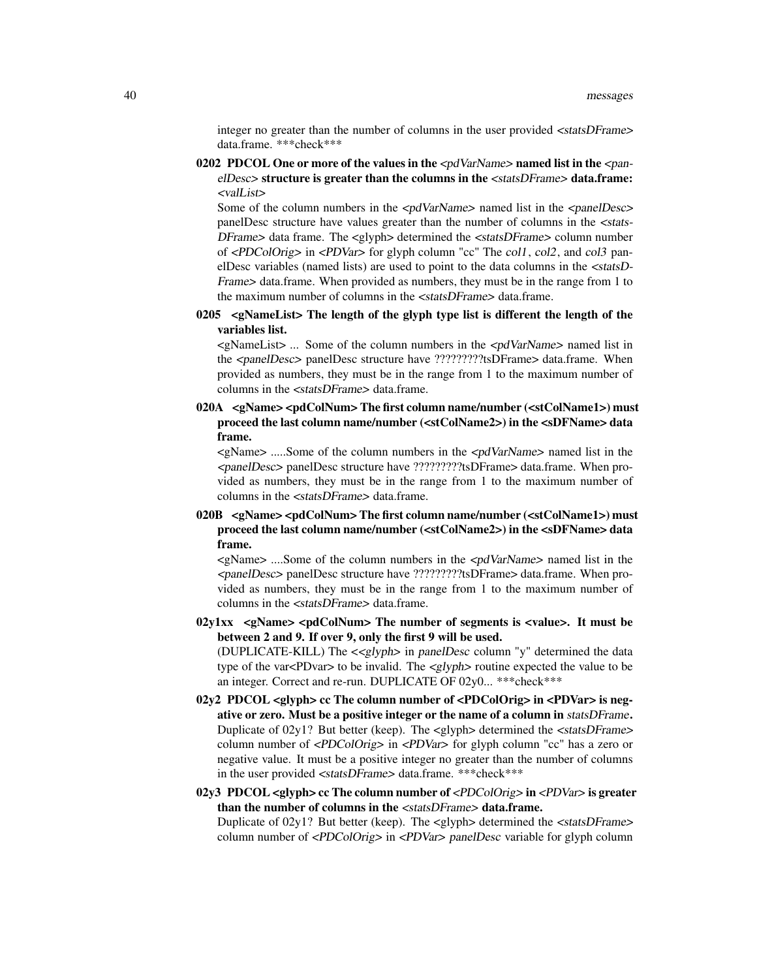integer no greater than the number of columns in the user provided <statsDFrame> data.frame. \*\*\*check\*\*\*

0202 PDCOL One or more of the values in the  $\langle pdVarName \rangle$  named list in the  $\langle pan-Pa$ elDesc> structure is greater than the columns in the <statsDFrame> data.frame: <valList>

Some of the column numbers in the  $\langle pdVarName \rangle$  named list in the  $\langle panelDesc \rangle$ panelDesc structure have values greater than the number of columns in the <stats-DFrame> data frame. The <glyph> determined the <statsDFrame> column number of <PDColOrig> in <PDVar> for glyph column "cc" The col1, col2, and col3 panelDesc variables (named lists) are used to point to the data columns in the <statsD-Frame> data.frame. When provided as numbers, they must be in the range from 1 to the maximum number of columns in the <statsDFrame> data.frame.

0205  $\leq$ NameList The length of the glyph type list is different the length of the variables list.

<gNameList> ... Some of the column numbers in the <pdVarName> named list in the <panelDesc> panelDesc structure have ?????????tsDFrame> data.frame. When provided as numbers, they must be in the range from 1 to the maximum number of columns in the <statsDFrame> data.frame.

020A <gName> <pdColNum> The first column name/number (<stColName1>) must proceed the last column name/number (<stColName2>) in the <sDFName> data frame.

 $\langle \text{gName}\rangle$  .....Some of the column numbers in the  $\langle \text{pdVarName}\rangle$  named list in the <panelDesc> panelDesc structure have ?????????tsDFrame> data.frame. When provided as numbers, they must be in the range from 1 to the maximum number of columns in the <statsDFrame> data.frame.

020B <gName> <pdColNum> The first column name/number (<stColName1>) must proceed the last column name/number (<stColName2>) in the <sDFName> data frame.

 $\langle \text{gName}\rangle$  ....Some of the column numbers in the  $\langle \text{pdVarName}\rangle$  named list in the <panelDesc> panelDesc structure have ?????????tsDFrame> data.frame. When provided as numbers, they must be in the range from 1 to the maximum number of columns in the <statsDFrame> data.frame.

 $02y1xx$  <gName> <pdColNum> The number of segments is <value>. It must be between 2 and 9. If over 9, only the first 9 will be used. (DUPLICATE-KILL) The <<glyph> in panelDesc column "y" determined the data

type of the var<PDvar> to be invalid. The <glyph> routine expected the value to be an integer. Correct and re-run. DUPLICATE OF 02y0... \*\*\*check\*\*\*

- 02y2 PDCOL <glyph> cc The column number of <PDColOrig> in <PDVar> is negative or zero. Must be a positive integer or the name of a column in statsDFrame. Duplicate of  $02y1$ ? But better (keep). The  $\langle$ glyph $\rangle$  determined the  $\langle$ statsDFrame $\rangle$ column number of <PDColOrig> in <PDVar> for glyph column "cc" has a zero or negative value. It must be a positive integer no greater than the number of columns in the user provided <statsDFrame> data.frame. \*\*\*check\*\*\*
- 02y3 PDCOL <glyph> cc The column number of  $\langle PDColOrig \rangle$  in  $\langle PDVar \rangle$  is greater than the number of columns in the <statsDFrame> data.frame. Duplicate of  $02y1$ ? But better (keep). The  $\langle$ glyph $\rangle$  determined the  $\langle$ statsDFrame $\rangle$ column number of <PDColOrig> in <PDVar> panelDesc variable for glyph column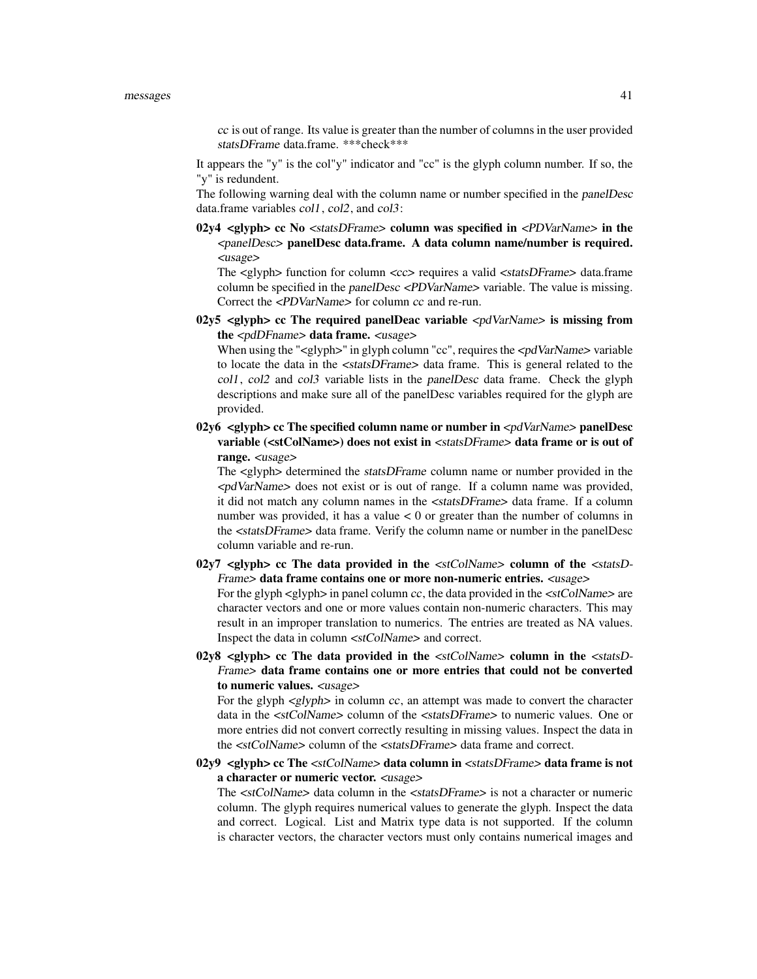cc is out of range. Its value is greater than the number of columns in the user provided statsDFrame data.frame. \*\*\*check\*\*\*

It appears the "y" is the col"y" indicator and "cc" is the glyph column number. If so, the "y" is redundent.

The following warning deal with the column name or number specified in the panelDesc data.frame variables col1, col2, and col3:

02y4  $\leq$ glyph $>$  cc No  $\leq$ statsDFrame $>$  column was specified in  $\leq$ PDVarName $>$  in the <panelDesc> panelDesc data.frame. A data column name/number is required. <usage>

The <glyph> function for column <cc> requires a valid <statsDFrame> data.frame column be specified in the *panelDesc <PDVarName>* variable. The value is missing. Correct the <PDVarName> for column cc and re-run.

02y5  $\lt q$ lyph> cc The required panelDeac variable  $\lt p$ dVarName> is missing from the <pdDFname> data frame. <usage>

When using the "<glyph>" in glyph column "cc", requires the <pdVarName> variable to locate the data in the <statsDFrame> data frame. This is general related to the col1, col2 and col3 variable lists in the panelDesc data frame. Check the glyph descriptions and make sure all of the panelDesc variables required for the glyph are provided.

02y6 <glyph> cc The specified column name or number in  $\langle pdVarName \rangle$  panelDesc variable (<stColName>) does not exist in <statsDFrame> data frame or is out of range. <usage>

The <glyph> determined the statsDFrame column name or number provided in the <pdVarName> does not exist or is out of range. If a column name was provided, it did not match any column names in the <statsDFrame> data frame. If a column number was provided, it has a value  $< 0$  or greater than the number of columns in the <statsDFrame> data frame. Verify the column name or number in the panelDesc column variable and re-run.

02y7  $\langle$  slyph> cc The data provided in the  $\langle$  stColName> column of the  $\langle$  statsD-Frame> data frame contains one or more non-numeric entries. <usage>

For the glyph  $\langle$  glyph $\rangle$  in panel column cc, the data provided in the  $\langle$ stColName $\rangle$  are character vectors and one or more values contain non-numeric characters. This may result in an improper translation to numerics. The entries are treated as NA values. Inspect the data in column <stColName> and correct.

 $02y8$  <glyph> cc The data provided in the  $\lt$ stColName> column in the  $\lt$ statsD-Frame> data frame contains one or more entries that could not be converted to numeric values. <usage>

For the glyph  $\langle g | g \rangle$  in column cc, an attempt was made to convert the character data in the <stColName> column of the <statsDFrame> to numeric values. One or more entries did not convert correctly resulting in missing values. Inspect the data in the <stColName> column of the <statsDFrame> data frame and correct.

 $02y9$  <glyph> cc The <stColName> data column in <statsDFrame> data frame is not a character or numeric vector. <usage>

The <stColName> data column in the <statsDFrame> is not a character or numeric column. The glyph requires numerical values to generate the glyph. Inspect the data and correct. Logical. List and Matrix type data is not supported. If the column is character vectors, the character vectors must only contains numerical images and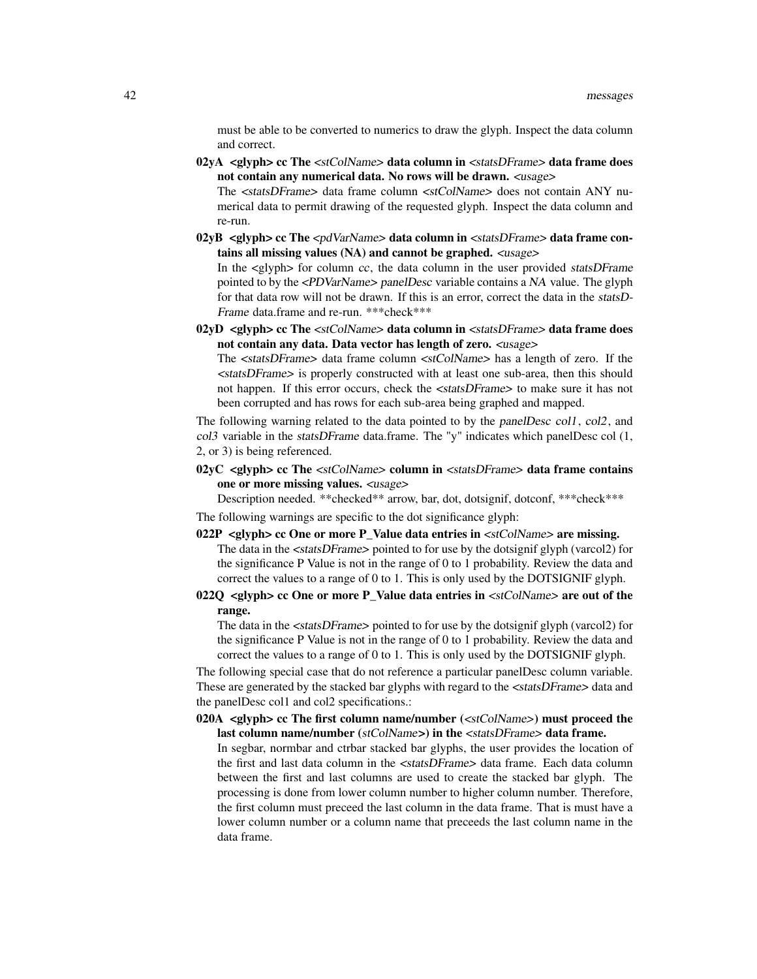must be able to be converted to numerics to draw the glyph. Inspect the data column and correct.

02yA <glyph> cc The <stColName> data column in <statsDFrame> data frame does not contain any numerical data. No rows will be drawn. <usage> The <statsDFrame> data frame column <stColName> does not contain ANY nu-

merical data to permit drawing of the requested glyph. Inspect the data column and re-run.

02yB <glyph> cc The <pdVarName> data column in <statsDFrame> data frame contains all missing values (NA) and cannot be graphed. <usage>

In the  $\langle$ glyph $\rangle$  for column cc, the data column in the user provided *statsDFrame* pointed to by the <PDVarName> panelDesc variable contains a NA value. The glyph for that data row will not be drawn. If this is an error, correct the data in the statsD-Frame data.frame and re-run. \*\*\*check\*\*\*

02yD  $\leq$ glyph $>$  cc The  $\leq$ stColName $>$  data column in  $\leq$ statsDFrame $>$  data frame does not contain any data. Data vector has length of zero. <usage>

The <statsDFrame> data frame column <stColName> has a length of zero. If the <statsDFrame> is properly constructed with at least one sub-area, then this should not happen. If this error occurs, check the <statsDFrame> to make sure it has not been corrupted and has rows for each sub-area being graphed and mapped.

The following warning related to the data pointed to by the panelDesc col1, col2, and col3 variable in the statsDFrame data.frame. The "y" indicates which panelDesc col (1, 2, or 3) is being referenced.

 $02yC$  <glyph> cc The <stColName> column in <statsDFrame> data frame contains one or more missing values. <usage>

Description needed. \*\*checked\*\* arrow, bar, dot, dotsignif, dotconf, \*\*\*check\*\*\*

The following warnings are specific to the dot significance glyph:

- 022P <glyph> cc One or more P\_Value data entries in  $\lt$ stColName> are missing. The data in the <statsDFrame> pointed to for use by the dotsignif glyph (varcol2) for the significance P Value is not in the range of 0 to 1 probability. Review the data and correct the values to a range of 0 to 1. This is only used by the DOTSIGNIF glyph.
- 022Q  $\langle$  sqlyph> cc One or more P\_Value data entries in  $\langle$ stColName> are out of the range.

The data in the <statsDFrame> pointed to for use by the dotsignif glyph (varcol2) for the significance P Value is not in the range of 0 to 1 probability. Review the data and correct the values to a range of 0 to 1. This is only used by the DOTSIGNIF glyph.

The following special case that do not reference a particular panelDesc column variable. These are generated by the stacked bar glyphs with regard to the  $\lt$ statsDFrame> data and the panelDesc col1 and col2 specifications.:

020A <glyph> cc The first column name/number (<stColName>) must proceed the last column name/number (stColName>) in the <statsDFrame> data frame. In segbar, normbar and ctrbar stacked bar glyphs, the user provides the location of the first and last data column in the <statsDFrame> data frame. Each data column between the first and last columns are used to create the stacked bar glyph. The processing is done from lower column number to higher column number. Therefore, the first column must preceed the last column in the data frame. That is must have a lower column number or a column name that preceeds the last column name in the data frame.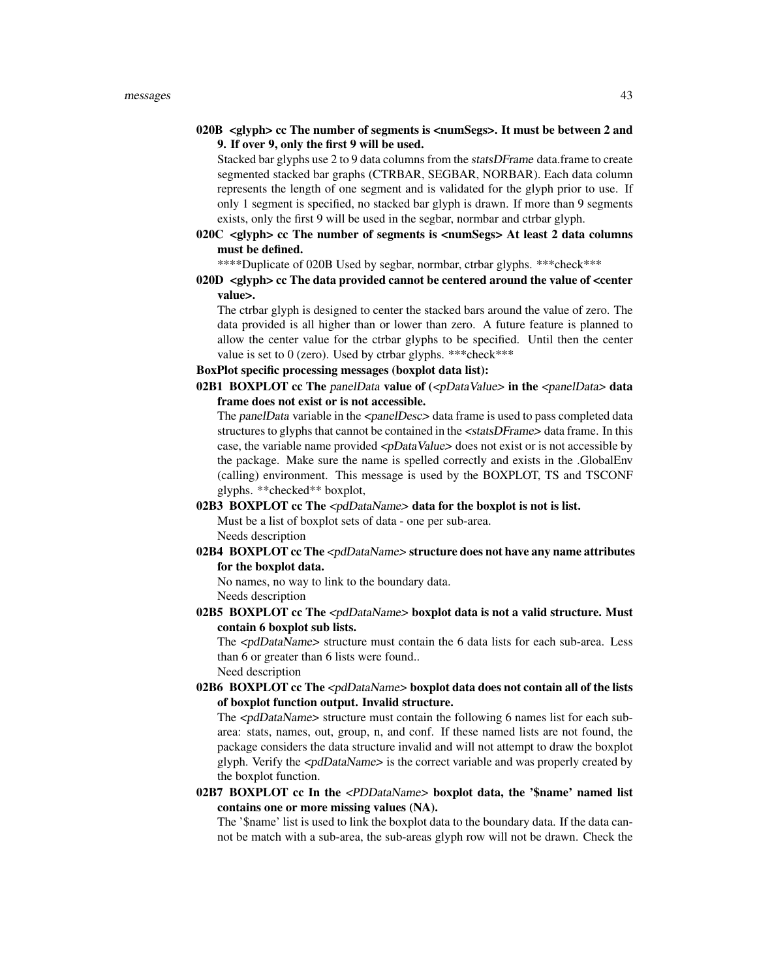020B  $\langle$  slyph> cc The number of segments is  $\langle$  numSegs>. It must be between 2 and 9. If over 9, only the first 9 will be used.

Stacked bar glyphs use 2 to 9 data columns from the statsDFrame data.frame to create segmented stacked bar graphs (CTRBAR, SEGBAR, NORBAR). Each data column represents the length of one segment and is validated for the glyph prior to use. If only 1 segment is specified, no stacked bar glyph is drawn. If more than 9 segments exists, only the first 9 will be used in the segbar, normbar and ctrbar glyph.

020C  $\langle$  glyph $>$  cc The number of segments is  $\langle$  numSegs $>$  At least 2 data columns must be defined.

\*\*\*\*Duplicate of 020B Used by segbar, normbar, ctrbar glyphs. \*\*\*check\*\*\*

 $020D$  <glyph> cc The data provided cannot be centered around the value of <center value>.

The ctrbar glyph is designed to center the stacked bars around the value of zero. The data provided is all higher than or lower than zero. A future feature is planned to allow the center value for the ctrbar glyphs to be specified. Until then the center value is set to 0 (zero). Used by ctrbar glyphs. \*\*\*check\*\*\*

# BoxPlot specific processing messages (boxplot data list):

02B1 BOXPLOT cc The panelData value of  $\langle \text{pDataValue> in the *spanellData> data}*$ frame does not exist or is not accessible.

The panelData variable in the <panelDesc> data frame is used to pass completed data structures to glyphs that cannot be contained in the <statsDFrame> data frame. In this case, the variable name provided  $\langle \text{pDataValue} \rangle$  does not exist or is not accessible by the package. Make sure the name is spelled correctly and exists in the .GlobalEnv (calling) environment. This message is used by the BOXPLOT, TS and TSCONF glyphs. \*\*checked\*\* boxplot,

## 02B3 BOXPLOT cc The <pdDataName> data for the boxplot is not is list.

Must be a list of boxplot sets of data - one per sub-area. Needs description

02B4 BOXPLOT cc The <pdDataName> structure does not have any name attributes for the boxplot data.

No names, no way to link to the boundary data. Needs description

02B5 BOXPLOT cc The <pdDataName> boxplot data is not a valid structure. Must contain 6 boxplot sub lists.

The  $\langle \text{pdDataName}\rangle$  structure must contain the 6 data lists for each sub-area. Less than 6 or greater than 6 lists were found.. Need description

02B6 BOXPLOT cc The <pdDataName> boxplot data does not contain all of the lists of boxplot function output. Invalid structure.

The  $\langle \text{p}}$  and  $\text{p}}$  structure must contain the following 6 names list for each subarea: stats, names, out, group, n, and conf. If these named lists are not found, the package considers the data structure invalid and will not attempt to draw the boxplot glyph. Verify the <pdDataName> is the correct variable and was properly created by the boxplot function.

02B7 BOXPLOT cc In the <PDDataName> boxplot data, the '\$name' named list contains one or more missing values (NA).

The '\$name' list is used to link the boxplot data to the boundary data. If the data cannot be match with a sub-area, the sub-areas glyph row will not be drawn. Check the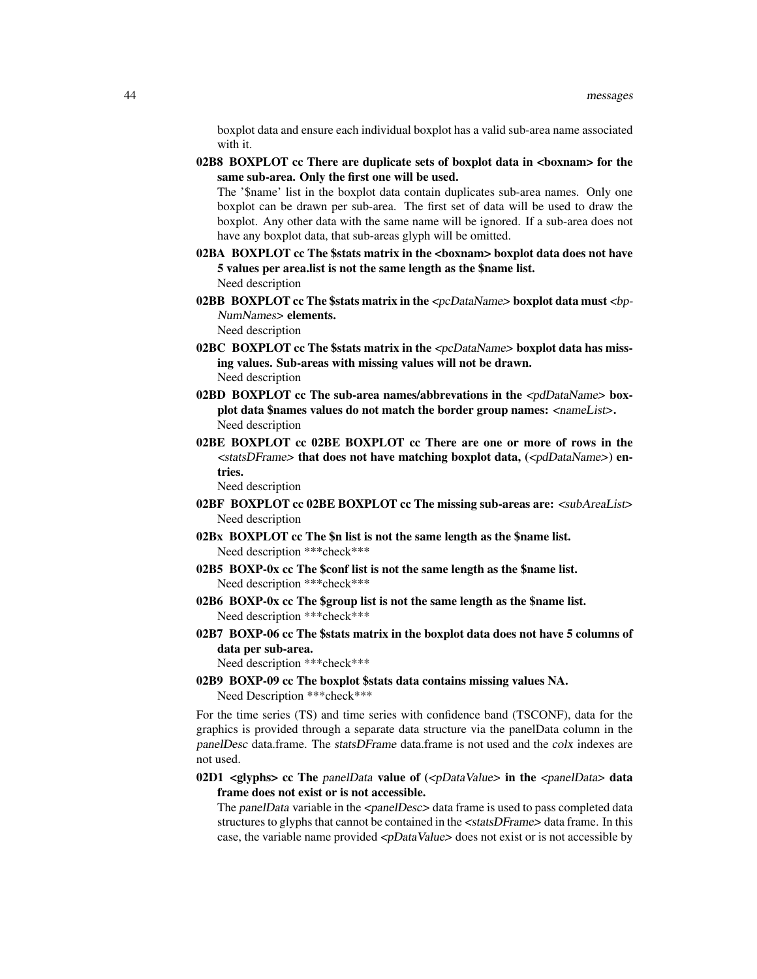boxplot data and ensure each individual boxplot has a valid sub-area name associated with it.

02B8 BOXPLOT cc There are duplicate sets of boxplot data in <br/> <br/> <br/> <br/> <br/> <br/> <br/> <br/>
one of the  $\,$ same sub-area. Only the first one will be used.

The '\$name' list in the boxplot data contain duplicates sub-area names. Only one boxplot can be drawn per sub-area. The first set of data will be used to draw the boxplot. Any other data with the same name will be ignored. If a sub-area does not have any boxplot data, that sub-areas glyph will be omitted.

- 02BA BOXPLOT cc The \$stats matrix in the <boxnam> boxplot data does not have 5 values per area.list is not the same length as the \$name list. Need description
- 02BB BOXPLOT cc The \$stats matrix in the  $\langle pCDataName \rangle$  boxplot data must  $\langle bp-\rangle$ NumNames> elements. Need description
- 02BC BOXPLOT cc The \$stats matrix in the <pcDataName> boxplot data has missing values. Sub-areas with missing values will not be drawn. Need description
- 02BD BOXPLOT cc The sub-area names/abbrevations in the  $\lt$ pdDataName> boxplot data \$names values do not match the border group names: <nameList>. Need description
- 02BE BOXPLOT cc 02BE BOXPLOT cc There are one or more of rows in the <statsDFrame> that does not have matching boxplot data, (<pdDataName>) entries.

Need description

- 02BF BOXPLOT cc 02BE BOXPLOT cc The missing sub-areas are: <subAreaList> Need description
- 02Bx BOXPLOT cc The \$n list is not the same length as the \$name list. Need description \*\*\*check\*\*\*
- 02B5 BOXP-0x cc The \$conf list is not the same length as the \$name list. Need description \*\*\*check\*\*\*
- 02B6 BOXP-0x cc The \$group list is not the same length as the \$name list. Need description \*\*\*check\*\*\*
- 02B7 BOXP-06 cc The \$stats matrix in the boxplot data does not have 5 columns of data per sub-area.

Need description \*\*\*check\*\*\*

02B9 BOXP-09 cc The boxplot \$stats data contains missing values NA. Need Description \*\*\*check\*\*\*

For the time series (TS) and time series with confidence band (TSCONF), data for the graphics is provided through a separate data structure via the panelData column in the panelDesc data.frame. The statsDFrame data.frame is not used and the colx indexes are not used.

02D1 <glyphs> cc The panelData value of  $\langle \text{z} \rangle$ DataValue> in the  $\langle \text{z} \rangle$ panelData> data frame does not exist or is not accessible.

The panelData variable in the  $\langle$ panelDesc $>$  data frame is used to pass completed data structures to glyphs that cannot be contained in the  $\lt$  statsDFrame  $\gt$  data frame. In this case, the variable name provided  $\langle pDataValue \rangle$  does not exist or is not accessible by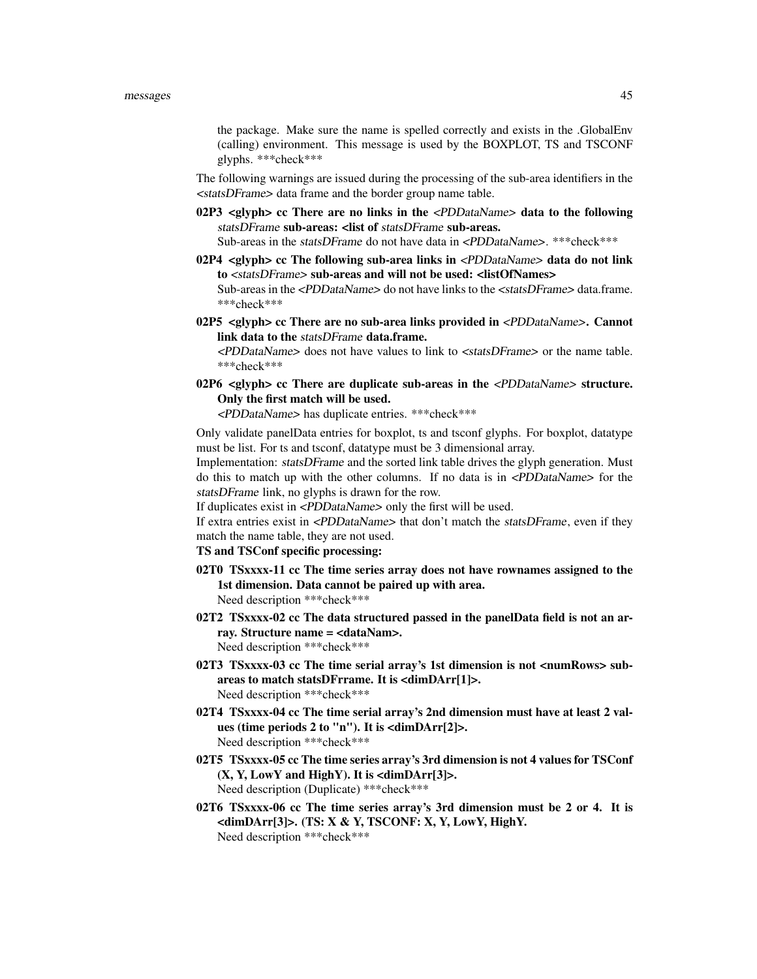the package. Make sure the name is spelled correctly and exists in the .GlobalEnv (calling) environment. This message is used by the BOXPLOT, TS and TSCONF glyphs. \*\*\*check\*\*\*

The following warnings are issued during the processing of the sub-area identifiers in the <statsDFrame> data frame and the border group name table.

- 02P3  $\leq$  elyph> cc There are no links in the  $\leq$ PDDataName> data to the following statsDFrame sub-areas: <list of statsDFrame sub-areas. Sub-areas in the statsDFrame do not have data in <PDDataName>. \*\*\*check\*\*\*
- 02P4 <glyph> cc The following sub-area links in <PDDataName> data do not link to <statsDFrame> sub-areas and will not be used: <listOfNames> Sub-areas in the <PDDataName> do not have links to the <statsDFrame> data.frame. \*\*\*check\*\*\*
- 02P5 <glyph> cc There are no sub-area links provided in <PDDataName>. Cannot link data to the statsDFrame data.frame.

<PDDataName> does not have values to link to <statsDFrame> or the name table. \*\*\*check\*\*\*

02P6 <glyph> cc There are duplicate sub-areas in the <PDDataName> structure. Only the first match will be used.

<PDDataName> has duplicate entries. \*\*\*check\*\*\*

Only validate panelData entries for boxplot, ts and tsconf glyphs. For boxplot, datatype must be list. For ts and tsconf, datatype must be 3 dimensional array.

Implementation: statsDFrame and the sorted link table drives the glyph generation. Must do this to match up with the other columns. If no data is in <PDDataName> for the statsDFrame link, no glyphs is drawn for the row.

If duplicates exist in <PDDataName> only the first will be used.

If extra entries exist in <*PDDataName>* that don't match the *statsDFrame*, even if they match the name table, they are not used.

- TS and TSConf specific processing:
- 02T0 TSxxxx-11 cc The time series array does not have rownames assigned to the 1st dimension. Data cannot be paired up with area. Need description \*\*\*check\*\*\*
- 02T2 TSxxxx-02 cc The data structured passed in the panelData field is not an array. Structure name = <dataNam>. Need description \*\*\*check\*\*\*
- 02T3 TSxxxx-03 cc The time serial array's 1st dimension is not <numRows> subareas to match statsDFrrame. It is <dimDArr[1]>. Need description \*\*\*check\*\*\*
- 02T4 TSxxxx-04 cc The time serial array's 2nd dimension must have at least 2 values (time periods 2 to "n"). It is <dimDArr[2]>. Need description \*\*\*check\*\*\*
- 02T5 TSxxxx-05 cc The time series array's 3rd dimension is not 4 values for TSConf  $(X, Y, LowY and HighY).$  It is <dimDArr[3]>. Need description (Duplicate) \*\*\*check\*\*\*
- 02T6 TSxxxx-06 cc The time series array's 3rd dimension must be 2 or 4. It is  $\langle \text{dimDArr}[3] \rangle$ . (TS: X & Y, TSCONF: X, Y, LowY, HighY. Need description \*\*\*check\*\*\*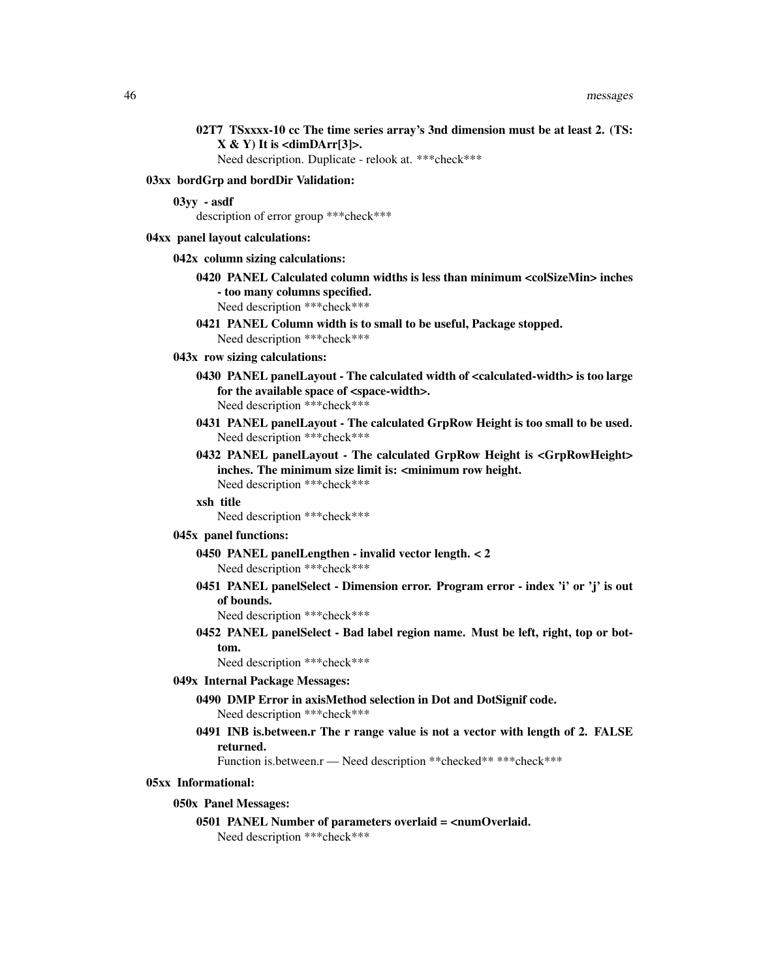| 02T7 TSxxxx-10 cc The time series array's 3nd dimension must be at least 2. (TS:<br>$X & Y$ It is <dimdarr[3]>.<br/>Need description. Duplicate - relook at. *** check***</dimdarr[3]> |
|----------------------------------------------------------------------------------------------------------------------------------------------------------------------------------------|
| 03xx bordGrp and bordDir Validation:                                                                                                                                                   |
| $03yy - asdf$<br>description of error group *** check***                                                                                                                               |
| 04xx panel layout calculations:                                                                                                                                                        |
| 042x column sizing calculations:                                                                                                                                                       |
| 0420 PANEL Calculated column widths is less than minimum <colsizemin> inches<br/>- too many columns specified.<br/>Need description *** check ***</colsizemin>                         |
| 0421 PANEL Column width is to small to be useful, Package stopped.<br>Need description *** check ***                                                                                   |
| 043x row sizing calculations:                                                                                                                                                          |

- 0430 PANEL panelLayout The calculated width of <calculated-width> is too large for the available space of <space-width>. Need description \*\*\*check\*\*\*
- 0431 PANEL panelLayout The calculated GrpRow Height is too small to be used. Need description \*\*\*check\*\*\*
- 0432 PANEL panelLayout The calculated GrpRow Height is <GrpRowHeight> inches. The minimum size limit is: <minimum row height. Need description \*\*\*check\*\*\*

### xsh title

Need description \*\*\*check\*\*\*

#### 045x panel functions:

- 0450 PANEL panelLengthen invalid vector length. < 2 Need description \*\*\*check\*\*\*
- 0451 PANEL panelSelect Dimension error. Program error index 'i' or 'j' is out of bounds.

Need description \*\*\*check\*\*\*

0452 PANEL panelSelect - Bad label region name. Must be left, right, top or bottom.

Need description \*\*\*check\*\*\*

# 049x Internal Package Messages:

- 0490 DMP Error in axisMethod selection in Dot and DotSignif code. Need description \*\*\*check\*\*\*
- 0491 INB is.between.r The r range value is not a vector with length of 2. FALSE returned.

Function is.between.r - Need description \*\* checked\*\* \*\*\* check\*\*\*

## 05xx Informational:

#### 050x Panel Messages:

# 0501 PANEL Number of parameters overlaid = <numOverlaid.

Need description \*\*\*check\*\*\*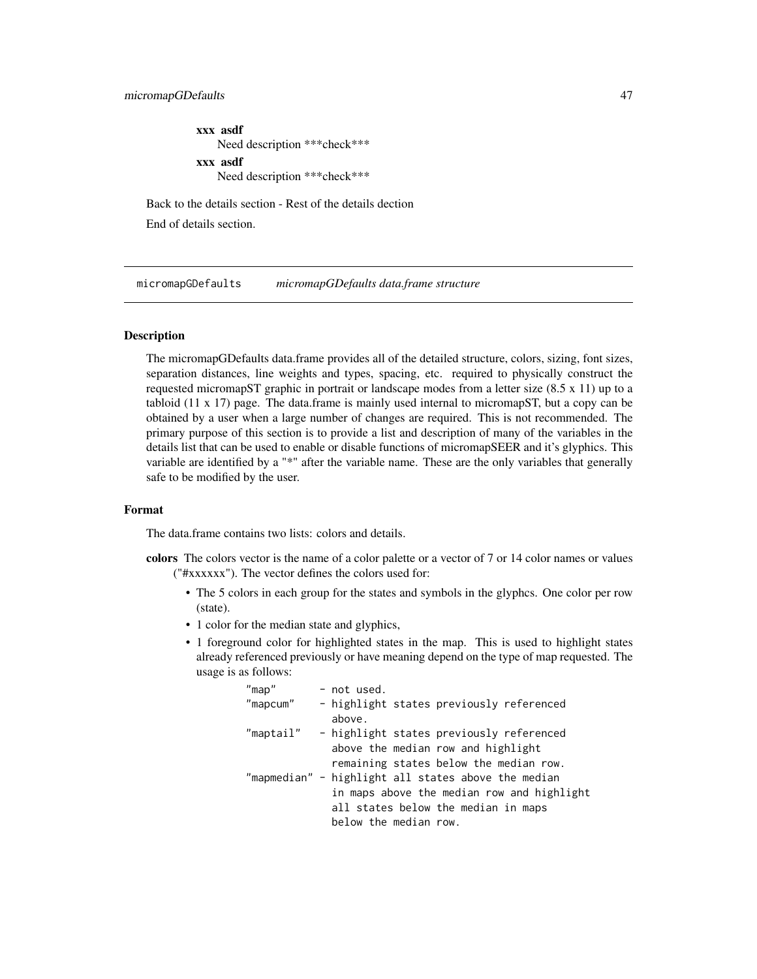xxx asdf Need description \*\*\*check\*\*\* xxx asdf Need description \*\*\*check\*\*\*

Back to the details section - Rest of the details dection End of details section.

<span id="page-46-0"></span>micromapGDefaults *micromapGDefaults data.frame structure*

# **Description**

The micromapGDefaults data.frame provides all of the detailed structure, colors, sizing, font sizes, separation distances, line weights and types, spacing, etc. required to physically construct the requested micromapST graphic in portrait or landscape modes from a letter size (8.5 x 11) up to a tabloid  $(11 \times 17)$  page. The data.frame is mainly used internal to micromapST, but a copy can be obtained by a user when a large number of changes are required. This is not recommended. The primary purpose of this section is to provide a list and description of many of the variables in the details list that can be used to enable or disable functions of micromapSEER and it's glyphics. This variable are identified by a "\*" after the variable name. These are the only variables that generally safe to be modified by the user.

# Format

The data.frame contains two lists: colors and details.

- colors The colors vector is the name of a color palette or a vector of 7 or 14 color names or values ("#xxxxxx"). The vector defines the colors used for:
	- The 5 colors in each group for the states and symbols in the glyphcs. One color per row (state).
	- 1 color for the median state and glyphics,
	- 1 foreground color for highlighted states in the map. This is used to highlight states already referenced previously or have meaning depend on the type of map requested. The usage is as follows:

| $"$ map $"$ | - not used.                                         |
|-------------|-----------------------------------------------------|
| "mapcum"    | - highlight states previously referenced<br>above.  |
| "maptail"   | - highlight states previously referenced            |
|             | above the median row and highlight                  |
|             | remaining states below the median row.              |
|             | "mapmedian" - highlight all states above the median |
|             | in maps above the median row and highlight          |
|             | all states below the median in maps                 |
|             | below the median row.                               |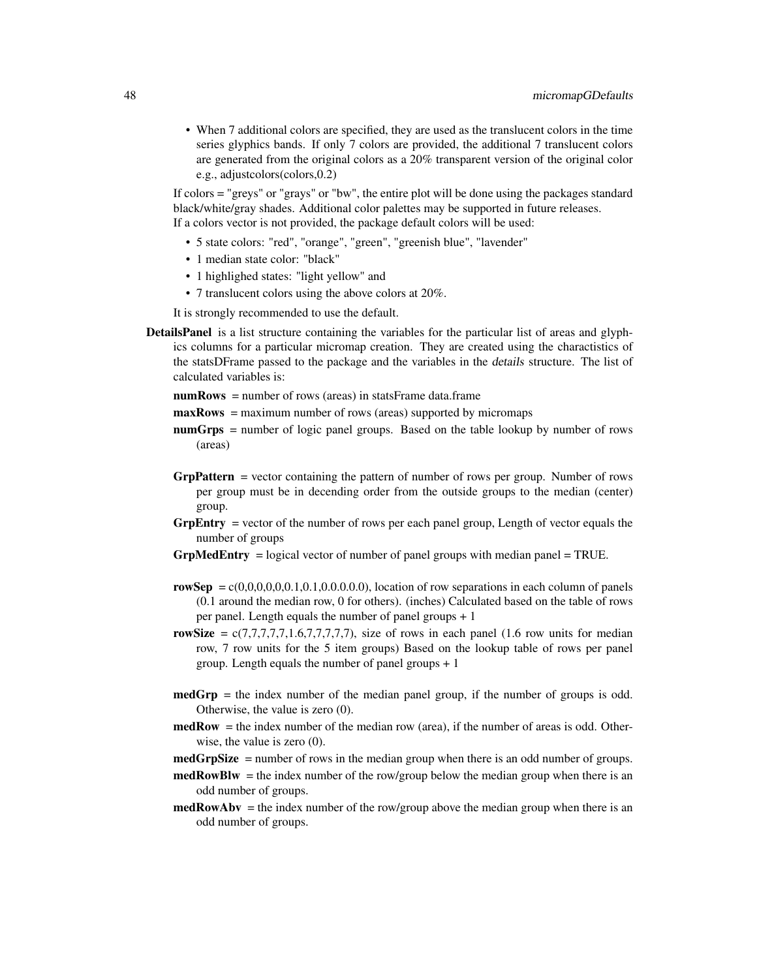• When 7 additional colors are specified, they are used as the translucent colors in the time series glyphics bands. If only 7 colors are provided, the additional 7 translucent colors are generated from the original colors as a 20% transparent version of the original color e.g., adjustcolors(colors,0.2)

If colors = "greys" or "grays" or "bw", the entire plot will be done using the packages standard black/white/gray shades. Additional color palettes may be supported in future releases. If a colors vector is not provided, the package default colors will be used:

- 5 state colors: "red", "orange", "green", "greenish blue", "lavender"
- 1 median state color: "black"
- 1 highlighed states: "light yellow" and
- 7 translucent colors using the above colors at 20%.

It is strongly recommended to use the default.

DetailsPanel is a list structure containing the variables for the particular list of areas and glyphics columns for a particular micromap creation. They are created using the charactistics of the statsDFrame passed to the package and the variables in the details structure. The list of calculated variables is:

 $numRows = number of rows (areas) in statsFrame data frame$ 

- maxRows = maximum number of rows (areas) supported by micromaps
- numGrps = number of logic panel groups. Based on the table lookup by number of rows (areas)
- **GrpPattern** = vector containing the pattern of number of rows per group. Number of rows per group must be in decending order from the outside groups to the median (center) group.
- GrpEntry = vector of the number of rows per each panel group, Length of vector equals the number of groups
- $GrpMedEntry$  = logical vector of number of panel groups with median panel = TRUE.
- rowSep =  $c(0,0,0,0,0,1,0.1,0.0,0.0,0)$ , location of row separations in each column of panels (0.1 around the median row, 0 for others). (inches) Calculated based on the table of rows per panel. Length equals the number of panel groups + 1
- rowSize =  $c(7,7,7,7,7,1.6,7,7,7,7)$ , size of rows in each panel (1.6 row units for median row, 7 row units for the 5 item groups) Based on the lookup table of rows per panel group. Length equals the number of panel groups + 1
- medGrp = the index number of the median panel group, if the number of groups is odd. Otherwise, the value is zero (0).
- medRow = the index number of the median row (area), if the number of areas is odd. Otherwise, the value is zero  $(0)$ .
- medGrpSize = number of rows in the median group when there is an odd number of groups.
- $medRowBlw =$  the index number of the row/group below the median group when there is an odd number of groups.
- $medRowAbv = the index number of the row/group above the median group when there is an$ odd number of groups.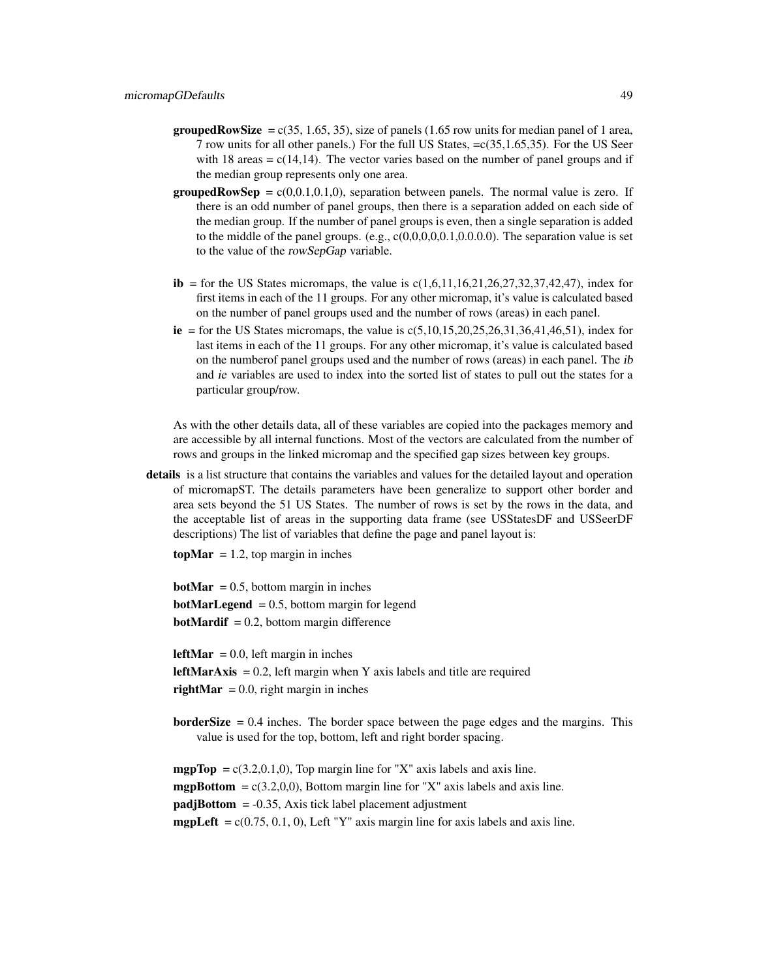- **groupedRowSize** =  $c(35, 1.65, 35)$ , size of panels (1.65 row units for median panel of 1 area, 7 row units for all other panels.) For the full US States, =c(35,1.65,35). For the US Seer with 18 areas  $= c(14,14)$ . The vector varies based on the number of panel groups and if the median group represents only one area.
- **groupedRowSep** =  $c(0,0,1,0,1,0)$ , separation between panels. The normal value is zero. If there is an odd number of panel groups, then there is a separation added on each side of the median group. If the number of panel groups is even, then a single separation is added to the middle of the panel groups.  $(e.g., c(0,0,0,0,0,1,0.0,0.0))$ . The separation value is set to the value of the rowSepGap variable.
- ib = for the US States micromaps, the value is  $c(1,6,11,16,21,26,27,32,37,42,47)$ , index for first items in each of the 11 groups. For any other micromap, it's value is calculated based on the number of panel groups used and the number of rows (areas) in each panel.
- ie = for the US States micromaps, the value is  $c(5,10,15,20,25,26,31,36,41,46,51)$ , index for last items in each of the 11 groups. For any other micromap, it's value is calculated based on the numberof panel groups used and the number of rows (areas) in each panel. The ib and ie variables are used to index into the sorted list of states to pull out the states for a particular group/row.

As with the other details data, all of these variables are copied into the packages memory and are accessible by all internal functions. Most of the vectors are calculated from the number of rows and groups in the linked micromap and the specified gap sizes between key groups.

details is a list structure that contains the variables and values for the detailed layout and operation of micromapST. The details parameters have been generalize to support other border and area sets beyond the 51 US States. The number of rows is set by the rows in the data, and the acceptable list of areas in the supporting data frame (see USStatesDF and USSeerDF descriptions) The list of variables that define the page and panel layout is:

 $topMar = 1.2$ , top margin in inches

**botMar** = 0.5, bottom margin in inches **botMarLegend** = 0.5, bottom margin for legend **botMardif** = 0.2, bottom margin difference

**leftMar** = 0.0, left margin in inches **leftMarAxis** = 0.2, left margin when Y axis labels and title are required rightMar =  $0.0$ , right margin in inches

**borderSize**  $= 0.4$  inches. The border space between the page edges and the margins. This value is used for the top, bottom, left and right border spacing.

**mgpTop** =  $c(3.2,0.1,0)$ , Top margin line for "X" axis labels and axis line. **mgpBottom** =  $c(3.2,0,0)$ , Bottom margin line for "X" axis labels and axis line.  $padjBottom = -0.35$ , Axis tick label placement adjustment **mgpLeft** =  $c(0.75, 0.1, 0)$ , Left "Y" axis margin line for axis labels and axis line.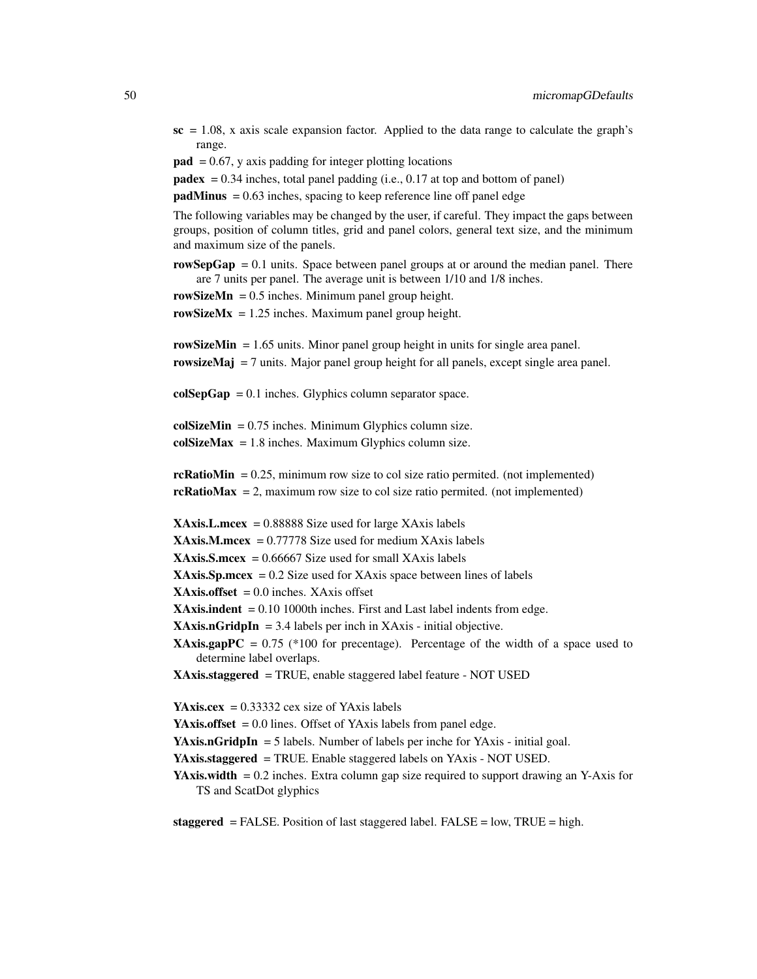$\textbf{sc} = 1.08$ , x axis scale expansion factor. Applied to the data range to calculate the graph's range.

```
pad = 0.67, y axis padding for integer plotting locations
```
**padex** =  $0.34$  inches, total panel padding (i.e.,  $0.17$  at top and bottom of panel)

 $padMinus = 0.63$  inches, spacing to keep reference line off panel edge

The following variables may be changed by the user, if careful. They impact the gaps between groups, position of column titles, grid and panel colors, general text size, and the minimum and maximum size of the panels.

rowSepGap  $= 0.1$  units. Space between panel groups at or around the median panel. There are 7 units per panel. The average unit is between 1/10 and 1/8 inches.

rowSizeMn =  $0.5$  inches. Minimum panel group height.

rowSizeMx =  $1.25$  inches. Maximum panel group height.

rowSizeMin  $= 1.65$  units. Minor panel group height in units for single area panel. rowsizeMaj  $= 7$  units. Major panel group height for all panels, except single area panel.

 $colSepGap = 0.1$  inches. Glyphics column separator space.

 $colSizeMin = 0.75$  inches. Minimum Glyphics column size.  $colSizeMax = 1.8$  inches. Maximum Glyphics column size.

 $rckationMin = 0.25$ , minimum row size to col size ratio permited. (not implemented)  $rckationMax = 2$ , maximum row size to col size ratio permited. (not implemented)

 $XAxis.L.meex = 0.88888 Size used for large XAxis labels$ 

**XAxis.M.mcex** =  $0.77778$  Size used for medium XAxis labels

 $XAxis.S.meex = 0.66667 Size used for small XAxis labels$ 

**XAxis.Sp.mcex** =  $0.2$  Size used for XAxis space between lines of labels

 $XAxis.offset = 0.0$  inches.  $XAxis$  offset

**XAxis.indent** =  $0.10$  1000th inches. First and Last label indents from edge.

**XAxis.nGridpIn** = 3.4 labels per inch in XAxis - initial objective.

**XAxis.gapPC** =  $0.75$  (\*100 for precentage). Percentage of the width of a space used to determine label overlaps.

XAxis.staggered = TRUE, enable staggered label feature - NOT USED

YAxis.cex =  $0.33332$  cex size of YAxis labels

**YAxis.offset** =  $0.0$  lines. Offset of YAxis labels from panel edge.

**YAxis.nGridpIn** = 5 labels. Number of labels per inche for YAxis - initial goal.

YAxis.staggered = TRUE. Enable staggered labels on YAxis - NOT USED.

**YAxis.width**  $= 0.2$  inches. Extra column gap size required to support drawing an Y-Axis for TS and ScatDot glyphics

staggered = FALSE. Position of last staggered label. FALSE = low, TRUE = high.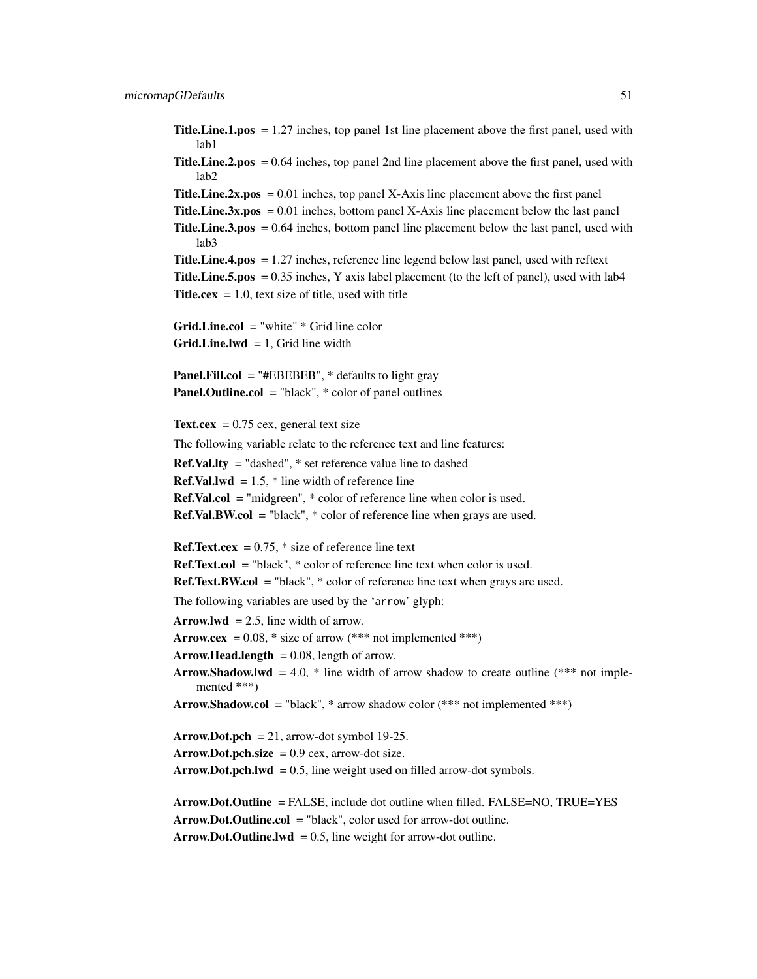Title.Line.1.pos = 1.27 inches, top panel 1st line placement above the first panel, used with lab1

Title.Line.2.pos = 0.64 inches, top panel 2nd line placement above the first panel, used with lab2

**Title. Line.2x.pos** =  $0.01$  inches, top panel X-Axis line placement above the first panel **Title.Line.3x.pos** =  $0.01$  inches, bottom panel X-Axis line placement below the last panel Title.Line.3.pos = 0.64 inches, bottom panel line placement below the last panel, used with lab3 Title.Line.4.pos = 1.27 inches, reference line legend below last panel, used with reftext **Title.Line.5.pos** =  $0.35$  inches, Y axis label placement (to the left of panel), used with lab4 **Title.cex**  $= 1.0$ , text size of title, used with title Grid.Line.col = "white" \* Grid line color  $Grid.Line.lwd = 1$ , Grid line width **Panel.Fill.col** = "#EBEBEB",  $*$  defaults to light gray **Panel.Outline.col** = "black",  $*$  color of panel outlines Text.cex  $= 0.75$  cex, general text size The following variable relate to the reference text and line features: Ref.Val.lty = "dashed", \* set reference value line to dashed **Ref.Val.lwd** =  $1.5$ ,  $*$  line width of reference line Ref.Val.col = "midgreen", \* color of reference line when color is used. **Ref.Val.BW.col** = "black",  $*$  color of reference line when grays are used. **Ref.Text.cex** =  $0.75$ ,  $*$  size of reference line text  $Ref.Text,col = "black", * color of reference line text when color is used.$  $Ref. Text.BW. col = "black", * color of reference line text when grays are used.$ The following variables are used by the 'arrow' glyph: Arrow.lwd  $= 2.5$ , line width of arrow. Arrow.cex =  $0.08$ , \* size of arrow (\*\*\* not implemented \*\*\*)  $Arrow.Head.length = 0.08$ , length of arrow. Arrow.Shadow.lwd = 4.0,  $*$  line width of arrow shadow to create outline ( $**$  not implemented \*\*\*) Arrow.Shadow.col = "black",  $*$  arrow shadow color ( $**$  not implemented  $***$ ) Arrow.Dot.pch = 21, arrow-dot symbol 19-25.  $Arrow.Dot.pch.size = 0.9$  cex, arrow-dot size. Arrow.Dot.pch.lwd =  $0.5$ , line weight used on filled arrow-dot symbols. Arrow.Dot.Outline = FALSE, include dot outline when filled. FALSE=NO, TRUE=YES Arrow.Dot.Outline.col = "black", color used for arrow-dot outline. Arrow.Dot.Outline.lwd =  $0.5$ , line weight for arrow-dot outline.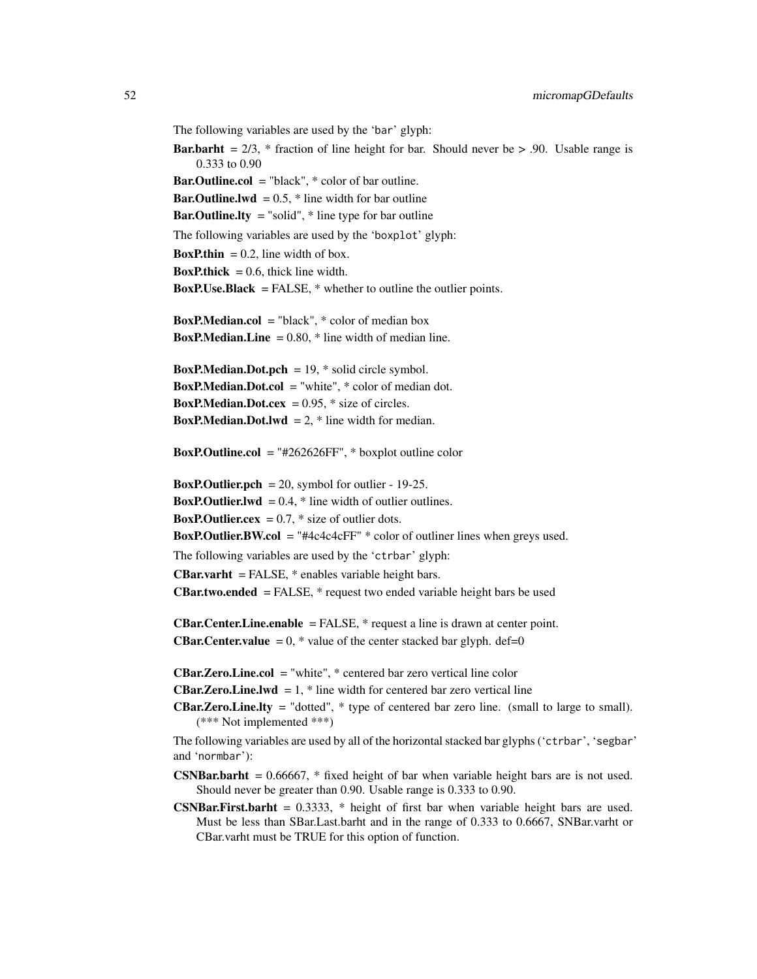The following variables are used by the 'bar' glyph:

```
Bar.barht = 2/3, * fraction of line height for bar. Should never be > .90. Usable range is
    0.333 to 0.90
```
**Bar.Outline.col** = "black",  $*$  color of bar outline. **Bar.Outline.lwd** =  $0.5$ ,  $*$  line width for bar outline **Bar.Outline.lty** = "solid",  $*$  line type for bar outline The following variables are used by the 'boxplot' glyph: **BoxP.thin** = 0.2, line width of box. **BoxP.thick** = 0.6, thick line width. **BoxP.Use.Black** = FALSE,  $*$  whether to outline the outlier points. **BoxP.Median.col** = "black",  $*$  color of median box **BoxP.Median.Line** =  $0.80$ ,  $*$  line width of median line. **BoxP.Median.Dot.pch** = 19,  $*$  solid circle symbol. **BoxP.Median.Dot.col** = "white",  $*$  color of median dot. **BoxP.Median.Dot.cex** =  $0.95$ ,  $*$  size of circles. **BoxP.Median.Dot.lwd** = 2,  $*$  line width for median. **BoxP.Outline.col** = "#262626FF",  $*$  boxplot outline color **BoxP.Outlier.pch** = 20, symbol for outlier - 19-25. **BoxP.Outlier.lwd** =  $0.4$ ,  $*$  line width of outlier outlines. **BoxP.Outlier.cex** =  $0.7$ ,  $*$  size of outlier dots. **BoxP.Outlier.BW.col** = "#4c4c4cFF"  $*$  color of outliner lines when greys used. The following variables are used by the 'ctrbar' glyph: **CBar.varht** = FALSE,  $*$  enables variable height bars. **CBar.two.ended** = FALSE,  $*$  request two ended variable height bars be used **CBar.Center.Line.enable** = FALSE,  $*$  request a line is drawn at center point. **CBar.Center.value** =  $0$ , \* value of the center stacked bar glyph. def=0 **CBar.Zero.Line.col** = "white",  $*$  centered bar zero vertical line color **CBar.Zero.Line.lwd** = 1,  $*$  line width for centered bar zero vertical line

**CBar.Zero.Line.lty** = "dotted",  $*$  type of centered bar zero line. (small to large to small). (\*\*\* Not implemented \*\*\*)

The following variables are used by all of the horizontal stacked bar glyphs ('ctrbar', 'segbar' and 'normbar'):

**CSNBar.barht** =  $0.66667$ , \* fixed height of bar when variable height bars are is not used. Should never be greater than 0.90. Usable range is 0.333 to 0.90.

**CSNBar.First.barht** =  $0.3333$ ,  $*$  height of first bar when variable height bars are used. Must be less than SBar.Last.barht and in the range of 0.333 to 0.6667, SNBar.varht or CBar.varht must be TRUE for this option of function.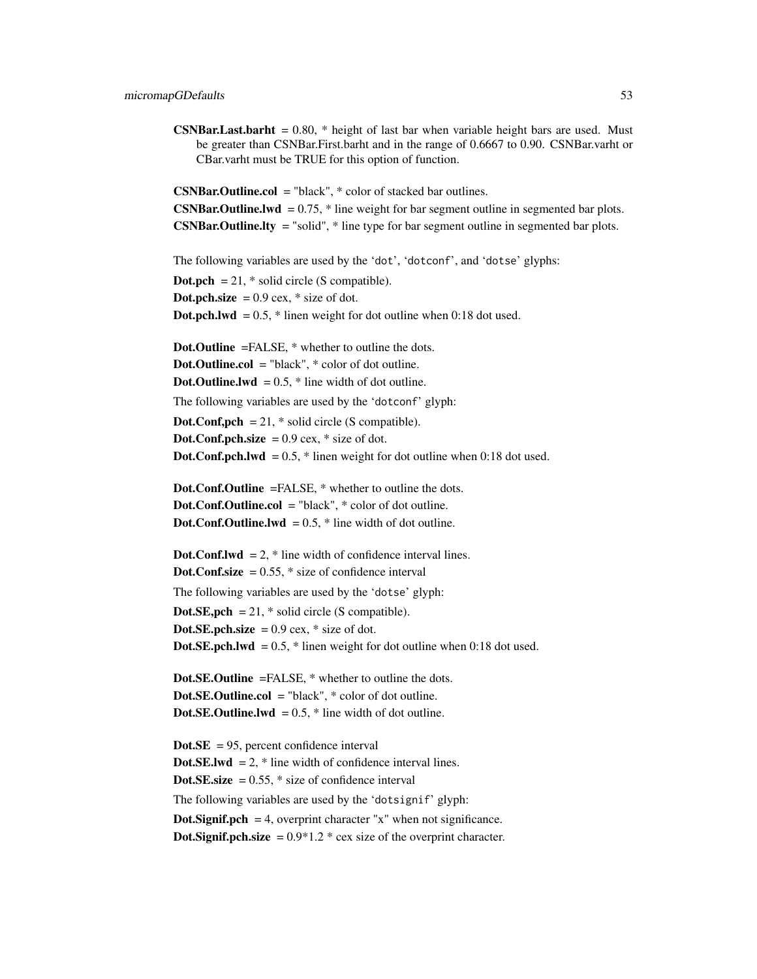**CSNBar.Last.barht** =  $0.80$ , \* height of last bar when variable height bars are used. Must be greater than CSNBar.First.barht and in the range of 0.6667 to 0.90. CSNBar.varht or CBar.varht must be TRUE for this option of function.

 $CSNBar.$ Outline.col = "black",  $*$  color of stacked bar outlines. **CSNBar.Outline.lwd** =  $0.75$ ,  $*$  line weight for bar segment outline in segmented bar plots. **CSNBar.Outline.lty** = "solid",  $*$  line type for bar segment outline in segmented bar plots.

The following variables are used by the 'dot', 'dotconf', and 'dotse' glyphs:

**Dot.pch** = 21,  $*$  solid circle (S compatible). **Dot.pch.size** =  $0.9$  cex,  $*$  size of dot. **Dot.pch.lwd** =  $0.5$ ,  $*$  linen weight for dot outline when  $0.18$  dot used. Dot.Outline =FALSE, \* whether to outline the dots. **Dot.Outline.col** = "black",  $*$  color of dot outline. **Dot.Outline.lwd** =  $0.5$ ,  $*$  line width of dot outline. The following variables are used by the 'dotconf' glyph: **Dot.Conf,pch** = 21,  $*$  solid circle (S compatible). Dot.Conf.pch.size  $= 0.9$  cex,  $*$  size of dot. **Dot.Conf.pch.lwd** =  $0.5$ ,  $*$  linen weight for dot outline when 0:18 dot used. Dot.Conf.Outline =FALSE, \* whether to outline the dots. Dot.Conf.Outline.col = "black", \* color of dot outline. **Dot.Conf.Outline.lwd** =  $0.5$ ,  $*$  line width of dot outline. **Dot.Conf.lwd** = 2,  $*$  line width of confidence interval lines. **Dot.Conf.size** =  $0.55$ ,  $*$  size of confidence interval The following variables are used by the 'dotse' glyph: **Dot.SE, pch** = 21,  $*$  solid circle (S compatible). Dot.SE.pch.size  $= 0.9$  cex,  $*$  size of dot. **Dot.SE.pch.lwd** =  $0.5$ ,  $*$  linen weight for dot outline when  $0:18$  dot used. Dot.SE.Outline =FALSE, \* whether to outline the dots. Dot.SE.Outline.col = "black",  $*$  color of dot outline.

**Dot.SE.Outline.lwd** =  $0.5$ ,  $*$  line width of dot outline.

 $Dot. SE = 95$ , percent confidence interval **Dot.SE.lwd** = 2,  $*$  line width of confidence interval lines. **Dot.SE.size** =  $0.55$ ,  $*$  size of confidence interval The following variables are used by the 'dotsignif' glyph: **Dot.Signif.pch** = 4, overprint character "x" when not significance. **Dot.Signif.pch.size** =  $0.9*1.2$  \* cex size of the overprint character.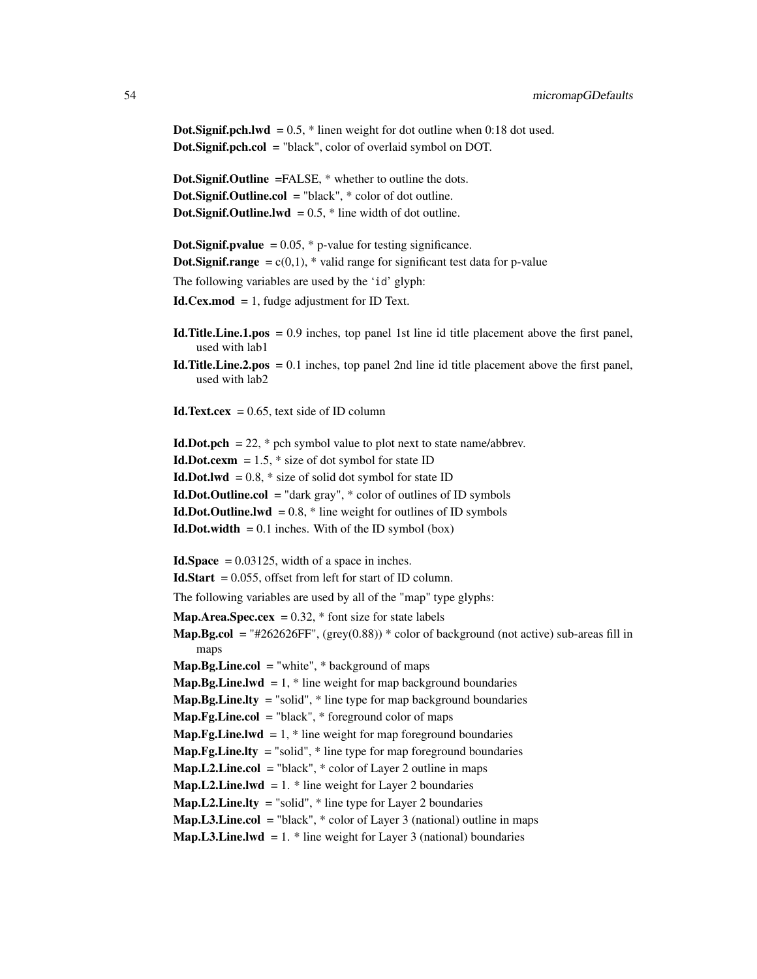**Dot.Signif.pch.lwd** =  $0.5$ ,  $*$  linen weight for dot outline when 0:18 dot used. Dot.Signif.pch.col = "black", color of overlaid symbol on DOT.

Dot.Signif.Outline =FALSE, \* whether to outline the dots. Dot.Signif.Outline.col = "black", \* color of dot outline. **Dot.Signif.Outline.lwd** =  $0.5$ ,  $*$  line width of dot outline.

```
Dot.Signif.pvalue = 0.05, * p-value for testing significance.
Dot.Signif.range = c(0,1), * valid range for significant test data for p-value
The following variables are used by the 'id' glyph:
Id.Cex.mod = 1, fudge adjustment for ID Text.
```
- Id.Title.Line.1.pos = 0.9 inches, top panel 1st line id title placement above the first panel, used with lab1
- Id. Title. Line.  $2.pos = 0.1$  inches, top panel 2nd line id title placement above the first panel, used with lab2
- **Id.Text.cex** =  $0.65$ , text side of ID column

```
Id.Dot.pch = 22, * pch symbol value to plot next to state name/abbrev.
Id.Dot.cexm = 1.5, * size of dot symbol for state ID
Id.Dot.lwd = 0.8, * size of solid dot symbol for state ID
Id. Dot. Outline. col = "dark gray", * color of outlines of ID symbolsId.Dot.Outline.lwd = 0.8, * line weight for outlines of ID symbols
Id.Dot.width = 0.1 inches. With of the ID symbol (box)
Id.Space = 0.03125, width of a space in inches.
Id.Start = 0.055, offset from left for start of ID column.
The following variables are used by all of the "map" type glyphs:
Map.Area.Spec.cex = 0.32, * font size for state labels
Map.Bg.col = "#262626FF", (grey(0.88)) * color of background (not active) sub-areas fill in
    maps
Map.Bg.Line.col = "white", * background of maps
Map.Bg.Line.lwd = 1, * line weight for map background boundaries
Map.Bg.Line.lty = "solid", * line type for map background boundaries
Map.Fg.Line.col = "black", * foreground color of maps
Map.Fg.Line.lwd = 1, * line weight for map foreground boundaries
Map.Fg.Line.lty = "solid", * line type for map foreground boundaries
Map.L2.Line.col = "black", * color of Layer 2 outline in maps
Map.L2.Line.lwd = 1. * line weight for Layer 2 boundaries
Map.L2.Line.lty = "solid", * line type for Layer 2 boundaries
Map.L3.Line.col = "black", * color of Layer 3 (national) outline in maps
Map.L3.Line.lwd = 1. * line weight for Layer 3 (national) boundaries
```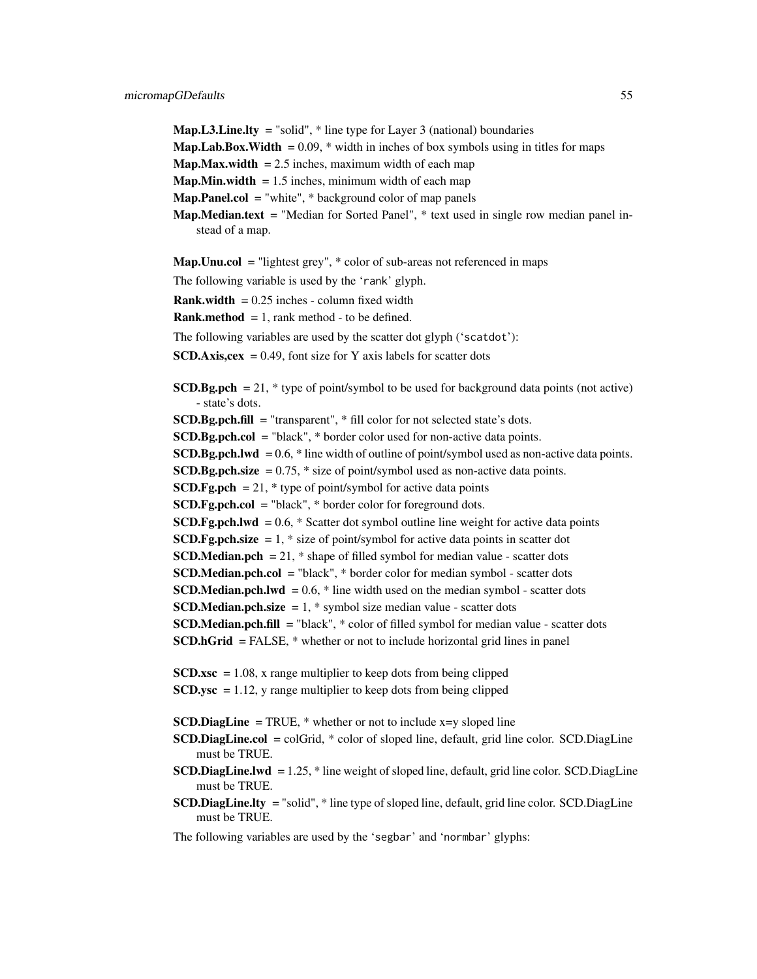**Map.L3.Line.lty** = "solid",  $*$  line type for Layer 3 (national) boundaries **Map.Lab.Box.Width** =  $0.09$ ,  $*$  width in inches of box symbols using in titles for maps **Map.Max.width** = 2.5 inches, maximum width of each map **Map.Min.width**  $= 1.5$  inches, minimum width of each map **Map.Panel.col** = "white",  $*$  background color of map panels **Map.Median.text** = "Median for Sorted Panel",  $*$  text used in single row median panel instead of a map. **Map.Unu.col** = "lightest grey",  $*$  color of sub-areas not referenced in maps The following variable is used by the 'rank' glyph. **Rank.width** =  $0.25$  inches - column fixed width **Rank.method** = 1, rank method - to be defined. The following variables are used by the scatter dot glyph ('scatdot'): **SCD.Axis,cex** = 0.49, font size for Y axis labels for scatter dots **SCD.Bg.pch**  $= 21$ ,  $*$  type of point/symbol to be used for background data points (not active) - state's dots.  $SCD.Bg.pch.fill = "transport", * fill color for not selected state's dots.$  $SCD.Bg.pch.col = "black", * border color used for non-active data points.$ **SCD.Bg.pch.lwd** =  $0.6$ ,  $*$  line width of outline of point/symbol used as non-active data points. SCD.Bg.pch.size  $= 0.75$ ,  $*$  size of point/symbol used as non-active data points. **SCD.Fg.pch** = 21,  $*$  type of point/symbol for active data points SCD.Fg.pch.col = "black", \* border color for foreground dots. **SCD.Fg.pch.lwd** =  $0.6$ ,  $*$  Scatter dot symbol outline line weight for active data points **SCD.Fg.pch.size** = 1,  $*$  size of point/symbol for active data points in scatter dot **SCD.Median.pch** = 21,  $*$  shape of filled symbol for median value - scatter dots SCD.Median.pch.col = "black", \* border color for median symbol - scatter dots **SCD.Median.pch.lwd** =  $0.6$ ,  $*$  line width used on the median symbol - scatter dots **SCD.Median.pch.size** = 1,  $*$  symbol size median value - scatter dots SCD.Median.pch.fill = "black", \* color of filled symbol for median value - scatter dots SCD.hGrid = FALSE, \* whether or not to include horizontal grid lines in panel  $SCD.xsc = 1.08$ , x range multiplier to keep dots from being clipped  $SCD,ysc = 1.12$ , y range multiplier to keep dots from being clipped **SCD.DiagLine** = TRUE,  $*$  whether or not to include x=y sloped line SCD.DiagLine.col = colGrid, \* color of sloped line, default, grid line color. SCD.DiagLine must be TRUE. **SCD.DiagLine.lwd**  $= 1.25$ ,  $*$  line weight of sloped line, default, grid line color. SCD.DiagLine must be TRUE. SCD.DiagLine.lty = "solid", \* line type of sloped line, default, grid line color. SCD.DiagLine must be TRUE.

The following variables are used by the 'segbar' and 'normbar' glyphs: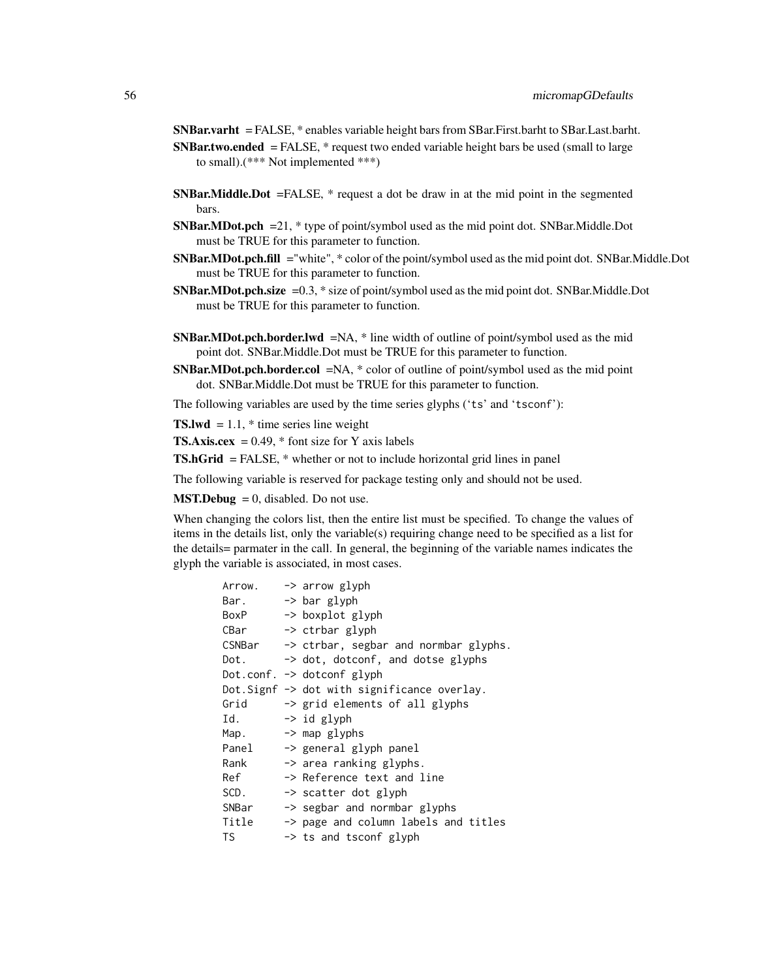SNBar.varht = FALSE, \* enables variable height bars from SBar.First.barht to SBar.Last.barht. **SNBar.two.ended** = FALSE,  $*$  request two ended variable height bars be used (small to large to small).(\*\*\* Not implemented \*\*\*)

- SNBar.Middle.Dot =FALSE, \* request a dot be draw in at the mid point in the segmented bars.
- SNBar.MDot.pch =21, \* type of point/symbol used as the mid point dot. SNBar.Middle.Dot must be TRUE for this parameter to function.
- SNBar.MDot.pch.fill ="white", \* color of the point/symbol used as the mid point dot. SNBar.Middle.Dot must be TRUE for this parameter to function.
- SNBar.MDot.pch.size =0.3, \* size of point/symbol used as the mid point dot. SNBar.Middle.Dot must be TRUE for this parameter to function.
- **SNBar.MDot.pch.border.lwd**  $=NA$ ,  $*$  line width of outline of point/symbol used as the mid point dot. SNBar.Middle.Dot must be TRUE for this parameter to function.
- SNBar.MDot.pch.border.col =NA, \* color of outline of point/symbol used as the mid point dot. SNBar.Middle.Dot must be TRUE for this parameter to function.
- The following variables are used by the time series glyphs ('ts' and 'tsconf'):

**TS.lwd** = 1.1,  $*$  time series line weight

**TS.Axis.cex** = 0.49,  $*$  font size for Y axis labels

TS.hGrid = FALSE, \* whether or not to include horizontal grid lines in panel

The following variable is reserved for package testing only and should not be used.

**MST.Debug** = 0, disabled. Do not use.

When changing the colors list, then the entire list must be specified. To change the values of items in the details list, only the variable(s) requiring change need to be specified as a list for the details= parmater in the call. In general, the beginning of the variable names indicates the glyph the variable is associated, in most cases.

| Arrow. | -> arrow glyph                                           |
|--------|----------------------------------------------------------|
| Bar.   | -> bar glyph                                             |
| BoxP   | -> boxplot glyph                                         |
| CBar   | -> ctrbar glyph                                          |
|        | $CSNBar \rightarrow ctrbar$ , segbar and normbar glyphs. |
| Dot.   | -> dot, dotconf, and dotse glyphs                        |
|        | Dot.conf. $\rightarrow$ dotconf glyph                    |
|        | Dot. Signf -> dot with significance overlay.             |
| Grid   | -> grid elements of all glyphs                           |
| Id.    | -> id glyph                                              |
|        | $\rightarrow$ map glyphs                                 |
| Map.   |                                                          |
| Panel  | -> general glyph panel                                   |
| Rank   | -> area ranking glyphs.                                  |
| Ref    | -> Reference text and line                               |
| SCD.   | -> scatter dot glyph                                     |
| SNBar  | $\rightarrow$ segbar and normbar glyphs                  |
| Title  | -> page and column labels and titles                     |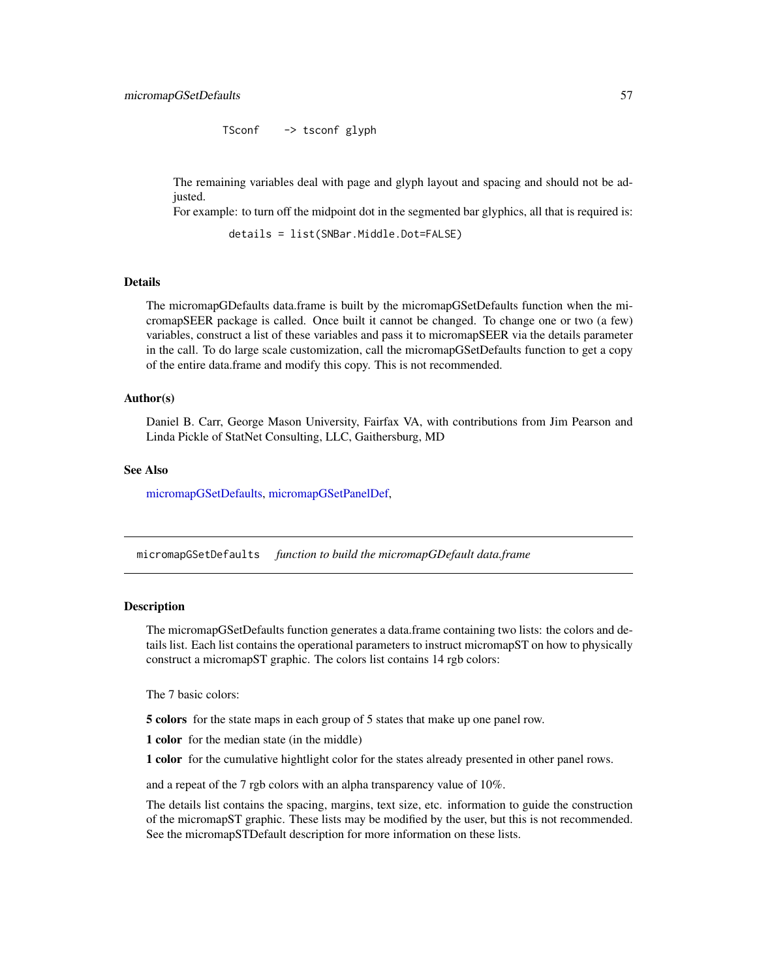TSconf -> tsconf glyph

The remaining variables deal with page and glyph layout and spacing and should not be adjusted.

For example: to turn off the midpoint dot in the segmented bar glyphics, all that is required is:

details = list(SNBar.Middle.Dot=FALSE)

# Details

The micromapGDefaults data.frame is built by the micromapGSetDefaults function when the micromapSEER package is called. Once built it cannot be changed. To change one or two (a few) variables, construct a list of these variables and pass it to micromapSEER via the details parameter in the call. To do large scale customization, call the micromapGSetDefaults function to get a copy of the entire data.frame and modify this copy. This is not recommended.

## Author(s)

Daniel B. Carr, George Mason University, Fairfax VA, with contributions from Jim Pearson and Linda Pickle of StatNet Consulting, LLC, Gaithersburg, MD

#### See Also

[micromapGSetDefaults,](#page-56-0) [micromapGSetPanelDef,](#page-57-0)

<span id="page-56-0"></span>micromapGSetDefaults *function to build the micromapGDefault data.frame*

#### **Description**

The micromapGSetDefaults function generates a data.frame containing two lists: the colors and details list. Each list contains the operational parameters to instruct micromapST on how to physically construct a micromapST graphic. The colors list contains 14 rgb colors:

The 7 basic colors:

5 colors for the state maps in each group of 5 states that make up one panel row.

1 color for the median state (in the middle)

1 color for the cumulative hightlight color for the states already presented in other panel rows.

and a repeat of the 7 rgb colors with an alpha transparency value of 10%.

The details list contains the spacing, margins, text size, etc. information to guide the construction of the micromapST graphic. These lists may be modified by the user, but this is not recommended. See the micromapSTDefault description for more information on these lists.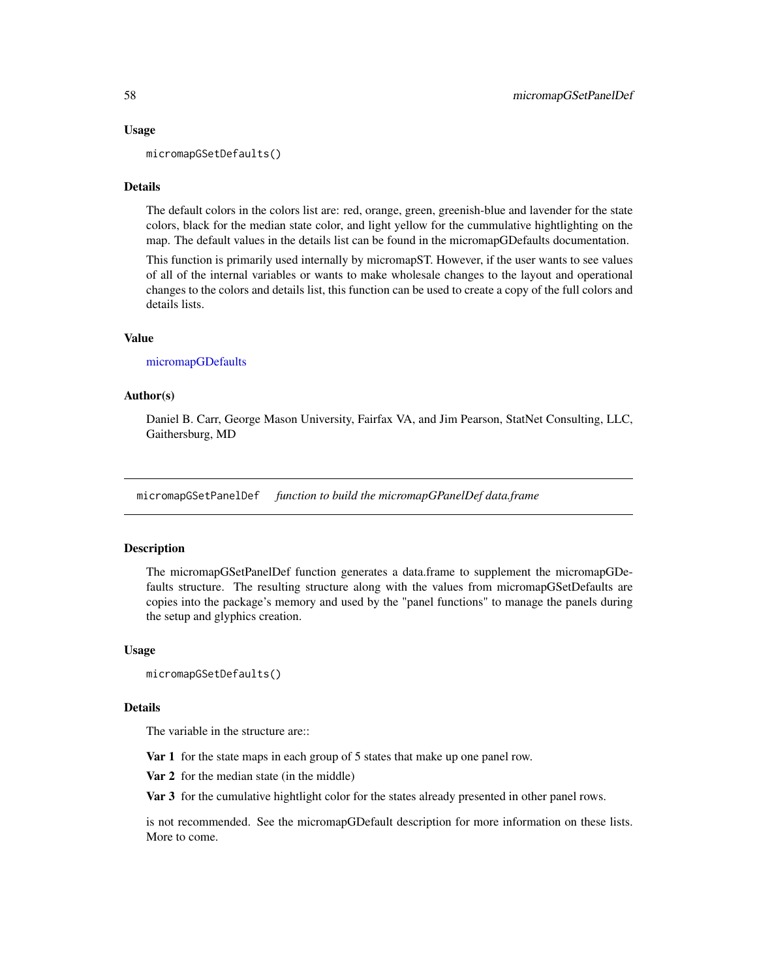# Usage

micromapGSetDefaults()

# Details

The default colors in the colors list are: red, orange, green, greenish-blue and lavender for the state colors, black for the median state color, and light yellow for the cummulative hightlighting on the map. The default values in the details list can be found in the micromapGDefaults documentation.

This function is primarily used internally by micromapST. However, if the user wants to see values of all of the internal variables or wants to make wholesale changes to the layout and operational changes to the colors and details list, this function can be used to create a copy of the full colors and details lists.

#### Value

#### [micromapGDefaults](#page-46-0)

# Author(s)

Daniel B. Carr, George Mason University, Fairfax VA, and Jim Pearson, StatNet Consulting, LLC, Gaithersburg, MD

<span id="page-57-0"></span>micromapGSetPanelDef *function to build the micromapGPanelDef data.frame*

# Description

The micromapGSetPanelDef function generates a data.frame to supplement the micromapGDefaults structure. The resulting structure along with the values from micromapGSetDefaults are copies into the package's memory and used by the "panel functions" to manage the panels during the setup and glyphics creation.

#### Usage

```
micromapGSetDefaults()
```
#### Details

The variable in the structure are::

Var 1 for the state maps in each group of 5 states that make up one panel row.

Var 2 for the median state (in the middle)

Var 3 for the cumulative hightlight color for the states already presented in other panel rows.

is not recommended. See the micromapGDefault description for more information on these lists. More to come.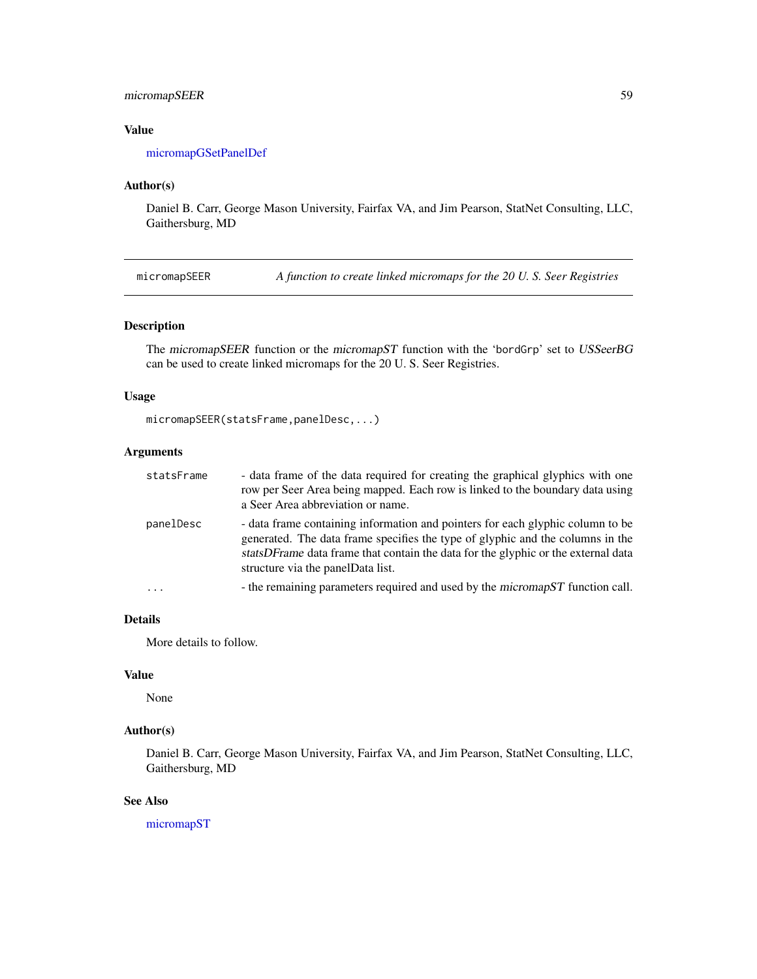# micromapSEER 59

# Value

[micromapGSetPanelDef](#page-57-0)

# Author(s)

Daniel B. Carr, George Mason University, Fairfax VA, and Jim Pearson, StatNet Consulting, LLC, Gaithersburg, MD

<span id="page-58-0"></span>micromapSEER *A function to create linked micromaps for the 20 U. S. Seer Registries*

# Description

The micromapSEER function or the micromapST function with the 'bordGrp' set to USSeerBG can be used to create linked micromaps for the 20 U. S. Seer Registries.

#### Usage

```
micromapSEER(statsFrame,panelDesc,...)
```
# Arguments

| statsFrame | - data frame of the data required for creating the graphical glyphics with one<br>row per Seer Area being mapped. Each row is linked to the boundary data using<br>a Seer Area abbreviation or name.                                                                                       |
|------------|--------------------------------------------------------------------------------------------------------------------------------------------------------------------------------------------------------------------------------------------------------------------------------------------|
| panelDesc  | - data frame containing information and pointers for each glyphic column to be<br>generated. The data frame specifies the type of glyphic and the columns in the<br>statsDFrame data frame that contain the data for the glyphic or the external data<br>structure via the panelData list. |
|            | - the remaining parameters required and used by the micromapST function call.                                                                                                                                                                                                              |

# Details

More details to follow.

# Value

None

# Author(s)

Daniel B. Carr, George Mason University, Fairfax VA, and Jim Pearson, StatNet Consulting, LLC, Gaithersburg, MD

#### See Also

[micromapST](#page-59-0)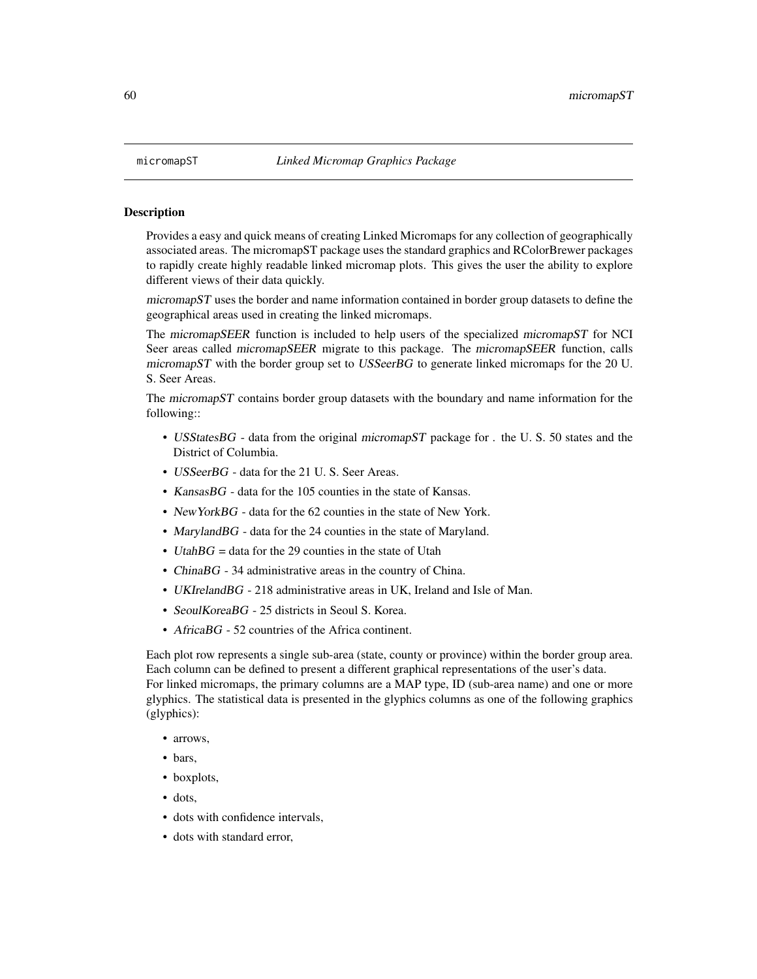#### <span id="page-59-0"></span>Description

Provides a easy and quick means of creating Linked Micromaps for any collection of geographically associated areas. The micromapST package uses the standard graphics and RColorBrewer packages to rapidly create highly readable linked micromap plots. This gives the user the ability to explore different views of their data quickly.

 $micromapST$  uses the border and name information contained in border group datasets to define the geographical areas used in creating the linked micromaps.

The micromapSEER function is included to help users of the specialized micromapST for NCI Seer areas called micromapSEER migrate to this package. The micromapSEER function, calls micromapST with the border group set to USSeerBG to generate linked micromaps for the 20 U. S. Seer Areas.

The micromapST contains border group datasets with the boundary and name information for the following::

- USStatesBG data from the original micromapST package for . the U.S. 50 states and the District of Columbia.
- USSeerBG data for the 21 U. S. Seer Areas.
- Kansas BG data for the 105 counties in the state of Kansas.
- New York BG data for the 62 counties in the state of New York.
- MarylandBG data for the 24 counties in the state of Maryland.
- UtahBG = data for the 29 counties in the state of Utah
- ChinaBG 34 administrative areas in the country of China.
- UKIrelandBG 218 administrative areas in UK, Ireland and Isle of Man.
- SeoulKoreaBG 25 districts in Seoul S. Korea.
- AfricaBG 52 countries of the Africa continent.

Each plot row represents a single sub-area (state, county or province) within the border group area. Each column can be defined to present a different graphical representations of the user's data. For linked micromaps, the primary columns are a MAP type, ID (sub-area name) and one or more glyphics. The statistical data is presented in the glyphics columns as one of the following graphics (glyphics):

- arrows,
- bars,
- boxplots,
- dots,
- dots with confidence intervals,
- dots with standard error,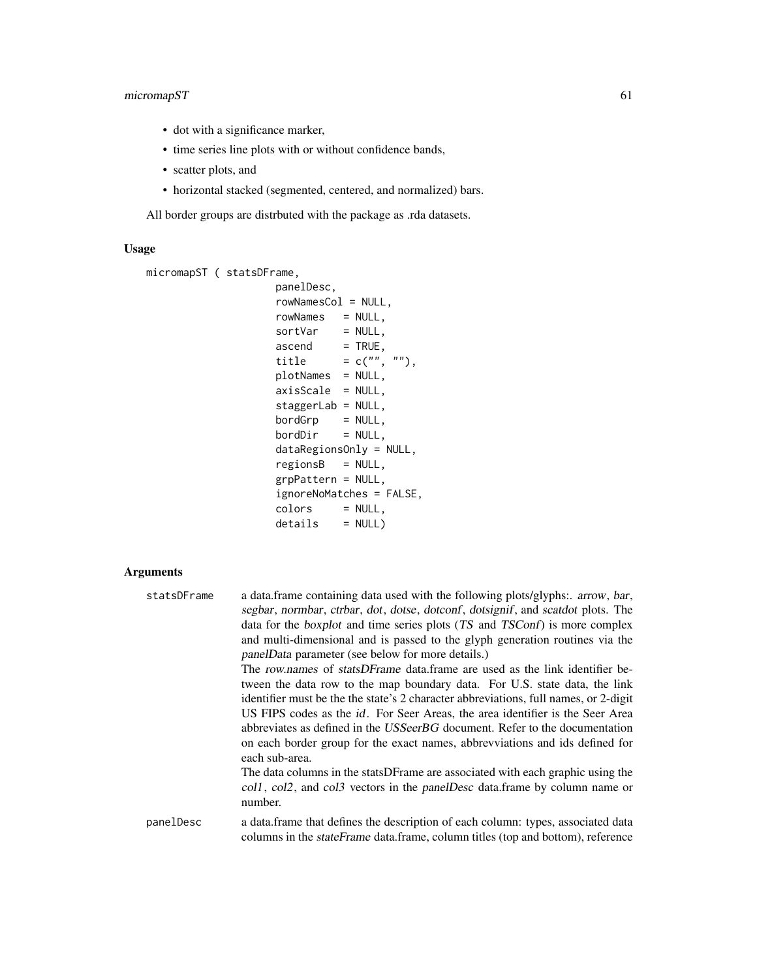# micromapST 61

- dot with a significance marker,
- time series line plots with or without confidence bands,
- scatter plots, and
- horizontal stacked (segmented, centered, and normalized) bars.

All border groups are distrbuted with the package as .rda datasets.

# Usage

```
micromapST ( statsDFrame,
                    panelDesc,
                    rowNamesCol = NULL,
                    rowNames = NULL,
                    sortVar = NULL,\text{a} ascend \text{F} = TRUE,
                     title = c("", ""),
                    plotNames = NULL,
                    axisScale = NULL,
                    staggerLab = NULL,
                    bordGrp = NULL,
                    bordDir = NULL,
                    dataRegionsOnly = NULL,
                    regionsB = NULL,
                    grpPattern = NULL,
                    ignoreNoMatches = FALSE,
                    colors = NULL,
                    details = NULL)
```
# Arguments

| statsDFrame | a data.frame containing data used with the following plots/glyphs: arrow, bar,<br>segbar, normbar, ctrbar, dot, dotse, dotconf, dotsignif, and scatdot plots. The<br>data for the boxplot and time series plots (TS and TSConf) is more complex<br>and multi-dimensional and is passed to the glyph generation routines via the<br>panelData parameter (see below for more details.)<br>The row names of statsDFrame data frame are used as the link identifier be-<br>tween the data row to the map boundary data. For U.S. state data, the link<br>identifier must be the the state's 2 character abbreviations, full names, or 2-digit<br>US FIPS codes as the <i>id</i> . For Seer Areas, the area identifier is the Seer Area<br>abbreviates as defined in the USSeerBG document. Refer to the documentation<br>on each border group for the exact names, abbreviations and ids defined for<br>each sub-area.<br>The data columns in the statsDF rame are associated with each graphic using the<br>coll, coll, and coll vectors in the panelDesc data.frame by column name or<br>number. |
|-------------|------------------------------------------------------------------------------------------------------------------------------------------------------------------------------------------------------------------------------------------------------------------------------------------------------------------------------------------------------------------------------------------------------------------------------------------------------------------------------------------------------------------------------------------------------------------------------------------------------------------------------------------------------------------------------------------------------------------------------------------------------------------------------------------------------------------------------------------------------------------------------------------------------------------------------------------------------------------------------------------------------------------------------------------------------------------------------------------------|
| panelDesc   | a data.frame that defines the description of each column: types, associated data<br>columns in the <i>stateFrame</i> data.frame, column titles (top and bottom), reference                                                                                                                                                                                                                                                                                                                                                                                                                                                                                                                                                                                                                                                                                                                                                                                                                                                                                                                     |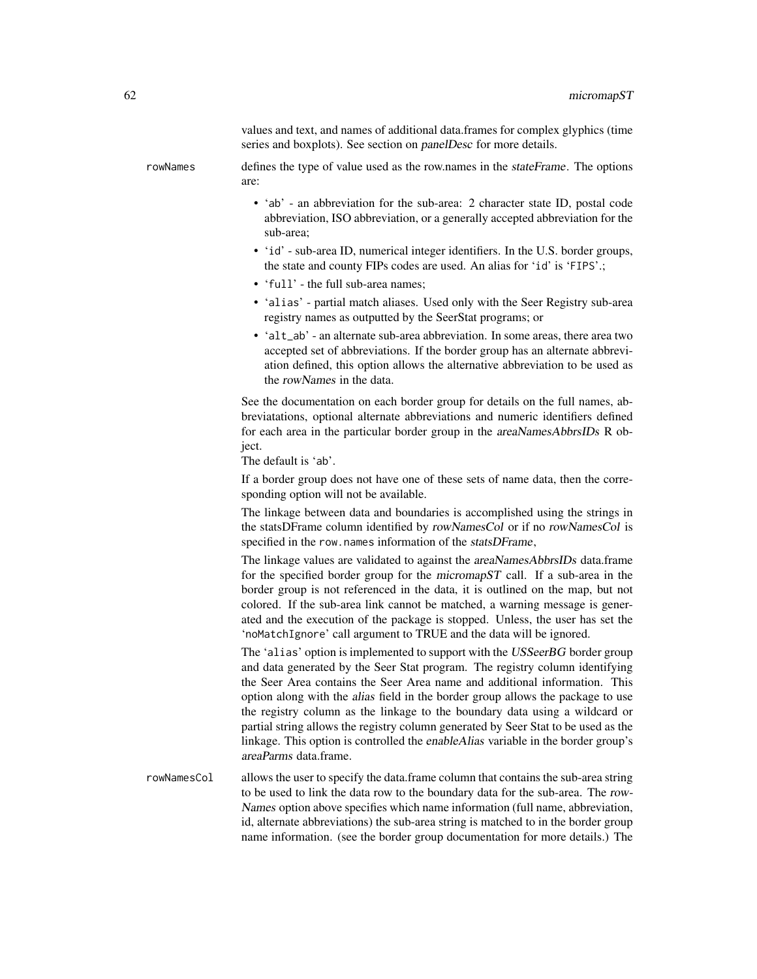values and text, and names of additional data.frames for complex glyphics (time series and boxplots). See section on panelDesc for more details.

rowNames defines the type of value used as the row.names in the stateFrame. The options are:

- 'ab' an abbreviation for the sub-area: 2 character state ID, postal code abbreviation, ISO abbreviation, or a generally accepted abbreviation for the sub-area;
- 'id' sub-area ID, numerical integer identifiers. In the U.S. border groups, the state and county FIPs codes are used. An alias for 'id' is 'FIPS'.;
- 'full' the full sub-area names;
- 'alias' partial match aliases. Used only with the Seer Registry sub-area registry names as outputted by the SeerStat programs; or
- 'alt\_ab' an alternate sub-area abbreviation. In some areas, there area two accepted set of abbreviations. If the border group has an alternate abbreviation defined, this option allows the alternative abbreviation to be used as the rowNames in the data.

See the documentation on each border group for details on the full names, abbreviatations, optional alternate abbreviations and numeric identifiers defined for each area in the particular border group in the areaNamesAbbrsIDs R object.

The default is 'ab'.

If a border group does not have one of these sets of name data, then the corresponding option will not be available.

The linkage between data and boundaries is accomplished using the strings in the statsDFrame column identified by rowNamesCol or if no rowNamesCol is specified in the row.names information of the statsDFrame,

The linkage values are validated to against the *areaNamesAbbrsIDs* data.frame for the specified border group for the micromapST call. If a sub-area in the border group is not referenced in the data, it is outlined on the map, but not colored. If the sub-area link cannot be matched, a warning message is generated and the execution of the package is stopped. Unless, the user has set the 'noMatchIgnore' call argument to TRUE and the data will be ignored.

The 'alias' option is implemented to support with the USSeerBG border group and data generated by the Seer Stat program. The registry column identifying the Seer Area contains the Seer Area name and additional information. This option along with the alias field in the border group allows the package to use the registry column as the linkage to the boundary data using a wildcard or partial string allows the registry column generated by Seer Stat to be used as the linkage. This option is controlled the enableAlias variable in the border group's areaParms data.frame.

rowNamesCol allows the user to specify the data.frame column that contains the sub-area string to be used to link the data row to the boundary data for the sub-area. The row-Names option above specifies which name information (full name, abbreviation, id, alternate abbreviations) the sub-area string is matched to in the border group name information. (see the border group documentation for more details.) The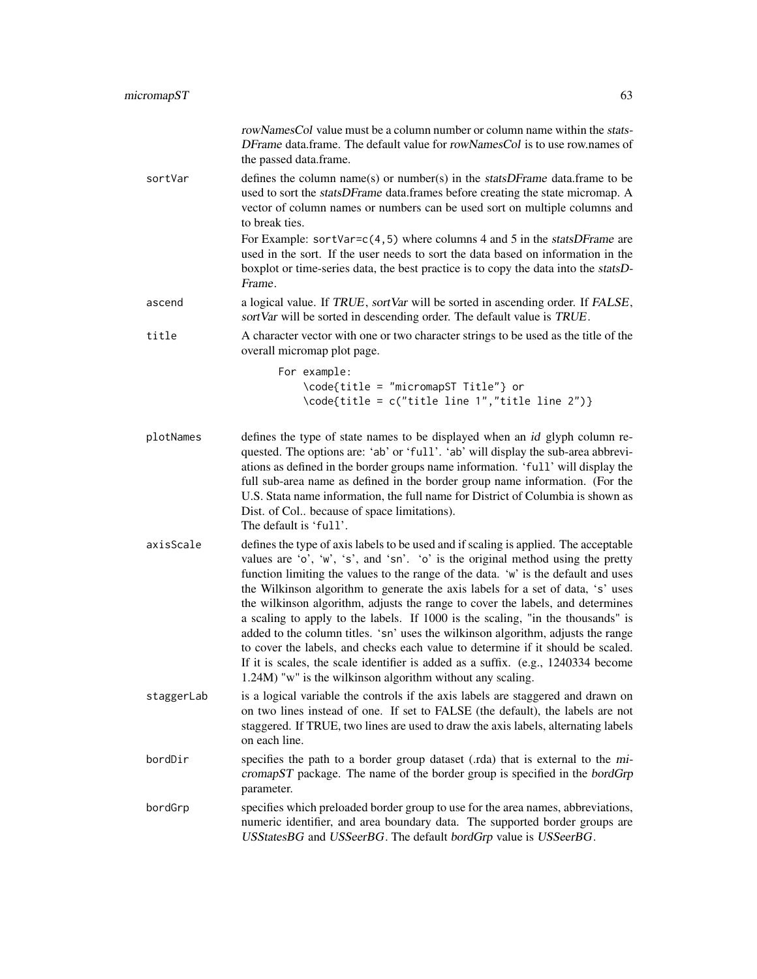|            | rowNamesCol value must be a column number or column name within the stats-<br>DFrame data.frame. The default value for rowNamesCol is to use row.names of<br>the passed data.frame.                                                                                                                                                                                                                                                                                                                                                                                                                                                                                                                                                                                                                                                             |
|------------|-------------------------------------------------------------------------------------------------------------------------------------------------------------------------------------------------------------------------------------------------------------------------------------------------------------------------------------------------------------------------------------------------------------------------------------------------------------------------------------------------------------------------------------------------------------------------------------------------------------------------------------------------------------------------------------------------------------------------------------------------------------------------------------------------------------------------------------------------|
| sortVar    | defines the column name(s) or number(s) in the statsDFrame data.frame to be<br>used to sort the statsDFrame data.frames before creating the state micromap. A<br>vector of column names or numbers can be used sort on multiple columns and<br>to break ties.                                                                                                                                                                                                                                                                                                                                                                                                                                                                                                                                                                                   |
|            | For Example: sortVar= $c(4,5)$ where columns 4 and 5 in the statsDFrame are<br>used in the sort. If the user needs to sort the data based on information in the<br>boxplot or time-series data, the best practice is to copy the data into the statsD-<br>Frame.                                                                                                                                                                                                                                                                                                                                                                                                                                                                                                                                                                                |
| ascend     | a logical value. If TRUE, sortVar will be sorted in ascending order. If FALSE,<br>sortVar will be sorted in descending order. The default value is TRUE.                                                                                                                                                                                                                                                                                                                                                                                                                                                                                                                                                                                                                                                                                        |
| title      | A character vector with one or two character strings to be used as the title of the<br>overall micromap plot page.                                                                                                                                                                                                                                                                                                                                                                                                                                                                                                                                                                                                                                                                                                                              |
|            | For example:<br>\code{title = "micromapST Title"} or<br>\code{title = c("title line 1","title line 2")}                                                                                                                                                                                                                                                                                                                                                                                                                                                                                                                                                                                                                                                                                                                                         |
| plotNames  | defines the type of state names to be displayed when an id glyph column re-<br>quested. The options are: 'ab' or 'full'. 'ab' will display the sub-area abbrevi-<br>ations as defined in the border groups name information. 'full' will display the<br>full sub-area name as defined in the border group name information. (For the<br>U.S. Stata name information, the full name for District of Columbia is shown as<br>Dist. of Col because of space limitations).<br>The default is 'full'.                                                                                                                                                                                                                                                                                                                                                |
| axisScale  | defines the type of axis labels to be used and if scaling is applied. The acceptable<br>values are 'o', 'w', 's', and 'sn'. 'o' is the original method using the pretty<br>function limiting the values to the range of the data. 'w' is the default and uses<br>the Wilkinson algorithm to generate the axis labels for a set of data, 's' uses<br>the wilkinson algorithm, adjusts the range to cover the labels, and determines<br>a scaling to apply to the labels. If 1000 is the scaling, "in the thousands" is<br>added to the column titles. 'sn' uses the wilkinson algorithm, adjusts the range<br>to cover the labels, and checks each value to determine if it should be scaled.<br>If it is scales, the scale identifier is added as a suffix. (e.g., 1240334 become<br>1.24M) "w" is the wilkinson algorithm without any scaling. |
| staggerLab | is a logical variable the controls if the axis labels are staggered and drawn on<br>on two lines instead of one. If set to FALSE (the default), the labels are not<br>staggered. If TRUE, two lines are used to draw the axis labels, alternating labels<br>on each line.                                                                                                                                                                                                                                                                                                                                                                                                                                                                                                                                                                       |
| bordDir    | specifies the path to a border group dataset (.rda) that is external to the mi-<br>cromapST package. The name of the border group is specified in the bordGrp<br>parameter.                                                                                                                                                                                                                                                                                                                                                                                                                                                                                                                                                                                                                                                                     |
| bordGrp    | specifies which preloaded border group to use for the area names, abbreviations,<br>numeric identifier, and area boundary data. The supported border groups are<br>USStatesBG and USSeerBG. The default bordGrp value is USSeerBG.                                                                                                                                                                                                                                                                                                                                                                                                                                                                                                                                                                                                              |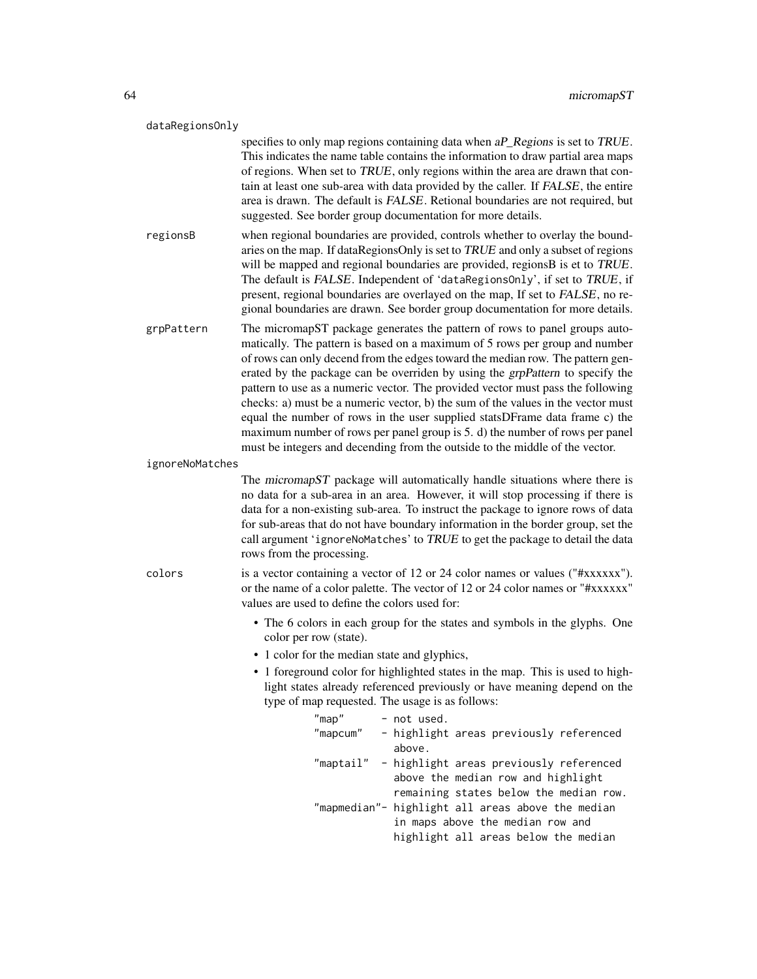#### dataRegionsOnly

specifies to only map regions containing data when aP\_Regions is set to TRUE. This indicates the name table contains the information to draw partial area maps of regions. When set to TRUE, only regions within the area are drawn that contain at least one sub-area with data provided by the caller. If FALSE, the entire area is drawn. The default is FALSE. Retional boundaries are not required, but suggested. See border group documentation for more details.

regionsB when regional boundaries are provided, controls whether to overlay the boundaries on the map. If dataRegionsOnly is set to TRUE and only a subset of regions will be mapped and regional boundaries are provided, regionsB is et to TRUE. The default is FALSE. Independent of 'dataRegionsOnly', if set to TRUE, if present, regional boundaries are overlayed on the map, If set to FALSE, no regional boundaries are drawn. See border group documentation for more details.

grpPattern The micromapST package generates the pattern of rows to panel groups automatically. The pattern is based on a maximum of 5 rows per group and number of rows can only decend from the edges toward the median row. The pattern generated by the package can be overriden by using the grpPattern to specify the pattern to use as a numeric vector. The provided vector must pass the following checks: a) must be a numeric vector, b) the sum of the values in the vector must equal the number of rows in the user supplied statsDFrame data frame c) the maximum number of rows per panel group is 5. d) the number of rows per panel must be integers and decending from the outside to the middle of the vector.

ignoreNoMatches

The micromapST package will automatically handle situations where there is no data for a sub-area in an area. However, it will stop processing if there is data for a non-existing sub-area. To instruct the package to ignore rows of data for sub-areas that do not have boundary information in the border group, set the call argument 'ignoreNoMatches' to TRUE to get the package to detail the data rows from the processing.

colors is a vector containing a vector of 12 or 24 color names or values ("#xxxxxx"). or the name of a color palette. The vector of 12 or 24 color names or "#xxxxxx" values are used to define the colors used for:

- The 6 colors in each group for the states and symbols in the glyphs. One color per row (state).
- 1 color for the median state and glyphics,
- 1 foreground color for highlighted states in the map. This is used to highlight states already referenced previously or have meaning depend on the type of map requested. The usage is as follows:

| $"$ map $"$ | - not used.                                       |
|-------------|---------------------------------------------------|
| "mapcum"    | - highlight areas previously referenced           |
|             | above.                                            |
|             | "maptail" - highlight areas previously referenced |
|             | above the median row and highlight                |
|             | remaining states below the median row.            |
|             | "mapmedian"- highlight all areas above the median |
|             | in maps above the median row and                  |
|             | highlight all areas below the median              |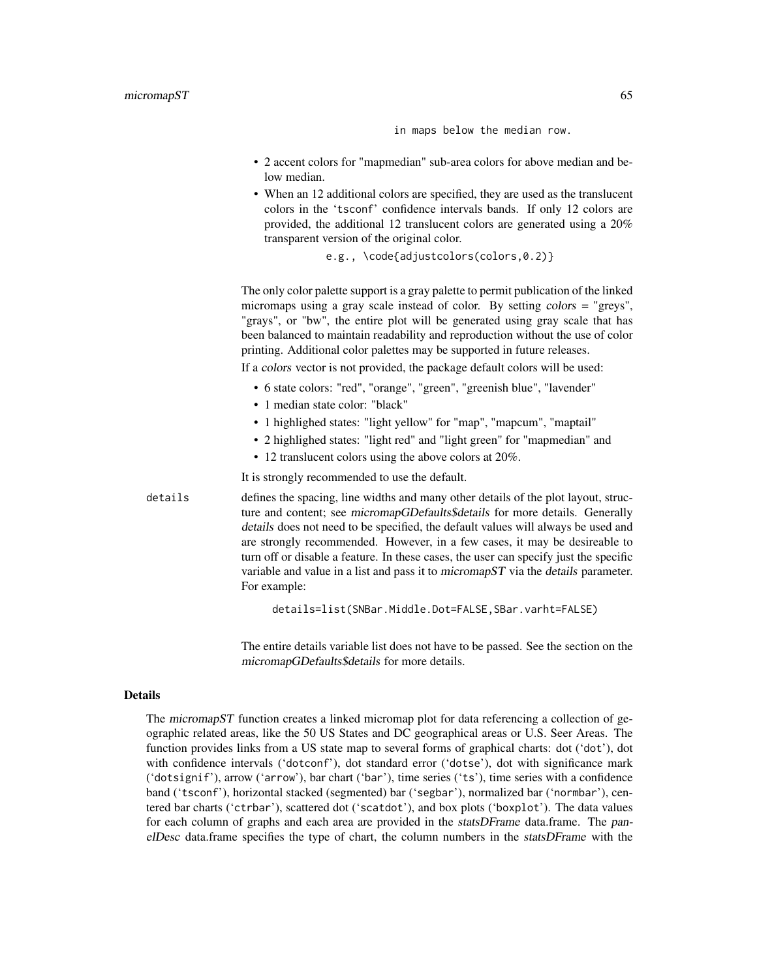in maps below the median row.

- 2 accent colors for "mapmedian" sub-area colors for above median and below median.
- When an 12 additional colors are specified, they are used as the translucent colors in the 'tsconf' confidence intervals bands. If only 12 colors are provided, the additional 12 translucent colors are generated using a 20% transparent version of the original color.

```
e.g., \code{adjustcolors(colors,0.2)}
```
The only color palette support is a gray palette to permit publication of the linked micromaps using a gray scale instead of color. By setting colors = "greys", "grays", or "bw", the entire plot will be generated using gray scale that has been balanced to maintain readability and reproduction without the use of color printing. Additional color palettes may be supported in future releases.

If a colors vector is not provided, the package default colors will be used:

- 6 state colors: "red", "orange", "green", "greenish blue", "lavender"
- 1 median state color: "black"
- 1 highlighed states: "light yellow" for "map", "mapcum", "maptail"
- 2 highlighed states: "light red" and "light green" for "mapmedian" and
- 12 translucent colors using the above colors at 20%.

It is strongly recommended to use the default.

details defines the spacing, line widths and many other details of the plot layout, structure and content; see micromapGDefaults\$details for more details. Generally details does not need to be specified, the default values will always be used and are strongly recommended. However, in a few cases, it may be desireable to turn off or disable a feature. In these cases, the user can specify just the specific variable and value in a list and pass it to micromapST via the details parameter. For example:

details=list(SNBar.Middle.Dot=FALSE,SBar.varht=FALSE)

The entire details variable list does not have to be passed. See the section on the micromapGDefaults\$details for more details.

# Details

The micromapST function creates a linked micromap plot for data referencing a collection of geographic related areas, like the 50 US States and DC geographical areas or U.S. Seer Areas. The function provides links from a US state map to several forms of graphical charts: dot ('dot'), dot with confidence intervals ('dotconf'), dot standard error ('dotse'), dot with significance mark ('dotsignif'), arrow ('arrow'), bar chart ('bar'), time series ('ts'), time series with a confidence band ('tsconf'), horizontal stacked (segmented) bar ('segbar'), normalized bar ('normbar'), centered bar charts ('ctrbar'), scattered dot ('scatdot'), and box plots ('boxplot'). The data values for each column of graphs and each area are provided in the *statsDFrame* data.frame. The panelDesc data.frame specifies the type of chart, the column numbers in the statsDFrame with the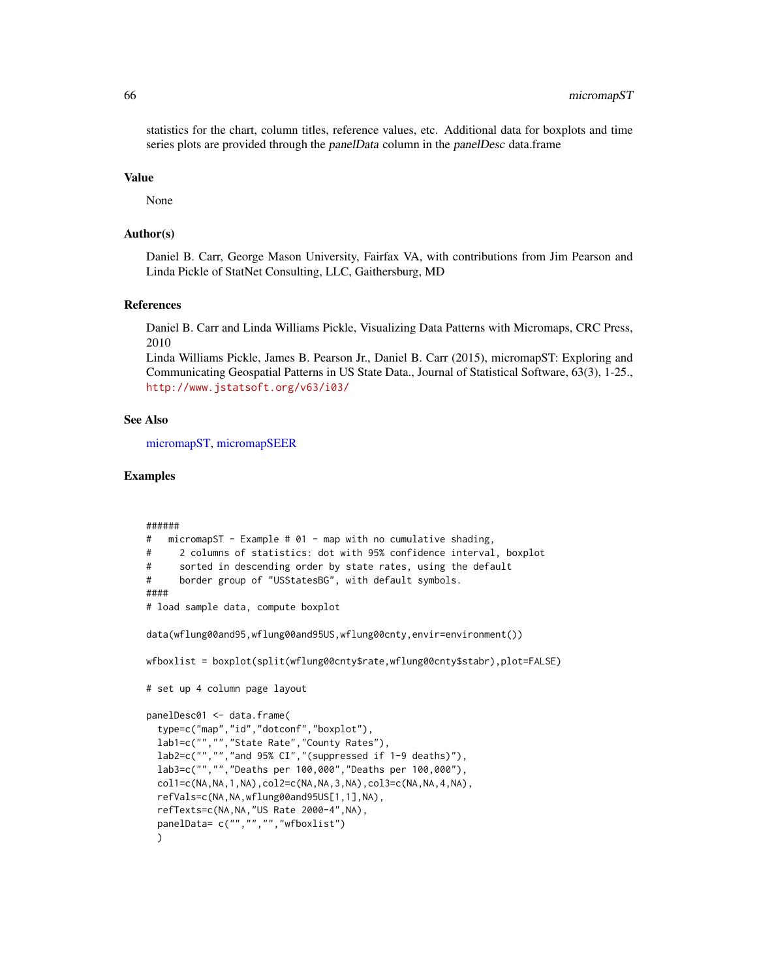statistics for the chart, column titles, reference values, etc. Additional data for boxplots and time series plots are provided through the panelData column in the panelDesc data.frame

#### Value

None

#### Author(s)

Daniel B. Carr, George Mason University, Fairfax VA, with contributions from Jim Pearson and Linda Pickle of StatNet Consulting, LLC, Gaithersburg, MD

# References

Daniel B. Carr and Linda Williams Pickle, Visualizing Data Patterns with Micromaps, CRC Press, 2010

Linda Williams Pickle, James B. Pearson Jr., Daniel B. Carr (2015), micromapST: Exploring and Communicating Geospatial Patterns in US State Data., Journal of Statistical Software, 63(3), 1-25., <http://www.jstatsoft.org/v63/i03/>

## See Also

[micromapST,](#page-59-0) [micromapSEER](#page-58-0)

# Examples

```
######
# micromapST - Example # 01 - map with no cumulative shading,
# 2 columns of statistics: dot with 95% confidence interval, boxplot
# sorted in descending order by state rates, using the default
# border group of "USStatesBG", with default symbols.
####
# load sample data, compute boxplot
data(wflung00and95,wflung00and95US,wflung00cnty,envir=environment())
wfboxlist = boxplot(split(wflung00cnty$rate,wflung00cnty$stabr),plot=FALSE)
# set up 4 column page layout
panelDesc01 <- data.frame(
 type=c("map","id","dotconf","boxplot"),
 lab1=c("","","State Rate","County Rates"),
 lab2=c("", "", "and 95% CI", " (suppressed if 1-9 deaths)"),lab3=c("","","Deaths per 100,000","Deaths per 100,000"),
 col1=c(NA,NA,1,NA),col2=c(NA,NA,3,NA),col3=c(NA,NA,4,NA),
 refVals=c(NA,NA,wflung00and95US[1,1],NA),
 refTexts=c(NA,NA,"US Rate 2000-4",NA),
 panelData= c("","","","wfboxlist")
 )
```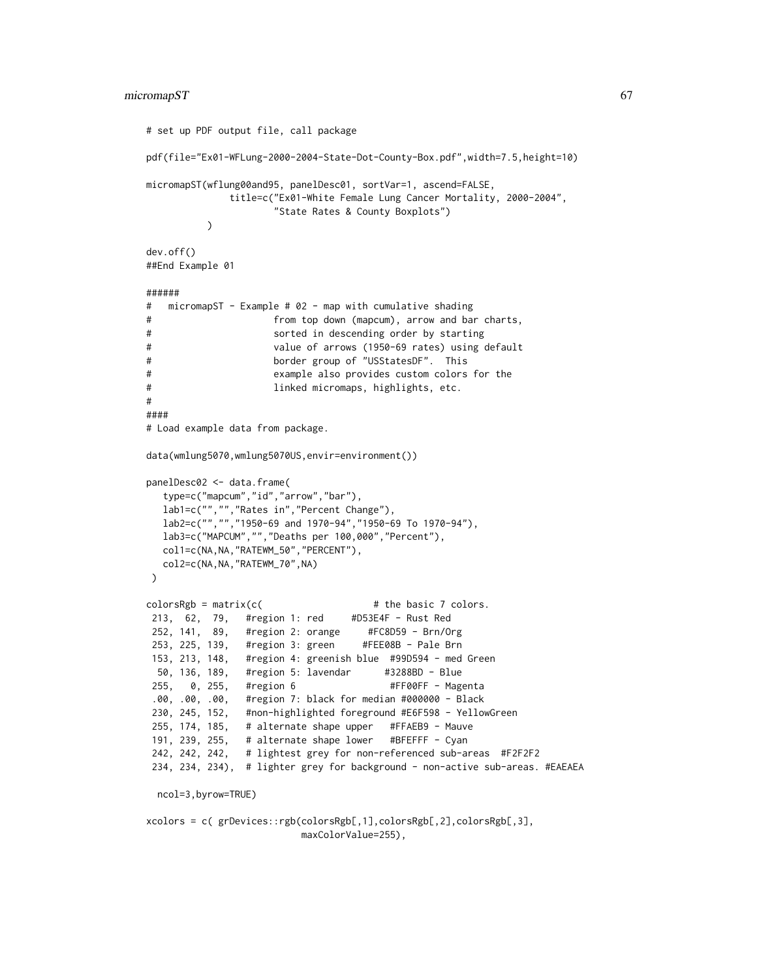```
# set up PDF output file, call package
pdf(file="Ex01-WFLung-2000-2004-State-Dot-County-Box.pdf",width=7.5,height=10)
micromapST(wflung00and95, panelDesc01, sortVar=1, ascend=FALSE,
             title=c("Ex01-White Female Lung Cancer Mortality, 2000-2004",
                    "State Rates & County Boxplots")
         )
dev.off()
##End Example 01
######
# micromapST - Example # 02 - map with cumulative shading
# from top down (mapcum), arrow and bar charts,
# sorted in descending order by starting
# value of arrows (1950-69 rates) using default
# border group of "USStatesDF". This
# example also provides custom colors for the
# linked micromaps, highlights, etc.
#
####
# Load example data from package.
data(wmlung5070,wmlung5070US,envir=environment())
panelDesc02 <- data.frame(
  type=c("mapcum","id","arrow","bar"),
  lab1=c("","","Rates in","Percent Change"),
  lab2=c("", "", "1950-69 \text{ and } 1970-94", "1950-69 \text{ To } 1970-94" \text{)}lab3=c("MAPCUM","","Deaths per 100,000","Percent"),
  col1=c(NA,NA,"RATEWM_50","PERCENT"),
  col2=c(NA,NA,"RATEWM_70",NA)
)
colorsRgb = matrix(c() # the basic 7 colors.
213, 62, 79, #region 1: red #D53E4F - Rust Red
252, 141, 89, #region 2: orange #FC8D59 - Brn/Org
253, 225, 139, #region 3: green #FEE08B - Pale Brn
153, 213, 148, #region 4: greenish blue #99D594 - med Green
 50, 136, 189, #region 5: lavendar #3288BD - Blue
255, 0, 255, #region 6 #FF00FF - Magenta
.00, .00, .00, #region 7: black for median #000000 - Black
230, 245, 152, #non-highlighted foreground #E6F598 - YellowGreen
255, 174, 185, # alternate shape upper #FFAEB9 - Mauve
191, 239, 255, # alternate shape lower #BFEFFF - Cyan
242, 242, 242, # lightest grey for non-referenced sub-areas #F2F2F2
234, 234, 234), # lighter grey for background - non-active sub-areas. #EAEAEA
 ncol=3,byrow=TRUE)
```
xcolors = c( grDevices::rgb(colorsRgb[,1],colorsRgb[,2],colorsRgb[,3], maxColorValue=255),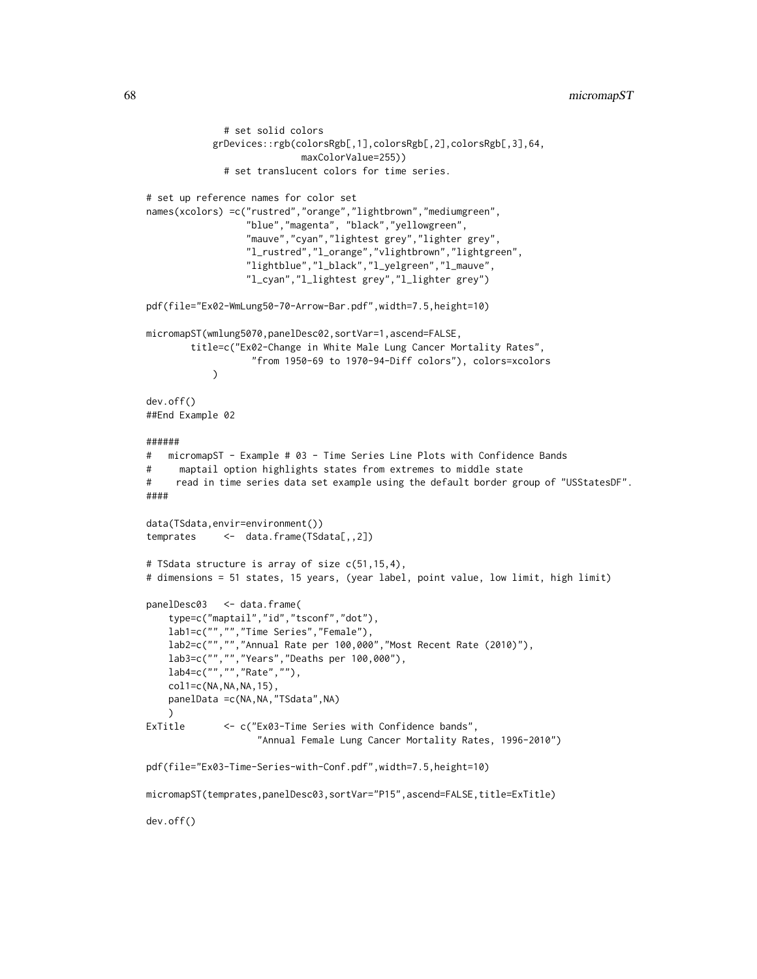```
# set solid colors
           grDevices::rgb(colorsRgb[,1],colorsRgb[,2],colorsRgb[,3],64,
                            maxColorValue=255))
              # set translucent colors for time series.
# set up reference names for color set
names(xcolors) =c("rustred","orange","lightbrown","mediumgreen",
                  "blue","magenta", "black","yellowgreen",
                  "mauve","cyan","lightest grey","lighter grey",
                  "l_rustred","l_orange","vlightbrown","lightgreen",
                  "lightblue","l_black","l_yelgreen","l_mauve",
                  "l_cyan","l_lightest grey","l_lighter grey")
pdf(file="Ex02-WmLung50-70-Arrow-Bar.pdf",width=7.5,height=10)
micromapST(wmlung5070,panelDesc02,sortVar=1,ascend=FALSE,
        title=c("Ex02-Change in White Male Lung Cancer Mortality Rates",
                   "from 1950-69 to 1970-94-Diff colors"), colors=xcolors
           \lambdadev.off()
##End Example 02
######
# micromapST - Example # 03 - Time Series Line Plots with Confidence Bands
# maptail option highlights states from extremes to middle state
# read in time series data set example using the default border group of "USStatesDF".
####
data(TSdata,envir=environment())
temprates <- data.frame(TSdata[,,2])
# TSdata structure is array of size c(51,15,4),
# dimensions = 51 states, 15 years, (year label, point value, low limit, high limit)
panelDesc03 <- data.frame(
    type=c("maptail","id","tsconf","dot"),
   lab1=c("","","Time Series","Female"),
   lab2=c("","","Annual Rate per 100,000","Most Recent Rate (2010)"),
    lab3=c("","","Years","Deaths per 100,000"),
   lab4=c("","","Rate",""),
   col1=c(NA,NA,NA,15),
   panelData = c(NA, NA, "TSdata", NA)
    )
ExTitle <- c("Ex03-Time Series with Confidence bands",
                    "Annual Female Lung Cancer Mortality Rates, 1996-2010")
pdf(file="Ex03-Time-Series-with-Conf.pdf",width=7.5,height=10)
micromapST(temprates,panelDesc03,sortVar="P15",ascend=FALSE,title=ExTitle)
dev.off()
```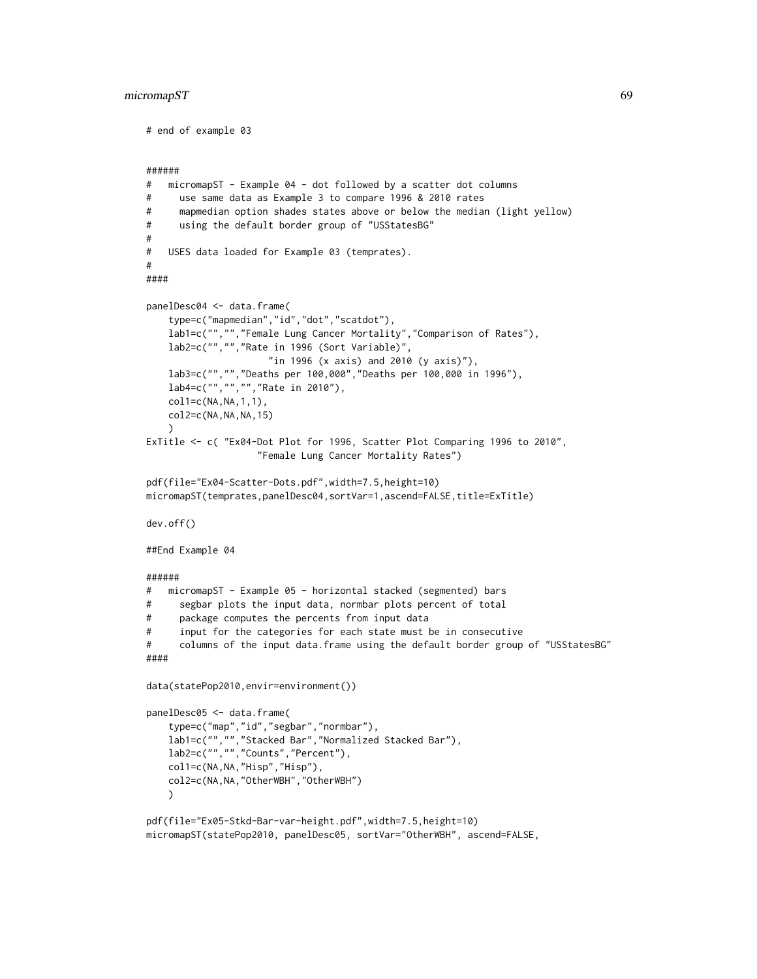# micromapST 69

```
# end of example 03
######
# micromapST - Example 04 - dot followed by a scatter dot columns
# use same data as Example 3 to compare 1996 & 2010 rates
# mapmedian option shades states above or below the median (light yellow)
# using the default border group of "USStatesBG"
#
# USES data loaded for Example 03 (temprates).
#
####
panelDesc04 <- data.frame(
    type=c("mapmedian","id","dot","scatdot"),
   lab1=c("","","Female Lung Cancer Mortality","Comparison of Rates"),
   lab2=c("","","Rate in 1996 (Sort Variable)",
                     "in 1996 (x axis) and 2010 (y axis)"),
   lab3=c("","","Deaths per 100,000","Deaths per 100,000 in 1996"),
   lab4=c("","","","Rate in 2010"),
    col1=c(NA,NA,1,1),
   col2=c(NA,NA,NA,15)
   \lambdaExTitle <- c( "Ex04-Dot Plot for 1996, Scatter Plot Comparing 1996 to 2010",
                    "Female Lung Cancer Mortality Rates")
pdf(file="Ex04-Scatter-Dots.pdf",width=7.5,height=10)
micromapST(temprates,panelDesc04,sortVar=1,ascend=FALSE,title=ExTitle)
dev.off()
##End Example 04
######
# micromapST - Example 05 - horizontal stacked (segmented) bars
# segbar plots the input data, normbar plots percent of total
# package computes the percents from input data
# input for the categories for each state must be in consecutive
# columns of the input data.frame using the default border group of "USStatesBG"
####
data(statePop2010,envir=environment())
panelDesc05 <- data.frame(
    type=c("map","id","segbar","normbar"),
    lab1=c("","","Stacked Bar","Normalized Stacked Bar"),
   lab2=c("","","Counts","Percent"),
    col1=c(NA,NA,"Hisp","Hisp"),
   col2=c(NA,NA,"OtherWBH","OtherWBH")
   \lambdapdf(file="Ex05-Stkd-Bar-var-height.pdf",width=7.5,height=10)
micromapST(statePop2010, panelDesc05, sortVar="OtherWBH", ascend=FALSE,
```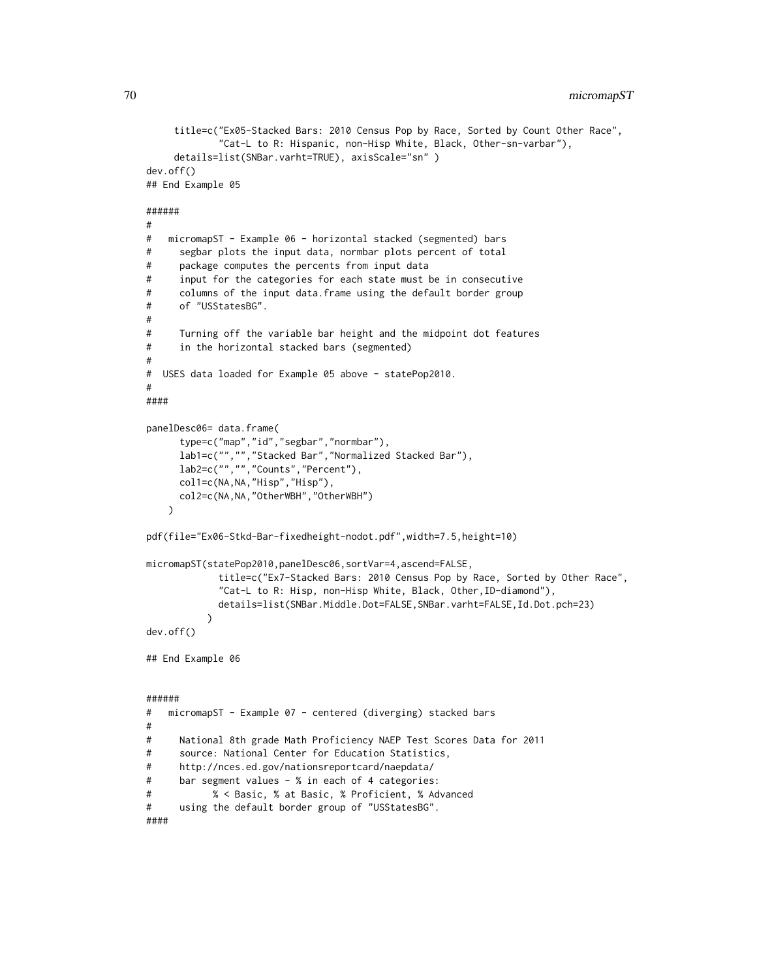```
title=c("Ex05-Stacked Bars: 2010 Census Pop by Race, Sorted by Count Other Race",
             "Cat-L to R: Hispanic, non-Hisp White, Black, Other-sn-varbar"),
    details=list(SNBar.varht=TRUE), axisScale="sn" )
dev.off()
## End Example 05
######
#
# micromapST - Example 06 - horizontal stacked (segmented) bars
# segbar plots the input data, normbar plots percent of total
# package computes the percents from input data
# input for the categories for each state must be in consecutive
# columns of the input data.frame using the default border group
# of "USStatesBG".
#
# Turning off the variable bar height and the midpoint dot features
# in the horizontal stacked bars (segmented)
#
# USES data loaded for Example 05 above - statePop2010.
#
####
panelDesc06= data.frame(
     type=c("map","id","segbar","normbar"),
     lab1=c("","","Stacked Bar","Normalized Stacked Bar"),
     lab2=c("","","Counts","Percent"),
     col1=c(NA,NA,"Hisp","Hisp"),
     col2=c(NA,NA,"OtherWBH","OtherWBH")
   )
pdf(file="Ex06-Stkd-Bar-fixedheight-nodot.pdf",width=7.5,height=10)
micromapST(statePop2010,panelDesc06,sortVar=4,ascend=FALSE,
            title=c("Ex7-Stacked Bars: 2010 Census Pop by Race, Sorted by Other Race",
            "Cat-L to R: Hisp, non-Hisp White, Black, Other,ID-diamond"),
            details=list(SNBar.Middle.Dot=FALSE,SNBar.varht=FALSE,Id.Dot.pch=23)
          \lambdadev.off()
## End Example 06
######
# micromapST - Example 07 - centered (diverging) stacked bars
#
# National 8th grade Math Proficiency NAEP Test Scores Data for 2011
# source: National Center for Education Statistics,
# http://nces.ed.gov/nationsreportcard/naepdata/
# bar segment values - % in each of 4 categories:
# % < Basic, % at Basic, % Proficient, % Advanced
# using the default border group of "USStatesBG".
####
```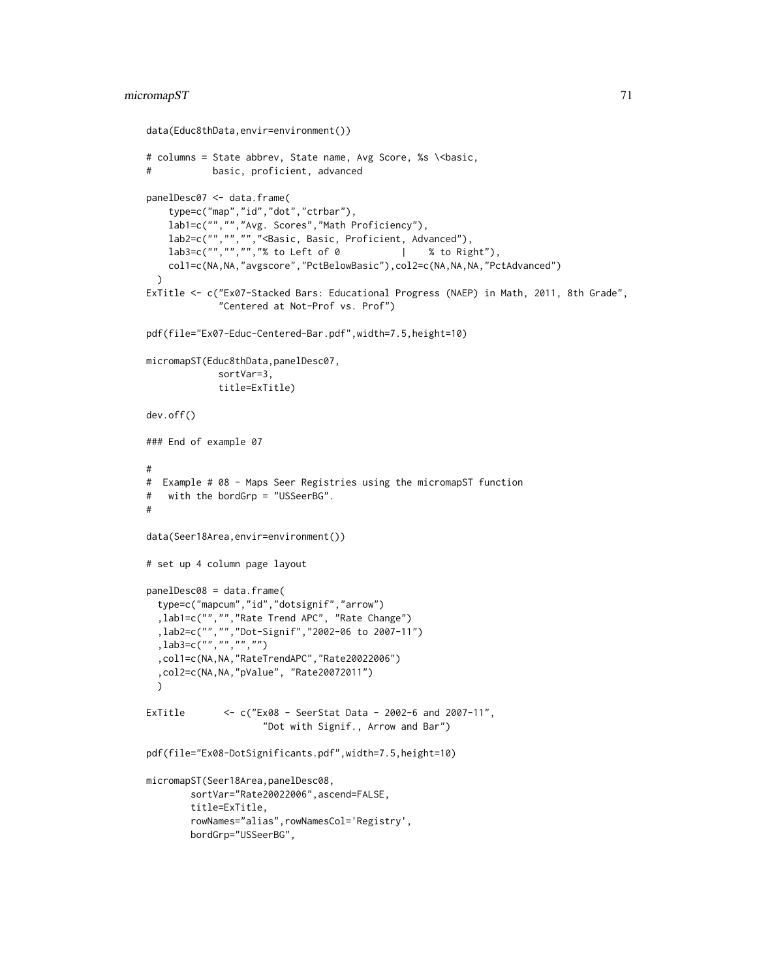# micromapST 71

```
data(Educ8thData,envir=environment())
# columns = State abbrev, State name, Avg Score, %s \<br/>basic,
# basic, proficient, advanced
panelDesc07 <- data.frame(
   type=c("map","id","dot","ctrbar"),
   lab1=c("","","Avg. Scores","Math Proficiency"),
   lab2=c("","","","<Basic, Basic, Proficient, Advanced"),
   lab3=c("", "", "", "", " to Left of 0 | % to Right"),
   col1=c(NA,NA,"avgscore","PctBelowBasic"),col2=c(NA,NA,NA,"PctAdvanced")
 \lambdaExTitle <- c("Ex07-Stacked Bars: Educational Progress (NAEP) in Math, 2011, 8th Grade",
             "Centered at Not-Prof vs. Prof")
pdf(file="Ex07-Educ-Centered-Bar.pdf",width=7.5,height=10)
micromapST(Educ8thData,panelDesc07,
            sortVar=3,
            title=ExTitle)
dev.off()
### End of example 07
#
# Example # 08 - Maps Seer Registries using the micromapST function
# with the bordGrp = "USSeerBG".
#
data(Seer18Area,envir=environment())
# set up 4 column page layout
panelDesc08 = data.frame(
 type=c("mapcum","id","dotsignif","arrow")
  ,lab1=c("","","Rate Trend APC", "Rate Change")
 ,lab2=c("","","Dot-Signif","2002-06 to 2007-11")
  ,lab3=c("","","","")
  ,col1=c(NA,NA,"RateTrendAPC","Rate20022006")
  ,col2=c(NA,NA,"pValue", "Rate20072011")
 )
ExTitle <- c("Ex08 - SeerStat Data - 2002-6 and 2007-11",
                     "Dot with Signif., Arrow and Bar")
pdf(file="Ex08-DotSignificants.pdf",width=7.5,height=10)
micromapST(Seer18Area,panelDesc08,
       sortVar="Rate20022006",ascend=FALSE,
       title=ExTitle,
       rowNames="alias",rowNamesCol='Registry',
       bordGrp="USSeerBG",
```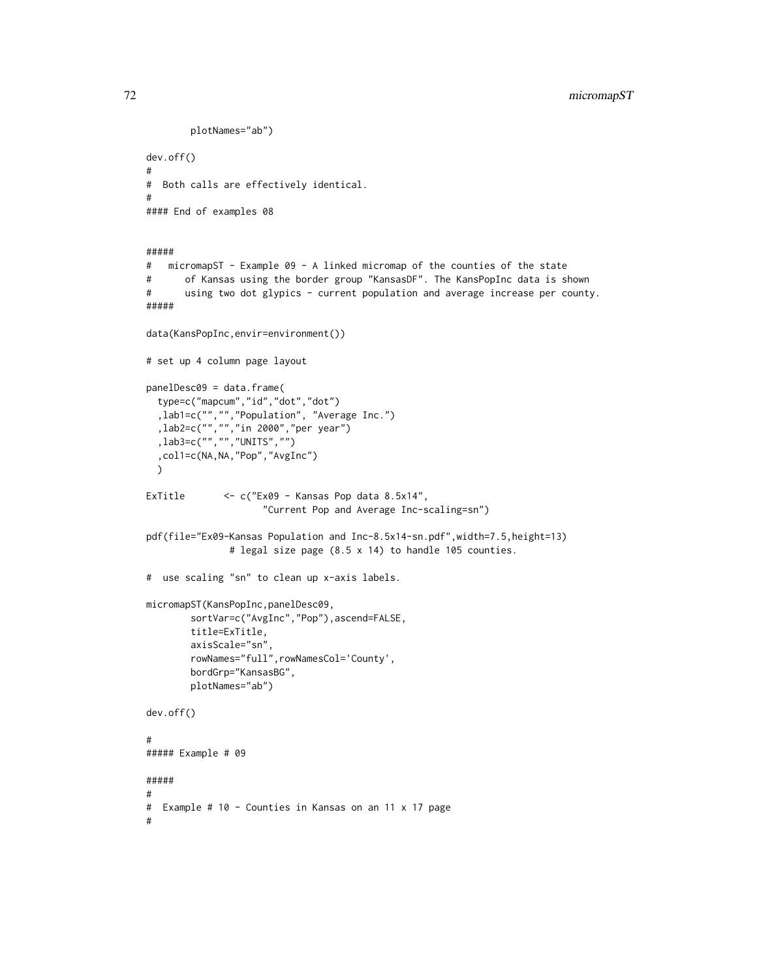```
plotNames="ab")
dev.off()
#
# Both calls are effectively identical.
#
#### End of examples 08
#####
# micromapST - Example 09 - A linked micromap of the counties of the state
# of Kansas using the border group "KansasDF". The KansPopInc data is shown
# using two dot glypics - current population and average increase per county.
#####
data(KansPopInc,envir=environment())
# set up 4 column page layout
panelDesc09 = data.frame(
 type=c("mapcum","id","dot","dot")
 ,lab1=c("","","Population", "Average Inc.")
 ,lab2=c("","","in 2000","per year")
 ,lab3=c("","","UNITS","")
  ,col1=c(NA,NA,"Pop","AvgInc")
 )
ExTitle <- c("Ex09 - Kansas Pop data 8.5x14",
                     "Current Pop and Average Inc-scaling=sn")
pdf(file="Ex09-Kansas Population and Inc-8.5x14-sn.pdf",width=7.5,height=13)
              # legal size page (8.5 x 14) to handle 105 counties.
# use scaling "sn" to clean up x-axis labels.
micromapST(KansPopInc,panelDesc09,
       sortVar=c("AvgInc","Pop"),ascend=FALSE,
       title=ExTitle,
       axisScale="sn",
       rowNames="full",rowNamesCol='County',
       bordGrp="KansasBG",
       plotNames="ab")
dev.off()
#
##### Example # 09
#####
#
# Example # 10 - Counties in Kansas on an 11 x 17 page
#
```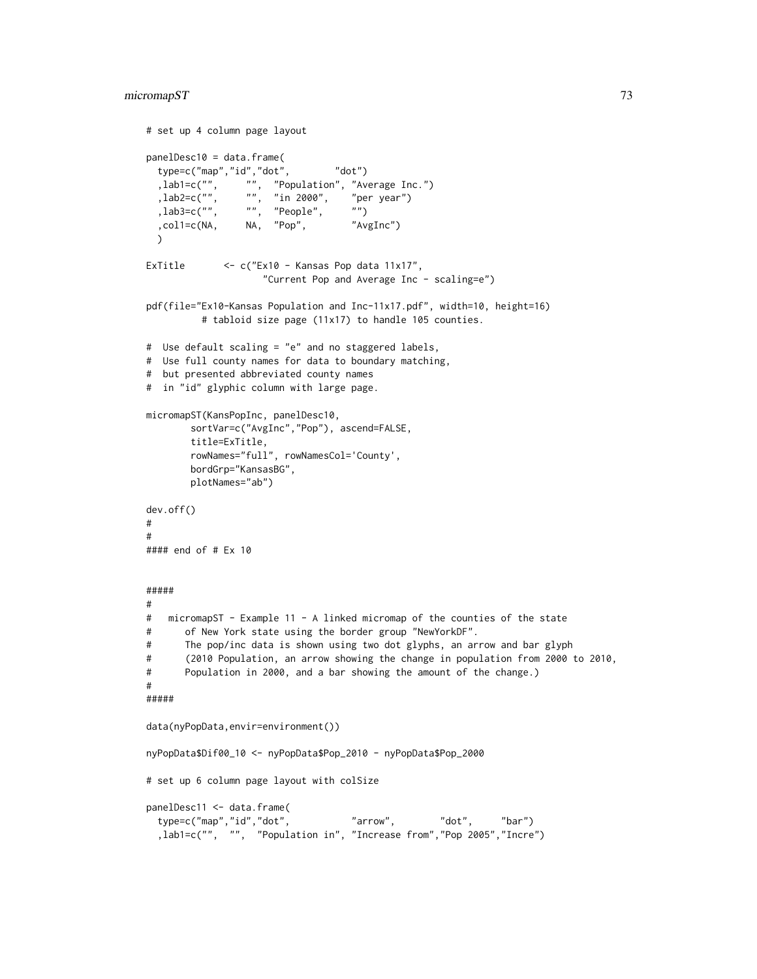```
# set up 4 column page layout
panelDesc10 = data.frame(
  type=c("map","id","dot", "dot")<br>,lab1=c("", "", "Population", "Av,<br>,lab2=c("", "", "in 2000", "pe
  ,lab1=c("", "", "Population", "Average Inc.")
  ,lab2=c("", "", "in 2000", "per year")
  (lab3=c("", "", "People", "")
  ,col1=c(NA, NA, "Pop", "AvgInc")
  \lambdaExTitle <- c("Ex10 - Kansas Pop data 11x17",
                     "Current Pop and Average Inc - scaling=e")
pdf(file="Ex10-Kansas Population and Inc-11x17.pdf", width=10, height=16)
          # tabloid size page (11x17) to handle 105 counties.
# Use default scaling = "e" and no staggered labels,
# Use full county names for data to boundary matching,
# but presented abbreviated county names
# in "id" glyphic column with large page.
micromapST(KansPopInc, panelDesc10,
        sortVar=c("AvgInc","Pop"), ascend=FALSE,
        title=ExTitle,
        rowNames="full", rowNamesCol='County',
        bordGrp="KansasBG",
        plotNames="ab")
dev.off()
#
#
#### end of # Ex 10
#####
#
# micromapST - Example 11 - A linked micromap of the counties of the state
# of New York state using the border group "NewYorkDF".
# The pop/inc data is shown using two dot glyphs, an arrow and bar glyph
# (2010 Population, an arrow showing the change in population from 2000 to 2010,
# Population in 2000, and a bar showing the amount of the change.)
#
#####
data(nyPopData,envir=environment())
nyPopData$Dif00_10 <- nyPopData$Pop_2010 - nyPopData$Pop_2000
# set up 6 column page layout with colSize
panelDesc11 <- data.frame(
  type=c("map","id","dot", "arrow", "dot", "bar")
  ,lab1=c("", "", "Population in", "Increase from","Pop 2005","Incre")
```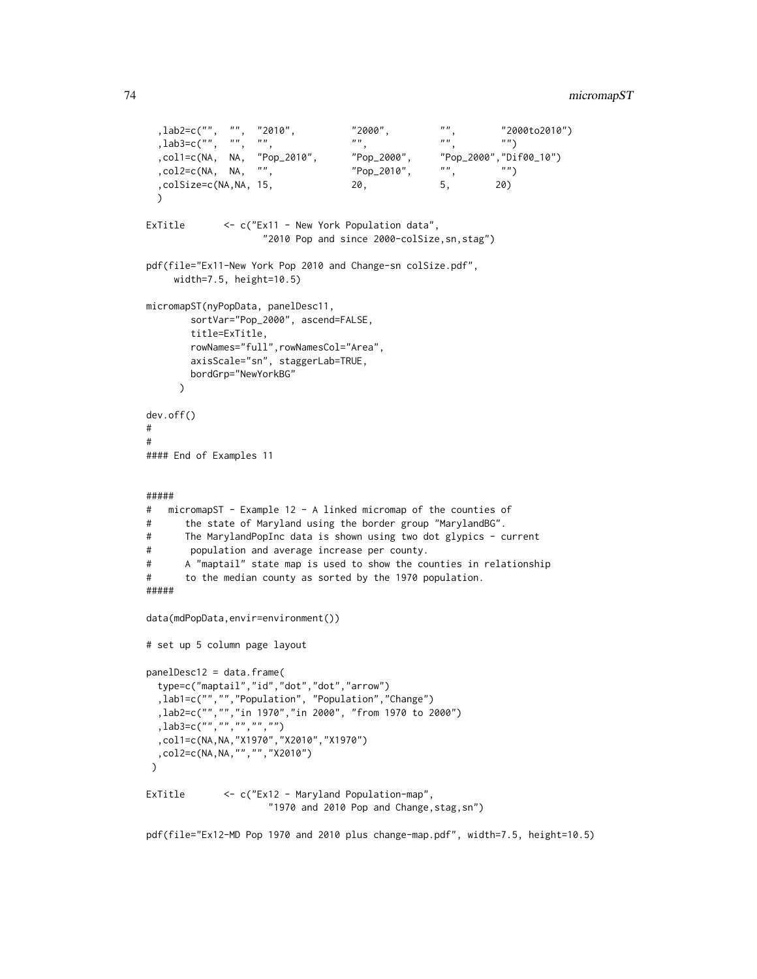```
, \text{lab2=c}("", "", "2010", "2000", "", " "2000", "", "2000to2010")
 \int, lab3=c("", "", "", "", "",
  ,col1=c(NA, NA, "Pop_2010", "Pop_2000", "Pop_2000","Dif00_10")<br>,col2=c(NA, NA, "", "Pop_2010", "", "")
 , col2=c(NA, NA, "", " "Pop_2010",
 ,colSize=c(NA,NA, 15, 20, 5, 20)
 \lambdaExTitle <- c("Ex11 - New York Population data",
                    "2010 Pop and since 2000-colSize,sn,stag")
pdf(file="Ex11-New York Pop 2010 and Change-sn colSize.pdf",
    width=7.5, height=10.5)
micromapST(nyPopData, panelDesc11,
       sortVar="Pop_2000", ascend=FALSE,
       title=ExTitle,
       rowNames="full",rowNamesCol="Area",
       axisScale="sn", staggerLab=TRUE,
       bordGrp="NewYorkBG"
     )
dev.off()
#
#
#### End of Examples 11
#####
# micromapST - Example 12 - A linked micromap of the counties of
# the state of Maryland using the border group "MarylandBG".
# The MarylandPopInc data is shown using two dot glypics - current
# population and average increase per county.
# A "maptail" state map is used to show the counties in relationship
# to the median county as sorted by the 1970 population.
#####
data(mdPopData,envir=environment())
# set up 5 column page layout
panelDesc12 = data.frame(type=c("maptail","id","dot","dot","arrow")
  ,lab1=c("","","Population", "Population","Change")
  ,lab2=c("","","in 1970","in 2000", "from 1970 to 2000")
  ,lab3=c("","","","","")
 ,col1=c(NA,NA,"X1970","X2010","X1970")
 ,col2=c(NA,NA,"","","X2010")
\lambdaExTitle <- c("Ex12 - Maryland Population-map",
                     "1970 and 2010 Pop and Change,stag,sn")
```
pdf(file="Ex12-MD Pop 1970 and 2010 plus change-map.pdf", width=7.5, height=10.5)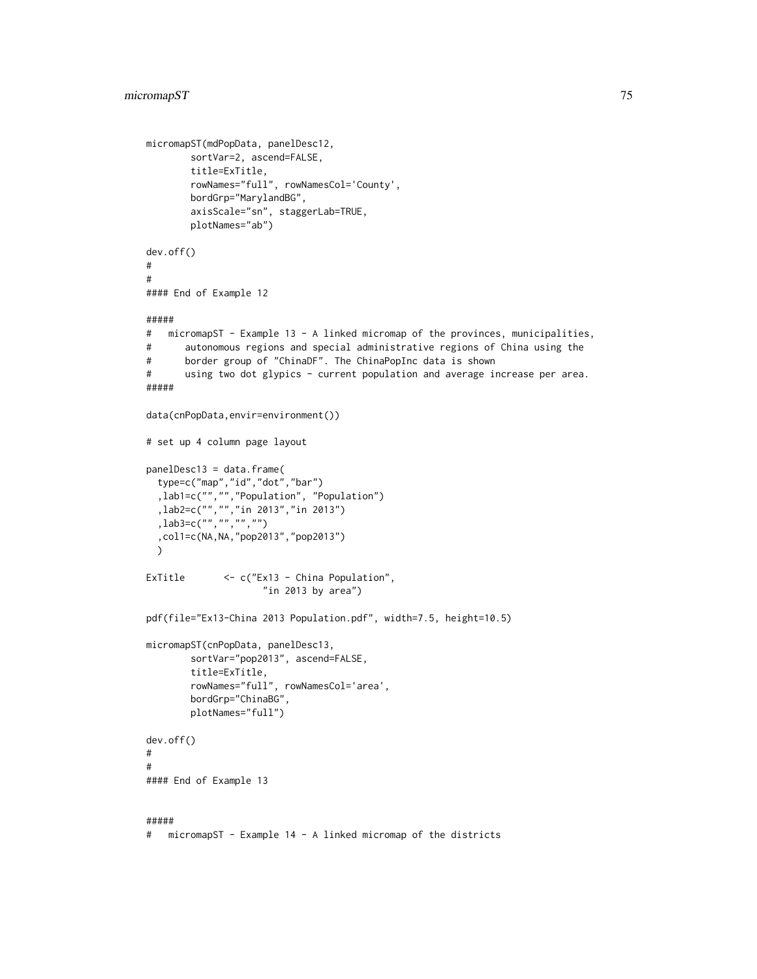```
micromapST(mdPopData, panelDesc12,
       sortVar=2, ascend=FALSE,
       title=ExTitle,
       rowNames="full", rowNamesCol='County',
       bordGrp="MarylandBG",
       axisScale="sn", staggerLab=TRUE,
       plotNames="ab")
dev.off()
#
#
#### End of Example 12
#####
# micromapST - Example 13 - A linked micromap of the provinces, municipalities,
# autonomous regions and special administrative regions of China using the
# border group of "ChinaDF". The ChinaPopInc data is shown
# using two dot glypics - current population and average increase per area.
#####
data(cnPopData,envir=environment())
# set up 4 column page layout
panelDesc13 = data.frame(
 type=c("map","id","dot","bar")
  ,lab1=c("","","Population", "Population")
  ,lab2=c("","","in 2013","in 2013")
  ,lab3=c("","","","")
  ,col1=c(NA,NA,"pop2013","pop2013")
 \lambdaExTitle <- c("Ex13 - China Population",
                    "in 2013 by area")
pdf(file="Ex13-China 2013 Population.pdf", width=7.5, height=10.5)
micromapST(cnPopData, panelDesc13,
       sortVar="pop2013", ascend=FALSE,
       title=ExTitle,
       rowNames="full", rowNamesCol='area',
       bordGrp="ChinaBG",
       plotNames="full")
dev.off()
#
#
#### End of Example 13
#####
# micromapST - Example 14 - A linked micromap of the districts
```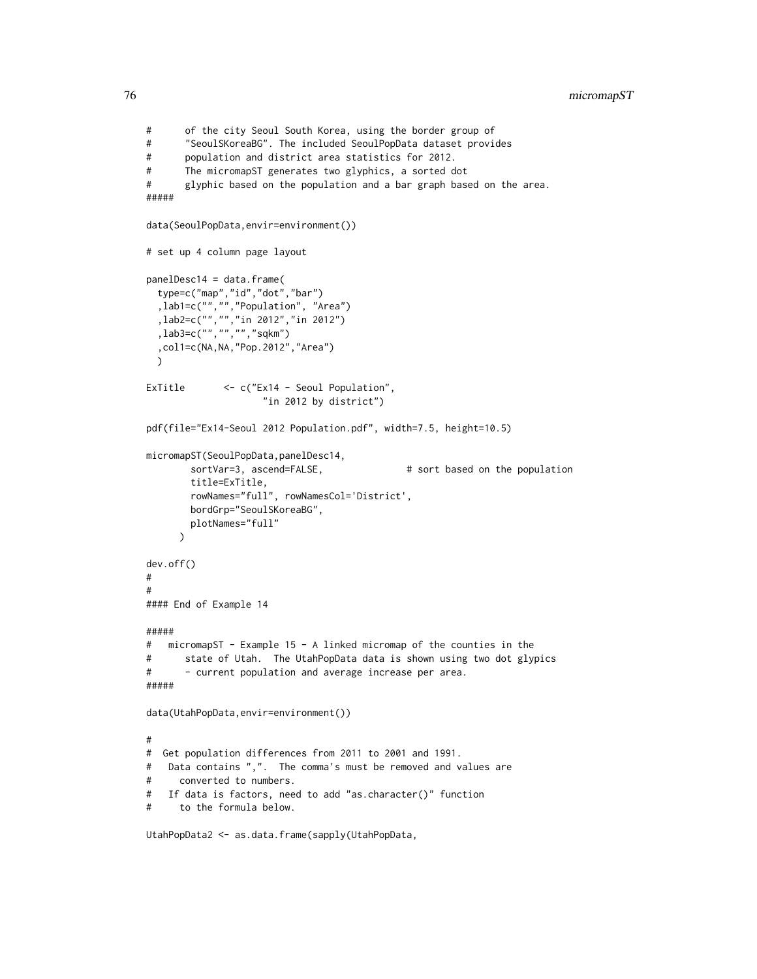```
# of the city Seoul South Korea, using the border group of
# "SeoulSKoreaBG". The included SeoulPopData dataset provides
# population and district area statistics for 2012.
# The micromapST generates two glyphics, a sorted dot
# glyphic based on the population and a bar graph based on the area.
#####
data(SeoulPopData,envir=environment())
# set up 4 column page layout
panelDesc14 = data.frame(
 type=c("map","id","dot","bar")
  ,lab1=c("","","Population", "Area")
 ,lab2=c("","","in 2012","in 2012")
 ,lab3=c("","","","sqkm")
 ,col1=c(NA,NA,"Pop.2012","Area")
 )
ExTitle <- c("Ex14 - Seoul Population",
                    "in 2012 by district")
pdf(file="Ex14-Seoul 2012 Population.pdf", width=7.5, height=10.5)
micromapST(SeoulPopData,panelDesc14,
       sortVar=3, ascend=FALSE, \qquad # sort based on the population
       title=ExTitle,
       rowNames="full", rowNamesCol='District',
       bordGrp="SeoulSKoreaBG",
       plotNames="full"
     )
dev.off()
#
#
#### End of Example 14
#####
# micromapST - Example 15 - A linked micromap of the counties in the
# state of Utah. The UtahPopData data is shown using two dot glypics
# - current population and average increase per area.
#####
data(UtahPopData,envir=environment())
#
# Get population differences from 2011 to 2001 and 1991.
# Data contains ",". The comma's must be removed and values are
# converted to numbers.
# If data is factors, need to add "as.character()" function
# to the formula below.
```
UtahPopData2 <- as.data.frame(sapply(UtahPopData,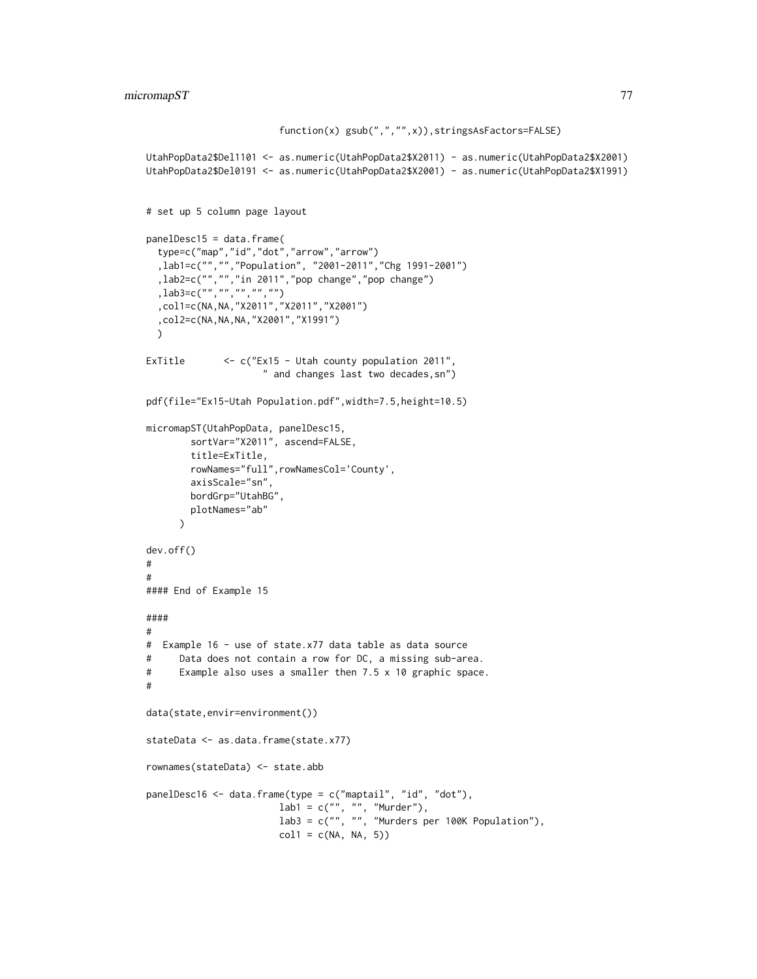```
function(x) gsub(",","",x)),stringsAsFactors=FALSE)
UtahPopData2$Del1101 <- as.numeric(UtahPopData2$X2011) - as.numeric(UtahPopData2$X2001)
UtahPopData2$Del0191 <- as.numeric(UtahPopData2$X2001) - as.numeric(UtahPopData2$X1991)
# set up 5 column page layout
panelDesc15 = data.frame(
  type=c("map","id","dot","arrow","arrow")
  ,lab1=c("","","Population", "2001-2011","Chg 1991-2001")
  ,lab2=c("","","in 2011","pop change","pop change")
  ,lab3=c("","","","","")
  ,col1=c(NA,NA,"X2011","X2011","X2001")
  ,col2=c(NA,NA,NA,"X2001","X1991")
  )
ExTitle <- c("Ex15 - Utah county population 2011",
                     " and changes last two decades,sn")
pdf(file="Ex15-Utah Population.pdf",width=7.5,height=10.5)
micromapST(UtahPopData, panelDesc15,
        sortVar="X2011", ascend=FALSE,
        title=ExTitle,
        rowNames="full",rowNamesCol='County',
        axisScale="sn",
        bordGrp="UtahBG",
       plotNames="ab"
      )
dev.off()
#
#
#### End of Example 15
####
#
# Example 16 - use of state.x77 data table as data source
# Data does not contain a row for DC, a missing sub-area.
# Example also uses a smaller then 7.5 x 10 graphic space.
#
data(state,envir=environment())
stateData <- as.data.frame(state.x77)
rownames(stateData) <- state.abb
panelDesc16 <- data.frame(type = c("maptail", "id", "dot"),
                        lab1 = c("", "", "Murder"),lab3 = c("", "", "Murders per 100K Population"),coll = c(NA, NA, 5))
```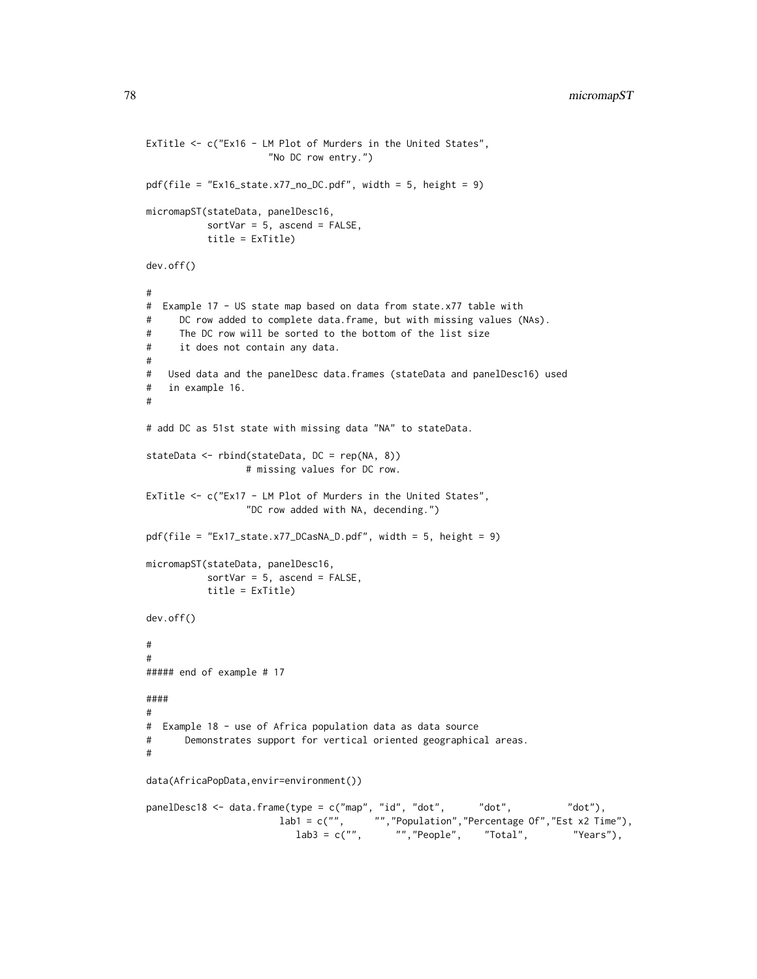```
ExTitle <- c("Ex16 - LM Plot of Murders in the United States",
                     "No DC row entry.")
pdf(file = "Ex16_state.x77_no_DC.pdf", width = 5, height = 9)
micromapST(stateData, panelDesc16,
          sortVar = 5, ascend = FALSE,
          title = ExTitle)
dev.off()
#
# Example 17 - US state map based on data from state.x77 table with
# DC row added to complete data.frame, but with missing values (NAs).
# The DC row will be sorted to the bottom of the list size
# it does not contain any data.
#
# Used data and the panelDesc data.frames (stateData and panelDesc16) used
# in example 16.
#
# add DC as 51st state with missing data "NA" to stateData.
stateData <- rbind(stateData, DC = rep(NA, 8))
                 # missing values for DC row.
ExTitle <- c("Ex17 - LM Plot of Murders in the United States",
                 "DC row added with NA, decending.")
pdf(file = "Ex17_state.x77_DCasNA_D.pdf", width = 5, height = 9)
micromapST(stateData, panelDesc16,
          sortVar = 5, ascend = FALSE,
          title = ExTitle)
dev.off()
#
#
##### end of example # 17
####
#
# Example 18 - use of Africa population data as data source
# Demonstrates support for vertical oriented geographical areas.
#
data(AfricaPopData,envir=environment())
panelDesc18 <- data.frame(type = c("map", "id", "dot", "dot", "dot"),
                       lab1 = c("", "","Population","Percentage Of","Est x2 Time"),
                          lab3 = c("", "", "People", "Total", "Years"),
```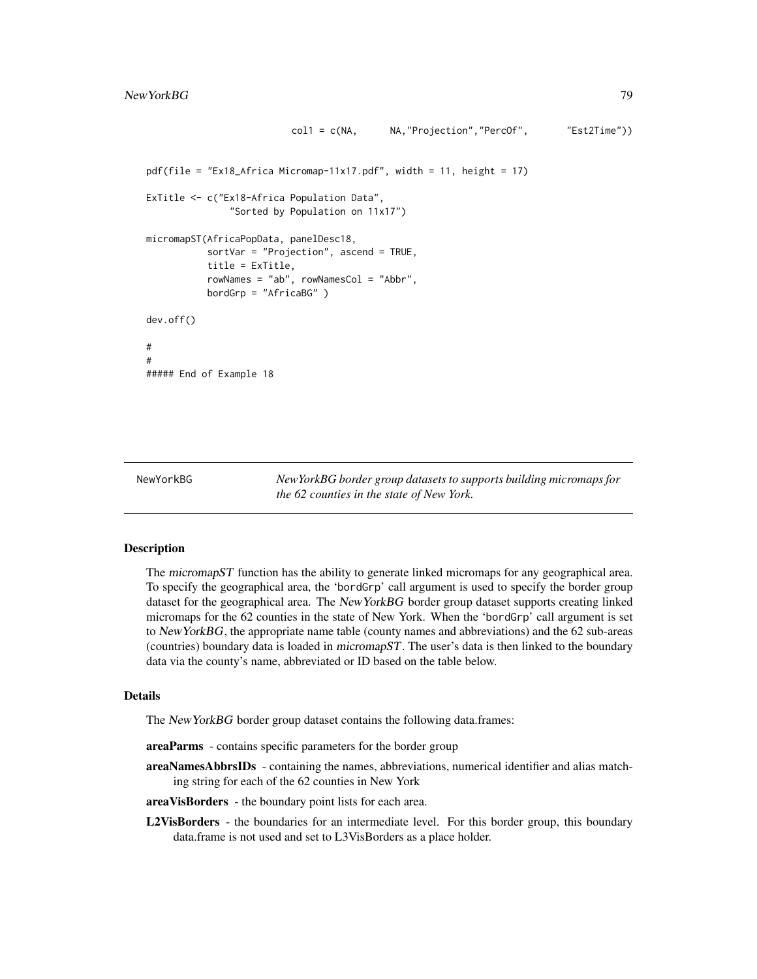```
col1 = c(NA, NA,"Projection","PercOf", "Est2Time"))
pdf(file = "Ex18_Africa Micromap-11x17.pdf", width = 11, height = 17)ExTitle <- c("Ex18-Africa Population Data",
              "Sorted by Population on 11x17")
micromapST(AfricaPopData, panelDesc18,
          sortVar = "Projection", ascend = TRUE,
          title = ExTitle,
          rowNames = "ab", rowNamesCol = "Abbr",
          bordGrp = "AfricaBG" )
dev.off()
#
#
##### End of Example 18
```
NewYorkBG *NewYorkBG border group datasets to supports building micromaps for the 62 counties in the state of New York.*

### Description

The micromapST function has the ability to generate linked micromaps for any geographical area. To specify the geographical area, the 'bordGrp' call argument is used to specify the border group dataset for the geographical area. The NewYorkBG border group dataset supports creating linked micromaps for the 62 counties in the state of New York. When the 'bordGrp' call argument is set to NewYorkBG, the appropriate name table (county names and abbreviations) and the 62 sub-areas (countries) boundary data is loaded in micromapST. The user's data is then linked to the boundary data via the county's name, abbreviated or ID based on the table below.

#### Details

The NewYorkBG border group dataset contains the following data.frames:

areaParms - contains specific parameters for the border group

areaNamesAbbrsIDs - containing the names, abbreviations, numerical identifier and alias matching string for each of the 62 counties in New York

areaVisBorders - the boundary point lists for each area.

L2VisBorders - the boundaries for an intermediate level. For this border group, this boundary data.frame is not used and set to L3VisBorders as a place holder.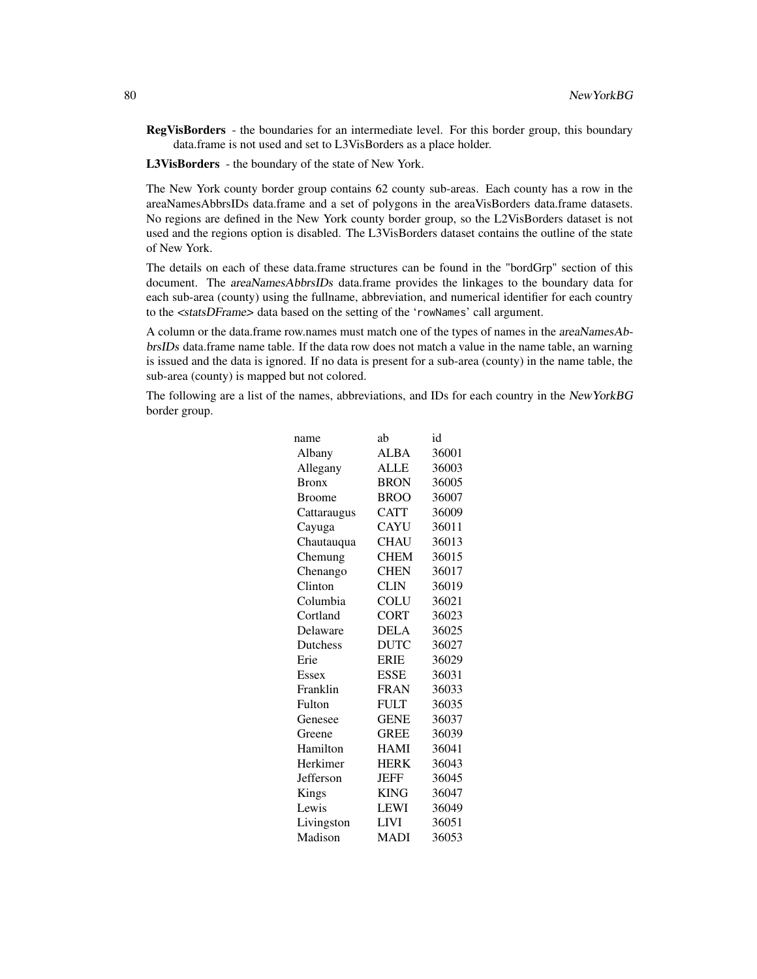RegVisBorders - the boundaries for an intermediate level. For this border group, this boundary data.frame is not used and set to L3VisBorders as a place holder.

L3VisBorders - the boundary of the state of New York.

The New York county border group contains 62 county sub-areas. Each county has a row in the areaNamesAbbrsIDs data.frame and a set of polygons in the areaVisBorders data.frame datasets. No regions are defined in the New York county border group, so the L2VisBorders dataset is not used and the regions option is disabled. The L3VisBorders dataset contains the outline of the state of New York.

The details on each of these data.frame structures can be found in the "bordGrp" section of this document. The areaNamesAbbrsIDs data.frame provides the linkages to the boundary data for each sub-area (county) using the fullname, abbreviation, and numerical identifier for each country to the <statsDFrame> data based on the setting of the 'rowNames' call argument.

A column or the data.frame row.names must match one of the types of names in the areaNamesAbbrsIDs data.frame name table. If the data row does not match a value in the name table, an warning is issued and the data is ignored. If no data is present for a sub-area (county) in the name table, the sub-area (county) is mapped but not colored.

The following are a list of the names, abbreviations, and IDs for each country in the NewYorkBG border group.

| ab          | id    |
|-------------|-------|
| <b>ALBA</b> | 36001 |
| <b>ALLE</b> | 36003 |
| <b>BRON</b> | 36005 |
| <b>BROO</b> | 36007 |
| <b>CATT</b> | 36009 |
| <b>CAYU</b> | 36011 |
| <b>CHAU</b> | 36013 |
| <b>CHEM</b> | 36015 |
| <b>CHEN</b> | 36017 |
| <b>CLIN</b> | 36019 |
| <b>COLU</b> | 36021 |
| <b>CORT</b> | 36023 |
| <b>DELA</b> | 36025 |
| <b>DUTC</b> | 36027 |
| <b>ERIE</b> | 36029 |
| <b>ESSE</b> | 36031 |
| <b>FRAN</b> | 36033 |
| <b>FULT</b> | 36035 |
| <b>GENE</b> | 36037 |
| <b>GREE</b> | 36039 |
| <b>HAMI</b> | 36041 |
| <b>HERK</b> | 36043 |
| <b>JEFF</b> | 36045 |
| <b>KING</b> | 36047 |
| <b>LEWI</b> | 36049 |
| <b>LIVI</b> | 36051 |
| <b>MADI</b> | 36053 |
|             |       |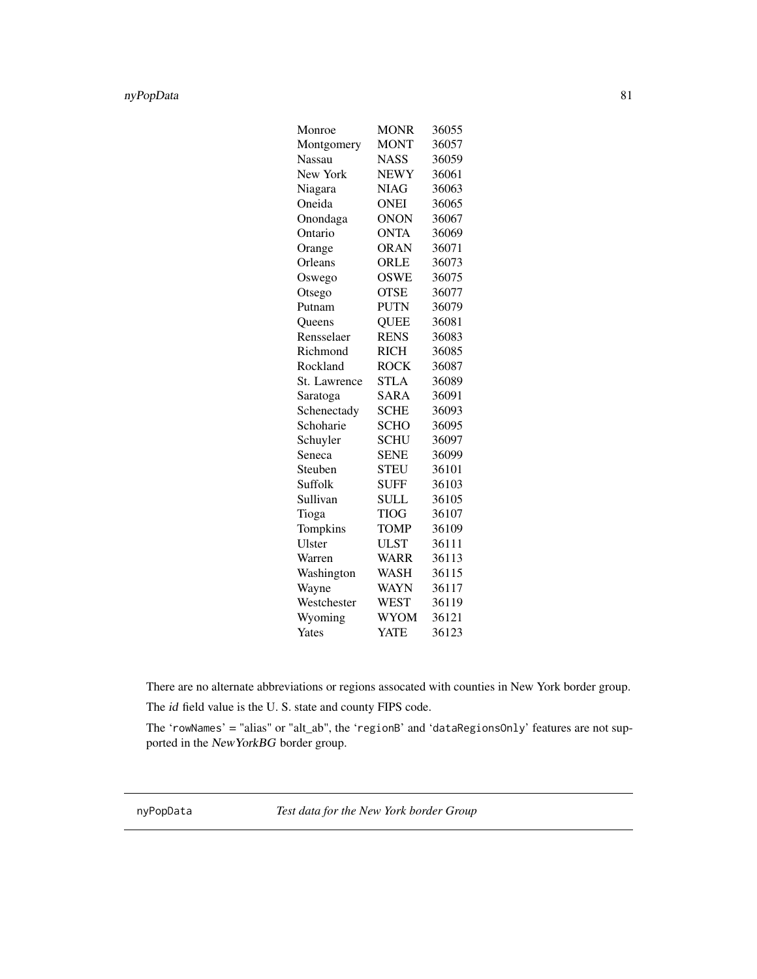# nyPopData 81

| Monroe        | <b>MONR</b> | 36055 |
|---------------|-------------|-------|
| Montgomery    | <b>MONT</b> | 36057 |
| <b>Nassau</b> | <b>NASS</b> | 36059 |
| New York      | <b>NEWY</b> | 36061 |
| Niagara       | <b>NIAG</b> | 36063 |
| Oneida        | <b>ONEI</b> | 36065 |
| Onondaga      | <b>ONON</b> | 36067 |
| Ontario       | <b>ONTA</b> | 36069 |
| Orange        | <b>ORAN</b> | 36071 |
| Orleans       | ORLE        | 36073 |
| Oswego        | <b>OSWE</b> | 36075 |
| Otsego        | <b>OTSE</b> | 36077 |
| Putnam        | <b>PUTN</b> | 36079 |
| <b>Oueens</b> | <b>QUEE</b> | 36081 |
| Rensselaer    | <b>RENS</b> | 36083 |
| Richmond      | <b>RICH</b> | 36085 |
| Rockland      | <b>ROCK</b> | 36087 |
| St. Lawrence  | <b>STLA</b> | 36089 |
| Saratoga      | SARA        | 36091 |
| Schenectady   | <b>SCHE</b> | 36093 |
| Schoharie     | <b>SCHO</b> | 36095 |
| Schuyler      | <b>SCHU</b> | 36097 |
| Seneca        | <b>SENE</b> | 36099 |
| Steuben       | <b>STEU</b> | 36101 |
| Suffolk       | <b>SUFF</b> | 36103 |
| Sullivan      | <b>SULL</b> | 36105 |
| Tioga         | <b>TIOG</b> | 36107 |
| Tompkins      | <b>TOMP</b> | 36109 |
| Ulster        | <b>ULST</b> | 36111 |
| Warren        | WARR        | 36113 |
| Washington    | <b>WASH</b> | 36115 |
| Wayne         | WAYN        | 36117 |
| Westchester   | <b>WEST</b> | 36119 |
| Wyoming       | WYOM        | 36121 |
| Yates         | YATE        | 36123 |

There are no alternate abbreviations or regions assocated with counties in New York border group.

The id field value is the U. S. state and county FIPS code.

The 'rowNames' = "alias" or "alt\_ab", the 'regionB' and 'dataRegionsOnly' features are not supported in the NewYorkBG border group.

nyPopData *Test data for the New York border Group*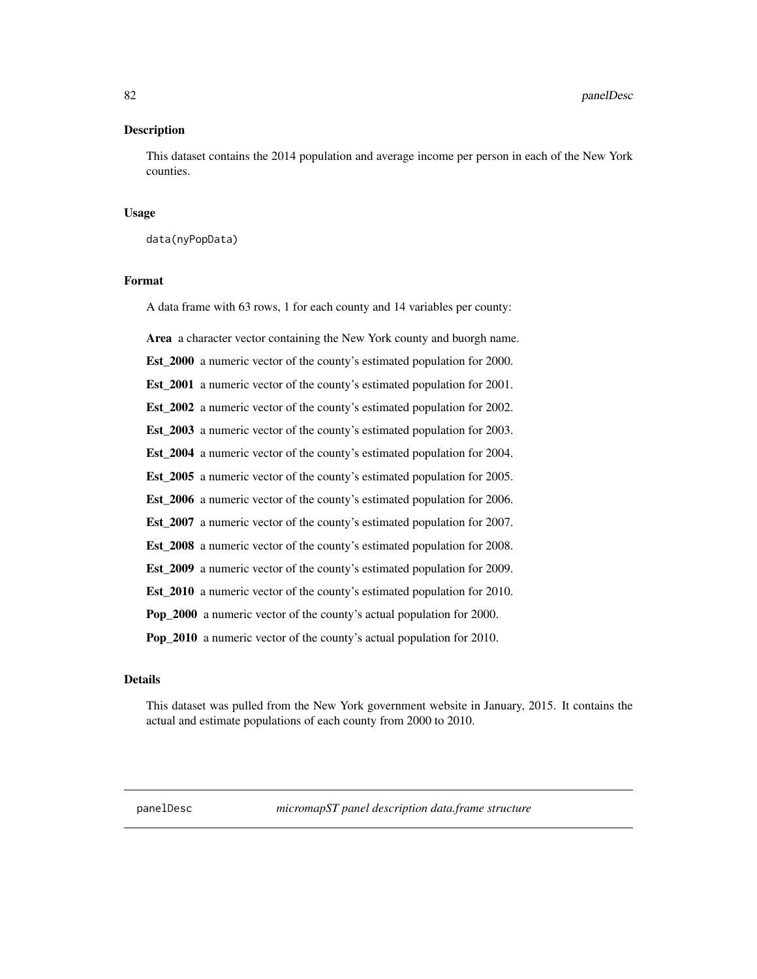82 **panelDesc** 

### **Description**

This dataset contains the 2014 population and average income per person in each of the New York counties.

### Usage

data(nyPopData)

### Format

A data frame with 63 rows, 1 for each county and 14 variables per county:

Area a character vector containing the New York county and buorgh name.

Est\_2000 a numeric vector of the county's estimated population for 2000.

Est\_2001 a numeric vector of the county's estimated population for 2001.

Est\_2002 a numeric vector of the county's estimated population for 2002.

Est\_2003 a numeric vector of the county's estimated population for 2003.

Est\_2004 a numeric vector of the county's estimated population for 2004.

Est\_2005 a numeric vector of the county's estimated population for 2005.

Est\_2006 a numeric vector of the county's estimated population for 2006.

Est\_2007 a numeric vector of the county's estimated population for 2007.

Est 2008 a numeric vector of the county's estimated population for 2008.

Est\_2009 a numeric vector of the county's estimated population for 2009.

Est\_2010 a numeric vector of the county's estimated population for 2010.

Pop\_2000 a numeric vector of the county's actual population for 2000.

Pop\_2010 a numeric vector of the county's actual population for 2010.

## Details

This dataset was pulled from the New York government website in January, 2015. It contains the actual and estimate populations of each county from 2000 to 2010.

panelDesc *micromapST panel description data.frame structure*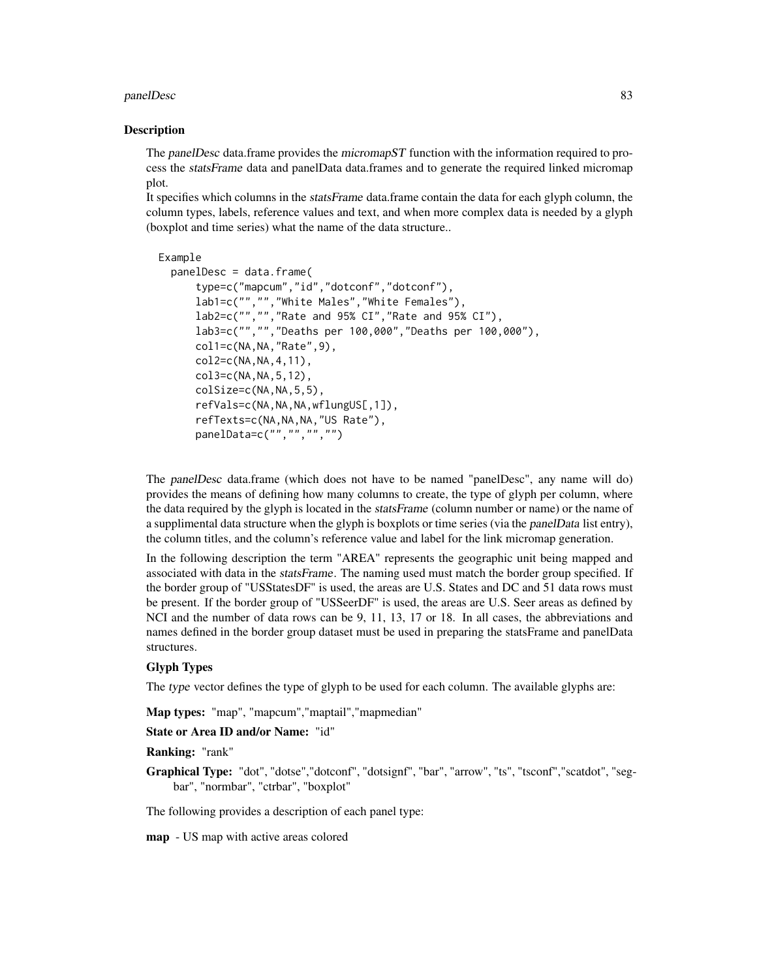#### panelDesc 83

#### Description

The panelDesc data.frame provides the micromapST function with the information required to process the statsFrame data and panelData data.frames and to generate the required linked micromap plot.

It specifies which columns in the statsFrame data.frame contain the data for each glyph column, the column types, labels, reference values and text, and when more complex data is needed by a glyph (boxplot and time series) what the name of the data structure..

```
Example
  panelDesc = data.frame(
      type=c("mapcum","id","dotconf","dotconf"),
      lab1=c("","","White Males","White Females"),
      lab2=c("","","Rate and 95% CI","Rate and 95% CI"),
      lab3=c("","","Deaths per 100,000","Deaths per 100,000"),
      col1=c(NA,NA,"Rate",9),
      col2=c(NA,NA,4,11),
      col3=c(NA,NA,5,12),
      colSize=c(NA,NA,5,5),
      refVals=c(NA,NA,NA,wflungUS[,1]),
      refTexts=c(NA,NA,NA,"US Rate"),
      panelData=c("","","","")
```
The panelDesc data.frame (which does not have to be named "panelDesc", any name will do) provides the means of defining how many columns to create, the type of glyph per column, where the data required by the glyph is located in the statsFrame (column number or name) or the name of a supplimental data structure when the glyph is boxplots or time series (via the panelData list entry), the column titles, and the column's reference value and label for the link micromap generation.

In the following description the term "AREA" represents the geographic unit being mapped and associated with data in the statsFrame. The naming used must match the border group specified. If the border group of "USStatesDF" is used, the areas are U.S. States and DC and 51 data rows must be present. If the border group of "USSeerDF" is used, the areas are U.S. Seer areas as defined by NCI and the number of data rows can be 9, 11, 13, 17 or 18. In all cases, the abbreviations and names defined in the border group dataset must be used in preparing the statsFrame and panelData structures.

#### Glyph Types

The type vector defines the type of glyph to be used for each column. The available glyphs are:

Map types: "map", "mapcum","maptail","mapmedian"

### State or Area ID and/or Name: "id"

Ranking: "rank"

Graphical Type: "dot", "dotse", "dotconf", "dotsignf", "bar", "arrow", "ts", "tsconf", "scatdot", "segbar", "normbar", "ctrbar", "boxplot"

The following provides a description of each panel type:

map - US map with active areas colored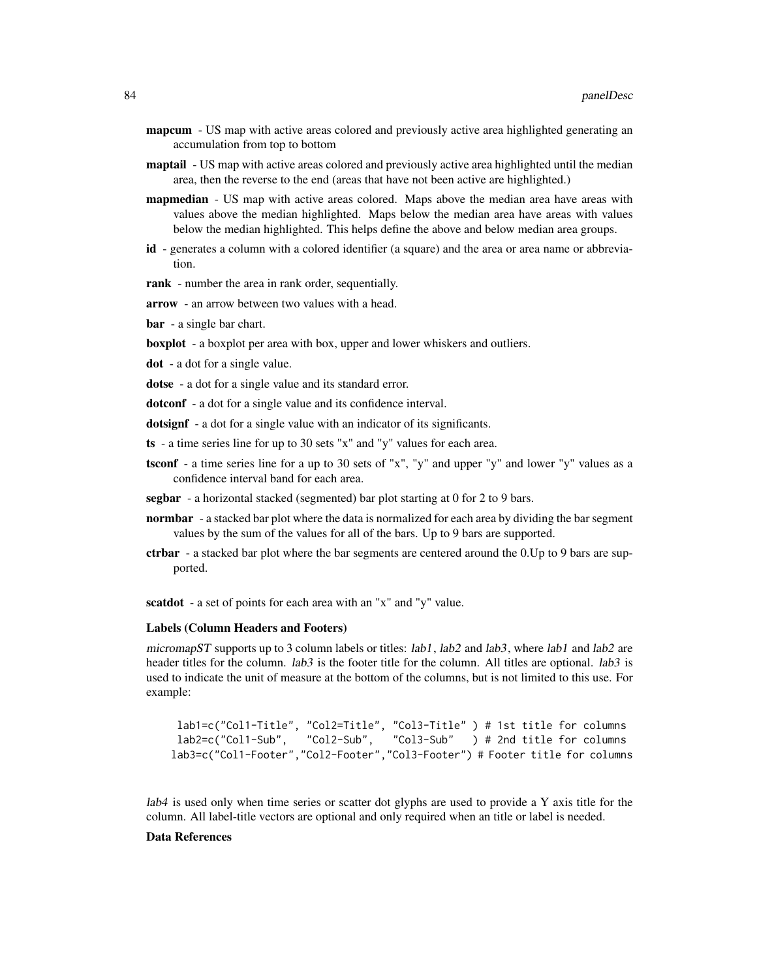- **mapcum** US map with active areas colored and previously active area highlighted generating an accumulation from top to bottom
- **maptail** US map with active areas colored and previously active area highlighted until the median area, then the reverse to the end (areas that have not been active are highlighted.)
- **mapmedian** US map with active areas colored. Maps above the median area have areas with values above the median highlighted. Maps below the median area have areas with values below the median highlighted. This helps define the above and below median area groups.
- id generates a column with a colored identifier (a square) and the area or area name or abbreviation.

rank - number the area in rank order, sequentially.

- arrow an arrow between two values with a head.
- bar a single bar chart.

boxplot - a boxplot per area with box, upper and lower whiskers and outliers.

dot - a dot for a single value.

dotse - a dot for a single value and its standard error.

dotconf - a dot for a single value and its confidence interval.

dotsignf - a dot for a single value with an indicator of its significants.

- ts a time series line for up to 30 sets "x" and "y" values for each area.
- tsconf a time series line for a up to 30 sets of "x", "y" and upper "y" and lower "y" values as a confidence interval band for each area.
- segbar a horizontal stacked (segmented) bar plot starting at 0 for 2 to 9 bars.
- **normbar** a stacked bar plot where the data is normalized for each area by dividing the bar segment values by the sum of the values for all of the bars. Up to 9 bars are supported.
- ctrbar a stacked bar plot where the bar segments are centered around the 0.Up to 9 bars are supported.

scatdot - a set of points for each area with an "x" and "y" value.

#### Labels (Column Headers and Footers)

micromapST supports up to 3 column labels or titles:  $lab1$ ,  $lab2$  and  $lab3$ , where  $lab1$  and  $lab2$  are header titles for the column. *lab3* is the footer title for the column. All titles are optional. *lab3* is used to indicate the unit of measure at the bottom of the columns, but is not limited to this use. For example:

```
lab1=c("Col1-Title", "Col2=Title", "Col3-Title" ) # 1st title for columns
lab2=c("Col1-Sub", "Col2-Sub", "Col3-Sub" ) # 2nd title for columns
lab3=c("Col1-Footer","Col2-Footer","Col3-Footer") # Footer title for columns
```
lab4 is used only when time series or scatter dot glyphs are used to provide a Y axis title for the column. All label-title vectors are optional and only required when an title or label is needed.

## Data References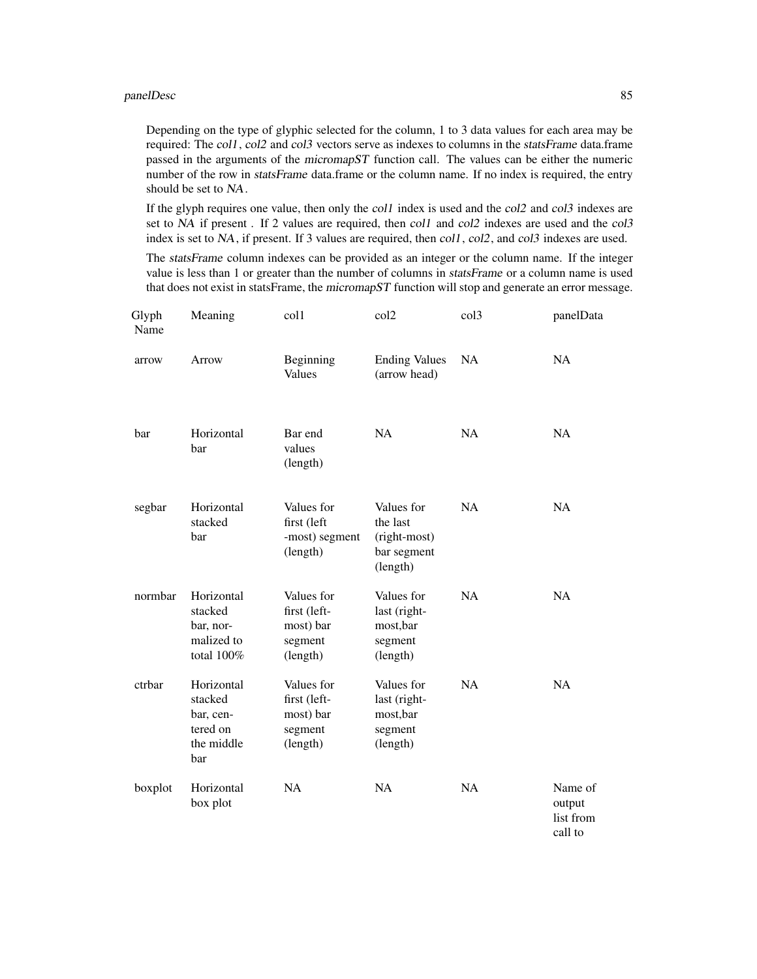#### panelDesc 85

Depending on the type of glyphic selected for the column, 1 to 3 data values for each area may be required: The col1, col2 and col3 vectors serve as indexes to columns in the statsFrame data.frame passed in the arguments of the micromapST function call. The values can be either the numeric number of the row in statsFrame data.frame or the column name. If no index is required, the entry should be set to NA.

If the glyph requires one value, then only the col1 index is used and the col2 and col3 indexes are set to NA if present . If 2 values are required, then col1 and col2 indexes are used and the col3 index is set to NA, if present. If 3 values are required, then  $\text{col1}, \text{col2}, \text{and } \text{col3}$  indexes are used.

The statsFrame column indexes can be provided as an integer or the column name. If the integer value is less than 1 or greater than the number of columns in statsFrame or a column name is used that does not exist in statsFrame, the micromapST function will stop and generate an error message.

| Glyph<br>Name | Meaning                                                             | $\text{col}1$                                                  | col <sub>2</sub>                                                  | col <sub>3</sub> | panelData                                 |
|---------------|---------------------------------------------------------------------|----------------------------------------------------------------|-------------------------------------------------------------------|------------------|-------------------------------------------|
| arrow         | Arrow                                                               | Beginning<br>Values                                            | <b>Ending Values</b><br>(arrow head)                              | <b>NA</b>        | NA                                        |
| bar           | Horizontal<br>bar                                                   | Bar end<br>values<br>(length)                                  | <b>NA</b>                                                         | NA               | NA                                        |
| segbar        | Horizontal<br>stacked<br>bar                                        | Values for<br>first (left<br>-most) segment<br>(length)        | Values for<br>the last<br>(right-most)<br>bar segment<br>(length) | <b>NA</b>        | <b>NA</b>                                 |
| normbar       | Horizontal<br>stacked<br>bar, nor-<br>malized to<br>total 100%      | Values for<br>first (left-<br>most) bar<br>segment<br>(length) | Values for<br>last (right-<br>most, bar<br>segment<br>(length)    | <b>NA</b>        | <b>NA</b>                                 |
| ctrbar        | Horizontal<br>stacked<br>bar, cen-<br>tered on<br>the middle<br>bar | Values for<br>first (left-<br>most) bar<br>segment<br>(length) | Values for<br>last (right-<br>most,bar<br>segment<br>(length)     | <b>NA</b>        | NA                                        |
| boxplot       | Horizontal<br>box plot                                              | <b>NA</b>                                                      | <b>NA</b>                                                         | <b>NA</b>        | Name of<br>output<br>list from<br>call to |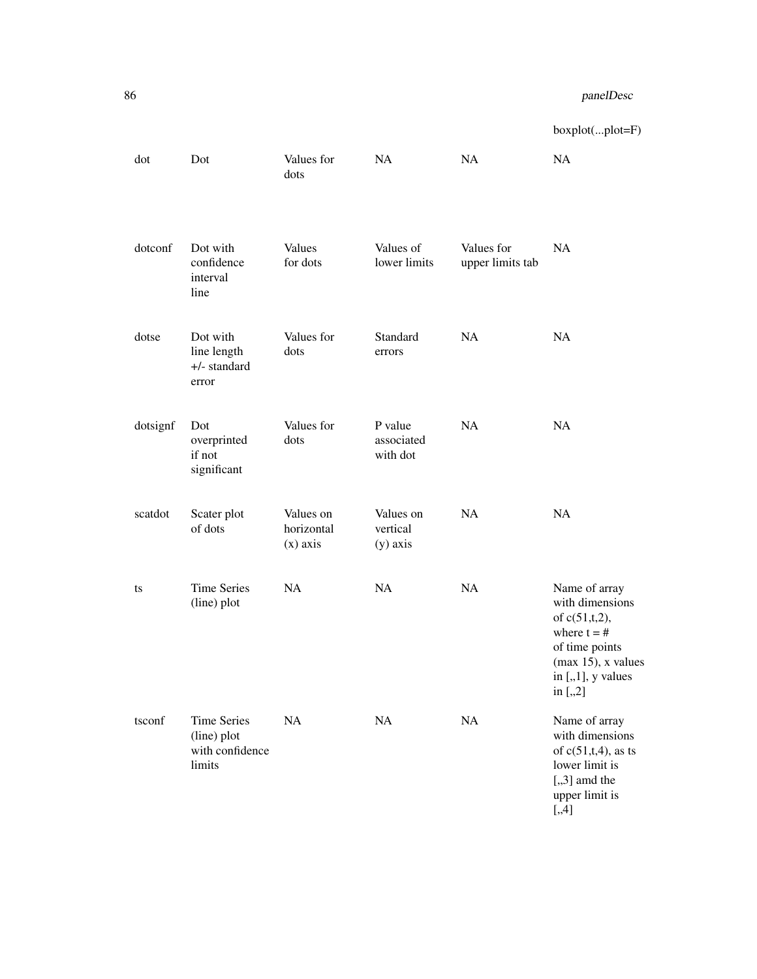boxplot(...plot=F)

| dot      | Dot                                                            | Values for<br>dots                    | NA                                  | NA                             | NA                                                                                                                                                      |
|----------|----------------------------------------------------------------|---------------------------------------|-------------------------------------|--------------------------------|---------------------------------------------------------------------------------------------------------------------------------------------------------|
| dotconf  | Dot with<br>confidence<br>interval<br>line                     | Values<br>for dots                    | Values of<br>lower limits           | Values for<br>upper limits tab | <b>NA</b>                                                                                                                                               |
| dotse    | Dot with<br>line length<br>$+/-$ standard<br>error             | Values for<br>dots                    | Standard<br>errors                  | <b>NA</b>                      | NA                                                                                                                                                      |
| dotsignf | Dot<br>overprinted<br>if not<br>significant                    | Values for<br>dots                    | P value<br>associated<br>with dot   | <b>NA</b>                      | NA                                                                                                                                                      |
| scatdot  | Scater plot<br>of dots                                         | Values on<br>horizontal<br>$(x)$ axis | Values on<br>vertical<br>$(y)$ axis | NA                             | NA                                                                                                                                                      |
| ts       | <b>Time Series</b><br>(line) plot                              | <b>NA</b>                             | NA                                  | NA                             | Name of array<br>with dimensions<br>of $c(51,t,2)$ ,<br>where $t = #$<br>of time points<br>$(max 15)$ , x values<br>in $[.,1]$ , y values<br>in $[.,2]$ |
| tsconf   | <b>Time Series</b><br>(line) plot<br>with confidence<br>limits | NA                                    | NA                                  | NA                             | Name of array<br>with dimensions<br>of $c(51,t,4)$ , as ts<br>lower limit is<br>$[, 3]$ amd the<br>upper limit is<br>$[.,4]$                            |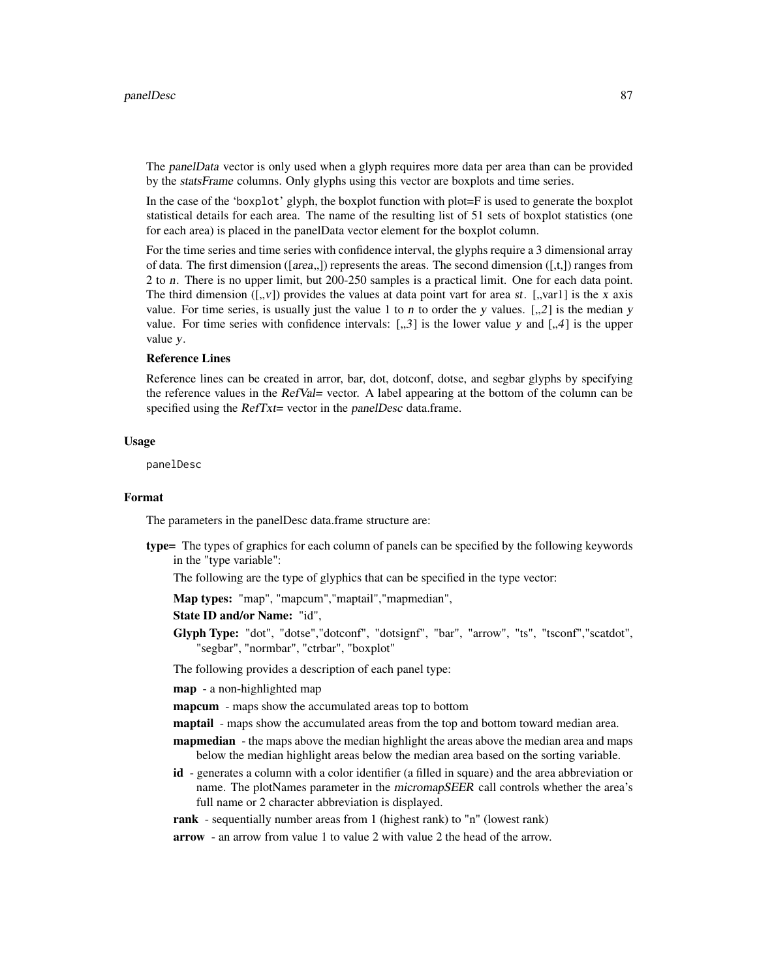The panelData vector is only used when a glyph requires more data per area than can be provided by the statsFrame columns. Only glyphs using this vector are boxplots and time series.

In the case of the 'boxplot' glyph, the boxplot function with plot=F is used to generate the boxplot statistical details for each area. The name of the resulting list of 51 sets of boxplot statistics (one for each area) is placed in the panelData vector element for the boxplot column.

For the time series and time series with confidence interval, the glyphs require a 3 dimensional array of data. The first dimension ([area,,]) represents the areas. The second dimension ([,t,]) ranges from 2 to n. There is no upper limit, but 200-250 samples is a practical limit. One for each data point. The third dimension  $([0, v])$  provides the values at data point vart for area st.  $[0, v$ vart] is the x axis value. For time series, is usually just the value 1 to n to order the y values.  $\lceil \frac{1}{2} \rceil$  is the median y value. For time series with confidence intervals:  $[, 3]$  is the lower value y and  $[, 4]$  is the upper value y.

#### Reference Lines

Reference lines can be created in arror, bar, dot, dotconf, dotse, and segbar glyphs by specifying the reference values in the RefVal= vector. A label appearing at the bottom of the column can be specified using the RefTxt= vector in the panelDesc data.frame.

#### Usage

panelDesc

### Format

The parameters in the panelDesc data.frame structure are:

type= The types of graphics for each column of panels can be specified by the following keywords in the "type variable":

The following are the type of glyphics that can be specified in the type vector:

Map types: "map", "mapcum","maptail","mapmedian",

State ID and/or Name: "id",

Glyph Type: "dot", "dotse","dotconf", "dotsignf", "bar", "arrow", "ts", "tsconf","scatdot", "segbar", "normbar", "ctrbar", "boxplot"

The following provides a description of each panel type:

map - a non-highlighted map

mapcum - maps show the accumulated areas top to bottom

maptail - maps show the accumulated areas from the top and bottom toward median area.

- **mapmedian** the maps above the median highlight the areas above the median area and maps below the median highlight areas below the median area based on the sorting variable.
- id generates a column with a color identifier (a filled in square) and the area abbreviation or name. The plotNames parameter in the micromapSEER call controls whether the area's full name or 2 character abbreviation is displayed.
- rank sequentially number areas from 1 (highest rank) to "n" (lowest rank)
- arrow an arrow from value 1 to value 2 with value 2 the head of the arrow.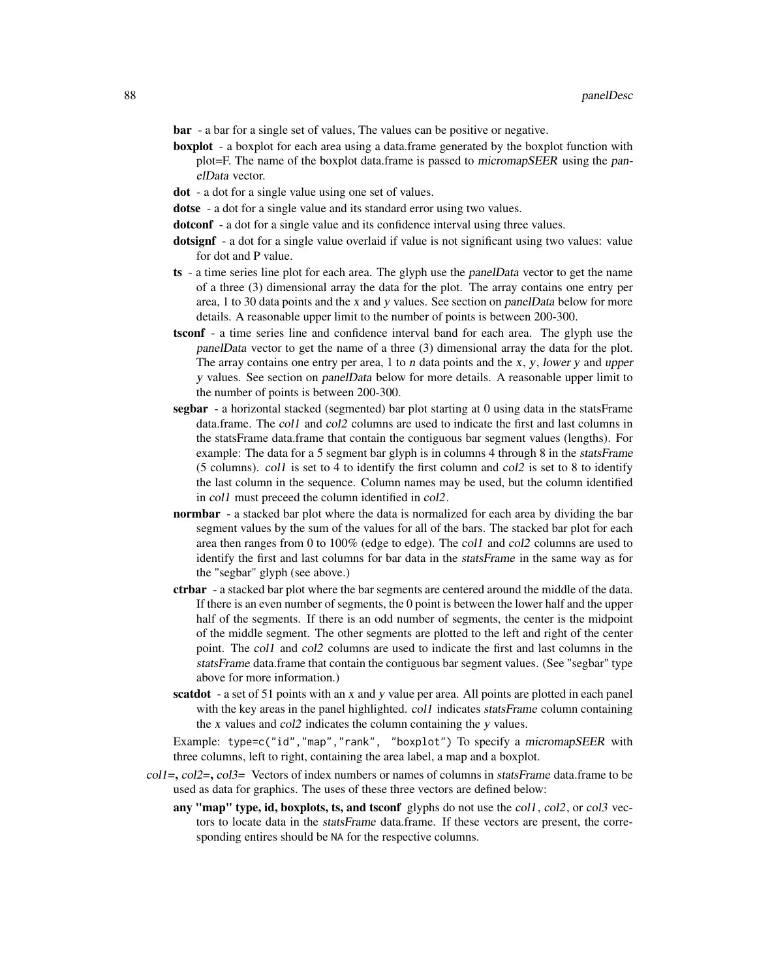bar - a bar for a single set of values, The values can be positive or negative.

- boxplot a boxplot for each area using a data.frame generated by the boxplot function with plot=F. The name of the boxplot data.frame is passed to micromapSEER using the panelData vector.
- dot a dot for a single value using one set of values.
- dotse a dot for a single value and its standard error using two values.
- dotconf a dot for a single value and its confidence interval using three values.
- dotsignf a dot for a single value overlaid if value is not significant using two values: value for dot and P value.
- ts a time series line plot for each area. The glyph use the panelData vector to get the name of a three (3) dimensional array the data for the plot. The array contains one entry per area, 1 to 30 data points and the x and y values. See section on panelData below for more details. A reasonable upper limit to the number of points is between 200-300.
- tsconf a time series line and confidence interval band for each area. The glyph use the panelData vector to get the name of a three (3) dimensional array the data for the plot. The array contains one entry per area,  $1$  to  $n$  data points and the  $x$ ,  $y$ , lower  $y$  and upper y values. See section on panelData below for more details. A reasonable upper limit to the number of points is between 200-300.
- segbar a horizontal stacked (segmented) bar plot starting at 0 using data in the statsFrame data.frame. The col1 and col2 columns are used to indicate the first and last columns in the statsFrame data.frame that contain the contiguous bar segment values (lengths). For example: The data for a 5 segment bar glyph is in columns 4 through 8 in the *statsFrame* (5 columns). col1 is set to 4 to identify the first column and col2 is set to 8 to identify the last column in the sequence. Column names may be used, but the column identified in col1 must preceed the column identified in col2.
- normbar a stacked bar plot where the data is normalized for each area by dividing the bar segment values by the sum of the values for all of the bars. The stacked bar plot for each area then ranges from 0 to 100% (edge to edge). The col1 and col2 columns are used to identify the first and last columns for bar data in the statsFrame in the same way as for the "segbar" glyph (see above.)
- ctrbar a stacked bar plot where the bar segments are centered around the middle of the data. If there is an even number of segments, the 0 point is between the lower half and the upper half of the segments. If there is an odd number of segments, the center is the midpoint of the middle segment. The other segments are plotted to the left and right of the center point. The col1 and col2 columns are used to indicate the first and last columns in the statsFrame data.frame that contain the contiguous bar segment values. (See "segbar" type above for more information.)
- scatdot a set of 51 points with an x and y value per area. All points are plotted in each panel with the key areas in the panel highlighted. coll indicates statsFrame column containing the x values and col2 indicates the column containing the y values.

Example: type=c("id","map","rank", "boxplot") To specify a micromapSEER with three columns, left to right, containing the area label, a map and a boxplot.

- $coll=$ ,  $col2=$ ,  $col3=$  Vectors of index numbers or names of columns in statsFrame data.frame to be used as data for graphics. The uses of these three vectors are defined below:
	- any "map" type, id, boxplots, ts, and tsconf glyphs do not use the col1, col2, or col3 vectors to locate data in the statsFrame data.frame. If these vectors are present, the corresponding entires should be NA for the respective columns.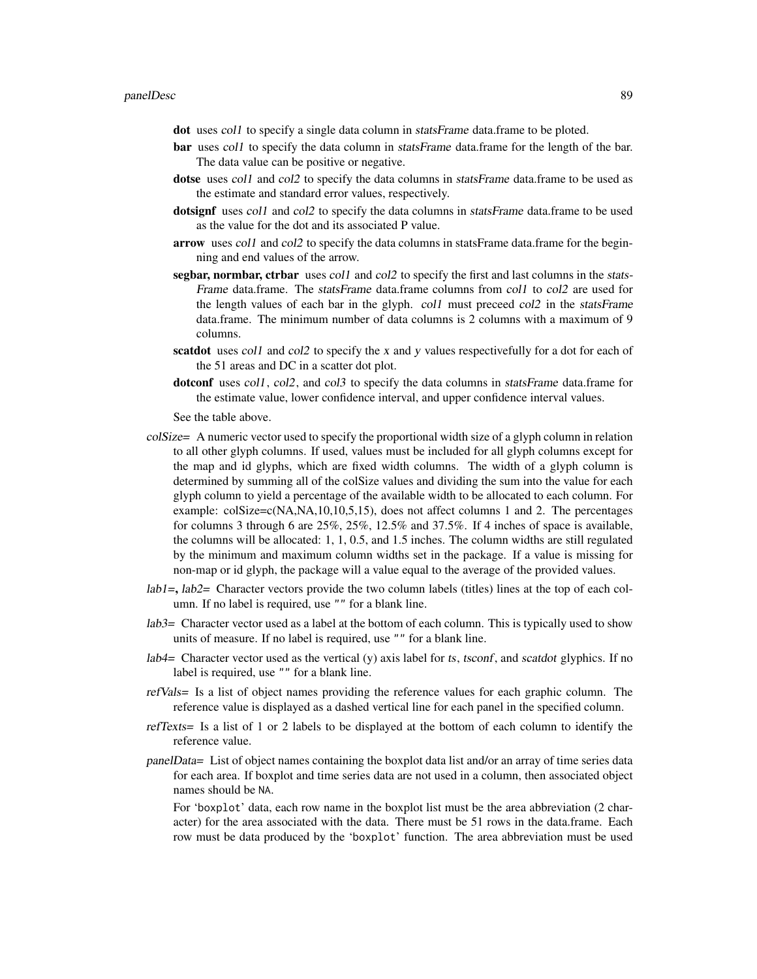dot uses col1 to specify a single data column in statsFrame data.frame to be ploted.

- bar uses col1 to specify the data column in statsFrame data.frame for the length of the bar. The data value can be positive or negative.
- dotse uses coll and col2 to specify the data columns in *statsFrame* data.frame to be used as the estimate and standard error values, respectively.
- dotsignf uses col1 and col2 to specify the data columns in statsFrame data.frame to be used as the value for the dot and its associated P value.
- arrow uses col1 and col2 to specify the data columns in statsFrame data.frame for the beginning and end values of the arrow.
- segbar, normbar, ctrbar uses coll and col2 to specify the first and last columns in the stats-Frame data.frame. The *statsFrame* data.frame columns from col1 to col2 are used for the length values of each bar in the glyph. col1 must preceed col2 in the statsFrame data.frame. The minimum number of data columns is 2 columns with a maximum of 9 columns.
- scatdot uses coll and col2 to specify the x and y values respectivefully for a dot for each of the 51 areas and DC in a scatter dot plot.
- dotconf uses col1, col2, and col3 to specify the data columns in *statsFrame* data.frame for the estimate value, lower confidence interval, and upper confidence interval values.

See the table above.

- colSize= A numeric vector used to specify the proportional width size of a glyph column in relation to all other glyph columns. If used, values must be included for all glyph columns except for the map and id glyphs, which are fixed width columns. The width of a glyph column is determined by summing all of the colSize values and dividing the sum into the value for each glyph column to yield a percentage of the available width to be allocated to each column. For example: colSize=c(NA,NA,10,10,5,15), does not affect columns 1 and 2. The percentages for columns 3 through 6 are 25%, 25%, 12.5% and 37.5%. If 4 inches of space is available, the columns will be allocated: 1, 1, 0.5, and 1.5 inches. The column widths are still regulated by the minimum and maximum column widths set in the package. If a value is missing for non-map or id glyph, the package will a value equal to the average of the provided values.
- $lab1=$ ,  $lab2=$  Character vectors provide the two column labels (titles) lines at the top of each column. If no label is required, use "" for a blank line.
- lab3= Character vector used as a label at the bottom of each column. This is typically used to show units of measure. If no label is required, use "" for a blank line.
- $lab4=$  Character vector used as the vertical (y) axis label for ts, tsconf, and scatdot glyphics. If no label is required, use "" for a blank line.
- refVals= Is a list of object names providing the reference values for each graphic column. The reference value is displayed as a dashed vertical line for each panel in the specified column.
- refTexts= Is a list of 1 or 2 labels to be displayed at the bottom of each column to identify the reference value.
- panelData= List of object names containing the boxplot data list and/or an array of time series data for each area. If boxplot and time series data are not used in a column, then associated object names should be NA.

For 'boxplot' data, each row name in the boxplot list must be the area abbreviation (2 character) for the area associated with the data. There must be 51 rows in the data.frame. Each row must be data produced by the 'boxplot' function. The area abbreviation must be used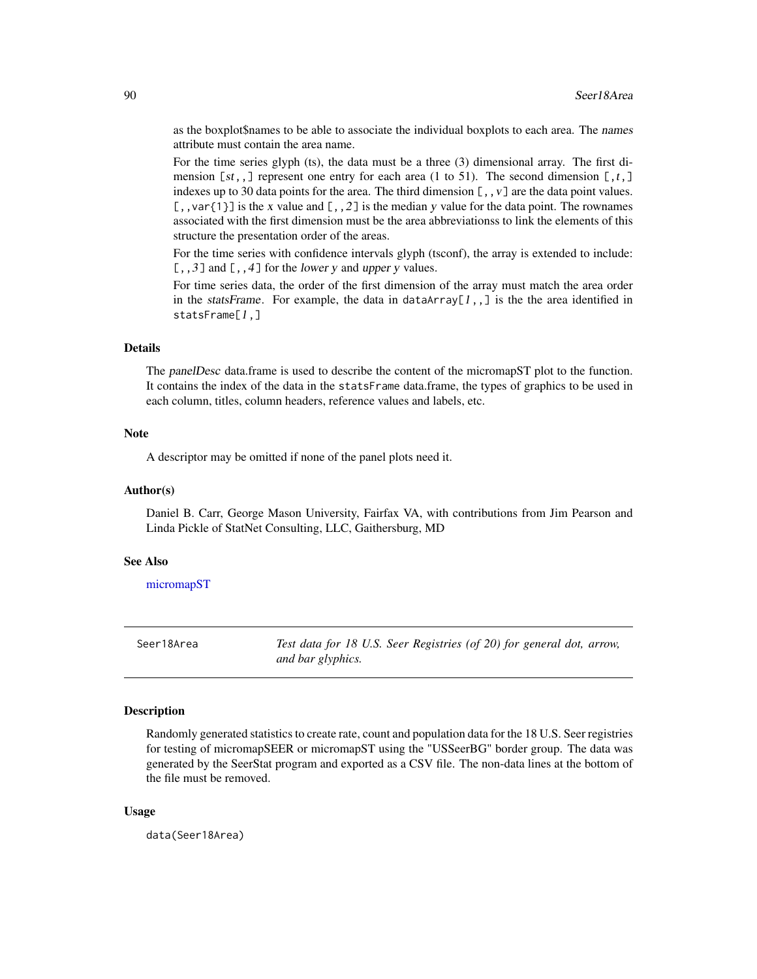as the boxplot\$names to be able to associate the individual boxplots to each area. The names attribute must contain the area name.

For the time series glyph (ts), the data must be a three (3) dimensional array. The first dimension  $[st, ]$  represent one entry for each area (1 to 51). The second dimension  $[, t, ]$ indexes up to 30 data points for the area. The third dimension  $[\, ,\, ,\, \nu\, ]$  are the data point values.  $[$ ,, var $\{1\}$ ] is the x value and  $[$ ,  $,2$ ] is the median y value for the data point. The rownames associated with the first dimension must be the area abbreviationss to link the elements of this structure the presentation order of the areas.

For the time series with confidence intervals glyph (tsconf), the array is extended to include:  $[0, 3]$  and  $[0, 4]$  for the lower y and upper y values.

For time series data, the order of the first dimension of the array must match the area order in the statsFrame. For example, the data in dataArray[1,,] is the the area identified in statsFrame[1,]

### Details

The panelDesc data.frame is used to describe the content of the micromapST plot to the function. It contains the index of the data in the statsFrame data.frame, the types of graphics to be used in each column, titles, column headers, reference values and labels, etc.

### **Note**

A descriptor may be omitted if none of the panel plots need it.

### Author(s)

Daniel B. Carr, George Mason University, Fairfax VA, with contributions from Jim Pearson and Linda Pickle of StatNet Consulting, LLC, Gaithersburg, MD

### See Also

[micromapST](#page-59-0)

Seer18Area *Test data for 18 U.S. Seer Registries (of 20) for general dot, arrow, and bar glyphics.*

#### Description

Randomly generated statistics to create rate, count and population data for the 18 U.S. Seer registries for testing of micromapSEER or micromapST using the "USSeerBG" border group. The data was generated by the SeerStat program and exported as a CSV file. The non-data lines at the bottom of the file must be removed.

#### Usage

data(Seer18Area)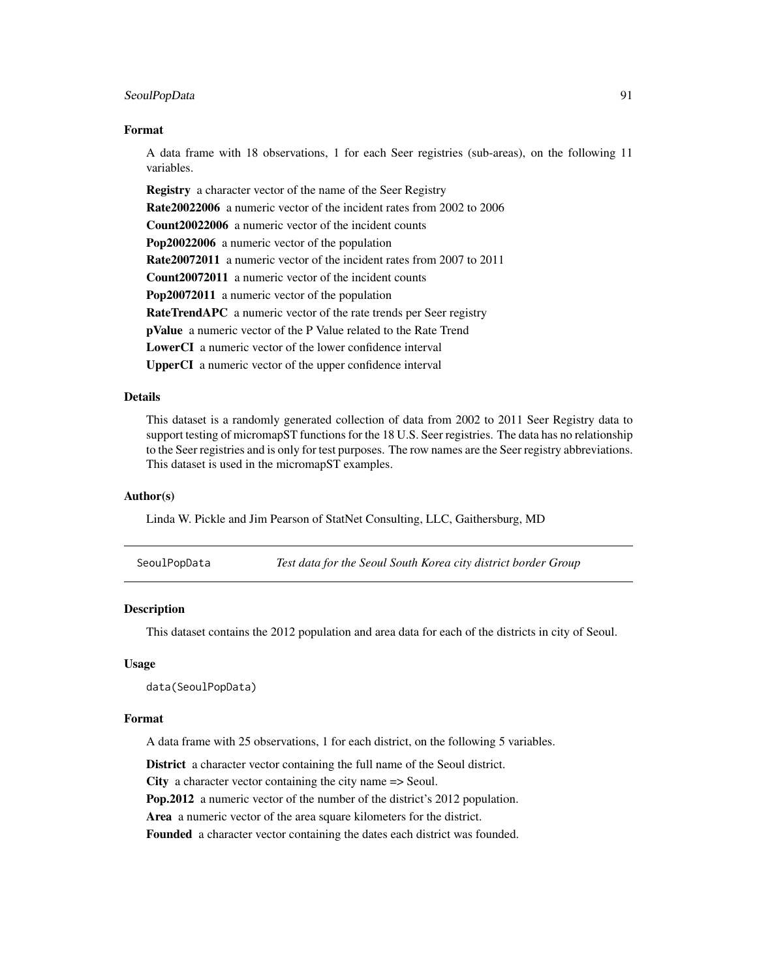### SeoulPopData 91

#### Format

A data frame with 18 observations, 1 for each Seer registries (sub-areas), on the following 11 variables.

Registry a character vector of the name of the Seer Registry Rate20022006 a numeric vector of the incident rates from 2002 to 2006 Count20022006 a numeric vector of the incident counts Pop20022006 a numeric vector of the population Rate20072011 a numeric vector of the incident rates from 2007 to 2011 Count20072011 a numeric vector of the incident counts Pop20072011 a numeric vector of the population RateTrendAPC a numeric vector of the rate trends per Seer registry pValue a numeric vector of the P Value related to the Rate Trend LowerCI a numeric vector of the lower confidence interval UpperCI a numeric vector of the upper confidence interval

### Details

This dataset is a randomly generated collection of data from 2002 to 2011 Seer Registry data to support testing of micromapST functions for the 18 U.S. Seer registries. The data has no relationship to the Seer registries and is only for test purposes. The row names are the Seer registry abbreviations. This dataset is used in the micromapST examples.

### Author(s)

Linda W. Pickle and Jim Pearson of StatNet Consulting, LLC, Gaithersburg, MD

| SeoulPopData |  | Test data for the Seoul South Korea city district border Group |  |  |
|--------------|--|----------------------------------------------------------------|--|--|
|              |  |                                                                |  |  |

### Description

This dataset contains the 2012 population and area data for each of the districts in city of Seoul.

### Usage

data(SeoulPopData)

### Format

A data frame with 25 observations, 1 for each district, on the following 5 variables.

District a character vector containing the full name of the Seoul district. City a character vector containing the city name => Seoul. Pop.2012 a numeric vector of the number of the district's 2012 population. Area a numeric vector of the area square kilometers for the district. Founded a character vector containing the dates each district was founded.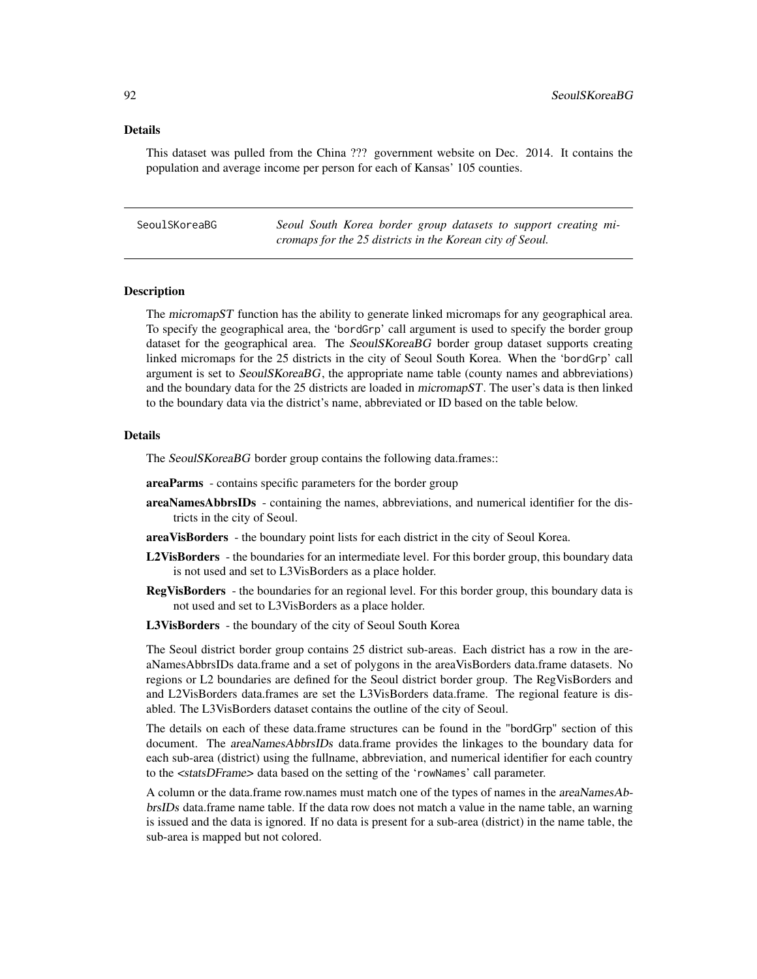### Details

This dataset was pulled from the China ??? government website on Dec. 2014. It contains the population and average income per person for each of Kansas' 105 counties.

SeoulSKoreaBG *Seoul South Korea border group datasets to support creating micromaps for the 25 districts in the Korean city of Seoul.*

### Description

The micromapST function has the ability to generate linked micromaps for any geographical area. To specify the geographical area, the 'bordGrp' call argument is used to specify the border group dataset for the geographical area. The SeoulSKoreaBG border group dataset supports creating linked micromaps for the 25 districts in the city of Seoul South Korea. When the 'bordGrp' call argument is set to SeoulSKoreaBG, the appropriate name table (county names and abbreviations) and the boundary data for the 25 districts are loaded in micromapST. The user's data is then linked to the boundary data via the district's name, abbreviated or ID based on the table below.

### Details

The SeoulSKoreaBG border group contains the following data.frames::

- areaParms contains specific parameters for the border group
- areaNamesAbbrsIDs containing the names, abbreviations, and numerical identifier for the districts in the city of Seoul.
- areaVisBorders the boundary point lists for each district in the city of Seoul Korea.
- L2VisBorders the boundaries for an intermediate level. For this border group, this boundary data is not used and set to L3VisBorders as a place holder.
- RegVisBorders the boundaries for an regional level. For this border group, this boundary data is not used and set to L3VisBorders as a place holder.
- L3VisBorders the boundary of the city of Seoul South Korea

The Seoul district border group contains 25 district sub-areas. Each district has a row in the areaNamesAbbrsIDs data.frame and a set of polygons in the areaVisBorders data.frame datasets. No regions or L2 boundaries are defined for the Seoul district border group. The RegVisBorders and and L2VisBorders data.frames are set the L3VisBorders data.frame. The regional feature is disabled. The L3VisBorders dataset contains the outline of the city of Seoul.

The details on each of these data.frame structures can be found in the "bordGrp" section of this document. The *areaNamesAbbrsIDs* data.frame provides the linkages to the boundary data for each sub-area (district) using the fullname, abbreviation, and numerical identifier for each country to the <statsDFrame> data based on the setting of the 'rowNames' call parameter.

A column or the data.frame row.names must match one of the types of names in the areaNamesAbbrsIDs data.frame name table. If the data row does not match a value in the name table, an warning is issued and the data is ignored. If no data is present for a sub-area (district) in the name table, the sub-area is mapped but not colored.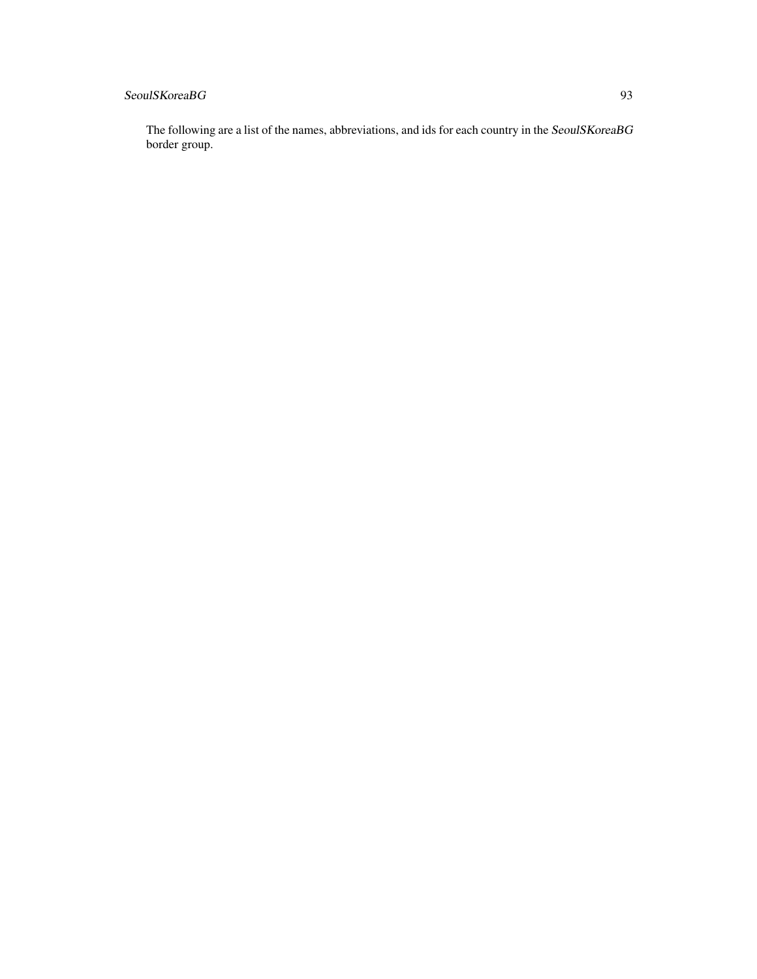# SeoulSKoreaBG 93

The following are a list of the names, abbreviations, and ids for each country in the SeoulSKoreaBG border group.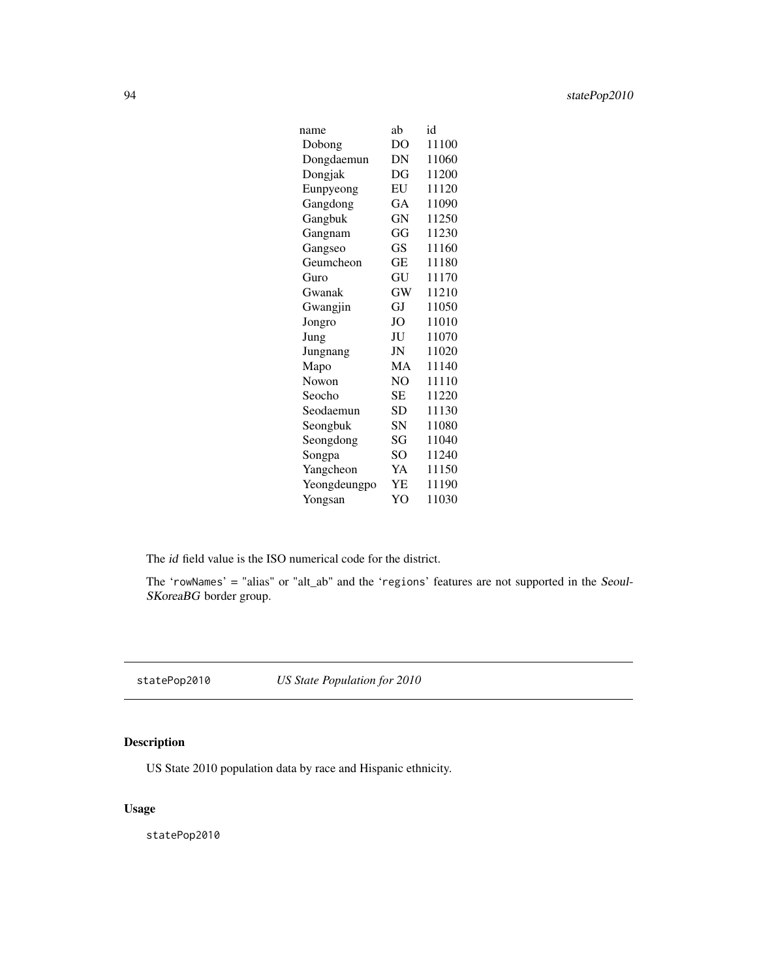| name         | ab        | id    |
|--------------|-----------|-------|
| Dobong       | DO        | 11100 |
| Dongdaemun   | DN        | 11060 |
| Dongjak      | DG        | 11200 |
| Eunpyeong    | EU        | 11120 |
| Gangdong     | GA        | 11090 |
| Gangbuk      | GN        | 11250 |
| Gangnam      | GG        | 11230 |
| Gangseo      | GS        | 11160 |
| Geumcheon    | GЕ        | 11180 |
| Guro         | GU        | 11170 |
| Gwanak       | <b>GW</b> | 11210 |
| Gwangjin     | GJ        | 11050 |
| Jongro       | JO        | 11010 |
| Jung         | JU        | 11070 |
| Jungnang     | JN        | 11020 |
| Mapo         | MA        | 11140 |
| Nowon        | NO        | 11110 |
| Seocho       | SЕ        | 11220 |
| Seodaemun    | <b>SD</b> | 11130 |
| Seongbuk     | SN        | 11080 |
| Seongdong    | SG        | 11040 |
| Songpa       | SO        | 11240 |
| Yangcheon    | YA        | 11150 |
| Yeongdeungpo | YΕ        | 11190 |
| Yongsan      | YO        | 11030 |

The id field value is the ISO numerical code for the district.

The 'rowNames' = "alias" or "alt\_ab" and the 'regions' features are not supported in the Seoul-SKoreaBG border group.

statePop2010 *US State Population for 2010*

# Description

US State 2010 population data by race and Hispanic ethnicity.

# Usage

statePop2010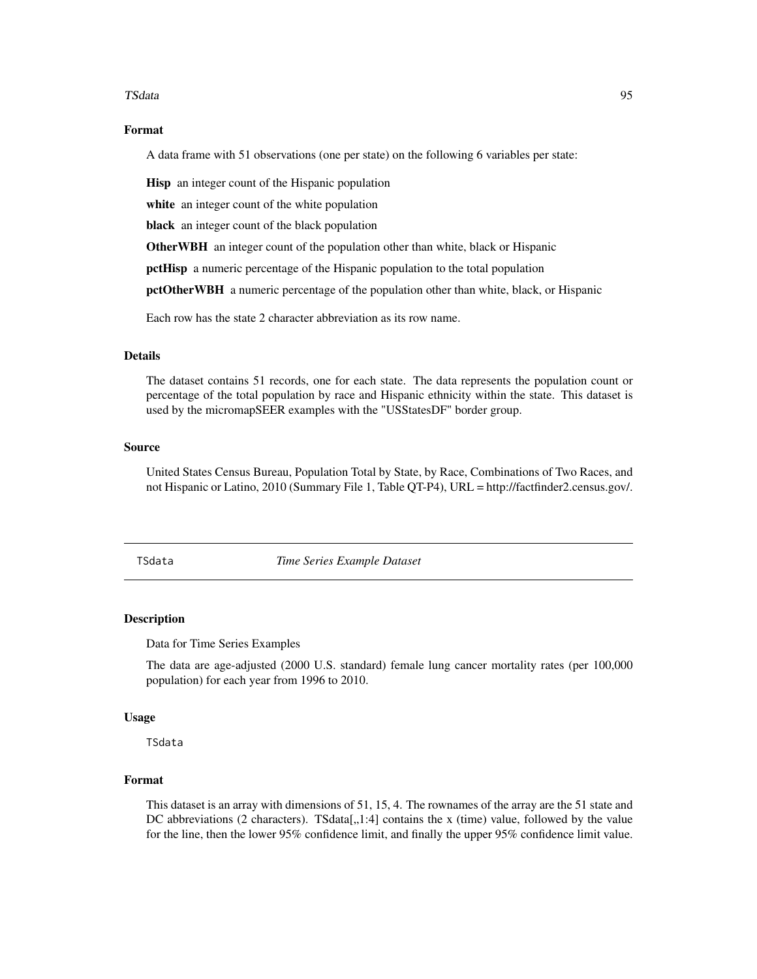#### TSdata 95

### Format

A data frame with 51 observations (one per state) on the following 6 variables per state:

Hisp an integer count of the Hispanic population

white an integer count of the white population

black an integer count of the black population

OtherWBH an integer count of the population other than white, black or Hispanic

pctHisp a numeric percentage of the Hispanic population to the total population

pctOtherWBH a numeric percentage of the population other than white, black, or Hispanic

Each row has the state 2 character abbreviation as its row name.

### Details

The dataset contains 51 records, one for each state. The data represents the population count or percentage of the total population by race and Hispanic ethnicity within the state. This dataset is used by the micromapSEER examples with the "USStatesDF" border group.

### Source

United States Census Bureau, Population Total by State, by Race, Combinations of Two Races, and not Hispanic or Latino, 2010 (Summary File 1, Table QT-P4), URL = http://factfinder2.census.gov/.

TSdata *Time Series Example Dataset*

### Description

Data for Time Series Examples

The data are age-adjusted (2000 U.S. standard) female lung cancer mortality rates (per 100,000 population) for each year from 1996 to 2010.

#### Usage

TSdata

### Format

This dataset is an array with dimensions of 51, 15, 4. The rownames of the array are the 51 state and DC abbreviations (2 characters). TSdata[ $, 1:4$ ] contains the x (time) value, followed by the value for the line, then the lower 95% confidence limit, and finally the upper 95% confidence limit value.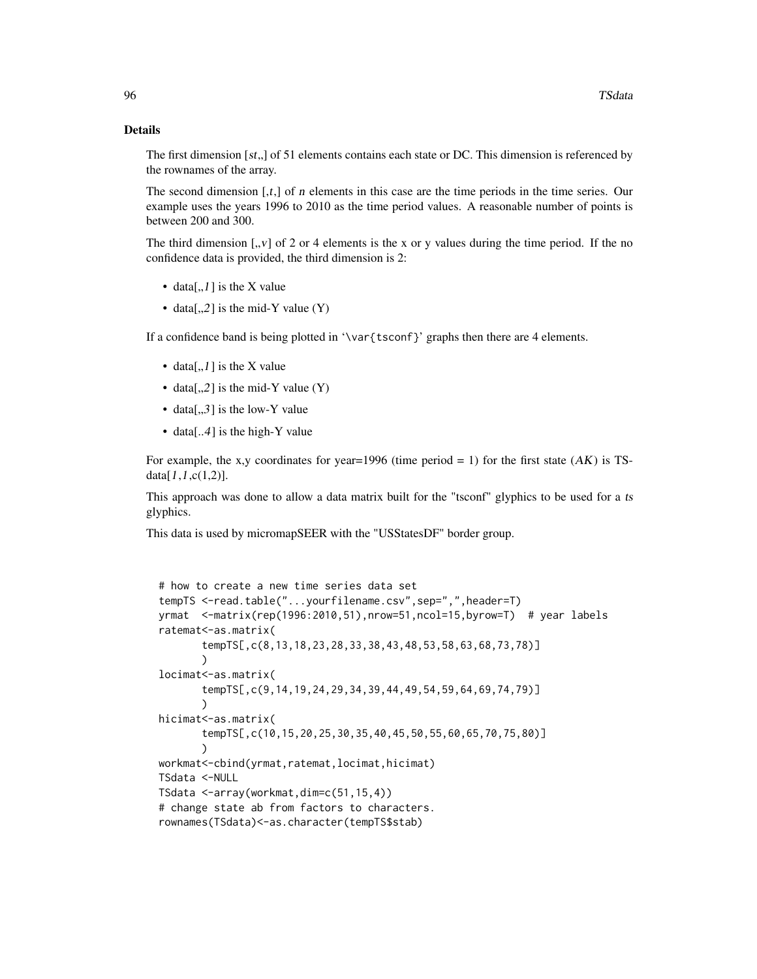#### Details

The first dimension  $[st, ]$  of 51 elements contains each state or DC. This dimension is referenced by the rownames of the array.

The second dimension  $[t, t]$  of *n* elements in this case are the time periods in the time series. Our example uses the years 1996 to 2010 as the time period values. A reasonable number of points is between 200 and 300.

The third dimension  $\left[ \cdot, v \right]$  of 2 or 4 elements is the x or y values during the time period. If the no confidence data is provided, the third dimension is 2:

- data[,,1] is the X value
- data[,,2] is the mid-Y value  $(Y)$

If a confidence band is being plotted in '\var{tsconf}' graphs then there are 4 elements.

- data[,,1] is the X value
- data[,,2] is the mid-Y value  $(Y)$
- data[ $, 3$ ] is the low-Y value
- data[..4] is the high-Y value

For example, the x,y coordinates for year=1996 (time period = 1) for the first state  $(AK)$  is TSdata $[1,1,c(1,2)].$ 

This approach was done to allow a data matrix built for the "tsconf" glyphics to be used for a ts glyphics.

This data is used by micromapSEER with the "USStatesDF" border group.

```
# how to create a new time series data set
tempTS <-read.table("...yourfilename.csv",sep=",",header=T)
yrmat <-matrix(rep(1996:2010,51),nrow=51,ncol=15,byrow=T) # year labels
ratemat<-as.matrix(
       tempTS[,c(8,13,18,23,28,33,38,43,48,53,58,63,68,73,78)]
       )
locimat<-as.matrix(
       tempTS[,c(9,14,19,24,29,34,39,44,49,54,59,64,69,74,79)]
       )
hicimat<-as.matrix(
       tempTS[,c(10,15,20,25,30,35,40,45,50,55,60,65,70,75,80)]
       \lambdaworkmat<-cbind(yrmat,ratemat,locimat,hicimat)
TSdata <-NULL
TSdata <-array(workmat,dim=c(51,15,4))
# change state ab from factors to characters.
rownames(TSdata)<-as.character(tempTS$stab)
```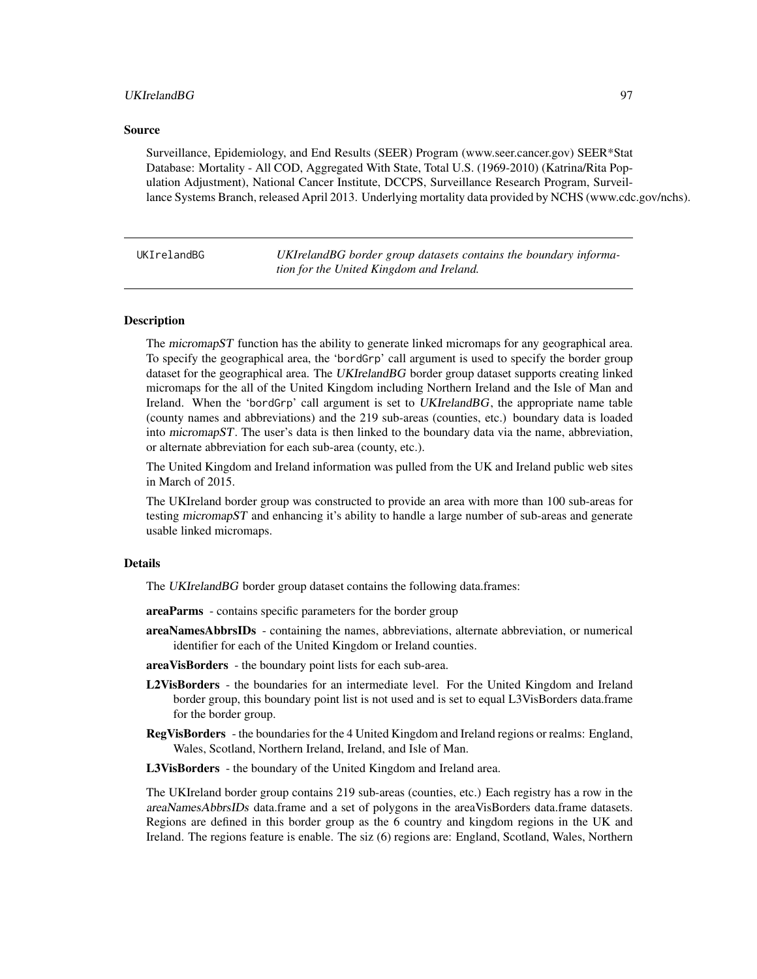### UKIrelandBG 97

### Source

Surveillance, Epidemiology, and End Results (SEER) Program (www.seer.cancer.gov) SEER\*Stat Database: Mortality - All COD, Aggregated With State, Total U.S. (1969-2010) (Katrina/Rita Population Adjustment), National Cancer Institute, DCCPS, Surveillance Research Program, Surveillance Systems Branch, released April 2013. Underlying mortality data provided by NCHS (www.cdc.gov/nchs).

UKIrelandBG *UKIrelandBG border group datasets contains the boundary information for the United Kingdom and Ireland.*

### **Description**

The micromapST function has the ability to generate linked micromaps for any geographical area. To specify the geographical area, the 'bordGrp' call argument is used to specify the border group dataset for the geographical area. The UKIrelandBG border group dataset supports creating linked micromaps for the all of the United Kingdom including Northern Ireland and the Isle of Man and Ireland. When the 'bordGrp' call argument is set to UKIrelandBG, the appropriate name table (county names and abbreviations) and the 219 sub-areas (counties, etc.) boundary data is loaded into micromapST. The user's data is then linked to the boundary data via the name, abbreviation, or alternate abbreviation for each sub-area (county, etc.).

The United Kingdom and Ireland information was pulled from the UK and Ireland public web sites in March of 2015.

The UKIreland border group was constructed to provide an area with more than 100 sub-areas for testing micromapST and enhancing it's ability to handle a large number of sub-areas and generate usable linked micromaps.

### Details

The UKIrelandBG border group dataset contains the following data.frames:

- areaParms contains specific parameters for the border group
- areaNamesAbbrsIDs containing the names, abbreviations, alternate abbreviation, or numerical identifier for each of the United Kingdom or Ireland counties.
- areaVisBorders the boundary point lists for each sub-area.
- L2VisBorders the boundaries for an intermediate level. For the United Kingdom and Ireland border group, this boundary point list is not used and is set to equal L3VisBorders data.frame for the border group.
- RegVisBorders the boundaries for the 4 United Kingdom and Ireland regions or realms: England, Wales, Scotland, Northern Ireland, Ireland, and Isle of Man.

L3VisBorders - the boundary of the United Kingdom and Ireland area.

The UKIreland border group contains 219 sub-areas (counties, etc.) Each registry has a row in the areaNamesAbbrsIDs data.frame and a set of polygons in the areaVisBorders data.frame datasets. Regions are defined in this border group as the 6 country and kingdom regions in the UK and Ireland. The regions feature is enable. The siz (6) regions are: England, Scotland, Wales, Northern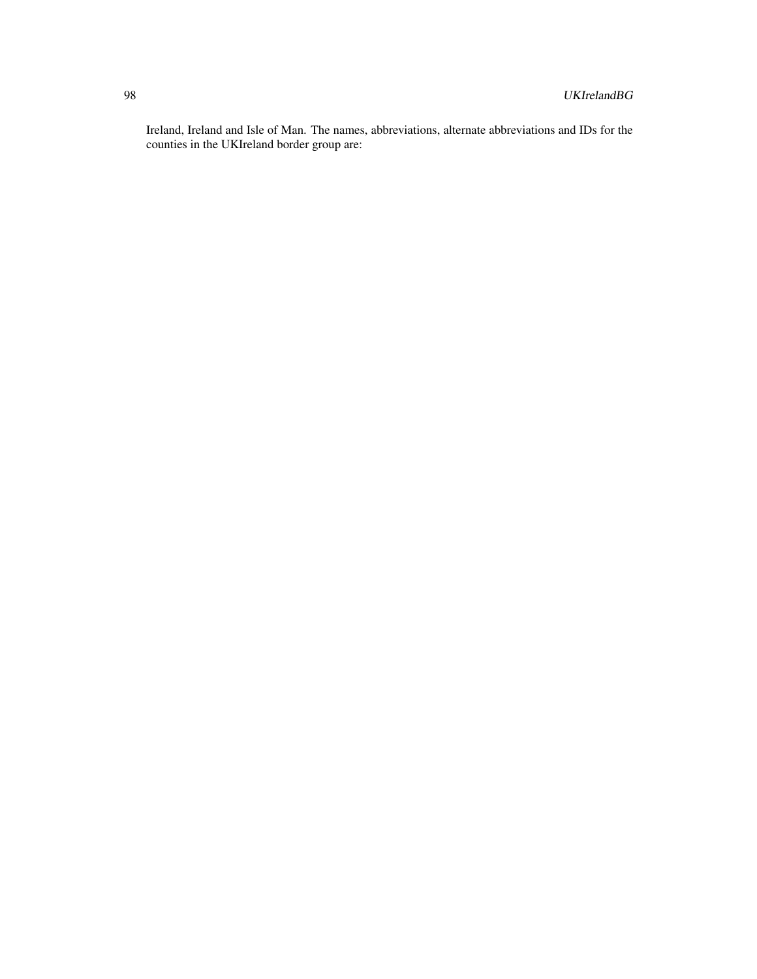Ireland, Ireland and Isle of Man. The names, abbreviations, alternate abbreviations and IDs for the counties in the UKIreland border group are: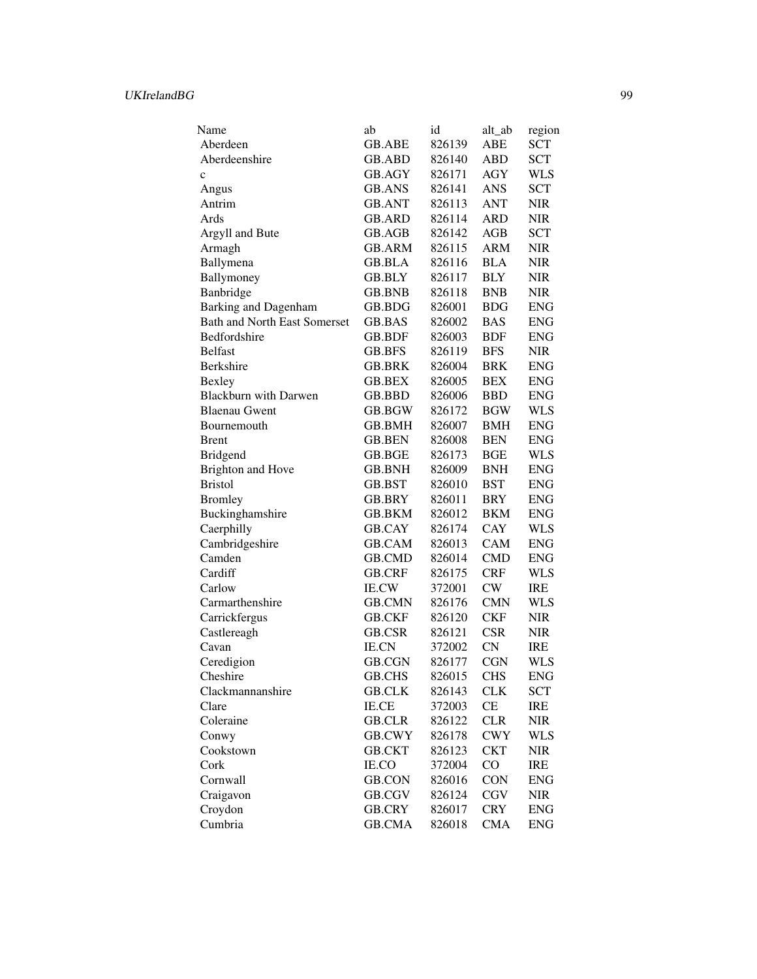| Name                                | ab            | id     | alt_ab     | region      |
|-------------------------------------|---------------|--------|------------|-------------|
| Aberdeen                            | <b>GB.ABE</b> | 826139 | ABE        | <b>SCT</b>  |
| Aberdeenshire                       | <b>GB.ABD</b> | 826140 | ABD        | <b>SCT</b>  |
| $\ddot{c}$                          | GB.AGY        | 826171 | <b>AGY</b> | <b>WLS</b>  |
| Angus                               | <b>GB.ANS</b> | 826141 | <b>ANS</b> | <b>SCT</b>  |
| Antrim                              | <b>GB.ANT</b> | 826113 | <b>ANT</b> | <b>NIR</b>  |
| Ards                                | <b>GB.ARD</b> | 826114 | <b>ARD</b> | <b>NIR</b>  |
| Argyll and Bute                     | GB.AGB        | 826142 | AGB        | <b>SCT</b>  |
| Armagh                              | GB.ARM        | 826115 | <b>ARM</b> | <b>NIR</b>  |
| Ballymena                           | GB.BLA        | 826116 | <b>BLA</b> | <b>NIR</b>  |
| Ballymoney                          | GB.BLY        | 826117 | <b>BLY</b> | <b>NIR</b>  |
| Banbridge                           | <b>GB.BNB</b> | 826118 | <b>BNB</b> | <b>NIR</b>  |
| Barking and Dagenham                | GB.BDG        | 826001 | <b>BDG</b> | <b>ENG</b>  |
| <b>Bath and North East Somerset</b> | GB.BAS        | 826002 | <b>BAS</b> | ${\rm ENG}$ |
| Bedfordshire                        | GB.BDF        | 826003 | <b>BDF</b> | <b>ENG</b>  |
| <b>Belfast</b>                      | GB.BFS        | 826119 | <b>BFS</b> | <b>NIR</b>  |
| Berkshire                           | <b>GB.BRK</b> | 826004 | <b>BRK</b> | <b>ENG</b>  |
| <b>Bexley</b>                       | <b>GB.BEX</b> | 826005 | <b>BEX</b> | <b>ENG</b>  |
| <b>Blackburn with Darwen</b>        | GB.BBD        | 826006 | <b>BBD</b> | <b>ENG</b>  |
| <b>Blaenau Gwent</b>                | GB.BGW        | 826172 | <b>BGW</b> | <b>WLS</b>  |
| Bournemouth                         | <b>GB.BMH</b> | 826007 | <b>BMH</b> | <b>ENG</b>  |
| <b>Brent</b>                        | <b>GB.BEN</b> | 826008 | <b>BEN</b> | <b>ENG</b>  |
| <b>Bridgend</b>                     | GB.BGE        | 826173 | <b>BGE</b> | <b>WLS</b>  |
| <b>Brighton and Hove</b>            | GB.BNH        | 826009 | <b>BNH</b> | <b>ENG</b>  |
| <b>Bristol</b>                      | GB.BST        | 826010 | <b>BST</b> | <b>ENG</b>  |
| <b>Bromley</b>                      | GB.BRY        | 826011 | BRY        | <b>ENG</b>  |
| Buckinghamshire                     | GB.BKM        | 826012 | <b>BKM</b> | <b>ENG</b>  |
| Caerphilly                          | GB.CAY        | 826174 | CAY        | <b>WLS</b>  |
| Cambridgeshire                      | <b>GB.CAM</b> | 826013 | <b>CAM</b> | <b>ENG</b>  |
| Camden                              | <b>GB.CMD</b> | 826014 | <b>CMD</b> | <b>ENG</b>  |
| Cardiff                             | <b>GB.CRF</b> | 826175 | <b>CRF</b> | <b>WLS</b>  |
| Carlow                              | <b>IE.CW</b>  | 372001 | CW         | IRE         |
| Carmarthenshire                     | <b>GB.CMN</b> | 826176 | <b>CMN</b> | <b>WLS</b>  |
| Carrickfergus                       | <b>GB.CKF</b> | 826120 | <b>CKF</b> | <b>NIR</b>  |
| Castlereagh                         | GB.CSR        | 826121 | <b>CSR</b> | <b>NIR</b>  |
| Cavan                               | <b>IE.CN</b>  | 372002 | <b>CN</b>  | <b>IRE</b>  |
| Ceredigion                          | <b>GB.CGN</b> | 826177 | <b>CGN</b> | <b>WLS</b>  |
| Cheshire                            | GB.CHS        | 826015 | <b>CHS</b> | <b>ENG</b>  |
|                                     | <b>GB.CLK</b> | 826143 | <b>CLK</b> | <b>SCT</b>  |
| Clackmannanshire<br>Clare           | IE.CE         |        | CE         | IRE         |
|                                     |               | 372003 | <b>CLR</b> |             |
| Coleraine                           | <b>GB.CLR</b> | 826122 |            | <b>NIR</b>  |
| Conwy                               | GB.CWY        | 826178 | <b>CWY</b> | <b>WLS</b>  |
| Cookstown                           | <b>GB.CKT</b> | 826123 | <b>CKT</b> | <b>NIR</b>  |
| Cork                                | IE.CO         | 372004 | CO         | <b>IRE</b>  |
| Cornwall                            | <b>GB.CON</b> | 826016 | <b>CON</b> | <b>ENG</b>  |
| Craigavon                           | GB.CGV        | 826124 | <b>CGV</b> | <b>NIR</b>  |
| Croydon                             | <b>GB.CRY</b> | 826017 | <b>CRY</b> | <b>ENG</b>  |
| Cumbria                             | GB.CMA        | 826018 | <b>CMA</b> | <b>ENG</b>  |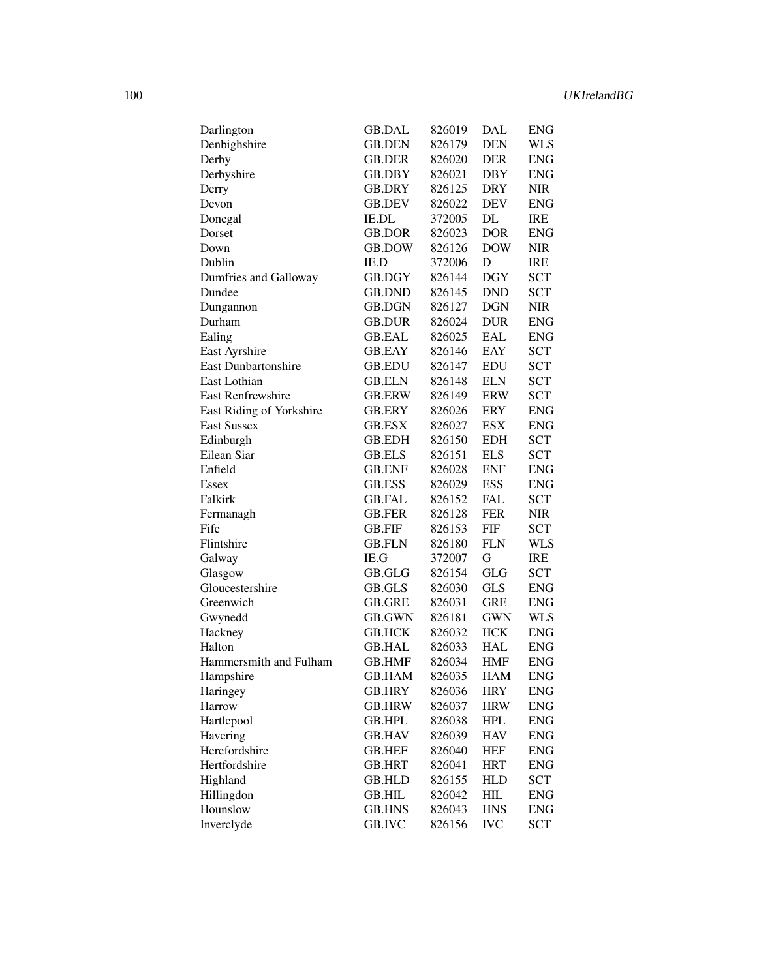| Darlington                 | GB.DAL        | 826019 | DAL                      | <b>ENG</b> |
|----------------------------|---------------|--------|--------------------------|------------|
| Denbighshire               | <b>GB.DEN</b> | 826179 | <b>DEN</b>               | <b>WLS</b> |
| Derby                      | GB.DER        | 826020 | DER                      | <b>ENG</b> |
| Derbyshire                 | GB.DBY        | 826021 | <b>DBY</b>               | <b>ENG</b> |
| Derry                      | GB.DRY        | 826125 | <b>DRY</b>               | <b>NIR</b> |
| Devon                      | <b>GB.DEV</b> | 826022 | DEV                      | <b>ENG</b> |
| Donegal                    | <b>IE.DL</b>  | 372005 | DL                       | <b>IRE</b> |
| Dorset                     | <b>GB.DOR</b> | 826023 | <b>DOR</b>               | <b>ENG</b> |
| Down                       | GB.DOW        | 826126 | <b>DOW</b>               | <b>NIR</b> |
| Dublin                     | IE.D          | 372006 | D                        | <b>IRE</b> |
| Dumfries and Galloway      | GB.DGY        | 826144 | <b>DGY</b>               | <b>SCT</b> |
| Dundee                     | <b>GB.DND</b> | 826145 | <b>DND</b>               | <b>SCT</b> |
| Dungannon                  | GB.DGN        | 826127 | <b>DGN</b>               | NIR        |
| Durham                     | GB.DUR        | 826024 | <b>DUR</b>               | <b>ENG</b> |
| Ealing                     | <b>GB.EAL</b> | 826025 | EAL                      | <b>ENG</b> |
| East Ayrshire              | GB.EAY        | 826146 | EAY                      | <b>SCT</b> |
| <b>East Dunbartonshire</b> | GB.EDU        | 826147 | <b>EDU</b>               | <b>SCT</b> |
| East Lothian               | <b>GB.ELN</b> | 826148 | <b>ELN</b>               | <b>SCT</b> |
| <b>East Renfrewshire</b>   | <b>GB.ERW</b> | 826149 | <b>ERW</b>               | <b>SCT</b> |
| East Riding of Yorkshire   | GB.ERY        | 826026 | <b>ERY</b>               | <b>ENG</b> |
|                            |               |        |                          |            |
| <b>East Sussex</b>         | GB.ESX        | 826027 | <b>ESX</b><br><b>EDH</b> | <b>ENG</b> |
| Edinburgh                  | GB.EDH        | 826150 |                          | <b>SCT</b> |
| Eilean Siar                | <b>GB.ELS</b> | 826151 | <b>ELS</b>               | <b>SCT</b> |
| Enfield                    | <b>GB.ENF</b> | 826028 | <b>ENF</b>               | <b>ENG</b> |
| Essex                      | <b>GB.ESS</b> | 826029 | <b>ESS</b>               | <b>ENG</b> |
| Falkirk                    | GB.FAL        | 826152 | <b>FAL</b>               | <b>SCT</b> |
| Fermanagh                  | <b>GB.FER</b> | 826128 | <b>FER</b>               | NIR        |
| Fife                       | GB.FIF        | 826153 | <b>FIF</b>               | <b>SCT</b> |
| Flintshire                 | GB.FLN        | 826180 | <b>FLN</b>               | WLS        |
| Galway                     | IE.G          | 372007 | G                        | IRE        |
| Glasgow                    | GB.GLG        | 826154 | <b>GLG</b>               | <b>SCT</b> |
| Gloucestershire            | GB.GLS        | 826030 | <b>GLS</b>               | <b>ENG</b> |
| Greenwich                  | <b>GB.GRE</b> | 826031 | <b>GRE</b>               | <b>ENG</b> |
| Gwynedd                    | GB.GWN        | 826181 | <b>GWN</b>               | WLS        |
| Hackney                    | GB.HCK        | 826032 | <b>HCK</b>               | <b>ENG</b> |
| Halton                     | GB.HAL        | 826033 | HAL                      | <b>ENG</b> |
| Hammersmith and Fulham     | GB.HMF        | 826034 | HMF                      | <b>ENG</b> |
| Hampshire                  | <b>GB.HAM</b> | 826035 | <b>HAM</b>               | <b>ENG</b> |
| Haringey                   | <b>GB.HRY</b> | 826036 | <b>HRY</b>               | <b>ENG</b> |
| Harrow                     | <b>GB.HRW</b> | 826037 | <b>HRW</b>               | <b>ENG</b> |
| Hartlepool                 | <b>GB.HPL</b> | 826038 | <b>HPL</b>               | <b>ENG</b> |
| Havering                   | <b>GB.HAV</b> | 826039 | <b>HAV</b>               | <b>ENG</b> |
| Herefordshire              | <b>GB.HEF</b> | 826040 | <b>HEF</b>               | <b>ENG</b> |
| Hertfordshire              | <b>GB.HRT</b> | 826041 | <b>HRT</b>               | <b>ENG</b> |
| Highland                   | <b>GB.HLD</b> | 826155 | <b>HLD</b>               | SCT        |
| Hillingdon                 | GB.HIL        | 826042 | HIL                      | <b>ENG</b> |
| Hounslow                   | <b>GB.HNS</b> | 826043 | <b>HNS</b>               | <b>ENG</b> |
|                            |               |        |                          |            |
| Inverclyde                 | GB.IVC        | 826156 | <b>IVC</b>               | <b>SCT</b> |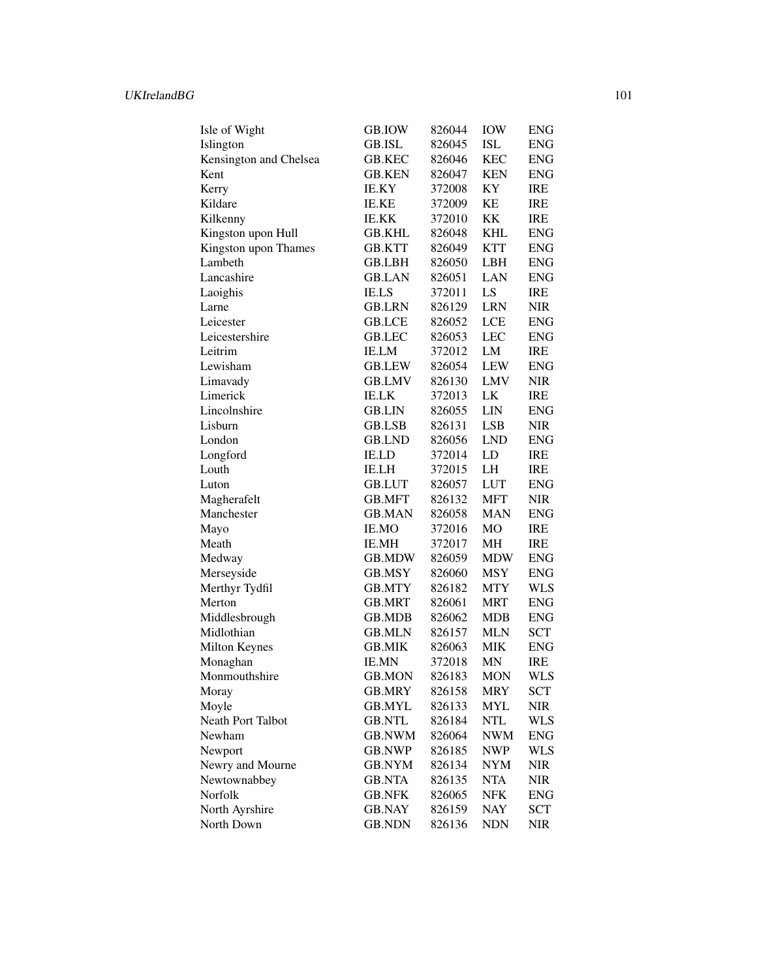| Isle of Wight          | GB.IOW        | 826044 | <b>IOW</b> | ENG        |
|------------------------|---------------|--------|------------|------------|
| Islington              | GB.ISL        | 826045 | <b>ISL</b> | <b>ENG</b> |
| Kensington and Chelsea | <b>GB.KEC</b> | 826046 | <b>KEC</b> | <b>ENG</b> |
| Kent                   | GB.KEN        | 826047 | <b>KEN</b> | <b>ENG</b> |
| Kerry                  | IE.KY         | 372008 | KY         | IRE        |
| Kildare                | <b>IE.KE</b>  | 372009 | KΕ         | IRE        |
| Kilkenny               | IE.KK         | 372010 | KK         | <b>IRE</b> |
| Kingston upon Hull     | GB.KHL        | 826048 | KHL        | <b>ENG</b> |
| Kingston upon Thames   | GB.KTT        | 826049 | KTT        | <b>ENG</b> |
| Lambeth                | GB.LBH        | 826050 | <b>LBH</b> | <b>ENG</b> |
| Lancashire             | GB.LAN        | 826051 | LAN        | <b>ENG</b> |
| Laoighis               | <b>IE.LS</b>  | 372011 | LS         | <b>IRE</b> |
| Larne                  | <b>GB.LRN</b> | 826129 | <b>LRN</b> | <b>NIR</b> |
| Leicester              | GB.LCE        | 826052 | <b>LCE</b> | <b>ENG</b> |
| Leicestershire         | GB.LEC        | 826053 | <b>LEC</b> | <b>ENG</b> |
| Leitrim                | <b>IE.LM</b>  | 372012 | LM         | <b>IRE</b> |
| Lewisham               | <b>GB.LEW</b> | 826054 | <b>LEW</b> | <b>ENG</b> |
| Limavady               | <b>GB.LMV</b> | 826130 | <b>LMV</b> | <b>NIR</b> |
| Limerick               | <b>IE.LK</b>  | 372013 | LK         | <b>IRE</b> |
| Lincolnshire           | <b>GB.LIN</b> | 826055 | <b>LIN</b> | <b>ENG</b> |
| Lisburn                | GB.LSB        | 826131 | <b>LSB</b> | <b>NIR</b> |
| London                 | <b>GB.LND</b> | 826056 | <b>LND</b> | <b>ENG</b> |
| Longford               | IE.LD         | 372014 | LD         | IRE        |
| Louth                  | IE.LH         | 372015 | LH         | <b>IRE</b> |
| Luton                  | <b>GB.LUT</b> | 826057 | <b>LUT</b> | <b>ENG</b> |
| Magherafelt            | GB.MFT        | 826132 | <b>MFT</b> | <b>NIR</b> |
| Manchester             | <b>GB.MAN</b> | 826058 | <b>MAN</b> | <b>ENG</b> |
| Mayo                   | IE.MO         | 372016 | MO         | <b>IRE</b> |
| Meath                  | IE.MH         | 372017 | MH         | <b>IRE</b> |
| Medway                 | GB.MDW        | 826059 | MDW        | <b>ENG</b> |
| Merseyside             | GB.MSY        | 826060 | <b>MSY</b> | <b>ENG</b> |
| Merthyr Tydfil         | GB.MTY        | 826182 | MTY        | <b>WLS</b> |
| Merton                 | GB.MRT        | 826061 | MRT        | <b>ENG</b> |
| Middlesbrough          | GB.MDB        | 826062 | <b>MDB</b> | <b>ENG</b> |
| Midlothian             | <b>GB.MLN</b> | 826157 | MLN        | <b>SCT</b> |
| Milton Keynes          | <b>GB.MIK</b> | 826063 | <b>MIK</b> | <b>ENG</b> |
| Monaghan               | <b>IE.MN</b>  | 372018 | MN         | <b>IRE</b> |
| Monmouthshire          | GB.MON        | 826183 | MON        | <b>WLS</b> |
| Moray                  | GB.MRY        | 826158 | <b>MRY</b> | <b>SCT</b> |
| Moyle                  | <b>GB.MYL</b> | 826133 | <b>MYL</b> | NIR        |
| Neath Port Talbot      | <b>GB.NTL</b> | 826184 | <b>NTL</b> | <b>WLS</b> |
| Newham                 | <b>GB.NWM</b> | 826064 | NWM        | ENG        |
| Newport                | GB.NWP        | 826185 | NWP        | <b>WLS</b> |
| Newry and Mourne       | GB.NYM        | 826134 | NYM        | NIR        |
| Newtownabbey           | <b>GB.NTA</b> | 826135 | <b>NTA</b> | <b>NIR</b> |
| Norfolk                | <b>GB.NFK</b> | 826065 | NFK        | <b>ENG</b> |
| North Ayrshire         | <b>GB.NAY</b> | 826159 | <b>NAY</b> | <b>SCT</b> |
| North Down             | <b>GB.NDN</b> | 826136 | <b>NDN</b> | <b>NIR</b> |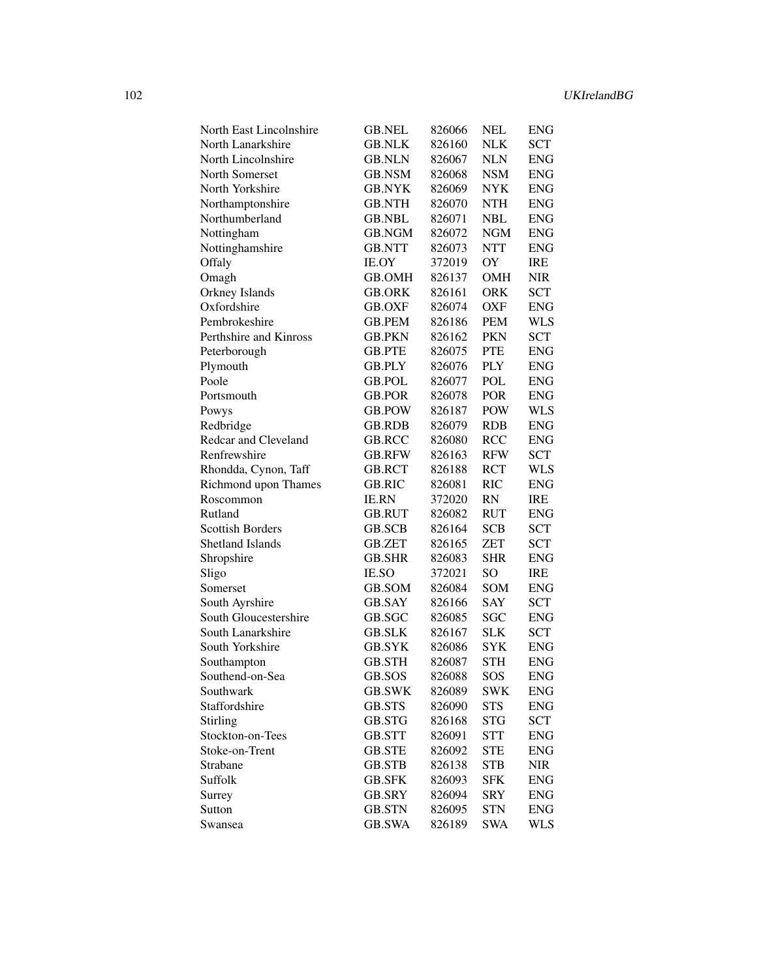| North East Lincolnshire | GB.NEL        | 826066 | NEL        | <b>ENG</b>  |
|-------------------------|---------------|--------|------------|-------------|
| North Lanarkshire       | <b>GB.NLK</b> | 826160 | <b>NLK</b> | <b>SCT</b>  |
| North Lincolnshire      | <b>GB.NLN</b> | 826067 | <b>NLN</b> | <b>ENG</b>  |
| <b>North Somerset</b>   | GB.NSM        | 826068 | <b>NSM</b> | <b>ENG</b>  |
| North Yorkshire         | GB.NYK        | 826069 | NYK        | <b>ENG</b>  |
| Northamptonshire        | GB.NTH        | 826070 | NTH        | <b>ENG</b>  |
| Northumberland          | GB.NBL        | 826071 | NBL        | <b>ENG</b>  |
| Nottingham              | GB.NGM        | 826072 | NGM        | <b>ENG</b>  |
| Nottinghamshire         | <b>GB.NTT</b> | 826073 | <b>NTT</b> | <b>ENG</b>  |
| Offaly                  | IE.OY         | 372019 | OY         | IRE         |
| Omagh                   | GB.OMH        | 826137 | <b>OMH</b> | NIR         |
| Orkney Islands          | GB.ORK        | 826161 | <b>ORK</b> | <b>SCT</b>  |
| Oxfordshire             | GB.OXF        | 826074 | OXF        | ENG         |
| Pembrokeshire           | GB.PEM        | 826186 | PEM        | WLS         |
| Perthshire and Kinross  | GB.PKN        | 826162 | <b>PKN</b> | SCT         |
| Peterborough            | GB.PTE        | 826075 | <b>PTE</b> | ENG         |
| Plymouth                | <b>GB.PLY</b> | 826076 | <b>PLY</b> | ENG         |
| Poole                   | <b>GB.POL</b> | 826077 | POL        | ENG         |
| Portsmouth              | <b>GB.POR</b> | 826078 | <b>POR</b> | ENG         |
| Powys                   | <b>GB.POW</b> | 826187 | <b>POW</b> | WLS         |
| Redbridge               | <b>GB.RDB</b> | 826079 | <b>RDB</b> | ENG         |
| Redcar and Cleveland    | GB.RCC        | 826080 | <b>RCC</b> | ENG         |
| Renfrewshire            | <b>GB.RFW</b> | 826163 | <b>RFW</b> | <b>SCT</b>  |
| Rhondda, Cynon, Taff    | GB.RCT        | 826188 | <b>RCT</b> | WLS         |
| Richmond upon Thames    | <b>GB.RIC</b> | 826081 | <b>RIC</b> | ENG         |
| Roscommon               | <b>IE.RN</b>  | 372020 | RN         | IRE         |
| Rutland                 | GB.RUT        | 826082 | RUT        | <b>ENG</b>  |
| <b>Scottish Borders</b> | GB.SCB        | 826164 | <b>SCB</b> | <b>SCT</b>  |
| <b>Shetland Islands</b> | GB.ZET        | 826165 | <b>ZET</b> | SCT         |
| Shropshire              | <b>GB.SHR</b> | 826083 | <b>SHR</b> | ENG         |
| Sligo                   | IE.SO         | 372021 | SO         | IRE         |
| Somerset                | GB.SOM        | 826084 | SOM        | <b>ENG</b>  |
| South Ayrshire          | <b>GB.SAY</b> | 826166 | SAY        | SCT         |
| South Gloucestershire   | GB.SGC        | 826085 | SGC        | <b>ENG</b>  |
| South Lanarkshire       | <b>GB.SLK</b> | 826167 | <b>SLK</b> | SCT         |
| South Yorkshire         | GB.SYK        | 826086 | SYK        | <b>ENG</b>  |
| Southampton             | <b>GB.STH</b> | 826087 | <b>STH</b> | <b>ENG</b>  |
| Southend-on-Sea         | GB.SOS        | 826088 | SOS        | <b>ENG</b>  |
| Southwark               | <b>GB.SWK</b> | 826089 | <b>SWK</b> | <b>ENG</b>  |
| Staffordshire           | GB.STS        | 826090 | <b>STS</b> | <b>ENG</b>  |
| <b>Stirling</b>         | GB.STG        | 826168 | <b>STG</b> | SCT         |
| Stockton-on-Tees        | GB.STT        | 826091 | <b>STT</b> | <b>ENG</b>  |
| Stoke-on-Trent          | <b>GB.STE</b> | 826092 | <b>STE</b> | <b>ENG</b>  |
| Strabane                | <b>GB.STB</b> | 826138 | <b>STB</b> | <b>NIR</b>  |
| Suffolk                 | <b>GB.SFK</b> | 826093 | <b>SFK</b> | <b>ENG</b>  |
| Surrey                  | GB.SRY        | 826094 | <b>SRY</b> | ${\rm ENG}$ |
| Sutton                  | <b>GB.STN</b> | 826095 | <b>STN</b> | <b>ENG</b>  |
| Swansea                 | <b>GB.SWA</b> | 826189 | <b>SWA</b> | <b>WLS</b>  |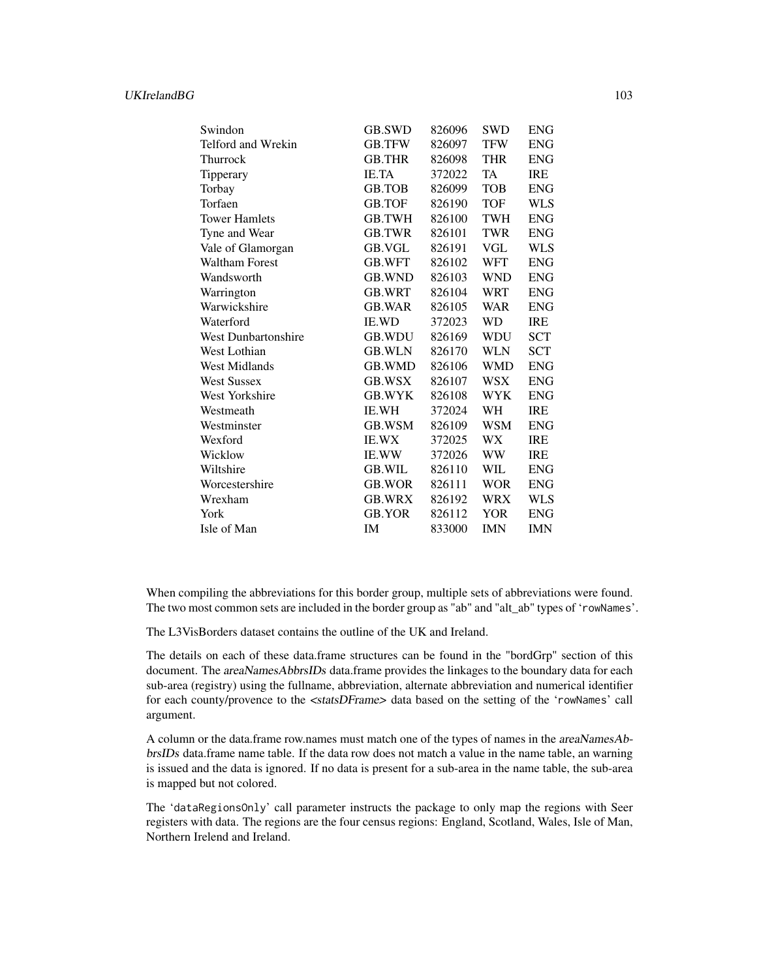| Swindon                    | <b>GB.SWD</b> | 826096 | <b>SWD</b> | <b>ENG</b> |
|----------------------------|---------------|--------|------------|------------|
| Telford and Wrekin         | <b>GB.TFW</b> | 826097 | <b>TFW</b> | <b>ENG</b> |
| Thurrock                   | <b>GB.THR</b> | 826098 | <b>THR</b> | <b>ENG</b> |
| Tipperary                  | <b>IE.TA</b>  | 372022 | <b>TA</b>  | <b>IRE</b> |
| Torbay                     | <b>GB.TOB</b> | 826099 | <b>TOB</b> | <b>ENG</b> |
| Torfaen                    | <b>GB.TOF</b> | 826190 | <b>TOF</b> | WLS        |
| <b>Tower Hamlets</b>       | GB.TWH        | 826100 | <b>TWH</b> | <b>ENG</b> |
| Tyne and Wear              | <b>GB.TWR</b> | 826101 | <b>TWR</b> | <b>ENG</b> |
| Vale of Glamorgan          | GB.VGL        | 826191 | VGL        | <b>WLS</b> |
| <b>Waltham Forest</b>      | <b>GB.WFT</b> | 826102 | <b>WFT</b> | <b>ENG</b> |
| Wandsworth                 | <b>GB.WND</b> | 826103 | <b>WND</b> | <b>ENG</b> |
| Warrington                 | <b>GB.WRT</b> | 826104 | WRT        | <b>ENG</b> |
| Warwickshire               | <b>GB.WAR</b> | 826105 | <b>WAR</b> | <b>ENG</b> |
| Waterford                  | <b>IE.WD</b>  | 372023 | WD         | <b>IRE</b> |
| <b>West Dunbartonshire</b> | <b>GB.WDU</b> | 826169 | WDU        | <b>SCT</b> |
| West Lothian               | <b>GB.WLN</b> | 826170 | WLN        | <b>SCT</b> |
| <b>West Midlands</b>       | <b>GB.WMD</b> | 826106 | <b>WMD</b> | <b>ENG</b> |
| <b>West Sussex</b>         | <b>GB.WSX</b> | 826107 | WSX        | <b>ENG</b> |
| West Yorkshire             | <b>GB.WYK</b> | 826108 | <b>WYK</b> | <b>ENG</b> |
| Westmeath                  | <b>IE.WH</b>  | 372024 | WH         | <b>IRE</b> |
| Westminster                | GB.WSM        | 826109 | WSM        | <b>ENG</b> |
| Wexford                    | <b>IE.WX</b>  | 372025 | WX         | <b>IRE</b> |
| Wicklow                    | <b>IE.WW</b>  | 372026 | WW         | <b>IRE</b> |
| Wiltshire                  | <b>GB.WIL</b> | 826110 | <b>WIL</b> | <b>ENG</b> |
| Worcestershire             | <b>GB.WOR</b> | 826111 | <b>WOR</b> | <b>ENG</b> |
| Wrexham                    | <b>GB.WRX</b> | 826192 | <b>WRX</b> | WLS        |
| York                       | GB.YOR        | 826112 | YOR        | <b>ENG</b> |
| Isle of Man                | IM            | 833000 | <b>IMN</b> | <b>IMN</b> |

When compiling the abbreviations for this border group, multiple sets of abbreviations were found. The two most common sets are included in the border group as "ab" and "alt\_ab" types of 'rowNames'.

The L3VisBorders dataset contains the outline of the UK and Ireland.

The details on each of these data.frame structures can be found in the "bordGrp" section of this document. The areaNamesAbbrsIDs data.frame provides the linkages to the boundary data for each sub-area (registry) using the fullname, abbreviation, alternate abbreviation and numerical identifier for each county/provence to the <statsDFrame> data based on the setting of the 'rowNames' call argument.

A column or the data.frame row.names must match one of the types of names in the areaNamesAbbrsIDs data.frame name table. If the data row does not match a value in the name table, an warning is issued and the data is ignored. If no data is present for a sub-area in the name table, the sub-area is mapped but not colored.

The 'dataRegionsOnly' call parameter instructs the package to only map the regions with Seer registers with data. The regions are the four census regions: England, Scotland, Wales, Isle of Man, Northern Irelend and Ireland.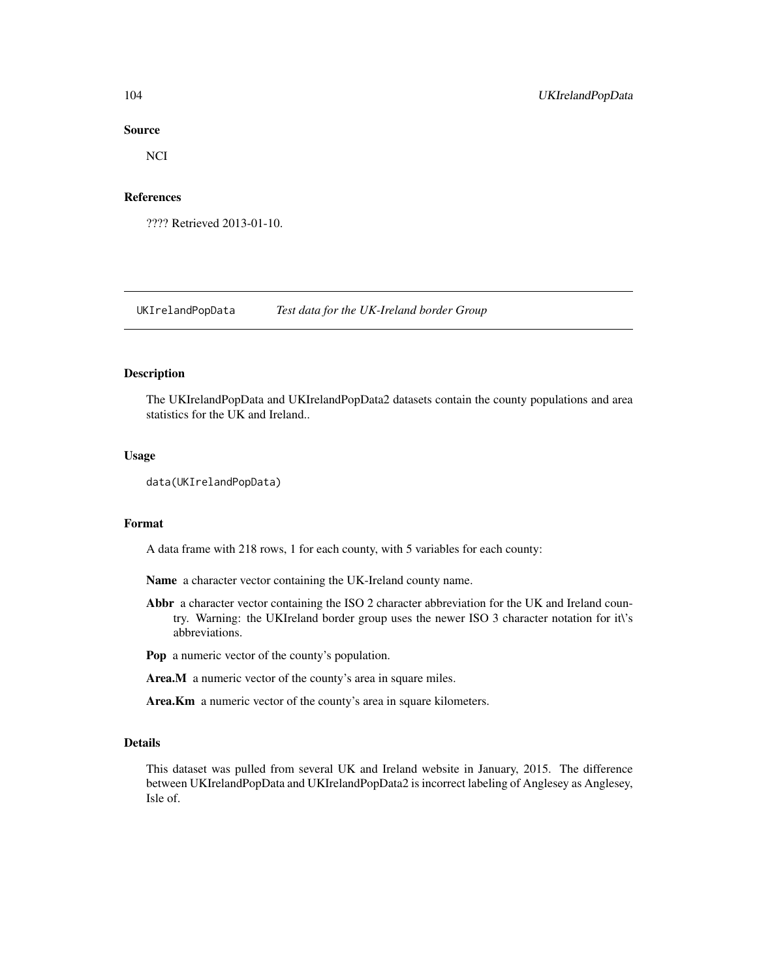### Source

NCI

## References

???? Retrieved 2013-01-10.

UKIrelandPopData *Test data for the UK-Ireland border Group*

## Description

The UKIrelandPopData and UKIrelandPopData2 datasets contain the county populations and area statistics for the UK and Ireland..

### Usage

```
data(UKIrelandPopData)
```
### Format

A data frame with 218 rows, 1 for each county, with 5 variables for each county:

Name a character vector containing the UK-Ireland county name.

Abbr a character vector containing the ISO 2 character abbreviation for the UK and Ireland country. Warning: the UKIreland border group uses the newer ISO 3 character notation for it\'s abbreviations.

Pop a numeric vector of the county's population.

Area.M a numeric vector of the county's area in square miles.

Area.Km a numeric vector of the county's area in square kilometers.

### Details

This dataset was pulled from several UK and Ireland website in January, 2015. The difference between UKIrelandPopData and UKIrelandPopData2 is incorrect labeling of Anglesey as Anglesey, Isle of.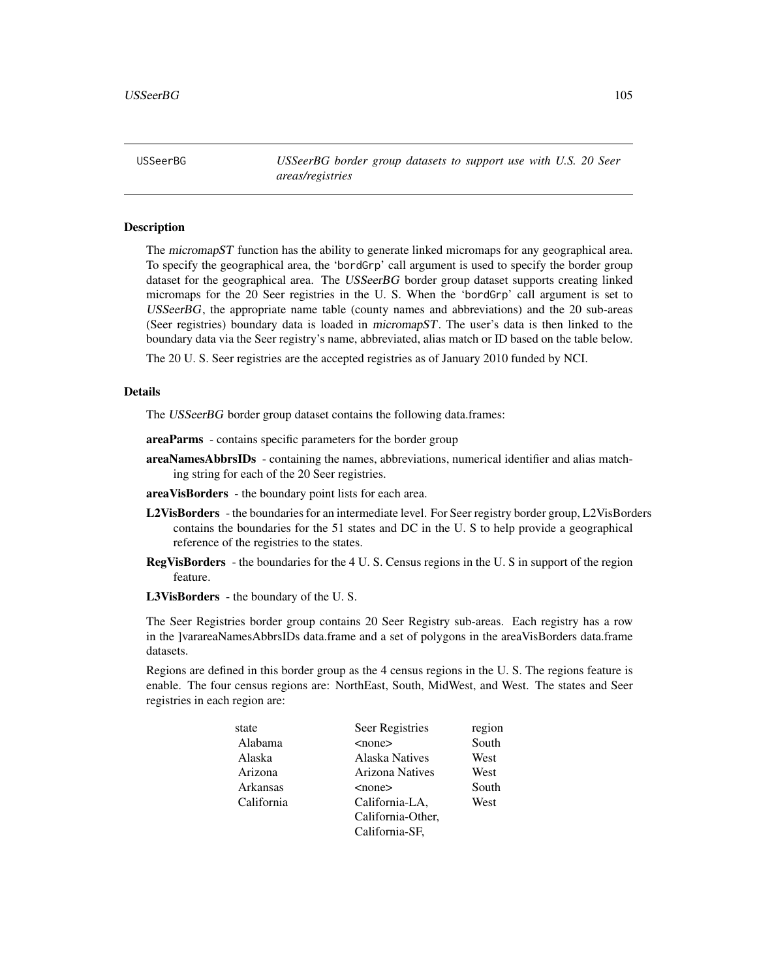USSeerBG *USSeerBG border group datasets to support use with U.S. 20 Seer areas/registries*

### Description

The micromapST function has the ability to generate linked micromaps for any geographical area. To specify the geographical area, the 'bordGrp' call argument is used to specify the border group dataset for the geographical area. The USSeerBG border group dataset supports creating linked micromaps for the 20 Seer registries in the U. S. When the 'bordGrp' call argument is set to USSeerBG, the appropriate name table (county names and abbreviations) and the 20 sub-areas (Seer registries) boundary data is loaded in micromapST. The user's data is then linked to the boundary data via the Seer registry's name, abbreviated, alias match or ID based on the table below.

The 20 U. S. Seer registries are the accepted registries as of January 2010 funded by NCI.

### Details

The USSeerBG border group dataset contains the following data.frames:

- areaParms contains specific parameters for the border group
- areaNamesAbbrsIDs containing the names, abbreviations, numerical identifier and alias matching string for each of the 20 Seer registries.
- areaVisBorders the boundary point lists for each area.
- L2VisBorders the boundaries for an intermediate level. For Seer registry border group, L2VisBorders contains the boundaries for the 51 states and DC in the U. S to help provide a geographical reference of the registries to the states.
- RegVisBorders the boundaries for the 4 U. S. Census regions in the U. S in support of the region feature.
- L3VisBorders the boundary of the U. S.

The Seer Registries border group contains 20 Seer Registry sub-areas. Each registry has a row in the ]varareaNamesAbbrsIDs data.frame and a set of polygons in the areaVisBorders data.frame datasets.

Regions are defined in this border group as the 4 census regions in the U. S. The regions feature is enable. The four census regions are: NorthEast, South, MidWest, and West. The states and Seer registries in each region are:

| state      | Seer Registries        | region |
|------------|------------------------|--------|
| Alabama    | $<$ none $>$           | South  |
| Alaska     | Alaska Natives         | West   |
| Arizona    | <b>Arizona Natives</b> | West   |
| Arkansas   | $none$                 | South  |
| California | California-LA,         | West   |
|            | California-Other,      |        |
|            | California-SF,         |        |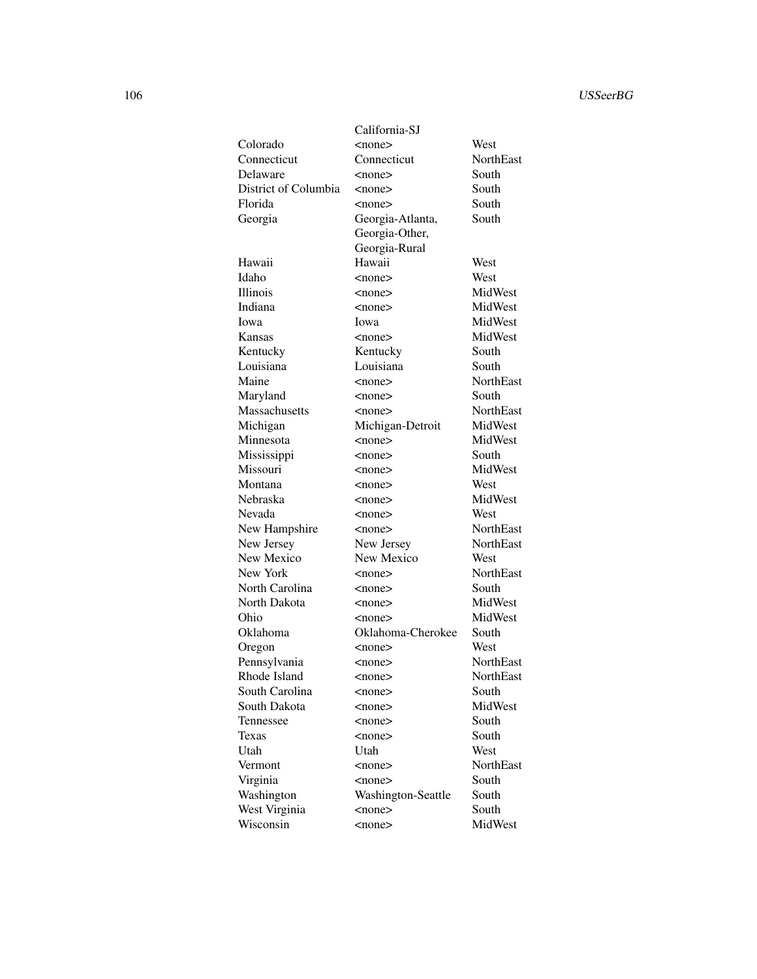|                      | California-SJ      |                  |
|----------------------|--------------------|------------------|
| Colorado             | $<$ none $>$       | West             |
| Connecticut          | Connecticut        | <b>NorthEast</b> |
| Delaware             | $<$ none $>$       | South            |
| District of Columbia | $none$             | South            |
| Florida              | <none></none>      | South            |
| Georgia              | Georgia-Atlanta,   | South            |
|                      | Georgia-Other,     |                  |
|                      | Georgia-Rural      |                  |
| Hawaii               | Hawaii             | West             |
| Idaho                | <none></none>      | West             |
| Illinois             | $none$             | MidWest          |
| Indiana              | $<$ none $>$       | MidWest          |
| Iowa                 | Iowa               | MidWest          |
| Kansas               | $<$ none $>$       | MidWest          |
| Kentucky             | Kentucky           | South            |
| Louisiana            | Louisiana          | South            |
| Maine                | $none$             | <b>NorthEast</b> |
| Maryland             | $none$             | South            |
| Massachusetts        | $<$ none $>$       | <b>NorthEast</b> |
| Michigan             | Michigan-Detroit   | MidWest          |
| Minnesota            | $<$ none $>$       | MidWest          |
| Mississippi          | $<$ none $>$       | South            |
| Missouri             | <none></none>      | MidWest          |
| Montana              | <none></none>      | West             |
| Nebraska             | <none></none>      | MidWest          |
| Nevada               | $none$             | West             |
| New Hampshire        | $<$ none $>$       | <b>NorthEast</b> |
| New Jersey           | New Jersey         | NorthEast        |
| New Mexico           | New Mexico         | West             |
| New York             | $none$             | <b>NorthEast</b> |
| North Carolina       | $<$ none $>$       | South            |
| North Dakota         | $<$ none $>$       | MidWest          |
| Ohio                 | $<$ none $>$       | MidWest          |
| Oklahoma             | Oklahoma-Cherokee  | South            |
| Oregon               | $<$ none $>$       | West             |
| Pennsylvania         | $<$ none $>$       | <b>NorthEast</b> |
| Rhode Island         | <none></none>      | NorthEast        |
| South Carolina       | $<$ none $>$       | South            |
| South Dakota         | $none$             | MidWest          |
| Tennessee            | $none$             | South            |
| Texas                | $<$ none $>$       | South            |
| Utah                 | Utah               | West             |
| Vermont              | $<$ none $>$       | NorthEast        |
| Virginia             | $<$ none $>$       | South            |
| Washington           | Washington-Seattle | South            |
| West Virginia        | $<$ none $>$       | South            |
| Wisconsin            | $<$ none $>$       | MidWest          |
|                      |                    |                  |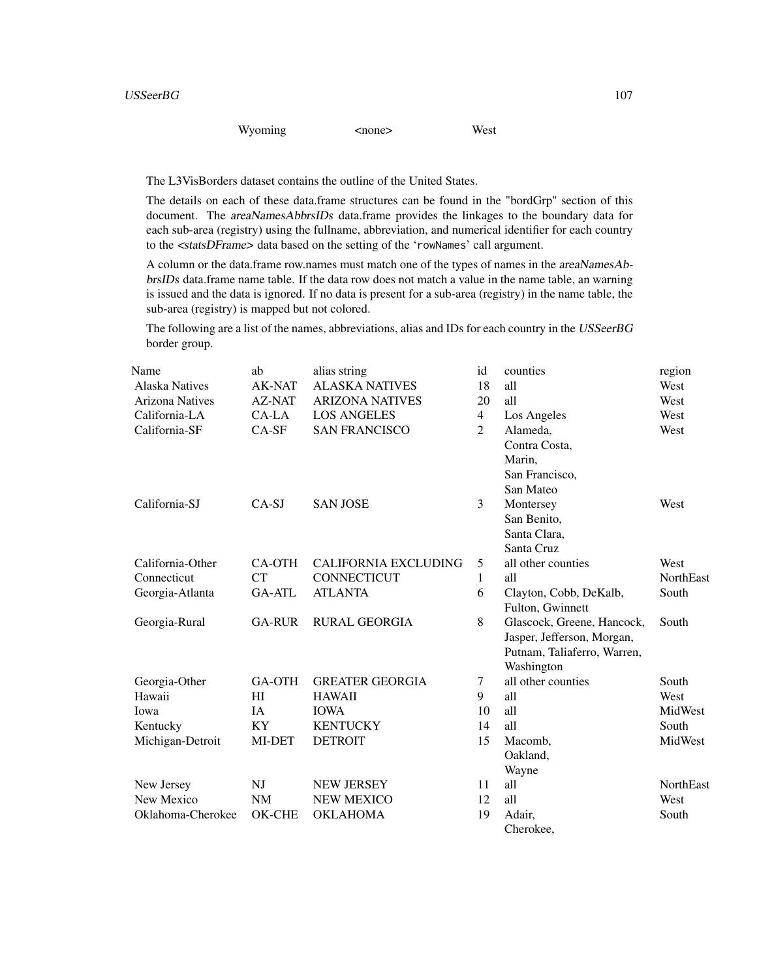## Wyoming <none> West

The L3VisBorders dataset contains the outline of the United States.

The details on each of these data.frame structures can be found in the "bordGrp" section of this document. The areaNamesAbbrsIDs data.frame provides the linkages to the boundary data for each sub-area (registry) using the fullname, abbreviation, and numerical identifier for each country to the <statsDFrame> data based on the setting of the 'rowNames' call argument.

A column or the data.frame row.names must match one of the types of names in the areaNamesAbbrsIDs data.frame name table. If the data row does not match a value in the name table, an warning is issued and the data is ignored. If no data is present for a sub-area (registry) in the name table, the sub-area (registry) is mapped but not colored.

The following are a list of the names, abbreviations, alias and IDs for each country in the USSeerBG border group.

| Name                   | ab             | alias string                | id             | counties                    | region    |
|------------------------|----------------|-----------------------------|----------------|-----------------------------|-----------|
| <b>Alaska Natives</b>  | <b>AK-NAT</b>  | <b>ALASKA NATIVES</b>       | 18             | all                         | West      |
| <b>Arizona Natives</b> | <b>AZ-NAT</b>  | <b>ARIZONA NATIVES</b>      | 20             | all                         | West      |
| California-LA          | CA-LA          | <b>LOS ANGELES</b>          | $\overline{4}$ | Los Angeles                 | West      |
| California-SF          | $CA-SF$        | <b>SAN FRANCISCO</b>        | 2              | Alameda,                    | West      |
|                        |                |                             |                | Contra Costa,               |           |
|                        |                |                             |                | Marin,                      |           |
|                        |                |                             |                | San Francisco,              |           |
|                        |                |                             |                | San Mateo                   |           |
| California-SJ          | $CA-SJ$        | <b>SAN JOSE</b>             | 3              | Montersey                   | West      |
|                        |                |                             |                | San Benito,                 |           |
|                        |                |                             |                | Santa Clara,                |           |
|                        |                |                             |                | Santa Cruz                  |           |
| California-Other       | <b>CA-OTH</b>  | <b>CALIFORNIA EXCLUDING</b> | 5              | all other counties          | West      |
| Connecticut            | <b>CT</b>      | CONNECTICUT                 | 1              | all                         | NorthEast |
| Georgia-Atlanta        | <b>GA-ATL</b>  | <b>ATLANTA</b>              | 6              | Clayton, Cobb, DeKalb,      | South     |
|                        |                |                             |                | Fulton, Gwinnett            |           |
| Georgia-Rural          | <b>GA-RUR</b>  | <b>RURAL GEORGIA</b>        | 8              | Glascock, Greene, Hancock,  | South     |
|                        |                |                             |                | Jasper, Jefferson, Morgan,  |           |
|                        |                |                             |                | Putnam, Taliaferro, Warren, |           |
|                        |                |                             |                | Washington                  |           |
| Georgia-Other          | GA-OTH         | <b>GREATER GEORGIA</b>      | 7              | all other counties          | South     |
| Hawaii                 | H <sub>I</sub> | <b>HAWAII</b>               | 9              | all                         | West      |
| Iowa                   | IA             | <b>IOWA</b>                 | 10             | all                         | MidWest   |
| Kentucky               | KY             | <b>KENTUCKY</b>             | 14             | all                         | South     |
| Michigan-Detroit       | MI-DET         | <b>DETROIT</b>              | 15             | Macomb,                     | MidWest   |
|                        |                |                             |                | Oakland,                    |           |
|                        |                |                             |                | Wayne                       |           |
| New Jersey             | NI             | <b>NEW JERSEY</b>           | 11             | all                         | NorthEast |
| New Mexico             | NM             | <b>NEW MEXICO</b>           | 12             | all                         | West      |
| Oklahoma-Cherokee      | OK-CHE         | <b>OKLAHOMA</b>             | 19             | Adair,                      | South     |
|                        |                |                             |                | Cherokee.                   |           |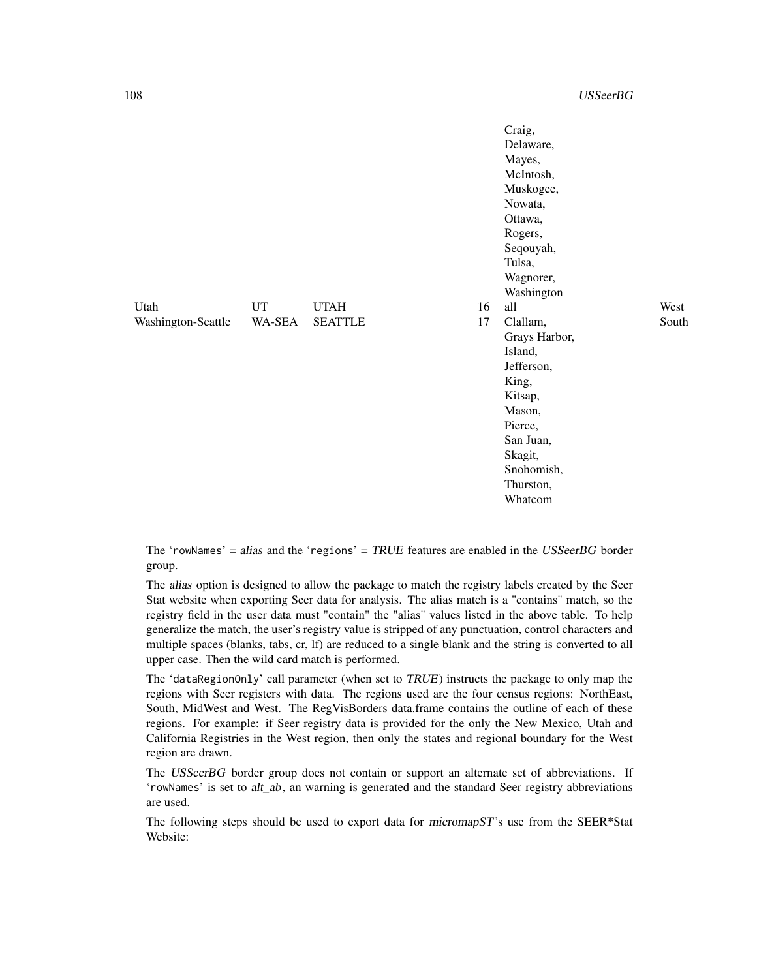|                    |           |                |    | Craig,<br>Delaware,<br>Mayes,<br>McIntosh,<br>Muskogee,<br>Nowata,<br>Ottawa,<br>Rogers,<br>Seqouyah,<br>Tulsa,<br>Wagnorer,<br>Washington |       |
|--------------------|-----------|----------------|----|--------------------------------------------------------------------------------------------------------------------------------------------|-------|
| Utah               | <b>UT</b> | <b>UTAH</b>    | 16 | all                                                                                                                                        | West  |
| Washington-Seattle | WA-SEA    | <b>SEATTLE</b> | 17 | Clallam,                                                                                                                                   | South |
|                    |           |                |    | Grays Harbor,                                                                                                                              |       |
|                    |           |                |    | Island,                                                                                                                                    |       |
|                    |           |                |    | Jefferson,                                                                                                                                 |       |
|                    |           |                |    | King,                                                                                                                                      |       |
|                    |           |                |    | Kitsap,                                                                                                                                    |       |
|                    |           |                |    | Mason,                                                                                                                                     |       |
|                    |           |                |    | Pierce,                                                                                                                                    |       |
|                    |           |                |    | San Juan,                                                                                                                                  |       |
|                    |           |                |    | Skagit,                                                                                                                                    |       |
|                    |           |                |    | Snohomish,                                                                                                                                 |       |
|                    |           |                |    | Thurston,                                                                                                                                  |       |
|                    |           |                |    | Whatcom                                                                                                                                    |       |

The 'rowNames' = alias and the 'regions' =  $TRUE$  features are enabled in the  $USSeerBG$  border group.

The alias option is designed to allow the package to match the registry labels created by the Seer Stat website when exporting Seer data for analysis. The alias match is a "contains" match, so the registry field in the user data must "contain" the "alias" values listed in the above table. To help generalize the match, the user's registry value is stripped of any punctuation, control characters and multiple spaces (blanks, tabs, cr, lf) are reduced to a single blank and the string is converted to all upper case. Then the wild card match is performed.

The 'dataRegionOnly' call parameter (when set to TRUE) instructs the package to only map the regions with Seer registers with data. The regions used are the four census regions: NorthEast, South, MidWest and West. The RegVisBorders data.frame contains the outline of each of these regions. For example: if Seer registry data is provided for the only the New Mexico, Utah and California Registries in the West region, then only the states and regional boundary for the West region are drawn.

The USSeerBG border group does not contain or support an alternate set of abbreviations. If 'rowNames' is set to alt\_ab, an warning is generated and the standard Seer registry abbreviations are used.

The following steps should be used to export data for micromapST's use from the SEER\*Stat Website: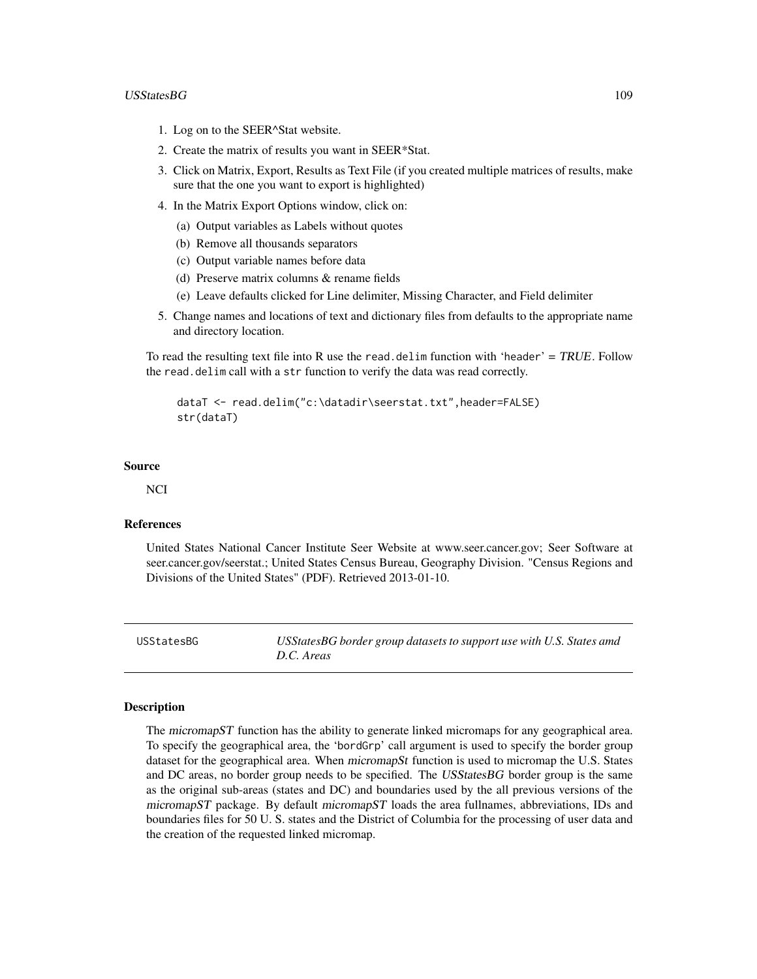# <span id="page-108-0"></span>USStatesBG 109

- 1. Log on to the SEER^Stat website.
- 2. Create the matrix of results you want in SEER\*Stat.
- 3. Click on Matrix, Export, Results as Text File (if you created multiple matrices of results, make sure that the one you want to export is highlighted)
- 4. In the Matrix Export Options window, click on:
	- (a) Output variables as Labels without quotes
	- (b) Remove all thousands separators
	- (c) Output variable names before data
	- (d) Preserve matrix columns & rename fields
	- (e) Leave defaults clicked for Line delimiter, Missing Character, and Field delimiter
- 5. Change names and locations of text and dictionary files from defaults to the appropriate name and directory location.

To read the resulting text file into R use the read.delim function with 'header' =  $TRUE$ . Follow the read.delim call with a str function to verify the data was read correctly.

dataT <- read.delim("c:\datadir\seerstat.txt",header=FALSE) str(dataT)

# Source

**NCI** 

# References

United States National Cancer Institute Seer Website at www.seer.cancer.gov; Seer Software at seer.cancer.gov/seerstat.; United States Census Bureau, Geography Division. "Census Regions and Divisions of the United States" (PDF). Retrieved 2013-01-10.

USStatesBG *USStatesBG border group datasets to support use with U.S. States amd D.C. Areas*

# Description

The micromapST function has the ability to generate linked micromaps for any geographical area. To specify the geographical area, the 'bordGrp' call argument is used to specify the border group dataset for the geographical area. When micromapSt function is used to micromap the U.S. States and DC areas, no border group needs to be specified. The USStatesBG border group is the same as the original sub-areas (states and DC) and boundaries used by the all previous versions of the micromapST package. By default micromapST loads the area fullnames, abbreviations, IDs and boundaries files for 50 U. S. states and the District of Columbia for the processing of user data and the creation of the requested linked micromap.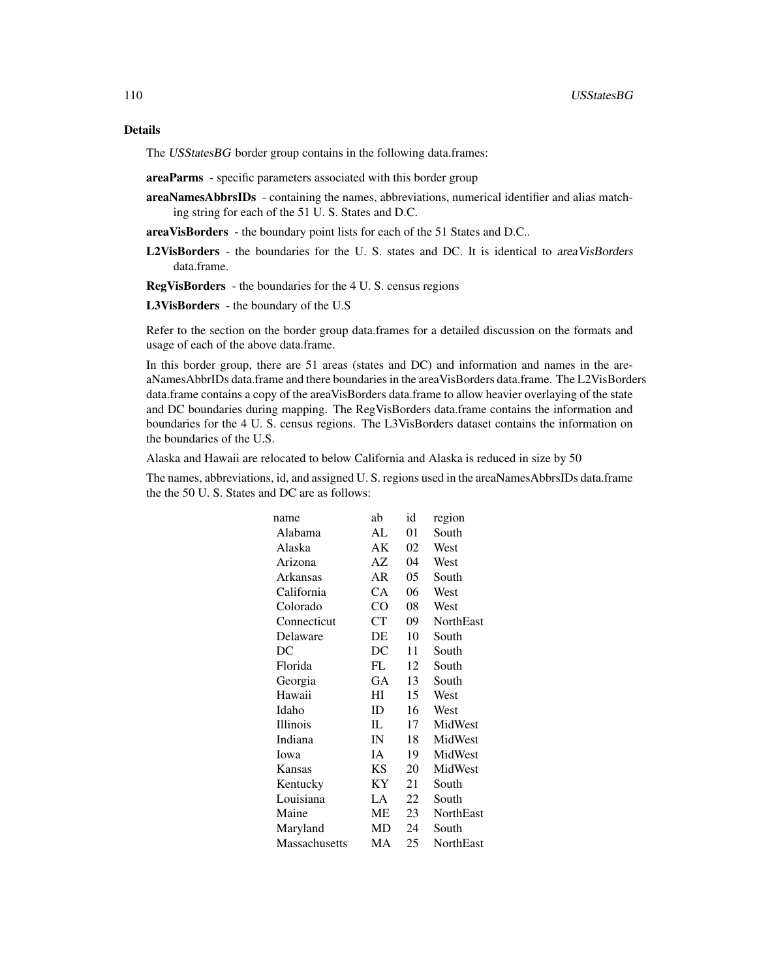# Details

The USStatesBG border group contains in the following data.frames:

- areaParms specific parameters associated with this border group
- areaNamesAbbrsIDs containing the names, abbreviations, numerical identifier and alias matching string for each of the 51 U. S. States and D.C.
- areaVisBorders the boundary point lists for each of the 51 States and D.C..
- L2VisBorders the boundaries for the U. S. states and DC. It is identical to areaVisBorders data.frame.
- RegVisBorders the boundaries for the 4 U. S. census regions
- L3VisBorders the boundary of the U.S

Refer to the section on the border group data.frames for a detailed discussion on the formats and usage of each of the above data.frame.

In this border group, there are 51 areas (states and DC) and information and names in the areaNamesAbbrIDs data.frame and there boundaries in the areaVisBorders data.frame. The L2VisBorders data.frame contains a copy of the areaVisBorders data.frame to allow heavier overlaying of the state and DC boundaries during mapping. The RegVisBorders data.frame contains the information and boundaries for the 4 U. S. census regions. The L3VisBorders dataset contains the information on the boundaries of the U.S.

Alaska and Hawaii are relocated to below California and Alaska is reduced in size by 50

The names, abbreviations, id, and assigned U. S. regions used in the areaNamesAbbrsIDs data.frame the the 50 U. S. States and DC are as follows:

| name            | ab              | id | region    |
|-----------------|-----------------|----|-----------|
| Alabama         | AL              | 01 | South     |
| Alaska          | AΚ              | 02 | West      |
| Arizona         | AZ              | 04 | West      |
| Arkansas        | AR              | 05 | South     |
| California      | CА              | 06 | West      |
| Colorado        | CO <sup>1</sup> | 08 | West      |
| Connecticut     | <b>CT</b>       | 09 | NorthEast |
| Delaware        | DE              | 10 | South     |
| DC              | DC              | 11 | South     |
| Florida         | FL              | 12 | South     |
| Georgia         | GА              | 13 | South     |
| Hawaii          | ΗΙ              | 15 | West      |
| Idaho           | ID              | 16 | West      |
| <b>Illinois</b> | IL              | 17 | MidWest   |
| Indiana         | IN              | 18 | MidWest   |
| Iowa            | IA              | 19 | MidWest   |
| Kansas          | KS              | 20 | MidWest   |
| Kentucky        | ΚY              | 21 | South     |
| Louisiana       | LA              | 22 | South     |
| Maine           | ME              | 23 | NorthEast |
| Maryland        | MD              | 24 | South     |
| Massachusetts   | MA              | 25 | NorthEast |
|                 |                 |    |           |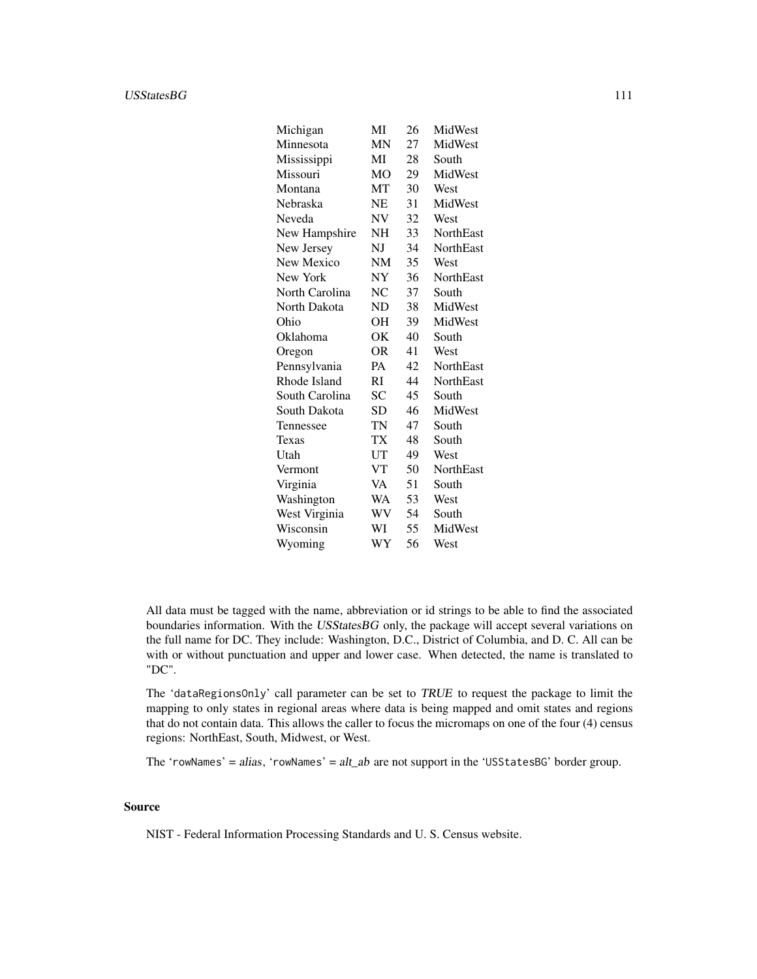#### USStatesBG 111

| Michigan       | MI        | 26 | MidWest          |
|----------------|-----------|----|------------------|
| Minnesota      | <b>MN</b> | 27 | MidWest          |
| Mississippi    | MI        | 28 | South            |
| Missouri       | <b>MO</b> | 29 | MidWest          |
| Montana        | MT        | 30 | West             |
| Nebraska       | NE        | 31 | MidWest          |
| Neveda         | NV        | 32 | West             |
| New Hampshire  | NH        | 33 | <b>NorthEast</b> |
| New Jersey     | NJ        | 34 | <b>NorthEast</b> |
| New Mexico     | <b>NM</b> | 35 | West             |
| New York       | NY        | 36 | <b>NorthEast</b> |
| North Carolina | NC        | 37 | South            |
| North Dakota   | ND        | 38 | MidWest          |
| Ohio           | OН        | 39 | MidWest          |
| Oklahoma       | ОK        | 40 | South            |
| Oregon         | 0R        | 41 | West             |
| Pennsylvania   | PA        | 42 | <b>NorthEast</b> |
| Rhode Island   | RI        | 44 | NorthEast        |
| South Carolina | SС        | 45 | South            |
| South Dakota   | SD        | 46 | MidWest          |
| Tennessee      | TN        | 47 | South            |
| Texas          | TX        | 48 | South            |
| Utah           | UT        | 49 | West             |
| Vermont        | VT        | 50 | <b>NorthEast</b> |
| Virginia       | VA        | 51 | South            |
| Washington     | WA        | 53 | West             |
| West Virginia  | WV        | 54 | South            |
| Wisconsin      | WI        | 55 | MidWest          |
| Wyoming        | WY        | 56 | West             |

All data must be tagged with the name, abbreviation or id strings to be able to find the associated boundaries information. With the USStatesBG only, the package will accept several variations on the full name for DC. They include: Washington, D.C., District of Columbia, and D. C. All can be with or without punctuation and upper and lower case. When detected, the name is translated to "DC".

The 'dataRegionsOnly' call parameter can be set to TRUE to request the package to limit the mapping to only states in regional areas where data is being mapped and omit states and regions that do not contain data. This allows the caller to focus the micromaps on one of the four (4) census regions: NorthEast, South, Midwest, or West.

The 'rowNames' =  $alias$ , 'rowNames' =  $alt\_ab$  are not support in the 'USStatesBG' border group.

# Source

NIST - Federal Information Processing Standards and U. S. Census website.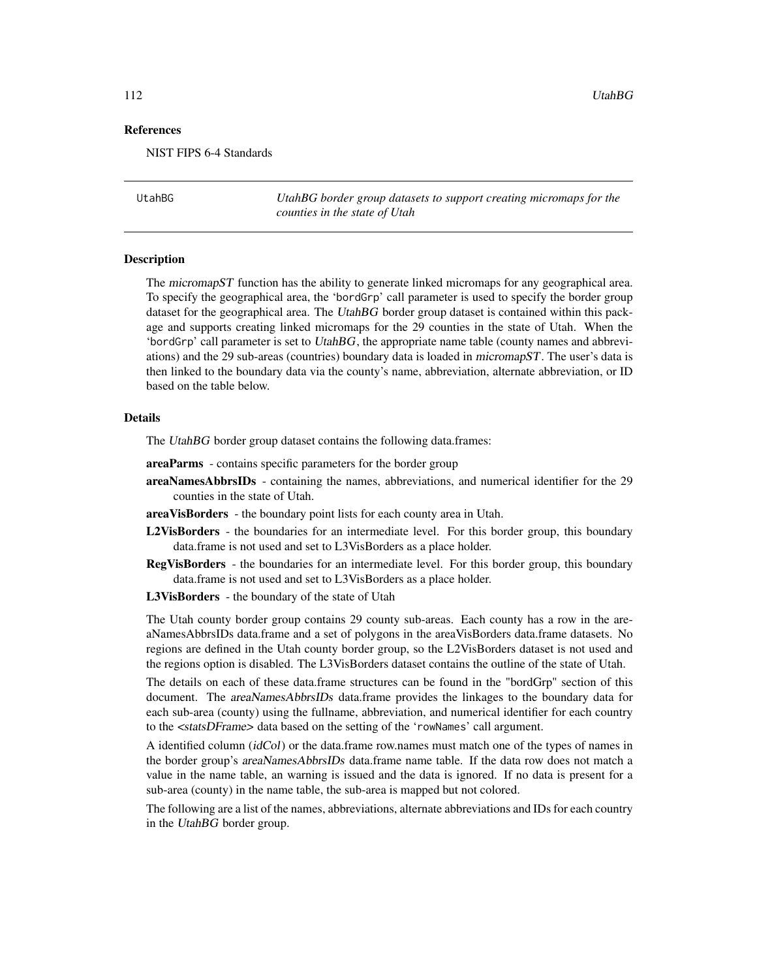# <span id="page-111-0"></span>References

NIST FIPS 6-4 Standards

UtahBG *UtahBG border group datasets to support creating micromaps for the counties in the state of Utah*

# Description

The micromapST function has the ability to generate linked micromaps for any geographical area. To specify the geographical area, the 'bordGrp' call parameter is used to specify the border group dataset for the geographical area. The UtahBG border group dataset is contained within this package and supports creating linked micromaps for the 29 counties in the state of Utah. When the 'bordGrp' call parameter is set to UtahBG, the appropriate name table (county names and abbreviations) and the 29 sub-areas (countries) boundary data is loaded in micromapST. The user's data is then linked to the boundary data via the county's name, abbreviation, alternate abbreviation, or ID based on the table below.

# Details

The UtahBG border group dataset contains the following data.frames:

areaParms - contains specific parameters for the border group

areaNamesAbbrsIDs - containing the names, abbreviations, and numerical identifier for the 29 counties in the state of Utah.

areaVisBorders - the boundary point lists for each county area in Utah.

- L2VisBorders the boundaries for an intermediate level. For this border group, this boundary data.frame is not used and set to L3VisBorders as a place holder.
- RegVisBorders the boundaries for an intermediate level. For this border group, this boundary data.frame is not used and set to L3VisBorders as a place holder.
- L3VisBorders the boundary of the state of Utah

The Utah county border group contains 29 county sub-areas. Each county has a row in the areaNamesAbbrsIDs data.frame and a set of polygons in the areaVisBorders data.frame datasets. No regions are defined in the Utah county border group, so the L2VisBorders dataset is not used and the regions option is disabled. The L3VisBorders dataset contains the outline of the state of Utah.

The details on each of these data.frame structures can be found in the "bordGrp" section of this document. The *areaNamesAbbrsIDs* data.frame provides the linkages to the boundary data for each sub-area (county) using the fullname, abbreviation, and numerical identifier for each country to the <statsDFrame> data based on the setting of the 'rowNames' call argument.

A identified column (idCol) or the data.frame row.names must match one of the types of names in the border group's areaNamesAbbrsIDs data.frame name table. If the data row does not match a value in the name table, an warning is issued and the data is ignored. If no data is present for a sub-area (county) in the name table, the sub-area is mapped but not colored.

The following are a list of the names, abbreviations, alternate abbreviations and IDs for each country in the UtahBG border group.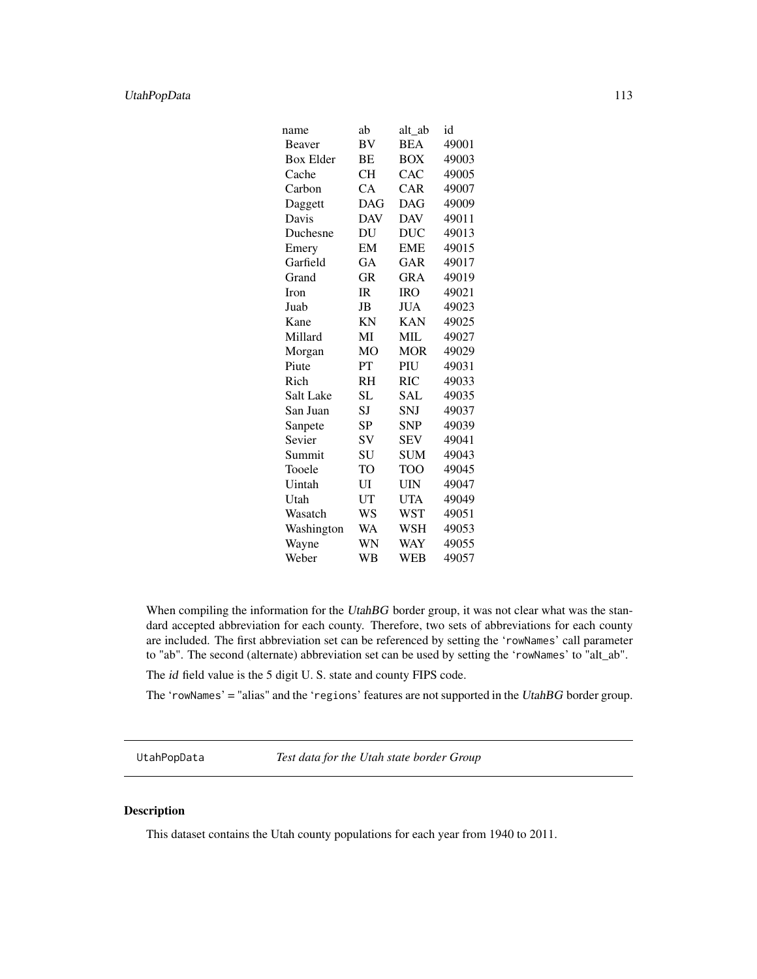# <span id="page-112-0"></span>UtahPopData 113

| name             | ab             | alt ab     | id    |
|------------------|----------------|------------|-------|
| Beaver           | BV             | <b>BEA</b> | 49001 |
| <b>Box Elder</b> | BE             | <b>BOX</b> | 49003 |
| Cache            | <b>CH</b>      | CAC        | 49005 |
| Carbon           | CA             | CAR        | 49007 |
| Daggett          | <b>DAG</b>     | <b>DAG</b> | 49009 |
| Davis            | <b>DAV</b>     | <b>DAV</b> | 49011 |
| Duchesne         | DU             | <b>DUC</b> | 49013 |
| Emery            | EM             | <b>EME</b> | 49015 |
| Garfield         | GA             | GAR        | 49017 |
| Grand            | <b>GR</b>      | <b>GRA</b> | 49019 |
| <b>Iron</b>      | IR             | <b>IRO</b> | 49021 |
| Juab             | JB             | <b>JUA</b> | 49023 |
| Kane             | ΚN             | <b>KAN</b> | 49025 |
| Millard          | MI             | MIL        | 49027 |
| Morgan           | M <sub>O</sub> | <b>MOR</b> | 49029 |
| Piute            | PT             | PIU        | 49031 |
| Rich             | RH             | <b>RIC</b> | 49033 |
| <b>Salt Lake</b> | SL             | SAL        | 49035 |
| San Juan         | SJ             | SNJ        | 49037 |
| Sanpete          | SP             | SNP        | 49039 |
| Sevier           | SV             | <b>SEV</b> | 49041 |
| Summit           | SU             | <b>SUM</b> | 49043 |
| Tooele           | <b>TO</b>      | <b>TOO</b> | 49045 |
| Uintah           | UI             | <b>UIN</b> | 49047 |
| Utah             | UT             | <b>UTA</b> | 49049 |
| Wasatch          | WS             | <b>WST</b> | 49051 |
| Washington       | WA             | WSH        | 49053 |
| Wayne            | WN             | WAY        | 49055 |
| Weber            | WB             | <b>WEB</b> | 49057 |

When compiling the information for the UtahBG border group, it was not clear what was the standard accepted abbreviation for each county. Therefore, two sets of abbreviations for each county are included. The first abbreviation set can be referenced by setting the 'rowNames' call parameter to "ab". The second (alternate) abbreviation set can be used by setting the 'rowNames' to "alt\_ab".

The id field value is the 5 digit U. S. state and county FIPS code.

The 'rowNames' = "alias" and the 'regions' features are not supported in the UtahBG border group.

UtahPopData *Test data for the Utah state border Group*

# Description

This dataset contains the Utah county populations for each year from 1940 to 2011.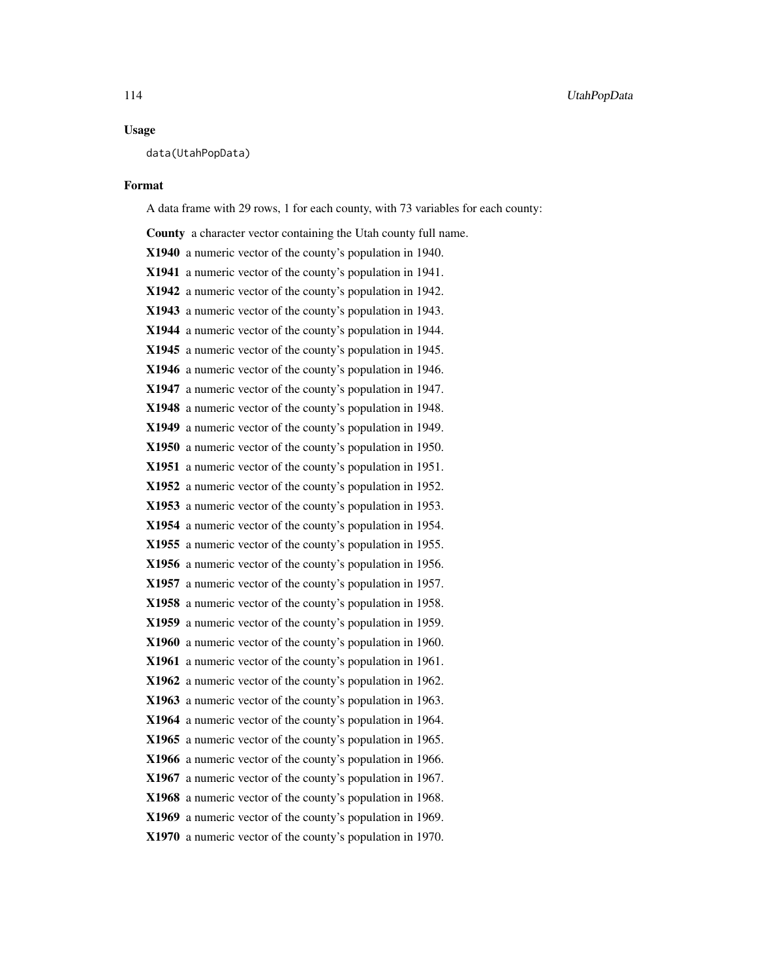# Usage

data(UtahPopData)

#### Format

A data frame with 29 rows, 1 for each county, with 73 variables for each county:

County a character vector containing the Utah county full name. X1940 a numeric vector of the county's population in 1940. X1941 a numeric vector of the county's population in 1941. X1942 a numeric vector of the county's population in 1942. X1943 a numeric vector of the county's population in 1943. X1944 a numeric vector of the county's population in 1944. X1945 a numeric vector of the county's population in 1945. X1946 a numeric vector of the county's population in 1946. X1947 a numeric vector of the county's population in 1947. X1948 a numeric vector of the county's population in 1948. X1949 a numeric vector of the county's population in 1949. X1950 a numeric vector of the county's population in 1950. X1951 a numeric vector of the county's population in 1951. X1952 a numeric vector of the county's population in 1952. X1953 a numeric vector of the county's population in 1953. X1954 a numeric vector of the county's population in 1954. X1955 a numeric vector of the county's population in 1955. X1956 a numeric vector of the county's population in 1956. X1957 a numeric vector of the county's population in 1957. X1958 a numeric vector of the county's population in 1958. X1959 a numeric vector of the county's population in 1959. X1960 a numeric vector of the county's population in 1960. X1961 a numeric vector of the county's population in 1961. X1962 a numeric vector of the county's population in 1962. X1963 a numeric vector of the county's population in 1963. X1964 a numeric vector of the county's population in 1964. X1965 a numeric vector of the county's population in 1965. X1966 a numeric vector of the county's population in 1966. X1967 a numeric vector of the county's population in 1967. X1968 a numeric vector of the county's population in 1968. X1969 a numeric vector of the county's population in 1969. X1970 a numeric vector of the county's population in 1970.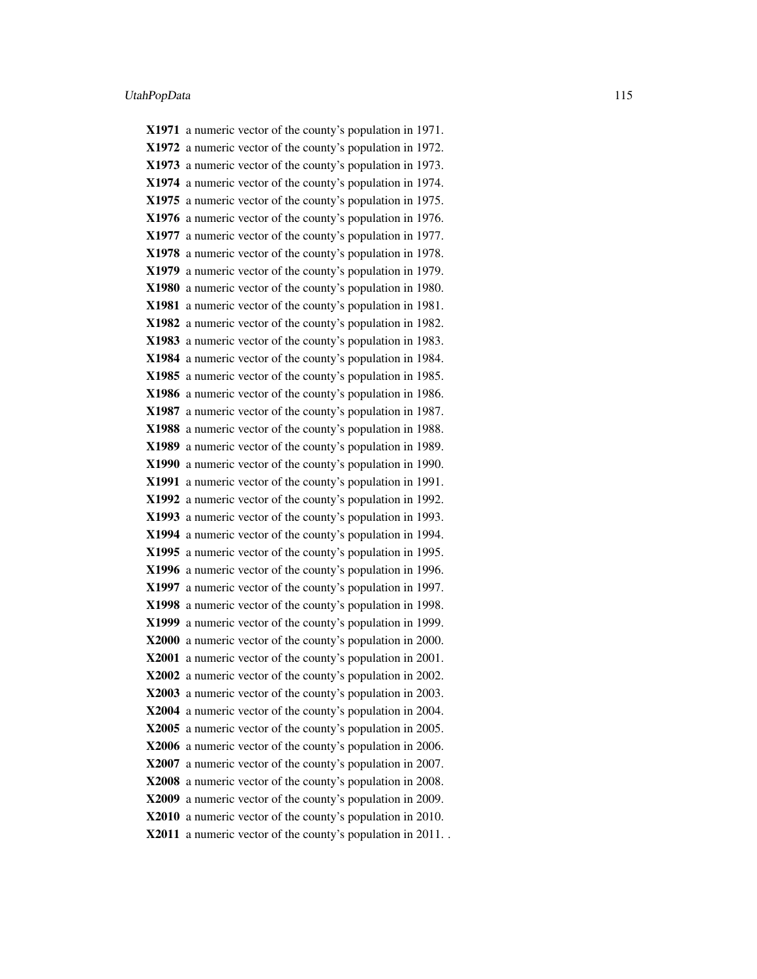X1971 a numeric vector of the county's population in 1971. X1972 a numeric vector of the county's population in 1972. X1973 a numeric vector of the county's population in 1973. X1974 a numeric vector of the county's population in 1974. X1975 a numeric vector of the county's population in 1975. X1976 a numeric vector of the county's population in 1976. X1977 a numeric vector of the county's population in 1977. X1978 a numeric vector of the county's population in 1978. X1979 a numeric vector of the county's population in 1979. X1980 a numeric vector of the county's population in 1980. X1981 a numeric vector of the county's population in 1981. X1982 a numeric vector of the county's population in 1982. X1983 a numeric vector of the county's population in 1983. X1984 a numeric vector of the county's population in 1984. X1985 a numeric vector of the county's population in 1985. X1986 a numeric vector of the county's population in 1986. X1987 a numeric vector of the county's population in 1987. X1988 a numeric vector of the county's population in 1988. X1989 a numeric vector of the county's population in 1989. X1990 a numeric vector of the county's population in 1990. X1991 a numeric vector of the county's population in 1991. X1992 a numeric vector of the county's population in 1992. X1993 a numeric vector of the county's population in 1993. X1994 a numeric vector of the county's population in 1994. X1995 a numeric vector of the county's population in 1995. X1996 a numeric vector of the county's population in 1996. X1997 a numeric vector of the county's population in 1997. X1998 a numeric vector of the county's population in 1998. X1999 a numeric vector of the county's population in 1999. X2000 a numeric vector of the county's population in 2000. X2001 a numeric vector of the county's population in 2001. X2002 a numeric vector of the county's population in 2002. X2003 a numeric vector of the county's population in 2003. X2004 a numeric vector of the county's population in 2004. X2005 a numeric vector of the county's population in 2005. X2006 a numeric vector of the county's population in 2006. X2007 a numeric vector of the county's population in 2007. X2008 a numeric vector of the county's population in 2008. X2009 a numeric vector of the county's population in 2009. X2010 a numeric vector of the county's population in 2010. X2011 a numeric vector of the county's population in 2011. .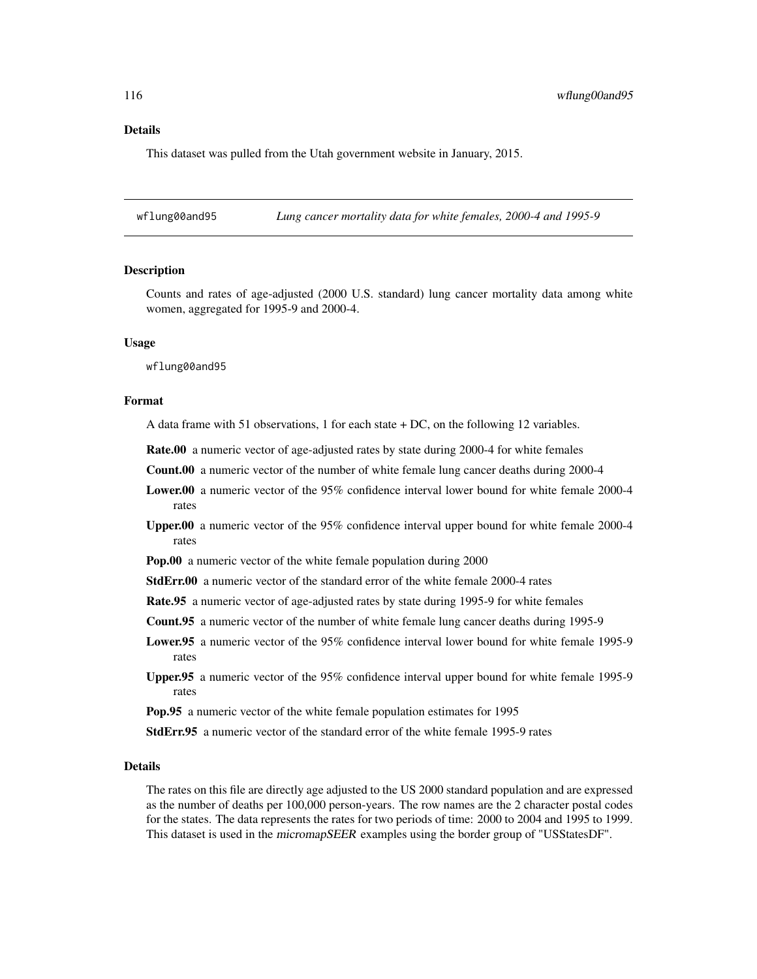# Details

This dataset was pulled from the Utah government website in January, 2015.

wflung00and95 *Lung cancer mortality data for white females, 2000-4 and 1995-9*

# Description

Counts and rates of age-adjusted (2000 U.S. standard) lung cancer mortality data among white women, aggregated for 1995-9 and 2000-4.

# Usage

wflung00and95

# Format

A data frame with 51 observations, 1 for each state + DC, on the following 12 variables.

Rate.00 a numeric vector of age-adjusted rates by state during 2000-4 for white females

Count.00 a numeric vector of the number of white female lung cancer deaths during 2000-4

- Lower.00 a numeric vector of the 95% confidence interval lower bound for white female 2000-4 rates
- Upper.00 a numeric vector of the 95% confidence interval upper bound for white female 2000-4 rates

Pop.00 a numeric vector of the white female population during 2000

- StdErr.00 a numeric vector of the standard error of the white female 2000-4 rates
- Rate.95 a numeric vector of age-adjusted rates by state during 1995-9 for white females
- Count.95 a numeric vector of the number of white female lung cancer deaths during 1995-9
- Lower.95 a numeric vector of the 95% confidence interval lower bound for white female 1995-9 rates
- Upper.95 a numeric vector of the 95% confidence interval upper bound for white female 1995-9 rates
- Pop.95 a numeric vector of the white female population estimates for 1995

StdErr.95 a numeric vector of the standard error of the white female 1995-9 rates

#### Details

The rates on this file are directly age adjusted to the US 2000 standard population and are expressed as the number of deaths per 100,000 person-years. The row names are the 2 character postal codes for the states. The data represents the rates for two periods of time: 2000 to 2004 and 1995 to 1999. This dataset is used in the *micromapSEER* examples using the border group of "USStatesDF".

<span id="page-115-0"></span>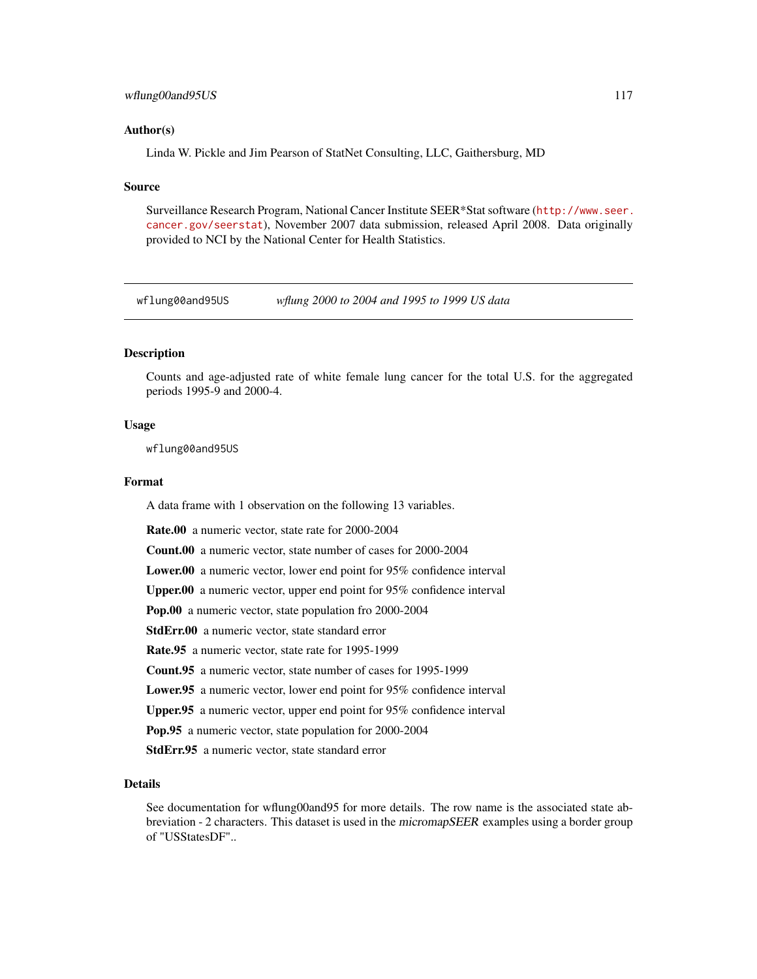# <span id="page-116-0"></span>wflung00and95US 117

# Author(s)

Linda W. Pickle and Jim Pearson of StatNet Consulting, LLC, Gaithersburg, MD

# Source

Surveillance Research Program, National Cancer Institute SEER\*Stat software ([http://www.seer.](http://www.seer.cancer.gov/seerstat) [cancer.gov/seerstat](http://www.seer.cancer.gov/seerstat)), November 2007 data submission, released April 2008. Data originally provided to NCI by the National Center for Health Statistics.

wflung00and95US *wflung 2000 to 2004 and 1995 to 1999 US data*

# **Description**

Counts and age-adjusted rate of white female lung cancer for the total U.S. for the aggregated periods 1995-9 and 2000-4.

# Usage

wflung00and95US

# Format

A data frame with 1 observation on the following 13 variables.

Rate.00 a numeric vector, state rate for 2000-2004

Count.00 a numeric vector, state number of cases for 2000-2004

Lower.00 a numeric vector, lower end point for 95% confidence interval

Upper.00 a numeric vector, upper end point for 95% confidence interval

Pop.00 a numeric vector, state population fro 2000-2004

StdErr.00 a numeric vector, state standard error

Rate.95 a numeric vector, state rate for 1995-1999

Count.95 a numeric vector, state number of cases for 1995-1999

Lower.95 a numeric vector, lower end point for 95% confidence interval

Upper.95 a numeric vector, upper end point for 95% confidence interval

Pop.95 a numeric vector, state population for 2000-2004

StdErr.95 a numeric vector, state standard error

# Details

See documentation for wflung00and95 for more details. The row name is the associated state abbreviation - 2 characters. This dataset is used in the micromapSEER examples using a border group of "USStatesDF"..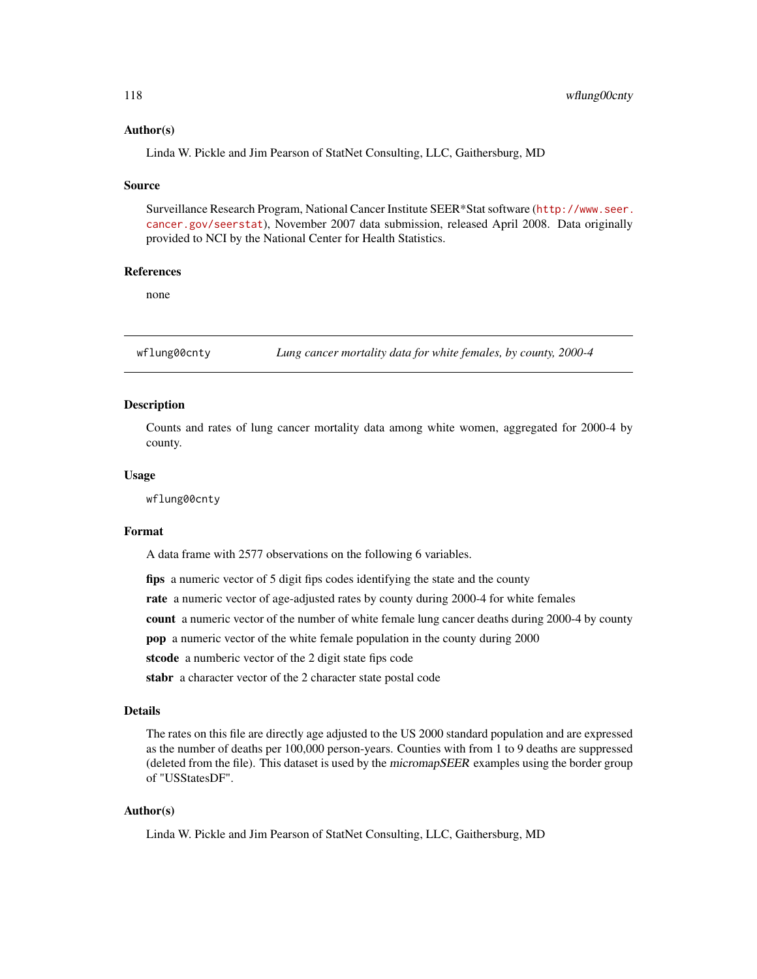# <span id="page-117-0"></span>Author(s)

Linda W. Pickle and Jim Pearson of StatNet Consulting, LLC, Gaithersburg, MD

#### Source

Surveillance Research Program, National Cancer Institute SEER\*Stat software ([http://www.seer.](http://www.seer.cancer.gov/seerstat) [cancer.gov/seerstat](http://www.seer.cancer.gov/seerstat)), November 2007 data submission, released April 2008. Data originally provided to NCI by the National Center for Health Statistics.

# References

none

wflung00cnty *Lung cancer mortality data for white females, by county, 2000-4*

# Description

Counts and rates of lung cancer mortality data among white women, aggregated for 2000-4 by county.

# Usage

wflung00cnty

#### Format

A data frame with 2577 observations on the following 6 variables.

fips a numeric vector of 5 digit fips codes identifying the state and the county

rate a numeric vector of age-adjusted rates by county during 2000-4 for white females

count a numeric vector of the number of white female lung cancer deaths during 2000-4 by county

pop a numeric vector of the white female population in the county during 2000

stcode a numberic vector of the 2 digit state fips code

stabr a character vector of the 2 character state postal code

# Details

The rates on this file are directly age adjusted to the US 2000 standard population and are expressed as the number of deaths per 100,000 person-years. Counties with from 1 to 9 deaths are suppressed (deleted from the file). This dataset is used by the micromapSEER examples using the border group of "USStatesDF".

# Author(s)

Linda W. Pickle and Jim Pearson of StatNet Consulting, LLC, Gaithersburg, MD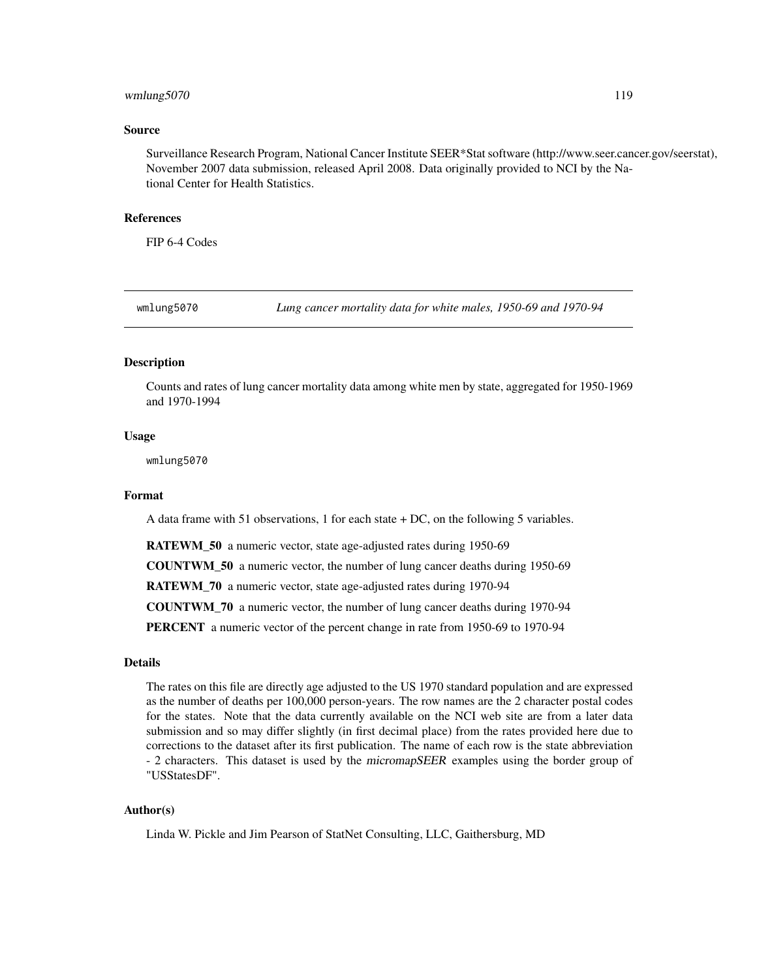# <span id="page-118-0"></span>wmlung5070 119

# Source

Surveillance Research Program, National Cancer Institute SEER\*Stat software (http://www.seer.cancer.gov/seerstat), November 2007 data submission, released April 2008. Data originally provided to NCI by the National Center for Health Statistics.

# References

FIP 6-4 Codes

wmlung5070 *Lung cancer mortality data for white males, 1950-69 and 1970-94*

# Description

Counts and rates of lung cancer mortality data among white men by state, aggregated for 1950-1969 and 1970-1994

# Usage

wmlung5070

## Format

A data frame with 51 observations, 1 for each state + DC, on the following 5 variables.

RATEWM\_50 a numeric vector, state age-adjusted rates during 1950-69

COUNTWM\_50 a numeric vector, the number of lung cancer deaths during 1950-69

RATEWM\_70 a numeric vector, state age-adjusted rates during 1970-94

COUNTWM\_70 a numeric vector, the number of lung cancer deaths during 1970-94

PERCENT a numeric vector of the percent change in rate from 1950-69 to 1970-94

## Details

The rates on this file are directly age adjusted to the US 1970 standard population and are expressed as the number of deaths per 100,000 person-years. The row names are the 2 character postal codes for the states. Note that the data currently available on the NCI web site are from a later data submission and so may differ slightly (in first decimal place) from the rates provided here due to corrections to the dataset after its first publication. The name of each row is the state abbreviation - 2 characters. This dataset is used by the micromapSEER examples using the border group of "USStatesDF".

# Author(s)

Linda W. Pickle and Jim Pearson of StatNet Consulting, LLC, Gaithersburg, MD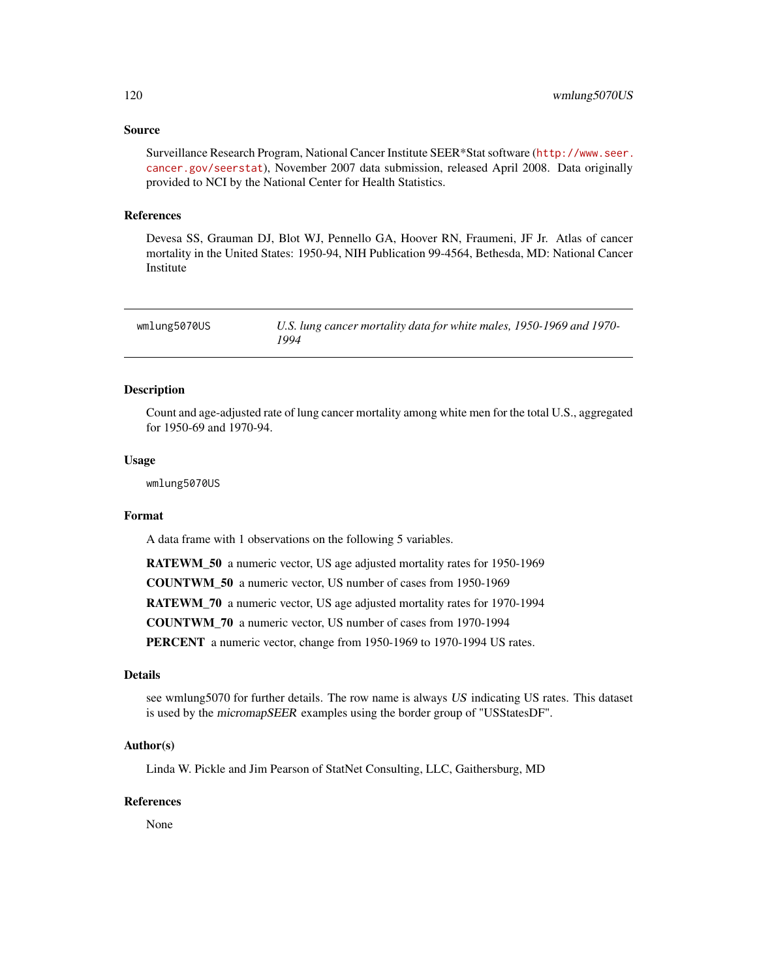# <span id="page-119-0"></span>Source

Surveillance Research Program, National Cancer Institute SEER\*Stat software ([http://www.seer.](http://www.seer.cancer.gov/seerstat) [cancer.gov/seerstat](http://www.seer.cancer.gov/seerstat)), November 2007 data submission, released April 2008. Data originally provided to NCI by the National Center for Health Statistics.

# References

Devesa SS, Grauman DJ, Blot WJ, Pennello GA, Hoover RN, Fraumeni, JF Jr. Atlas of cancer mortality in the United States: 1950-94, NIH Publication 99-4564, Bethesda, MD: National Cancer Institute

| wmlung5070US | U.S. lung cancer mortality data for white males, 1950-1969 and 1970- |
|--------------|----------------------------------------------------------------------|
|              | 1994                                                                 |

# Description

Count and age-adjusted rate of lung cancer mortality among white men for the total U.S., aggregated for 1950-69 and 1970-94.

# Usage

wmlung5070US

# Format

A data frame with 1 observations on the following 5 variables.

RATEWM\_50 a numeric vector, US age adjusted mortality rates for 1950-1969

COUNTWM\_50 a numeric vector, US number of cases from 1950-1969

RATEWM\_70 a numeric vector, US age adjusted mortality rates for 1970-1994

COUNTWM\_70 a numeric vector, US number of cases from 1970-1994

PERCENT a numeric vector, change from 1950-1969 to 1970-1994 US rates.

#### Details

see wmlung5070 for further details. The row name is always US indicating US rates. This dataset is used by the micromapSEER examples using the border group of "USStatesDF".

# Author(s)

Linda W. Pickle and Jim Pearson of StatNet Consulting, LLC, Gaithersburg, MD

## References

None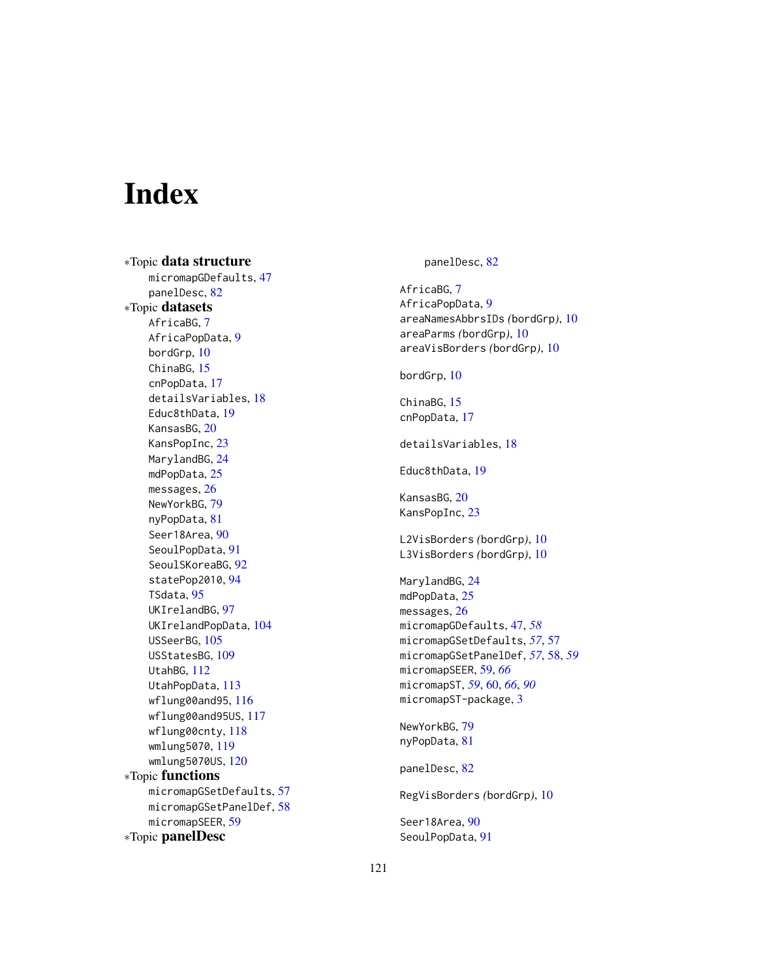# Index

∗Topic data structure micromapGDefaults, [47](#page-46-0) panelDesc, [82](#page-81-0) ∗Topic datasets AfricaBG, [7](#page-6-0) AfricaPopData, [9](#page-8-0) bordGrp, [10](#page-9-0) ChinaBG, [15](#page-14-0) cnPopData, [17](#page-16-0) detailsVariables, [18](#page-17-0) Educ8thData, [19](#page-18-0) KansasBG, [20](#page-19-0) KansPopInc, [23](#page-22-0) MarylandBG, [24](#page-23-0) mdPopData, [25](#page-24-0) messages, [26](#page-25-0) NewYorkBG, [79](#page-78-0) nyPopData, [81](#page-80-0) Seer18Area, [90](#page-89-0) SeoulPopData, [91](#page-90-0) SeoulSKoreaBG, [92](#page-91-0) statePop2010, [94](#page-93-0) TSdata, [95](#page-94-0) UKIrelandBG, [97](#page-96-0) UKIrelandPopData, [104](#page-103-0) USSeerBG, [105](#page-104-0) USStatesBG, [109](#page-108-0) UtahBG, [112](#page-111-0) UtahPopData, [113](#page-112-0) wflung00and95, [116](#page-115-0) wflung00and95US, [117](#page-116-0) wflung00cnty, [118](#page-117-0) wmlung5070, [119](#page-118-0) wmlung5070US, [120](#page-119-0) ∗Topic functions micromapGSetDefaults, [57](#page-56-0) micromapGSetPanelDef, [58](#page-57-0) micromapSEER, [59](#page-58-0) ∗Topic panelDesc

panelDesc, [82](#page-81-0)

AfricaBG, [7](#page-6-0) AfricaPopData, [9](#page-8-0) areaNamesAbbrsIDs *(*bordGrp*)*, [10](#page-9-0) areaParms *(*bordGrp*)*, [10](#page-9-0) areaVisBorders *(*bordGrp*)*, [10](#page-9-0) bordGrp, [10](#page-9-0) ChinaBG, [15](#page-14-0) cnPopData, [17](#page-16-0) detailsVariables, [18](#page-17-0) Educ8thData, [19](#page-18-0) KansasBG, [20](#page-19-0) KansPopInc, [23](#page-22-0) L2VisBorders *(*bordGrp*)*, [10](#page-9-0) L3VisBorders *(*bordGrp*)*, [10](#page-9-0) MarylandBG, [24](#page-23-0) mdPopData, [25](#page-24-0) messages, [26](#page-25-0) micromapGDefaults, [47,](#page-46-0) *[58](#page-57-0)* micromapGSetDefaults, *[57](#page-56-0)*, [57](#page-56-0) micromapGSetPanelDef, *[57](#page-56-0)*, [58,](#page-57-0) *[59](#page-58-0)* micromapSEER, [59,](#page-58-0) *[66](#page-65-0)* micromapST, *[59](#page-58-0)*, [60,](#page-59-0) *[66](#page-65-0)*, *[90](#page-89-0)* micromapST-package, [3](#page-2-0) NewYorkBG, [79](#page-78-0) nyPopData, [81](#page-80-0) panelDesc, [82](#page-81-0) RegVisBorders *(*bordGrp*)*, [10](#page-9-0) Seer18Area, [90](#page-89-0) SeoulPopData, [91](#page-90-0)